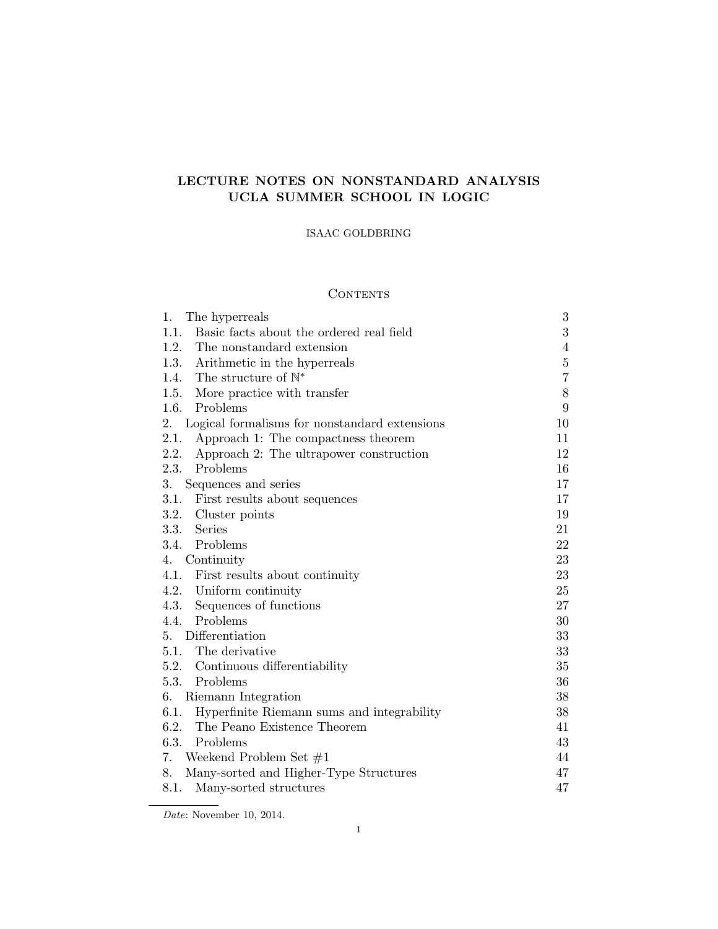# LECTURE NOTES ON NONSTANDARD ANALYSIS UCLA SUMMER SCHOOL IN LOGIC

## ISAAC GOLDBRING

## **CONTENTS**

| 1.<br>The hyperreals                                | 3              |
|-----------------------------------------------------|----------------|
| Basic facts about the ordered real field<br>1.1.    | 3              |
| 1.2.<br>The nonstandard extension                   | $\overline{4}$ |
| 1.3. Arithmetic in the hyperreals                   | $\bf 5$        |
| The structure of $\mathbb{N}^*$<br>1.4.             | $\overline{7}$ |
| 1.5.<br>More practice with transfer                 | 8              |
| 1.6. Problems                                       | 9              |
| Logical formalisms for nonstandard extensions<br>2. | 10             |
| 2.1.<br>Approach 1: The compactness theorem         | 11             |
| 2.2.<br>Approach 2: The ultrapower construction     | 12             |
| 2.3.<br>Problems                                    | 16             |
| Sequences and series<br>3.                          | 17             |
| 3.1.<br>First results about sequences               | 17             |
| 3.2. Cluster points                                 | 19             |
| 3.3. Series                                         | 21             |
| 3.4. Problems                                       | 22             |
| Continuity<br>4.                                    | 23             |
| 4.1. First results about continuity                 | 23             |
| 4.2. Uniform continuity                             | 25             |
| 4.3. Sequences of functions                         | 27             |
| 4.4. Problems                                       | 30             |
| 5. Differentiation                                  | 33             |
| 5.1. The derivative                                 | 33             |
| 5.2. Continuous differentiability                   | 35             |
| 5.3.<br>Problems                                    | 36             |
| Riemann Integration<br>6.                           | 38             |
| 6.1. Hyperfinite Riemann sums and integrability     | 38             |
| 6.2.<br>The Peano Existence Theorem                 | 41             |
| 6.3.<br>Problems                                    | 43             |
| Weekend Problem Set $#1$<br>7.                      | 44             |
| 8.<br>Many-sorted and Higher-Type Structures        | 47             |
| 8.1.<br>Many-sorted structures                      | 47             |

Date: November 10, 2014.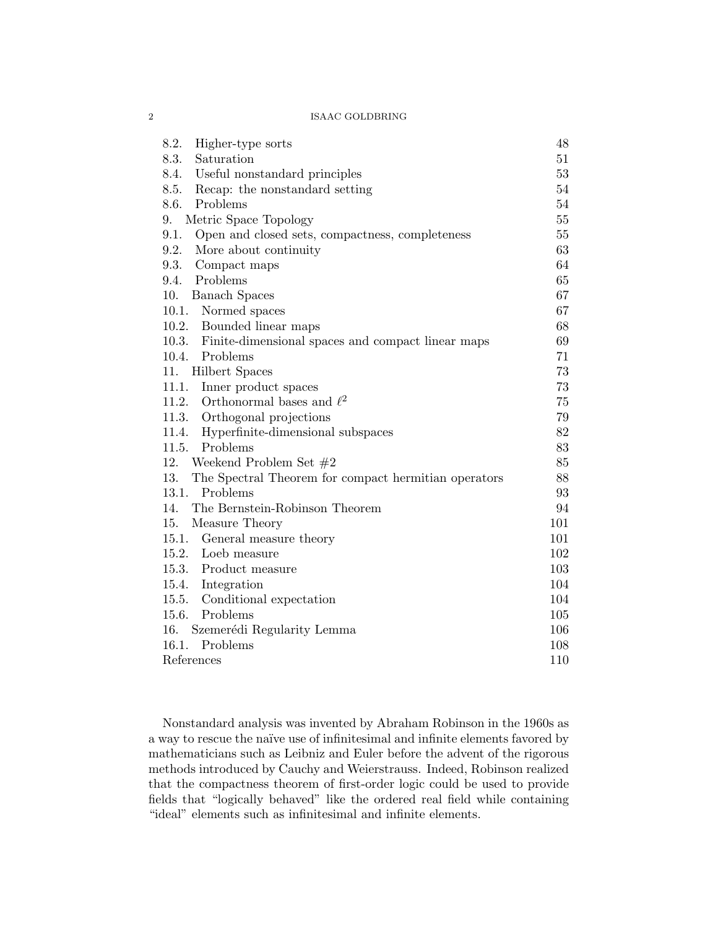| 8.2.<br>Higher-type sorts                                   | 48  |
|-------------------------------------------------------------|-----|
| 8.3.<br>Saturation                                          | 51  |
| 8.4. Useful nonstandard principles                          | 53  |
| 8.5. Recap: the nonstandard setting                         | 54  |
| 8.6.<br>Problems                                            | 54  |
| Metric Space Topology<br>9.                                 | 55  |
| 9.1.<br>Open and closed sets, compactness, completeness     | 55  |
| 9.2.<br>More about continuity                               | 63  |
| 9.3. Compact maps                                           | 64  |
| 9.4. Problems                                               | 65  |
| 10. Banach Spaces                                           | 67  |
| 10.1. Normed spaces                                         | 67  |
| 10.2.<br>Bounded linear maps                                | 68  |
| Finite-dimensional spaces and compact linear maps<br>10.3.  | 69  |
| Problems<br>10.4.                                           | 71  |
| 11. Hilbert Spaces                                          | 73  |
| Inner product spaces<br>11.1.                               | 73  |
| 11.2. Orthonormal bases and $\ell^2$                        | 75  |
| 11.3. Orthogonal projections                                | 79  |
| 11.4.<br>Hyperfinite-dimensional subspaces                  | 82  |
| 11.5.<br>Problems                                           | 83  |
| 12. Weekend Problem Set $#2$                                | 85  |
| 13.<br>The Spectral Theorem for compact hermitian operators | 88  |
| 13.1.<br>Problems                                           | 93  |
| The Bernstein-Robinson Theorem<br>14.                       | 94  |
| 15.<br>Measure Theory                                       | 101 |
| 15.1. General measure theory                                | 101 |
| 15.2. Loeb measure                                          | 102 |
| 15.3. Product measure                                       | 103 |
| 15.4.<br>Integration                                        | 104 |
| 15.5.<br>Conditional expectation                            | 104 |
| 15.6.<br>Problems                                           | 105 |
| Szemerédi Regularity Lemma<br>16.                           | 106 |
| Problems<br>16.1.                                           | 108 |
| References                                                  | 110 |

Nonstandard analysis was invented by Abraham Robinson in the 1960s as a way to rescue the naïve use of infinitesimal and infinite elements favored by mathematicians such as Leibniz and Euler before the advent of the rigorous methods introduced by Cauchy and Weierstrauss. Indeed, Robinson realized that the compactness theorem of first-order logic could be used to provide fields that "logically behaved" like the ordered real field while containing "ideal" elements such as infinitesimal and infinite elements.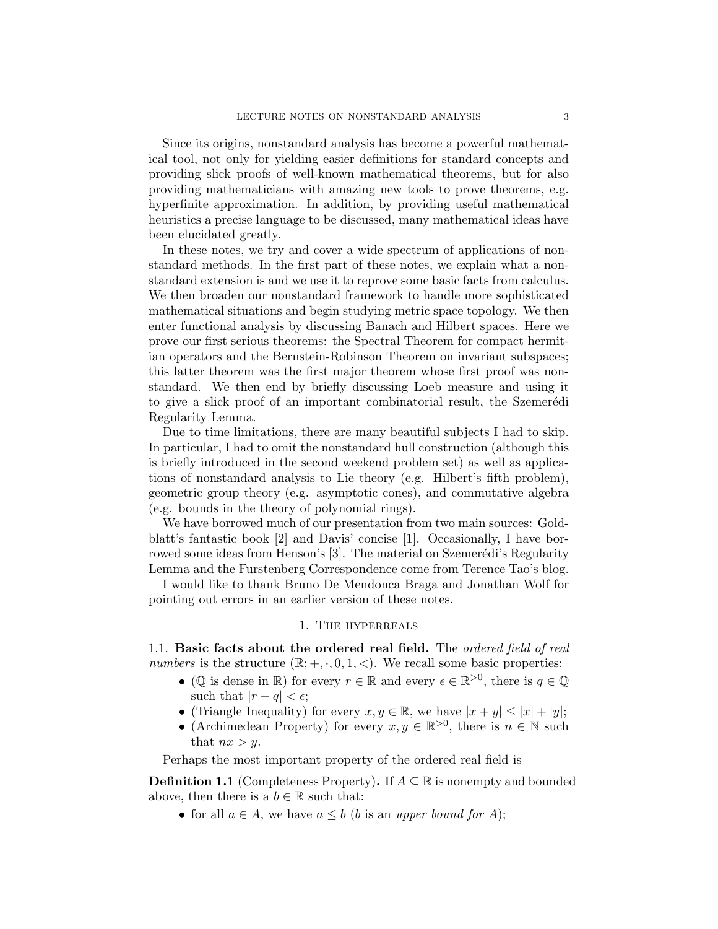Since its origins, nonstandard analysis has become a powerful mathematical tool, not only for yielding easier definitions for standard concepts and providing slick proofs of well-known mathematical theorems, but for also providing mathematicians with amazing new tools to prove theorems, e.g. hyperfinite approximation. In addition, by providing useful mathematical heuristics a precise language to be discussed, many mathematical ideas have been elucidated greatly.

In these notes, we try and cover a wide spectrum of applications of nonstandard methods. In the first part of these notes, we explain what a nonstandard extension is and we use it to reprove some basic facts from calculus. We then broaden our nonstandard framework to handle more sophisticated mathematical situations and begin studying metric space topology. We then enter functional analysis by discussing Banach and Hilbert spaces. Here we prove our first serious theorems: the Spectral Theorem for compact hermitian operators and the Bernstein-Robinson Theorem on invariant subspaces; this latter theorem was the first major theorem whose first proof was nonstandard. We then end by briefly discussing Loeb measure and using it to give a slick proof of an important combinatorial result, the Szemerédi Regularity Lemma.

Due to time limitations, there are many beautiful subjects I had to skip. In particular, I had to omit the nonstandard hull construction (although this is briefly introduced in the second weekend problem set) as well as applications of nonstandard analysis to Lie theory (e.g. Hilbert's fifth problem), geometric group theory (e.g. asymptotic cones), and commutative algebra (e.g. bounds in the theory of polynomial rings).

We have borrowed much of our presentation from two main sources: Goldblatt's fantastic book [2] and Davis' concise [1]. Occasionally, I have borrowed some ideas from Henson's [3]. The material on Szemerédi's Regularity Lemma and the Furstenberg Correspondence come from Terence Tao's blog.

I would like to thank Bruno De Mendonca Braga and Jonathan Wolf for pointing out errors in an earlier version of these notes.

## 1. The hyperreals

1.1. Basic facts about the ordered real field. The ordered field of real numbers is the structure  $(\mathbb{R}; +, \cdot, 0, 1, <)$ . We recall some basic properties:

- ( $\mathbb Q$  is dense in  $\mathbb R$ ) for every  $r \in \mathbb R$  and every  $\epsilon \in \mathbb R^{>0}$ , there is  $q \in \mathbb Q$ such that  $|r - q| < \epsilon$ ;
- (Triangle Inequality) for every  $x, y \in \mathbb{R}$ , we have  $|x + y| \leq |x| + |y|$ ;
- (Archimedean Property) for every  $x, y \in \mathbb{R}^{>0}$ , there is  $n \in \mathbb{N}$  such that  $nx > y$ .

Perhaps the most important property of the ordered real field is

**Definition 1.1** (Completeness Property). If  $A \subseteq \mathbb{R}$  is nonempty and bounded above, then there is a  $b \in \mathbb{R}$  such that:

• for all  $a \in A$ , we have  $a \leq b$  (b is an upper bound for A);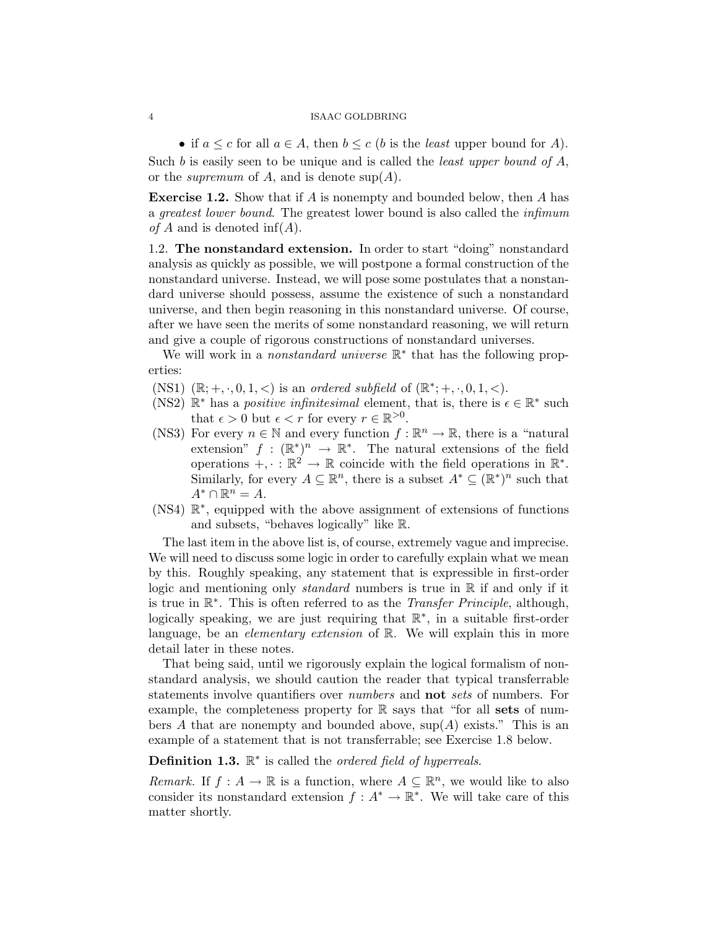• if  $a \leq c$  for all  $a \in A$ , then  $b \leq c$  (b is the *least* upper bound for A). Such  $b$  is easily seen to be unique and is called the *least upper bound of A*, or the *supremum* of A, and is denote  $\text{sup}(A)$ .

**Exercise 1.2.** Show that if A is nonempty and bounded below, then A has a greatest lower bound. The greatest lower bound is also called the infimum of A and is denoted inf(A).

1.2. The nonstandard extension. In order to start "doing" nonstandard analysis as quickly as possible, we will postpone a formal construction of the nonstandard universe. Instead, we will pose some postulates that a nonstandard universe should possess, assume the existence of such a nonstandard universe, and then begin reasoning in this nonstandard universe. Of course, after we have seen the merits of some nonstandard reasoning, we will return and give a couple of rigorous constructions of nonstandard universes.

We will work in a *nonstandard universe*  $\mathbb{R}^*$  that has the following properties:

- (NS1)  $(\mathbb{R}; +, \cdot, 0, 1, <)$  is an ordered subfield of  $(\mathbb{R}^*; +, \cdot, 0, 1, <)$ .
- (NS2)  $\mathbb{R}^*$  has a *positive infinitesimal* element, that is, there is  $\epsilon \in \mathbb{R}^*$  such that  $\epsilon > 0$  but  $\epsilon < r$  for every  $r \in \mathbb{R}^{>0}$ .
- (NS3) For every  $n \in \mathbb{N}$  and every function  $f : \mathbb{R}^n \to \mathbb{R}$ , there is a "natural extension"  $f : (\mathbb{R}^*)^n \to \mathbb{R}^*$ . The natural extensions of the field operations  $+$ ,  $\cdot : \mathbb{R}^2 \to \mathbb{R}$  coincide with the field operations in  $\mathbb{R}^*$ . Similarly, for every  $A \subseteq \mathbb{R}^n$ , there is a subset  $A^* \subseteq (\mathbb{R}^*)^n$  such that  $A^* \cap \mathbb{R}^n = A.$
- (NS4) R ∗ , equipped with the above assignment of extensions of functions and subsets, "behaves logically" like R.

The last item in the above list is, of course, extremely vague and imprecise. We will need to discuss some logic in order to carefully explain what we mean by this. Roughly speaking, any statement that is expressible in first-order logic and mentioning only *standard* numbers is true in  $\mathbb R$  if and only if it is true in  $\mathbb{R}^*$ . This is often referred to as the *Transfer Principle*, although, logically speaking, we are just requiring that  $\mathbb{R}^*$ , in a suitable first-order language, be an *elementary extension* of  $\mathbb{R}$ . We will explain this in more detail later in these notes.

That being said, until we rigorously explain the logical formalism of nonstandard analysis, we should caution the reader that typical transferrable statements involve quantifiers over numbers and not sets of numbers. For example, the completeness property for R says that "for all sets of numbers A that are nonempty and bounded above,  $\sup(A)$  exists." This is an example of a statement that is not transferrable; see Exercise 1.8 below.

**Definition 1.3.**  $\mathbb{R}^*$  is called the *ordered field of hyperreals*.

Remark. If  $f: A \to \mathbb{R}$  is a function, where  $A \subseteq \mathbb{R}^n$ , we would like to also consider its nonstandard extension  $f: A^* \to \mathbb{R}^*$ . We will take care of this matter shortly.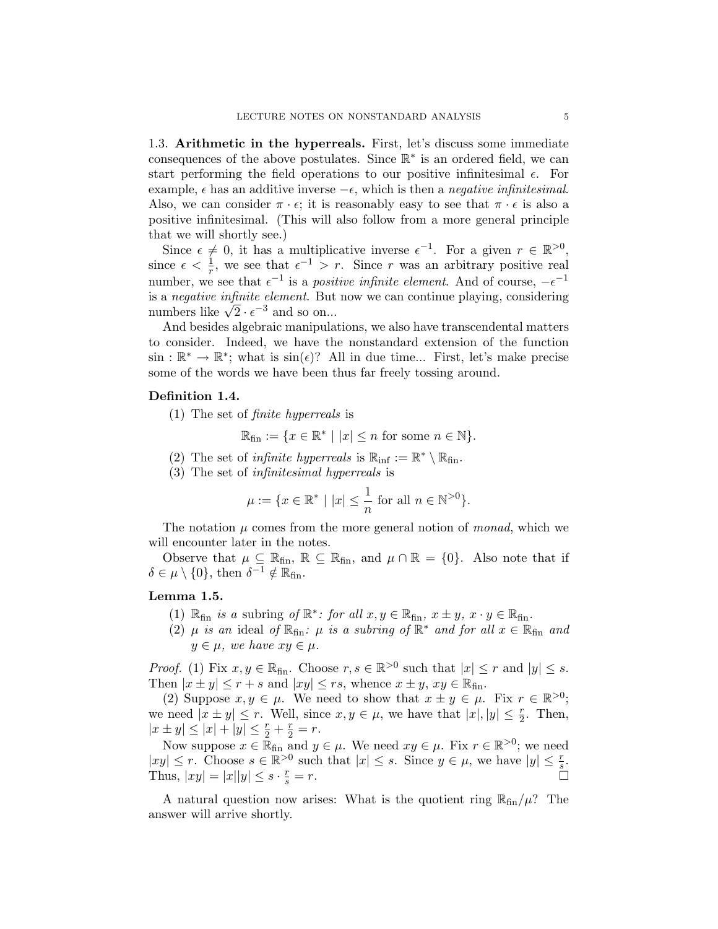1.3. Arithmetic in the hyperreals. First, let's discuss some immediate consequences of the above postulates. Since  $\mathbb{R}^*$  is an ordered field, we can start performing the field operations to our positive infinitesimal  $\epsilon$ . For example,  $\epsilon$  has an additive inverse  $-\epsilon$ , which is then a *negative infinitesimal*. Also, we can consider  $\pi \cdot \epsilon$ ; it is reasonably easy to see that  $\pi \cdot \epsilon$  is also a positive infinitesimal. (This will also follow from a more general principle that we will shortly see.)

Since  $\epsilon \neq 0$ , it has a multiplicative inverse  $\epsilon^{-1}$ . For a given  $r \in \mathbb{R}^{>0}$ , since  $\epsilon < \frac{1}{r}$ , we see that  $\epsilon^{-1} > r$ . Since r was an arbitrary positive real number, we see that  $\epsilon^{-1}$  is a *positive infinite element*. And of course,  $-\epsilon^{-1}$ is a negative infinite element. But now we can continue playing, considering is a *negative infinite element*. But<br>numbers like  $\sqrt{2} \cdot \epsilon^{-3}$  and so on...

And besides algebraic manipulations, we also have transcendental matters to consider. Indeed, we have the nonstandard extension of the function  $\sin : \mathbb{R}^* \to \mathbb{R}^*$ ; what is  $\sin(\epsilon)$ ? All in due time... First, let's make precise some of the words we have been thus far freely tossing around.

## Definition 1.4.

(1) The set of finite hyperreals is

 $\mathbb{R}_{\text{fin}} := \{x \in \mathbb{R}^* \mid |x| \leq n \text{ for some } n \in \mathbb{N}\}.$ 

- (2) The set of *infinite hyperreals* is  $\mathbb{R}_{\text{inf}} := \mathbb{R}^* \setminus \mathbb{R}_{\text{fin}}$ .
- (3) The set of infinitesimal hyperreals is

$$
\mu := \{ x \in \mathbb{R}^* \mid |x| \le \frac{1}{n} \text{ for all } n \in \mathbb{N}^{>0} \}.
$$

The notation  $\mu$  comes from the more general notion of *monad*, which we will encounter later in the notes.

Observe that  $\mu \subseteq \mathbb{R}_{fin}$ ,  $\mathbb{R} \subseteq \mathbb{R}_{fin}$ , and  $\mu \cap \mathbb{R} = \{0\}$ . Also note that if  $\delta \in \mu \setminus \{0\}$ , then  $\delta^{-1} \notin \mathbb{R}_{fin}$ .

### Lemma 1.5.

- (1)  $\mathbb{R}_{\text{fin}}$  is a subring of  $\mathbb{R}^*$ : for all  $x, y \in \mathbb{R}_{\text{fin}}$ ,  $x \pm y$ ,  $x \cdot y \in \mathbb{R}_{\text{fin}}$ .
- (2)  $\mu$  is an ideal of  $\mathbb{R}_{fin}$ :  $\mu$  is a subring of  $\mathbb{R}^*$  and for all  $x \in \mathbb{R}_{fin}$  and  $y \in \mu$ , we have  $xy \in \mu$ .

*Proof.* (1) Fix  $x, y \in \mathbb{R}_{\text{fin}}$ . Choose  $r, s \in \mathbb{R}^{>0}$  such that  $|x| \leq r$  and  $|y| \leq s$ . Then  $|x \pm y| \leq r + s$  and  $|xy| \leq rs$ , whence  $x \pm y$ ,  $xy \in \mathbb{R}_{fin}$ .

(2) Suppose  $x, y \in \mu$ . We need to show that  $x \pm y \in \mu$ . Fix  $r \in \mathbb{R}^{>0}$ ; we need  $|x \pm y| \leq r$ . Well, since  $x, y \in \mu$ , we have that  $|x|, |y| \leq \frac{r}{2}$ . Then,  $|x \pm y| \leq |x| + |y| \leq \frac{r}{2} + \frac{r}{2} = r.$ 

Now suppose  $x \in \mathbb{R}_{fin}$  and  $y \in \mu$ . We need  $xy \in \mu$ . Fix  $r \in \mathbb{R}^{>0}$ ; we need  $|xy| \leq r$ . Choose  $s \in \mathbb{R}^{>0}$  such that  $|x| \leq s$ . Since  $y \in \mu$ , we have  $|y| \leq \frac{r}{s}$ . Thus,  $|xy| = |x||y| \leq s \cdot \frac{r}{s} = r$ .  $\frac{r}{s} = r.$ 

A natural question now arises: What is the quotient ring  $\mathbb{R}_{fin}/\mu$ ? The answer will arrive shortly.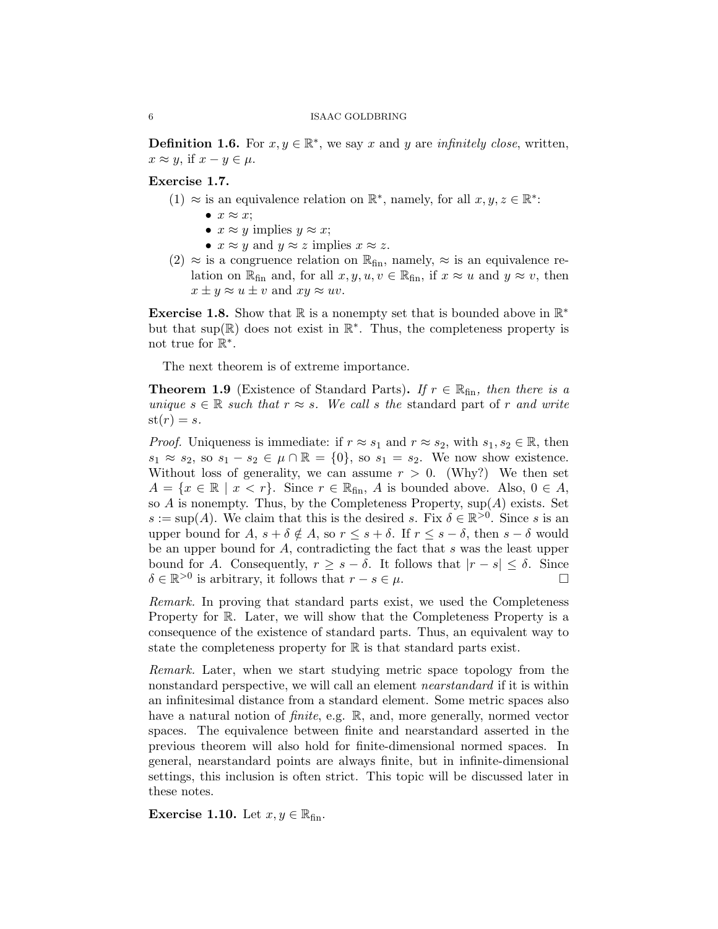**Definition 1.6.** For  $x, y \in \mathbb{R}^*$ , we say x and y are *infinitely close*, written,  $x \approx y$ , if  $x - y \in \mu$ .

## Exercise 1.7.

- (1)  $\approx$  is an equivalence relation on  $\mathbb{R}^*$ , namely, for all  $x, y, z \in \mathbb{R}^*$ :
	- $x \approx x$ ;
	- $x \approx y$  implies  $y \approx x$ ;
	- $x \approx y$  and  $y \approx z$  implies  $x \approx z$ .
- (2)  $\approx$  is a congruence relation on  $\mathbb{R}_{fin}$ , namely,  $\approx$  is an equivalence relation on  $\mathbb{R}_{fin}$  and, for all  $x, y, u, v \in \mathbb{R}_{fin}$ , if  $x \approx u$  and  $y \approx v$ , then  $x \pm y \approx u \pm v$  and  $xy \approx uv$ .

**Exercise 1.8.** Show that  $\mathbb{R}$  is a nonempty set that is bounded above in  $\mathbb{R}^*$ but that  $sup(\mathbb{R})$  does not exist in  $\mathbb{R}^*$ . Thus, the completeness property is not true for  $\mathbb{R}^*$ .

The next theorem is of extreme importance.

**Theorem 1.9** (Existence of Standard Parts). If  $r \in \mathbb{R}_{fin}$ , then there is a unique  $s \in \mathbb{R}$  such that  $r \approx s$ . We call s the standard part of r and write  $st(r) = s.$ 

*Proof.* Uniqueness is immediate: if  $r \approx s_1$  and  $r \approx s_2$ , with  $s_1, s_2 \in \mathbb{R}$ , then  $s_1 \approx s_2$ , so  $s_1 - s_2 \in \mu \cap \mathbb{R} = \{0\}$ , so  $s_1 = s_2$ . We now show existence. Without loss of generality, we can assume  $r > 0$ . (Why?) We then set  $A = \{x \in \mathbb{R} \mid x < r\}.$  Since  $r \in \mathbb{R}_{\text{fin}}$ , A is bounded above. Also,  $0 \in A$ , so A is nonempty. Thus, by the Completeness Property,  $\sup(A)$  exists. Set  $s := \sup(A)$ . We claim that this is the desired s. Fix  $\delta \in \mathbb{R}^{>0}$ . Since s is an upper bound for  $A, s + \delta \notin A$ , so  $r \leq s + \delta$ . If  $r \leq s - \delta$ , then  $s - \delta$  would be an upper bound for A, contradicting the fact that s was the least upper bound for A. Consequently,  $r \geq s - \delta$ . It follows that  $|r - s| \leq \delta$ . Since  $\delta \in \mathbb{R}^{>0}$  is arbitrary, it follows that  $r - s \in \mu$ .

Remark. In proving that standard parts exist, we used the Completeness Property for R. Later, we will show that the Completeness Property is a consequence of the existence of standard parts. Thus, an equivalent way to state the completeness property for  $\mathbb R$  is that standard parts exist.

Remark. Later, when we start studying metric space topology from the nonstandard perspective, we will call an element nearstandard if it is within an infinitesimal distance from a standard element. Some metric spaces also have a natural notion of *finite*, e.g.  $\mathbb{R}$ , and, more generally, normed vector spaces. The equivalence between finite and nearstandard asserted in the previous theorem will also hold for finite-dimensional normed spaces. In general, nearstandard points are always finite, but in infinite-dimensional settings, this inclusion is often strict. This topic will be discussed later in these notes.

**Exercise 1.10.** Let  $x, y \in \mathbb{R}_{fin}$ .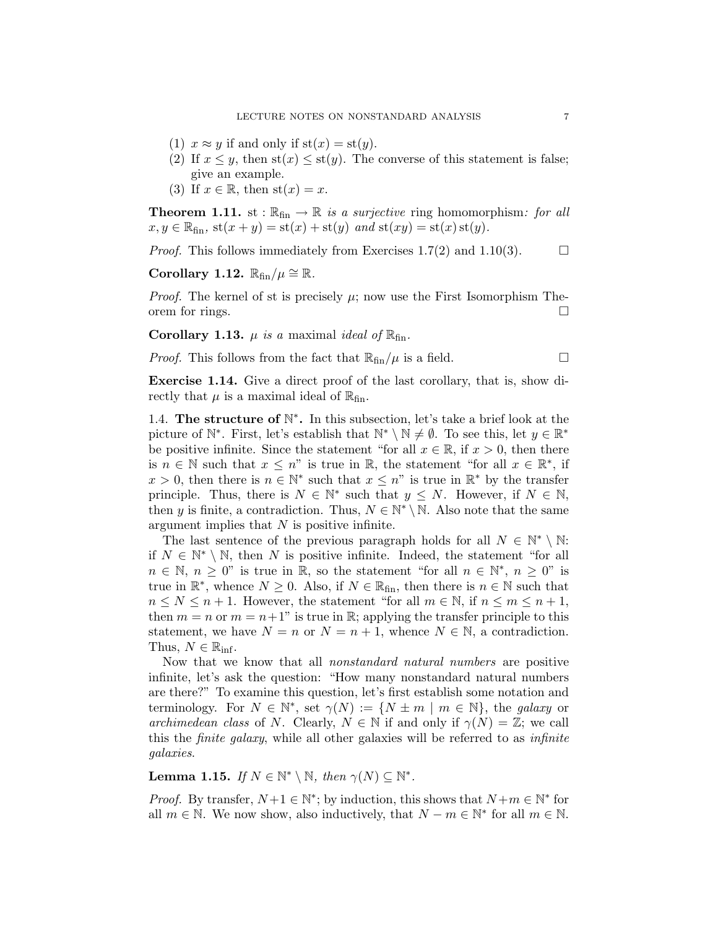- (1)  $x \approx y$  if and only if  $\text{st}(x) = \text{st}(y)$ .
- (2) If  $x \leq y$ , then  $st(x) \leq st(y)$ . The converse of this statement is false; give an example.
- (3) If  $x \in \mathbb{R}$ , then  $st(x) = x$ .

**Theorem 1.11.** st :  $\mathbb{R}_{fin} \to \mathbb{R}$  is a surjective ring homomorphism: for all  $x, y \in \mathbb{R}_{fin}$ ,  $st(x + y) = st(x) + st(y)$  and  $st(xy) = st(x) st(y)$ .

*Proof.* This follows immediately from Exercises 1.7(2) and 1.10(3).  $\Box$ 

Corollary 1.12.  $\mathbb{R}_{fin}/\mu \cong \mathbb{R}$ .

*Proof.* The kernel of st is precisely  $\mu$ ; now use the First Isomorphism Theorem for rings.  $\Box$ 

Corollary 1.13.  $\mu$  is a maximal ideal of  $\mathbb{R}_{fin}$ .

*Proof.* This follows from the fact that  $\mathbb{R}_{fin}/\mu$  is a field.

Exercise 1.14. Give a direct proof of the last corollary, that is, show directly that  $\mu$  is a maximal ideal of  $\mathbb{R}_{fin}$ .

1.4. The structure of  $\mathbb{N}^*$ . In this subsection, let's take a brief look at the picture of  $\mathbb{N}^*$ . First, let's establish that  $\mathbb{N}^* \setminus \mathbb{N} \neq \emptyset$ . To see this, let  $y \in \mathbb{R}^*$ be positive infinite. Since the statement "for all  $x \in \mathbb{R}$ , if  $x > 0$ , then there is  $n \in \mathbb{N}$  such that  $x \leq n$ " is true in  $\mathbb{R}$ , the statement "for all  $x \in \mathbb{R}^*$ , if  $x > 0$ , then there is  $n \in \mathbb{N}^*$  such that  $x \leq n$ " is true in  $\mathbb{R}^*$  by the transfer principle. Thus, there is  $N \in \mathbb{N}^*$  such that  $y \leq N$ . However, if  $N \in \mathbb{N}$ , then y is finite, a contradiction. Thus,  $N \in \mathbb{N}^* \setminus \mathbb{N}$ . Also note that the same argument implies that N is positive infinite.

The last sentence of the previous paragraph holds for all  $N \in \mathbb{N}^* \setminus \mathbb{N}$ : if  $N \in \mathbb{N}^* \setminus \mathbb{N}$ , then N is positive infinite. Indeed, the statement "for all  $n \in \mathbb{N}, n \geq 0$ " is true in  $\mathbb{R}$ , so the statement "for all  $n \in \mathbb{N}^*, n \geq 0$ " is true in  $\mathbb{R}^*$ , whence  $N \geq 0$ . Also, if  $N \in \mathbb{R}_{fin}$ , then there is  $n \in \mathbb{N}$  such that  $n \leq N \leq n+1$ . However, the statement "for all  $m \in \mathbb{N}$ , if  $n \leq m \leq n+1$ , then  $m = n$  or  $m = n+1$ " is true in R; applying the transfer principle to this statement, we have  $N = n$  or  $N = n + 1$ , whence  $N \in \mathbb{N}$ , a contradiction. Thus,  $N \in \mathbb{R}_{\text{inf}}$ .

Now that we know that all *nonstandard natural numbers* are positive infinite, let's ask the question: "How many nonstandard natural numbers are there?" To examine this question, let's first establish some notation and terminology. For  $N \in \mathbb{N}^*$ , set  $\gamma(N) := \{ N \pm m \mid m \in \mathbb{N} \}$ , the galaxy or archimedean class of N. Clearly,  $N \in \mathbb{N}$  if and only if  $\gamma(N) = \mathbb{Z}$ ; we call this the *finite galaxy*, while all other galaxies will be referred to as *infinite* galaxies.

**Lemma 1.15.** If  $N \in \mathbb{N}^* \setminus \mathbb{N}$ , then  $\gamma(N) \subseteq \mathbb{N}^*$ .

*Proof.* By transfer,  $N+1 \in \mathbb{N}^*$ ; by induction, this shows that  $N+m \in \mathbb{N}^*$  for all  $m \in \mathbb{N}$ . We now show, also inductively, that  $N - m \in \mathbb{N}^*$  for all  $m \in \mathbb{N}$ .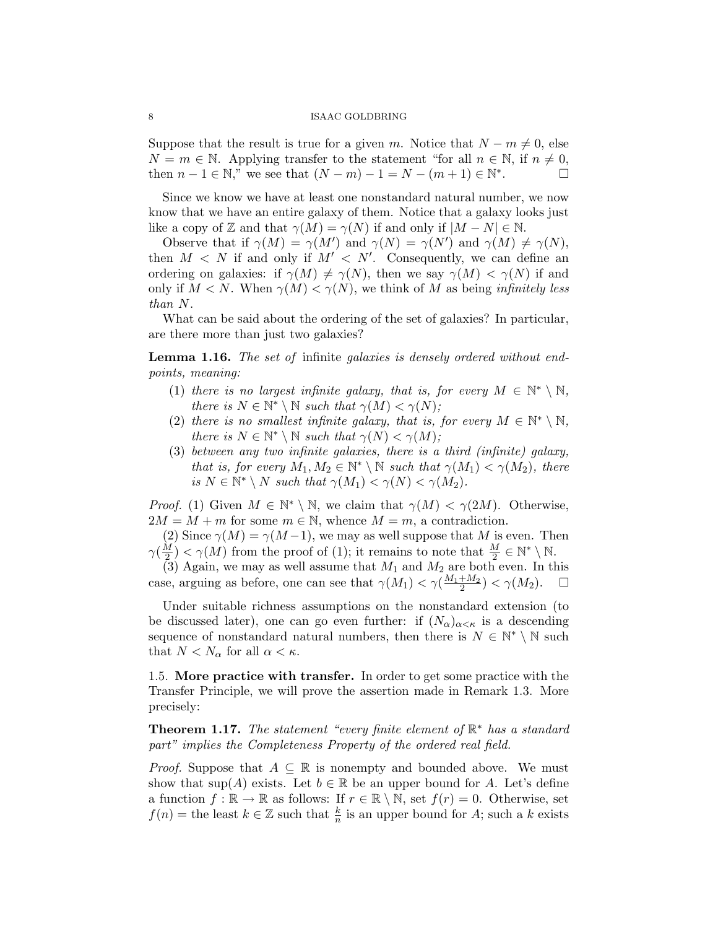Suppose that the result is true for a given m. Notice that  $N - m \neq 0$ , else  $N = m \in \mathbb{N}$ . Applying transfer to the statement "for all  $n \in \mathbb{N}$ , if  $n \neq 0$ , then  $n - 1 \in \mathbb{N}$ ," we see that  $(N - m) - 1 = N - (m + 1) \in \mathbb{N}^*$  $\Box$ 

Since we know we have at least one nonstandard natural number, we now know that we have an entire galaxy of them. Notice that a galaxy looks just like a copy of Z and that  $\gamma(M) = \gamma(N)$  if and only if  $|M - N| \in \mathbb{N}$ .

Observe that if  $\gamma(M) = \gamma(M')$  and  $\gamma(N) = \gamma(N')$  and  $\gamma(M) \neq \gamma(N)$ , then  $M < N$  if and only if  $M' < N'$ . Consequently, we can define an ordering on galaxies: if  $\gamma(M) \neq \gamma(N)$ , then we say  $\gamma(M) < \gamma(N)$  if and only if  $M < N$ . When  $\gamma(M) < \gamma(N)$ , we think of M as being *infinitely less* than N.

What can be said about the ordering of the set of galaxies? In particular, are there more than just two galaxies?

Lemma 1.16. The set of infinite galaxies is densely ordered without endpoints, meaning:

- (1) there is no largest infinite galaxy, that is, for every  $M \in \mathbb{N}^* \setminus \mathbb{N}$ , there is  $N \in \mathbb{N}^* \setminus \mathbb{N}$  such that  $\gamma(M) < \gamma(N)$ ;
- (2) there is no smallest infinite galaxy, that is, for every  $M \in \mathbb{N}^* \setminus \mathbb{N}$ , there is  $N \in \mathbb{N}^* \setminus \mathbb{N}$  such that  $\gamma(N) < \gamma(M)$ ;
- (3) between any two infinite galaxies, there is a third (infinite) galaxy, that is, for every  $M_1, M_2 \in \mathbb{N}^* \setminus \mathbb{N}$  such that  $\gamma(M_1) < \gamma(M_2)$ , there is  $N \in \mathbb{N}^* \setminus N$  such that  $\gamma(M_1) < \gamma(N) < \gamma(M_2)$ .

*Proof.* (1) Given  $M \in \mathbb{N}^* \setminus \mathbb{N}$ , we claim that  $\gamma(M) < \gamma(2M)$ . Otherwise,  $2M = M + m$  for some  $m \in \mathbb{N}$ , whence  $M = m$ , a contradiction.

(2) Since  $\gamma(M) = \gamma(M-1)$ , we may as well suppose that M is even. Then  $\gamma(\frac{M}{2})$  $\frac{M}{2}$   $\leq \gamma(M)$  from the proof of (1); it remains to note that  $\frac{M}{2} \in \mathbb{N}^* \setminus \mathbb{N}$ .

(3) Again, we may as well assume that  $M_1$  and  $M_2$  are both even. In this case, arguing as before, one can see that  $\gamma(M_1) < \gamma(\frac{M_1 + M_2}{2}) < \gamma(M_2)$ .  $\Box$ 

Under suitable richness assumptions on the nonstandard extension (to be discussed later), one can go even further: if  $(N_\alpha)_{\alpha<\kappa}$  is a descending sequence of nonstandard natural numbers, then there is  $N \in \mathbb{N}^* \setminus \mathbb{N}$  such that  $N < N_{\alpha}$  for all  $\alpha < \kappa$ .

1.5. More practice with transfer. In order to get some practice with the Transfer Principle, we will prove the assertion made in Remark 1.3. More precisely:

**Theorem 1.17.** The statement "every finite element of  $\mathbb{R}^*$  has a standard part" implies the Completeness Property of the ordered real field.

*Proof.* Suppose that  $A \subseteq \mathbb{R}$  is nonempty and bounded above. We must show that  $\text{sup}(A)$  exists. Let  $b \in \mathbb{R}$  be an upper bound for A. Let's define a function  $f : \mathbb{R} \to \mathbb{R}$  as follows: If  $r \in \mathbb{R} \setminus \mathbb{N}$ , set  $f(r) = 0$ . Otherwise, set  $f(n) =$  the least  $k \in \mathbb{Z}$  such that  $\frac{k}{n}$  is an upper bound for A; such a k exists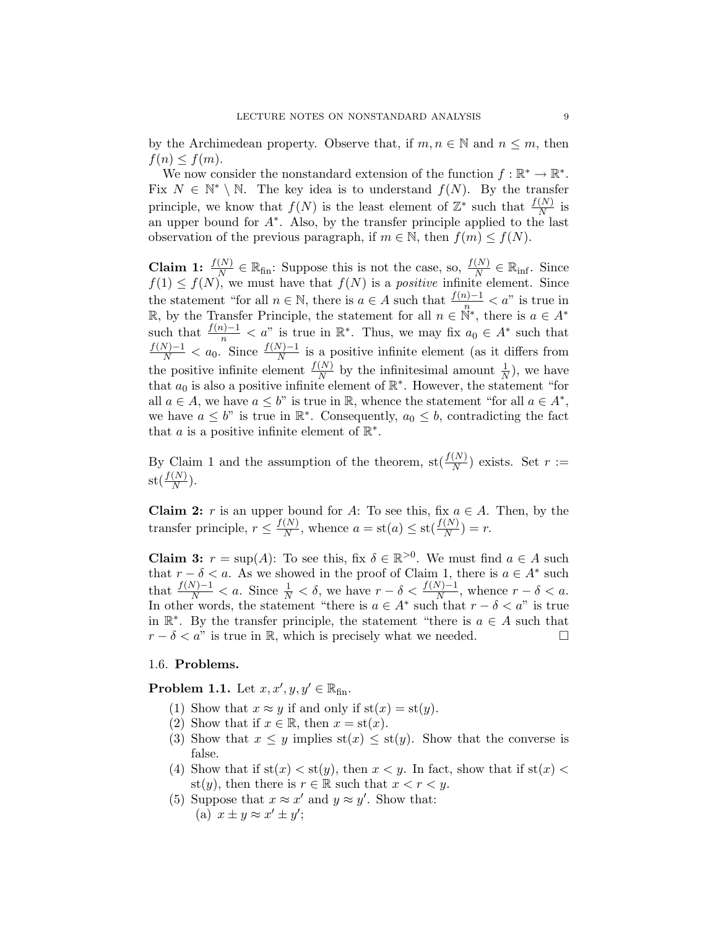by the Archimedean property. Observe that, if  $m, n \in \mathbb{N}$  and  $n \leq m$ , then  $f(n) \leq f(m)$ .

We now consider the nonstandard extension of the function  $f : \mathbb{R}^* \to \mathbb{R}^*$ . Fix  $N \in \mathbb{N}^* \setminus \mathbb{N}$ . The key idea is to understand  $f(N)$ . By the transfer principle, we know that  $f(N)$  is the least element of  $\mathbb{Z}^*$  such that  $\frac{f(N)}{N}$  is an upper bound for  $A^*$ . Also, by the transfer principle applied to the last observation of the previous paragraph, if  $m \in \mathbb{N}$ , then  $f(m) \leq f(N)$ .

**Claim 1:**  $\frac{f(N)}{N} \in \mathbb{R}_{fin}$ : Suppose this is not the case, so,  $\frac{f(N)}{N} \in \mathbb{R}_{inf}$ . Since  $f(1) \leq f(N)$ , we must have that  $f(N)$  is a *positive* infinite element. Since the statement "for all  $n \in \mathbb{N}$ , there is  $a \in A$  such that  $\frac{f(n)-1}{n} < a$ " is true in R, by the Transfer Principle, the statement for all  $n \in \mathbb{N}^*$ , there is  $a \in A^*$ such that  $\frac{f(n)-1}{n} < a$ " is true in  $\mathbb{R}^*$ . Thus, we may fix  $a_0 \in A^*$  such that  $\frac{f(N)-1}{N}$  < a<sub>0</sub>. Since  $\frac{f(N)-1}{N}$  is a positive infinite element (as it differs from the positive infinite element  $\frac{f(N)}{N}$  by the infinitesimal amount  $\frac{1}{N}$ , we have that  $a_0$  is also a positive infinite element of  $\mathbb{R}^*$ . However, the statement "for all  $a \in A$ , we have  $a \leq b$ " is true in  $\mathbb{R}$ , whence the statement "for all  $a \in A^*$ , we have  $a \leq b$ " is true in  $\mathbb{R}^*$ . Consequently,  $a_0 \leq b$ , contradicting the fact that *a* is a positive infinite element of  $\mathbb{R}^*$ .

By Claim 1 and the assumption of the theorem,  $\text{st}(\frac{f(N)}{N})$  exists. Set  $r :=$  $\mathrm{st}(\frac{f(N)}{N}).$ 

**Claim 2:** r is an upper bound for A: To see this, fix  $a \in A$ . Then, by the transfer principle,  $r \leq \frac{f(N)}{N}$  $\frac{(N)}{N}$ , whence  $a = \text{st}(a) \leq \text{st}(\frac{f(N)}{N}) = r$ .

**Claim 3:**  $r = \sup(A)$ : To see this, fix  $\delta \in \mathbb{R}^{>0}$ . We must find  $a \in A$  such that  $r - \delta < a$ . As we showed in the proof of Claim 1, there is  $a \in A^*$  such that  $\frac{f(N)-1}{N} < a$ . Since  $\frac{1}{N} < \delta$ , we have  $r - \delta < \frac{f(N)-1}{N}$ , whence  $r - \delta < a$ . In other words, the statement "there is  $a \in A^*$  such that  $r - \delta < a$ " is true in  $\mathbb{R}^*$ . By the transfer principle, the statement "there is  $a \in A$  such that  $r - \delta < a$ " is true in R, which is precisely what we needed.  $\square$ 

## 1.6. Problems.

**Problem 1.1.** Let  $x, x', y, y' \in \mathbb{R}_{fin}$ .

- (1) Show that  $x \approx y$  if and only if  $st(x) = st(y)$ .
- (2) Show that if  $x \in \mathbb{R}$ , then  $x = \text{st}(x)$ .
- (3) Show that  $x \leq y$  implies  $\operatorname{st}(x) \leq \operatorname{st}(y)$ . Show that the converse is false.
- (4) Show that if  $st(x) < st(y)$ , then  $x < y$ . In fact, show that if  $st(x) <$ st(y), then there is  $r \in \mathbb{R}$  such that  $x < r < y$ .
- (5) Suppose that  $x \approx x'$  and  $y \approx y'$ . Show that: (a)  $x \pm y \approx x' \pm y';$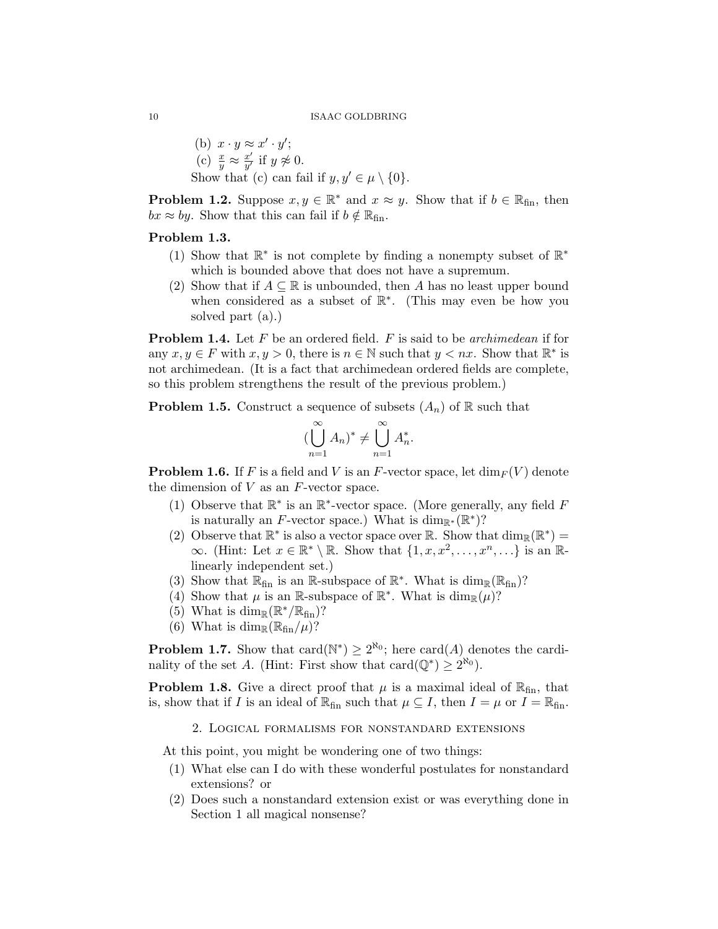(b) 
$$
x \cdot y \approx x' \cdot y'
$$
;  
\n(c)  $\frac{x}{y} \approx \frac{x'}{y'}$  if  $y \not\approx 0$ .  
\nShow that (c) can fail if  $y, y' \in \mu \setminus \{0\}$ .

**Problem 1.2.** Suppose  $x, y \in \mathbb{R}^*$  and  $x \approx y$ . Show that if  $b \in \mathbb{R}_{fin}$ , then  $bx \approx by$ . Show that this can fail if  $b \notin \mathbb{R}_{fin}$ .

### Problem 1.3.

- (1) Show that  $\mathbb{R}^*$  is not complete by finding a nonempty subset of  $\mathbb{R}^*$ which is bounded above that does not have a supremum.
- (2) Show that if  $A \subseteq \mathbb{R}$  is unbounded, then A has no least upper bound when considered as a subset of  $\mathbb{R}^*$ . (This may even be how you solved part (a).)

**Problem 1.4.** Let F be an ordered field. F is said to be *archimedean* if for any  $x, y \in F$  with  $x, y > 0$ , there is  $n \in \mathbb{N}$  such that  $y < nx$ . Show that  $\mathbb{R}^*$  is not archimedean. (It is a fact that archimedean ordered fields are complete, so this problem strengthens the result of the previous problem.)

**Problem 1.5.** Construct a sequence of subsets  $(A_n)$  of  $\mathbb{R}$  such that

$$
(\bigcup_{n=1}^{\infty} A_n)^* \neq \bigcup_{n=1}^{\infty} A_n^*.
$$

**Problem 1.6.** If F is a field and V is an F-vector space, let  $\dim_F(V)$  denote the dimension of  $V$  as an  $F$ -vector space.

- (1) Observe that  $\mathbb{R}^*$  is an  $\mathbb{R}^*$ -vector space. (More generally, any field F is naturally an F-vector space.) What is  $\dim_{\mathbb{R}^*}(\mathbb{R}^*)$ ?
- (2) Observe that  $\mathbb{R}^*$  is also a vector space over  $\mathbb{R}$ . Show that  $\dim_{\mathbb{R}}(\mathbb{R}^*)$  =  $\infty$ . (Hint: Let  $x \in \mathbb{R}^* \setminus \mathbb{R}$ . Show that  $\{1, x, x^2, \ldots, x^n, \ldots\}$  is an  $\mathbb{R}$ linearly independent set.)
- (3) Show that  $\mathbb{R}_{fin}$  is an  $\mathbb{R}$ -subspace of  $\mathbb{R}^*$ . What is  $\dim_{\mathbb{R}}(\mathbb{R}_{fin})$ ?
- (4) Show that  $\mu$  is an R-subspace of R<sup>\*</sup>. What is  $\dim_{\mathbb{R}}(\mu)$ ?
- (5) What is  $\dim_{\mathbb{R}}(\mathbb{R}^*/\mathbb{R}_{fin})$ ?
- (6) What is dim<sub>R</sub>( $\mathbb{R}_{fin}/\mu$ )?

**Problem 1.7.** Show that card( $\mathbb{N}^*$ )  $\geq 2^{\aleph_0}$ ; here card(A) denotes the cardinality of the set A. (Hint: First show that  $card(\mathbb{Q}^*) \geq 2^{\aleph_0}$ ).

**Problem 1.8.** Give a direct proof that  $\mu$  is a maximal ideal of  $\mathbb{R}_{fin}$ , that is, show that if I is an ideal of  $\mathbb{R}_{fin}$  such that  $\mu \subseteq I$ , then  $I = \mu$  or  $I = \mathbb{R}_{fin}$ .

2. Logical formalisms for nonstandard extensions

At this point, you might be wondering one of two things:

- (1) What else can I do with these wonderful postulates for nonstandard extensions? or
- (2) Does such a nonstandard extension exist or was everything done in Section 1 all magical nonsense?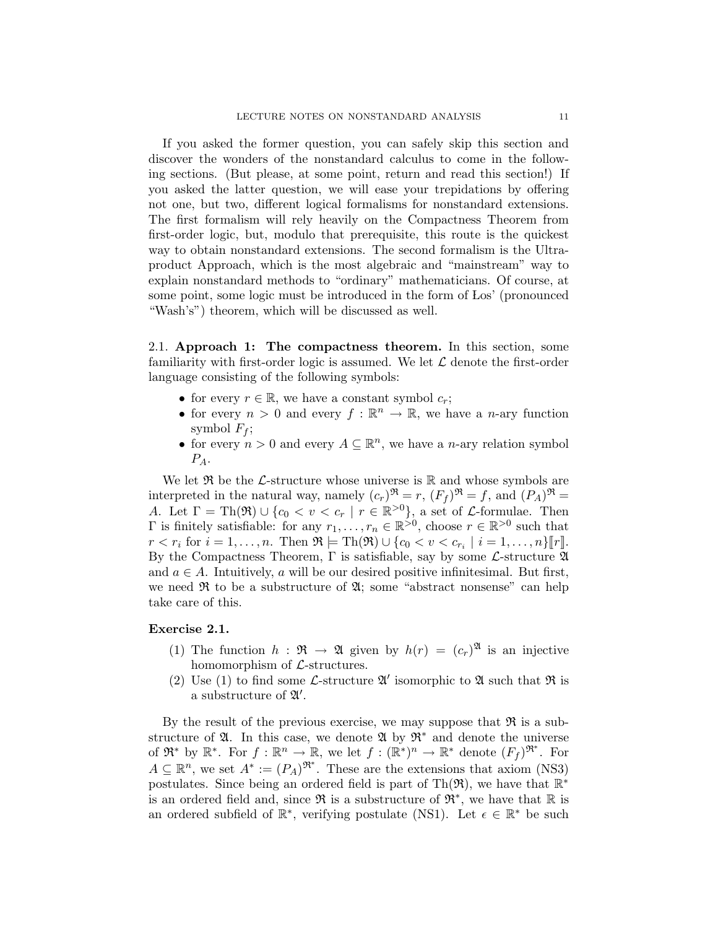If you asked the former question, you can safely skip this section and discover the wonders of the nonstandard calculus to come in the following sections. (But please, at some point, return and read this section!) If you asked the latter question, we will ease your trepidations by offering not one, but two, different logical formalisms for nonstandard extensions. The first formalism will rely heavily on the Compactness Theorem from first-order logic, but, modulo that prerequisite, this route is the quickest way to obtain nonstandard extensions. The second formalism is the Ultraproduct Approach, which is the most algebraic and "mainstream" way to explain nonstandard methods to "ordinary" mathematicians. Of course, at some point, some logic must be introduced in the form of Los' (pronounced "Wash's") theorem, which will be discussed as well.

2.1. Approach 1: The compactness theorem. In this section, some familiarity with first-order logic is assumed. We let  $\mathcal L$  denote the first-order language consisting of the following symbols:

- for every  $r \in \mathbb{R}$ , we have a constant symbol  $c_r$ ;
- for every  $n > 0$  and every  $f : \mathbb{R}^n \to \mathbb{R}$ , we have a *n*-ary function symbol  $F_f$ ;
- for every  $n > 0$  and every  $A \subseteq \mathbb{R}^n$ , we have a *n*-ary relation symbol  $P_A$ .

We let  $\Re$  be the *L*-structure whose universe is  $\Re$  and whose symbols are interpreted in the natural way, namely  $(c_r)^{\Re} = r$ ,  $(F_f)^{\Re} = f$ , and  $(P_A)^{\Re} =$ A. Let  $\Gamma = \text{Th}(\mathfrak{R}) \cup \{c_0 < v < c_r \mid r \in \mathbb{R}^{>0}\},$  a set of  $\mathcal{L}\text{-formulae. Then}$  $\Gamma$  is finitely satisfiable: for any  $r_1, \ldots, r_n \in \mathbb{R}^{>0}$ , choose  $r \in \mathbb{R}^{>0}$  such that  $r < r_i$  for  $i = 1, ..., n$ . Then  $\mathfrak{R} \models \text{Th}(\mathfrak{R}) \cup \{c_0 < v < c_{r_i} \mid i = 1, ..., n\}$  [r]. By the Compactness Theorem,  $\Gamma$  is satisfiable, say by some  $\mathcal{L}$ -structure  $\mathfrak A$ and  $a \in A$ . Intuitively, a will be our desired positive infinitesimal. But first, we need  $\Re$  to be a substructure of  $\mathfrak{A}$ ; some "abstract nonsense" can help take care of this.

### Exercise 2.1.

- (1) The function  $h : \mathfrak{R} \to \mathfrak{A}$  given by  $h(r) = (c_r)^{\mathfrak{A}}$  is an injective homomorphism of  $\mathcal{L}$ -structures.
- (2) Use (1) to find some  $\mathcal{L}$ -structure  $\mathfrak{A}'$  isomorphic to  $\mathfrak A$  such that  $\mathfrak R$  is a substructure of  $\mathfrak{A}'$ .

By the result of the previous exercise, we may suppose that  $\Re$  is a substructure of  $\mathfrak{A}$ . In this case, we denote  $\mathfrak{A}$  by  $\mathfrak{R}^*$  and denote the universe of  $\mathfrak{R}^*$  by  $\mathbb{R}^*$ . For  $f : \mathbb{R}^n \to \mathbb{R}$ , we let  $f : (\mathbb{R}^*)^n \to \mathbb{R}^*$  denote  $(F_f)^{\mathfrak{R}^*}$ . For  $A \subseteq \mathbb{R}^n$ , we set  $A^* := (P_A)^{\mathfrak{R}^*}$ . These are the extensions that axiom (NS3) postulates. Since being an ordered field is part of Th $(\mathfrak{R})$ , we have that  $\mathbb{R}^*$ is an ordered field and, since  $\Re$  is a substructure of  $\Re^*$ , we have that  $\mathbb R$  is an ordered subfield of  $\mathbb{R}^*$ , verifying postulate (NS1). Let  $\epsilon \in \mathbb{R}^*$  be such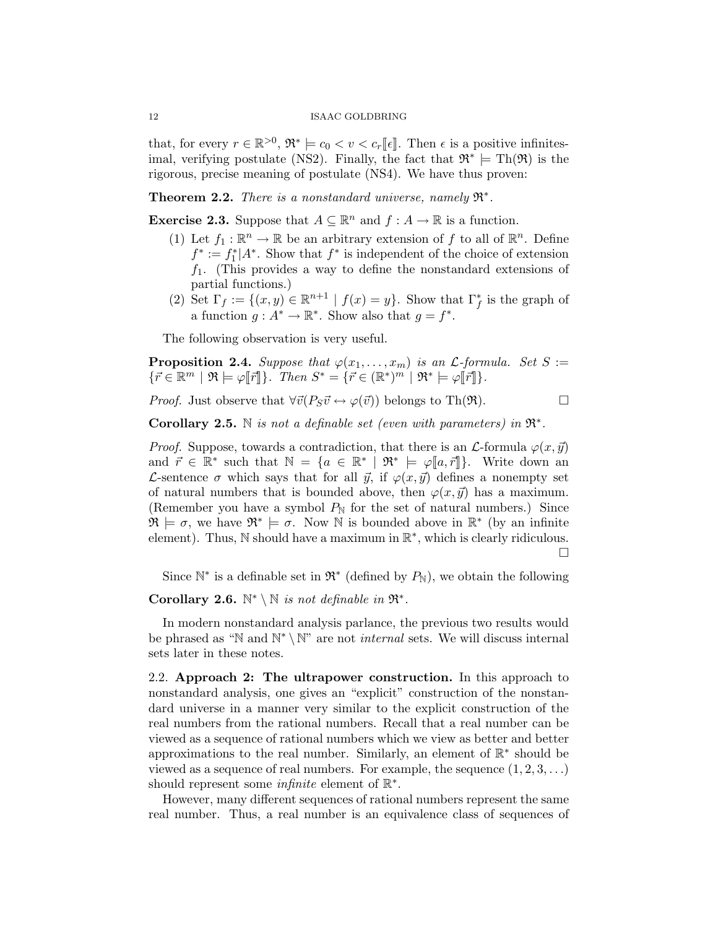that, for every  $r \in \mathbb{R}^{>0}$ ,  $\mathfrak{R}^* \models c_0 < v < c_r [\![\epsilon]\!]$ . Then  $\epsilon$  is a positive infinites-<br>imal, verifying postulate (NS2). Finally, the fact that  $\mathfrak{R}^* \models \text{Th}(\mathfrak{R})$  is the imal, verifying postulate (NS2). Finally, the fact that  $\mathfrak{R}^* \models \text{Th}(\mathfrak{R})$  is the rigorous, precise meaning of postulate (NS4). We have thus proven:

Theorem 2.2. There is a nonstandard universe, namely  $\mathfrak{R}^*$ .

**Exercise 2.3.** Suppose that  $A \subseteq \mathbb{R}^n$  and  $f : A \to \mathbb{R}$  is a function.

- (1) Let  $f_1 : \mathbb{R}^n \to \mathbb{R}$  be an arbitrary extension of f to all of  $\mathbb{R}^n$ . Define  $f^* := f_1^* | A^*$ . Show that  $f^*$  is independent of the choice of extension  $f_1$ . (This provides a way to define the nonstandard extensions of partial functions.)
- (2) Set  $\Gamma_f := \{(x, y) \in \mathbb{R}^{n+1} \mid f(x) = y\}$ . Show that  $\Gamma_f^*$  is the graph of a function  $g : A^* \to \mathbb{R}^*$ . Show also that  $g = f^*$ .

The following observation is very useful.

**Proposition 2.4.** Suppose that  $\varphi(x_1, \ldots, x_m)$  is an  $\mathcal{L}$ -formula. Set  $S :=$  $\{\vec{r} \in \mathbb{R}^m \mid \mathfrak{R} \models \varphi[\![\vec{r}]\!]\}.$  Then  $S^* = \{\vec{r} \in (\mathbb{R}^*)^m \mid \mathfrak{R}^* \models \varphi[\![\vec{r}]\!]).$ 

*Proof.* Just observe that  $\forall \vec{v}(P_S\vec{v} \leftrightarrow \varphi(\vec{v}))$  belongs to Th $(\Re)$ .

$$
\qquad \qquad \Box
$$

Corollary 2.5. N is not a definable set (even with parameters) in  $\mathfrak{R}^*$ .

*Proof.* Suppose, towards a contradiction, that there is an  $\mathcal{L}$ -formula  $\varphi(x, \vec{y})$ and  $\vec{r} \in \mathbb{R}^*$  such that  $\mathbb{N} = \{a \in \mathbb{R}^* \mid \mathfrak{R}^* \models \varphi[a, \vec{r}]\}.$  Write down an L-sentence  $\sigma$  which says that for all  $\vec{y}$ , if  $\varphi(x, \vec{y})$  defines a nonempty set of natural numbers that is bounded above, then  $\varphi(x, \vec{y})$  has a maximum. (Remember you have a symbol  $P_{\mathbb{N}}$  for the set of natural numbers.) Since  $\mathfrak{R} \models \sigma$ , we have  $\mathfrak{R}^* \models \sigma$ . Now N is bounded above in  $\mathbb{R}^*$  (by an infinite element). Thus,  $\mathbb N$  should have a maximum in  $\mathbb R^*$ , which is clearly ridiculous.  $\Box$ 

Since  $\mathbb{N}^*$  is a definable set in  $\mathfrak{R}^*$  (defined by  $P_{\mathbb{N}}$ ), we obtain the following

Corollary 2.6.  $\mathbb{N}^* \setminus \mathbb{N}$  is not definable in  $\mathfrak{R}^*$ .

In modern nonstandard analysis parlance, the previous two results would be phrased as "N and  $\mathbb{N}^* \setminus \mathbb{N}$ " are not *internal* sets. We will discuss internal sets later in these notes.

2.2. Approach 2: The ultrapower construction. In this approach to nonstandard analysis, one gives an "explicit" construction of the nonstandard universe in a manner very similar to the explicit construction of the real numbers from the rational numbers. Recall that a real number can be viewed as a sequence of rational numbers which we view as better and better approximations to the real number. Similarly, an element of  $\mathbb{R}^*$  should be viewed as a sequence of real numbers. For example, the sequence  $(1, 2, 3, \ldots)$ should represent some *infinite* element of  $\mathbb{R}^*$ .

However, many different sequences of rational numbers represent the same real number. Thus, a real number is an equivalence class of sequences of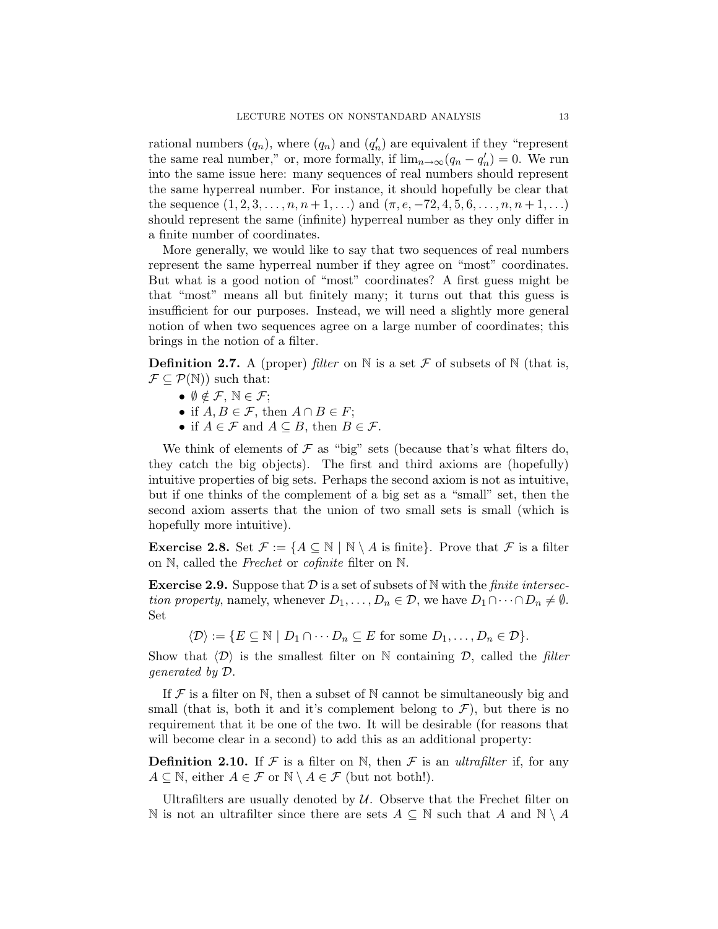rational numbers  $(q_n)$ , where  $(q_n)$  and  $(q'_n)$  are equivalent if they "represent the same real number," or, more formally, if  $\lim_{n\to\infty} (q_n - q'_n) = 0$ . We run into the same issue here: many sequences of real numbers should represent the same hyperreal number. For instance, it should hopefully be clear that the sequence  $(1, 2, 3, \ldots, n, n+1, \ldots)$  and  $(\pi, e, -72, 4, 5, 6, \ldots, n, n+1, \ldots)$ should represent the same (infinite) hyperreal number as they only differ in a finite number of coordinates.

More generally, we would like to say that two sequences of real numbers represent the same hyperreal number if they agree on "most" coordinates. But what is a good notion of "most" coordinates? A first guess might be that "most" means all but finitely many; it turns out that this guess is insufficient for our purposes. Instead, we will need a slightly more general notion of when two sequences agree on a large number of coordinates; this brings in the notion of a filter.

**Definition 2.7.** A (proper) filter on  $\mathbb N$  is a set  $\mathcal F$  of subsets of  $\mathbb N$  (that is,  $\mathcal{F} \subseteq \mathcal{P}(\mathbb{N})$  such that:

- $\emptyset \notin \mathcal{F}, \mathbb{N} \in \mathcal{F}$ ;
- if  $A, B \in \mathcal{F}$ , then  $A \cap B \in F$ ;
- if  $A \in \mathcal{F}$  and  $A \subseteq B$ , then  $B \in \mathcal{F}$ .

We think of elements of  $\mathcal F$  as "big" sets (because that's what filters do, they catch the big objects). The first and third axioms are (hopefully) intuitive properties of big sets. Perhaps the second axiom is not as intuitive, but if one thinks of the complement of a big set as a "small" set, then the second axiom asserts that the union of two small sets is small (which is hopefully more intuitive).

**Exercise 2.8.** Set  $\mathcal{F} := \{A \subseteq \mathbb{N} \mid \mathbb{N} \setminus A \text{ is finite}\}\$ . Prove that  $\mathcal{F}$  is a filter on N, called the Frechet or cofinite filter on N.

**Exercise 2.9.** Suppose that  $D$  is a set of subsets of N with the *finite intersec*tion property, namely, whenever  $D_1, \ldots, D_n \in \mathcal{D}$ , we have  $D_1 \cap \cdots \cap D_n \neq \emptyset$ . Set

 $\langle \mathcal{D} \rangle := \{ E \subseteq \mathbb{N} \mid D_1 \cap \cdots D_n \subseteq E \text{ for some } D_1, \ldots, D_n \in \mathcal{D} \}.$ 

Show that  $\langle \mathcal{D} \rangle$  is the smallest filter on N containing D, called the filter generated by D.

If  $\mathcal F$  is a filter on N, then a subset of N cannot be simultaneously big and small (that is, both it and it's complement belong to  $\mathcal{F}$ ), but there is no requirement that it be one of the two. It will be desirable (for reasons that will become clear in a second) to add this as an additional property:

**Definition 2.10.** If F is a filter on N, then F is an *ultrafilter* if, for any  $A \subseteq \mathbb{N}$ , either  $A \in \mathcal{F}$  or  $\mathbb{N} \setminus A \in \mathcal{F}$  (but not both!).

Ultrafilters are usually denoted by  $U$ . Observe that the Frechet filter on N is not an ultrafilter since there are sets  $A \subseteq \mathbb{N}$  such that A and  $\mathbb{N} \setminus A$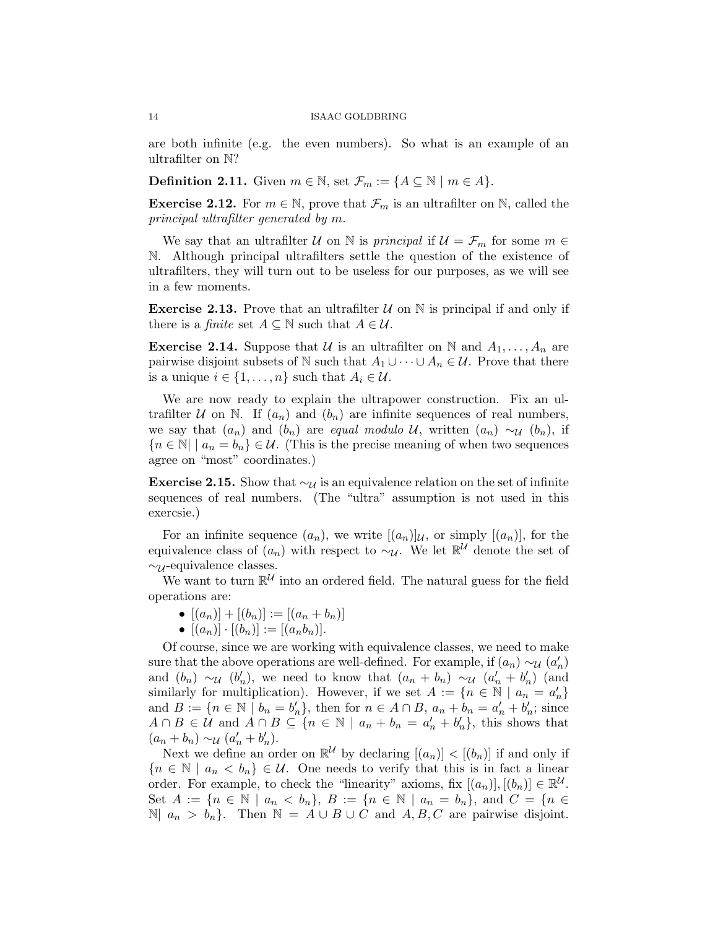are both infinite (e.g. the even numbers). So what is an example of an ultrafilter on N?

**Definition 2.11.** Given  $m \in \mathbb{N}$ , set  $\mathcal{F}_m := \{A \subseteq \mathbb{N} \mid m \in A\}.$ 

**Exercise 2.12.** For  $m \in \mathbb{N}$ , prove that  $\mathcal{F}_m$  is an ultrafilter on  $\mathbb{N}$ , called the principal ultrafilter generated by m.

We say that an ultrafilter U on N is *principal* if  $\mathcal{U} = \mathcal{F}_m$  for some  $m \in$ N. Although principal ultrafilters settle the question of the existence of ultrafilters, they will turn out to be useless for our purposes, as we will see in a few moments.

**Exercise 2.13.** Prove that an ultrafilter  $\mathcal{U}$  on  $\mathbb{N}$  is principal if and only if there is a *finite* set  $A \subseteq \mathbb{N}$  such that  $A \in \mathcal{U}$ .

**Exercise 2.14.** Suppose that U is an ultrafilter on N and  $A_1, \ldots, A_n$  are pairwise disjoint subsets of N such that  $A_1 \cup \cdots \cup A_n \in \mathcal{U}$ . Prove that there is a unique  $i \in \{1, \ldots, n\}$  such that  $A_i \in \mathcal{U}$ .

We are now ready to explain the ultrapower construction. Fix an ultrafilter U on N. If  $(a_n)$  and  $(b_n)$  are infinite sequences of real numbers, we say that  $(a_n)$  and  $(b_n)$  are equal modulo U, written  $(a_n) \sim_{\mathcal{U}} (b_n)$ , if  ${n \in \mathbb{N} \mid a_n = b_n} \in \mathcal{U}$ . (This is the precise meaning of when two sequences agree on "most" coordinates.)

Exercise 2.15. Show that  $\sim_{\mathcal{U}}$  is an equivalence relation on the set of infinite sequences of real numbers. (The "ultra" assumption is not used in this exercsie.)

For an infinite sequence  $(a_n)$ , we write  $[(a_n)]_{\mathcal{U}}$ , or simply  $[(a_n)]$ , for the equivalence class of  $(a_n)$  with respect to ∼u. We let  $\mathbb{R}^{\mathcal{U}}$  denote the set of  $\sim_{\mathcal{U}}$ -equivalence classes.

We want to turn  $\mathbb{R}^{\mathcal{U}}$  into an ordered field. The natural guess for the field operations are:

- $[(a_n)] + [(b_n)] := [(a_n + b_n)]$
- $[(a_n)] \cdot [(b_n)] := [(a_n b_n)].$

Of course, since we are working with equivalence classes, we need to make sure that the above operations are well-defined. For example, if  $(a_n) \sim_{\mathcal{U}} (a'_n)$ and  $(b_n) \sim_{\mathcal{U}} (b'_n)$ , we need to know that  $(a_n + b_n) \sim_{\mathcal{U}} (a'_n + b'_n)$  (and similarly for multiplication). However, if we set  $A := \{n \in \mathbb{N} \mid a_n = a'_n\}$ and  $B := \{ n \in \mathbb{N} \mid b_n = b'_n \},\$  then for  $n \in A \cap B$ ,  $a_n + b_n = a'_n + b'_n$ ; since  $A \cap B \in \mathcal{U}$  and  $A \cap B \subseteq \{n \in \mathbb{N} \mid a_n + b_n = a'_n + b'_n\}$ , this shows that  $(a_n + b_n) \sim_{\mathcal{U}} (a'_n + b'_n).$ 

Next we define an order on  $\mathbb{R}^{\mathcal{U}}$  by declaring  $[(a_n)] < [(b_n)]$  if and only if  ${n \in \mathbb{N} \mid a_n < b_n} \in \mathcal{U}$ . One needs to verify that this is in fact a linear order. For example, to check the "linearity" axioms, fix  $[(a_n)], [(b_n)] \in \mathbb{R}^{\mathcal{U}}$ . Set  $A := \{n \in \mathbb{N} \mid a_n < b_n\}, B := \{n \in \mathbb{N} \mid a_n = b_n\},\$  and  $C = \{n \in \mathbb{N} \mid a_n = b_n\}$  $\mathbb{N} \mid a_n > b_n$ . Then  $\mathbb{N} = A \cup B \cup C$  and  $A, B, C$  are pairwise disjoint.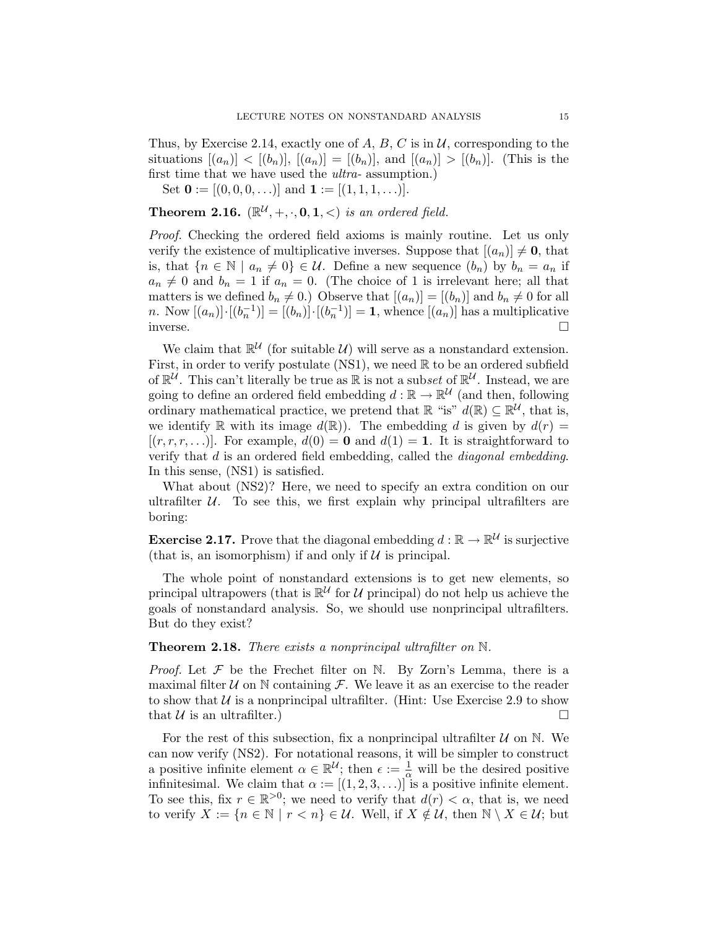Thus, by Exercise 2.14, exactly one of A, B, C is in  $\mathcal{U}$ , corresponding to the situations  $[(a_n)] < [(b_n)]$ ,  $[(a_n)] = [(b_n)]$ , and  $[(a_n)] > [(b_n)]$ . (This is the first time that we have used the *ultra*- assumption.)

Set  $\mathbf{0} := [(0, 0, 0, \dots)]$  and  $\mathbf{1} := [(1, 1, 1, \dots)].$ 

**Theorem 2.16.**  $(\mathbb{R}^{\mathcal{U}}, +, \cdot, 0, 1, <)$  is an ordered field.

Proof. Checking the ordered field axioms is mainly routine. Let us only verify the existence of multiplicative inverses. Suppose that  $[(a_n)] \neq \mathbf{0}$ , that is, that  $\{n \in \mathbb{N} \mid a_n \neq 0\} \in \mathcal{U}$ . Define a new sequence  $(b_n)$  by  $b_n = a_n$  if  $a_n \neq 0$  and  $b_n = 1$  if  $a_n = 0$ . (The choice of 1 is irrelevant here; all that matters is we defined  $b_n \neq 0$ .) Observe that  $[(a_n)] = [(b_n)]$  and  $b_n \neq 0$  for all n. Now  $[(a_n)] \cdot [(b_n^{-1})] = [(b_n)] \cdot [(b_n^{-1})] = 1$ , whence  $[(a_n)]$  has a multiplicative inverse.  $\square$ 

We claim that  $\mathbb{R}^{\mathcal{U}}$  (for suitable  $\mathcal{U}$ ) will serve as a nonstandard extension. First, in order to verify postulate  $(NS1)$ , we need  $\mathbb R$  to be an ordered subfield of  $\mathbb{R}^{\mathcal{U}}$ . This can't literally be true as  $\mathbb{R}$  is not a subset of  $\mathbb{R}^{\mathcal{U}}$ . Instead, we are going to define an ordered field embedding  $d : \mathbb{R} \to \mathbb{R}^{\mathcal{U}}$  (and then, following ordinary mathematical practice, we pretend that  $\mathbb{R}$  "is"  $d(\mathbb{R}) \subseteq \mathbb{R}^{\mathcal{U}}$ , that is, we identify R with its image  $d(\mathbb{R})$ . The embedding d is given by  $d(r)$  =  $[(r, r, r, \dots)]$ . For example,  $d(0) = \mathbf{0}$  and  $d(1) = \mathbf{1}$ . It is straightforward to verify that d is an ordered field embedding, called the diagonal embedding. In this sense, (NS1) is satisfied.

What about (NS2)? Here, we need to specify an extra condition on our ultrafilter  $U$ . To see this, we first explain why principal ultrafilters are boring:

**Exercise 2.17.** Prove that the diagonal embedding  $d : \mathbb{R} \to \mathbb{R}^{\mathcal{U}}$  is surjective (that is, an isomorphism) if and only if  $U$  is principal.

The whole point of nonstandard extensions is to get new elements, so principal ultrapowers (that is  $\mathbb{R}^{\mathcal{U}}$  for  $\mathcal{U}$  principal) do not help us achieve the goals of nonstandard analysis. So, we should use nonprincipal ultrafilters. But do they exist?

#### Theorem 2.18. There exists a nonprincipal ultrafilter on N.

*Proof.* Let  $\mathcal F$  be the Frechet filter on N. By Zorn's Lemma, there is a maximal filter  $U$  on N containing  $\mathcal{F}$ . We leave it as an exercise to the reader to show that  $U$  is a nonprincipal ultrafilter. (Hint: Use Exercise 2.9 to show that  $\mathcal U$  is an ultrafilter.)

For the rest of this subsection, fix a nonprincipal ultrafilter  $U$  on  $N$ . We can now verify (NS2). For notational reasons, it will be simpler to construct a positive infinite element  $\alpha \in \mathbb{R}^{\mathcal{U}}$ ; then  $\epsilon := \frac{1}{\alpha}$  will be the desired positive infinitesimal. We claim that  $\alpha := [(1, 2, 3, \ldots)]$  is a positive infinite element. To see this, fix  $r \in \mathbb{R}^{>0}$ ; we need to verify that  $d(r) < \alpha$ , that is, we need to verify  $X := \{n \in \mathbb{N} \mid r < n\} \in \mathcal{U}$ . Well, if  $X \notin \mathcal{U}$ , then  $\mathbb{N} \setminus X \in \mathcal{U}$ ; but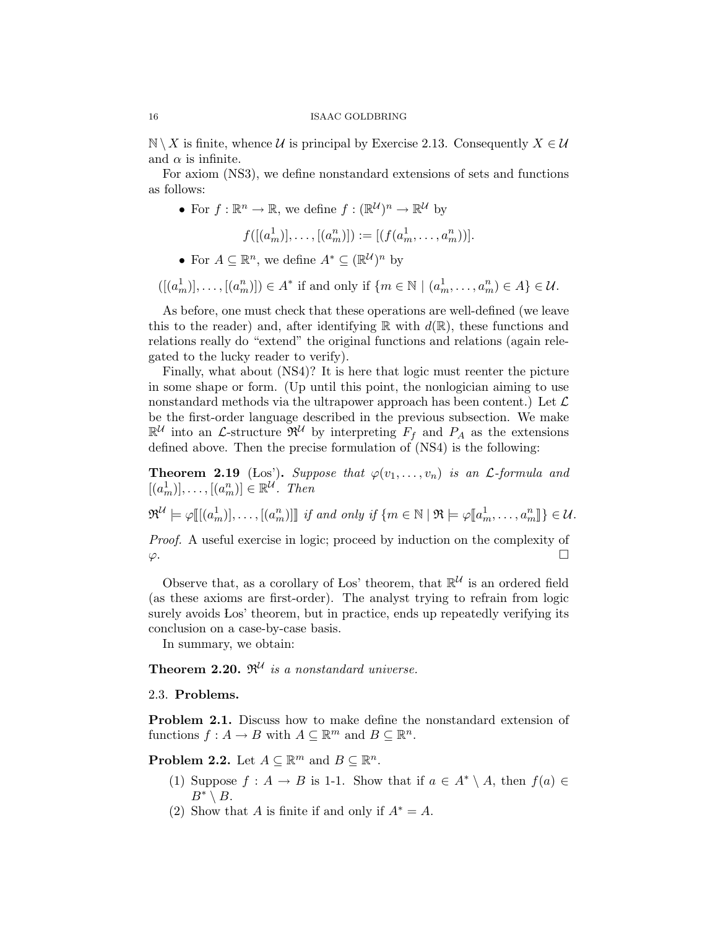$\mathbb{N} \setminus X$  is finite, whence U is principal by Exercise 2.13. Consequently  $X \in \mathcal{U}$ and  $\alpha$  is infinite.

For axiom (NS3), we define nonstandard extensions of sets and functions as follows:

• For  $f : \mathbb{R}^n \to \mathbb{R}$ , we define  $f : (\mathbb{R}^{\mathcal{U}})^n \to \mathbb{R}^{\mathcal{U}}$  by

$$
f([(a_m^1)], \ldots, [(a_m^n)]) := [(f(a_m^1, \ldots, a_m^n))].
$$

• For  $A \subseteq \mathbb{R}^n$ , we define  $A^* \subseteq (\mathbb{R}^{\mathcal{U}})^n$  by

 $([a_m^1)], \ldots, [(a_m^n)]) \in A^*$  if and only if  $\{m \in \mathbb{N} \mid (a_m^1, \ldots, a_m^n) \in A\} \in \mathcal{U}$ .

As before, one must check that these operations are well-defined (we leave this to the reader) and, after identifying  $\mathbb R$  with  $d(\mathbb R)$ , these functions and relations really do "extend" the original functions and relations (again relegated to the lucky reader to verify).

Finally, what about (NS4)? It is here that logic must reenter the picture in some shape or form. (Up until this point, the nonlogician aiming to use nonstandard methods via the ultrapower approach has been content.) Let  $\mathcal L$ be the first-order language described in the previous subsection. We make  $\mathbb{R}^{\mathcal{U}}$  into an *L*-structure  $\mathfrak{R}^{\mathcal{U}}$  by interpreting  $F_f$  and  $P_A$  as the extensions defined above. Then the precise formulation of (NS4) is the following:

**Theorem 2.19** (Los'). Suppose that  $\varphi(v_1, \ldots, v_n)$  is an L-formula and  $[(a_m^1)], \ldots, [(a_m^n)] \in \mathbb{R}^{\mathcal{U}}$ . Then

 $\mathfrak{R}^{\mathcal{U}} \models \varphi[[(a_m^1)], \ldots, [(a_m^n)]]$  if and only if  $\{m \in \mathbb{N} \mid \mathfrak{R} \models \varphi[a_m^1, \ldots, a_m^n]\} \in \mathcal{U}$ .

Proof. A useful exercise in logic; proceed by induction on the complexity of  $\varphi$ .

Observe that, as a corollary of Los' theorem, that  $\mathbb{R}^{\mathcal{U}}$  is an ordered field (as these axioms are first-order). The analyst trying to refrain from logic surely avoids Los' theorem, but in practice, ends up repeatedly verifying its conclusion on a case-by-case basis.

In summary, we obtain:

**Theorem 2.20.**  $\mathbb{R}^{\mathcal{U}}$  is a nonstandard universe.

### 2.3. Problems.

Problem 2.1. Discuss how to make define the nonstandard extension of functions  $f: A \to B$  with  $A \subseteq \mathbb{R}^m$  and  $B \subseteq \mathbb{R}^n$ .

**Problem 2.2.** Let  $A \subseteq \mathbb{R}^m$  and  $B \subseteq \mathbb{R}^n$ .

- (1) Suppose  $f : A \to B$  is 1-1. Show that if  $a \in A^* \setminus A$ , then  $f(a) \in$  $B^* \setminus B$ .
- (2) Show that A is finite if and only if  $A^* = A$ .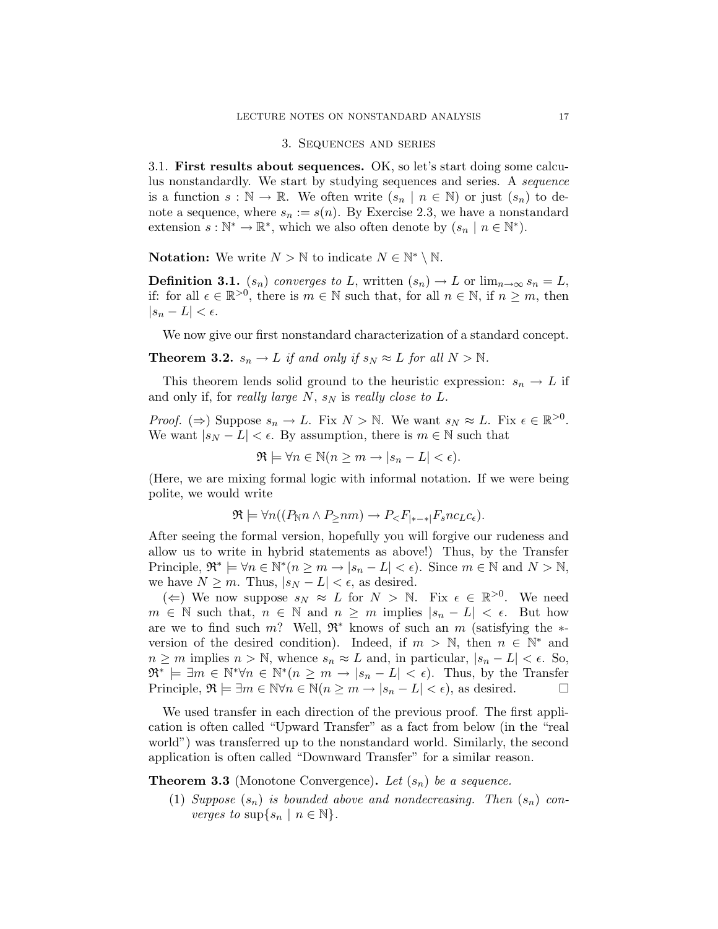#### 3. Sequences and series

3.1. First results about sequences. OK, so let's start doing some calculus nonstandardly. We start by studying sequences and series. A sequence is a function  $s : \mathbb{N} \to \mathbb{R}$ . We often write  $(s_n | n \in \mathbb{N})$  or just  $(s_n)$  to denote a sequence, where  $s_n := s(n)$ . By Exercise 2.3, we have a nonstandard extension  $s : \mathbb{N}^* \to \mathbb{R}^*$ , which we also often denote by  $(s_n | n \in \mathbb{N}^*)$ .

**Notation:** We write  $N > \mathbb{N}$  to indicate  $N \in \mathbb{N}^* \setminus \mathbb{N}$ .

**Definition 3.1.**  $(s_n)$  converges to L, written  $(s_n) \to L$  or  $\lim_{n\to\infty} s_n = L$ , if: for all  $\epsilon \in \mathbb{R}^{>0}$ , there is  $m \in \mathbb{N}$  such that, for all  $n \in \mathbb{N}$ , if  $n \geq m$ , then  $|s_n - L| < \epsilon.$ 

We now give our first nonstandard characterization of a standard concept.

**Theorem 3.2.**  $s_n \to L$  if and only if  $s_N \approx L$  for all  $N > N$ .

This theorem lends solid ground to the heuristic expression:  $s_n \to L$  if and only if, for really large  $N$ ,  $s_N$  is really close to  $L$ .

*Proof.* ( $\Rightarrow$ ) Suppose  $s_n \to L$ . Fix  $N > N$ . We want  $s_N \approx L$ . Fix  $\epsilon \in \mathbb{R}^{>0}$ . We want  $|s_N - L| < \epsilon$ . By assumption, there is  $m \in \mathbb{N}$  such that

 $\mathfrak{R} \models \forall n \in \mathbb{N} (n \geq m \rightarrow |s_n - L| < \epsilon).$ 

(Here, we are mixing formal logic with informal notation. If we were being polite, we would write

$$
\mathfrak{R} \models \forall n((P_{\mathbb{N}}n \land P_{\geq}nm) \to P_{\leq}F_{|\ast-\ast|}F_{s}nc_{L}c_{\epsilon}).
$$

After seeing the formal version, hopefully you will forgive our rudeness and allow us to write in hybrid statements as above!) Thus, by the Transfer Principle,  $\mathfrak{R}^* \models \forall n \in \mathbb{N}^*(n \geq m \rightarrow |s_n - L| < \epsilon)$ . Since  $m \in \mathbb{N}$  and  $N > \mathbb{N}$ , we have  $N \geq m$ . Thus,  $|s_N - L| < \epsilon$ , as desired.

(←) We now suppose  $s_N \approx L$  for  $N > N$ . Fix  $\epsilon \in \mathbb{R}^{>0}$ . We need  $m \in \mathbb{N}$  such that,  $n \in \mathbb{N}$  and  $n \geq m$  implies  $|s_n - L| < \epsilon$ . But how are we to find such m? Well,  $\mathfrak{R}^*$  knows of such an m (satisfying the  $*$ version of the desired condition). Indeed, if  $m > \mathbb{N}$ , then  $n \in \mathbb{N}^*$  and  $n \geq m$  implies  $n > \mathbb{N}$ , whence  $s_n \approx L$  and, in particular,  $|s_n - L| < \epsilon$ . So,  $\mathfrak{R}^* \models \exists m \in \mathbb{N}^* \forall n \in \mathbb{N}^* (n \geq m \rightarrow |s_n - L| < \epsilon).$  Thus, by the Transfer Principle,  $\mathfrak{R} \models \exists m \in \mathbb{N} \forall n \in \mathbb{N} (n \geq m \rightarrow |s_n - L| < \epsilon)$ , as desired.

We used transfer in each direction of the previous proof. The first application is often called "Upward Transfer" as a fact from below (in the "real world") was transferred up to the nonstandard world. Similarly, the second application is often called "Downward Transfer" for a similar reason.

**Theorem 3.3** (Monotone Convergence). Let  $(s_n)$  be a sequence.

(1) Suppose  $(s_n)$  is bounded above and nondecreasing. Then  $(s_n)$  converges to  $\sup\{s_n \mid n \in \mathbb{N}\}.$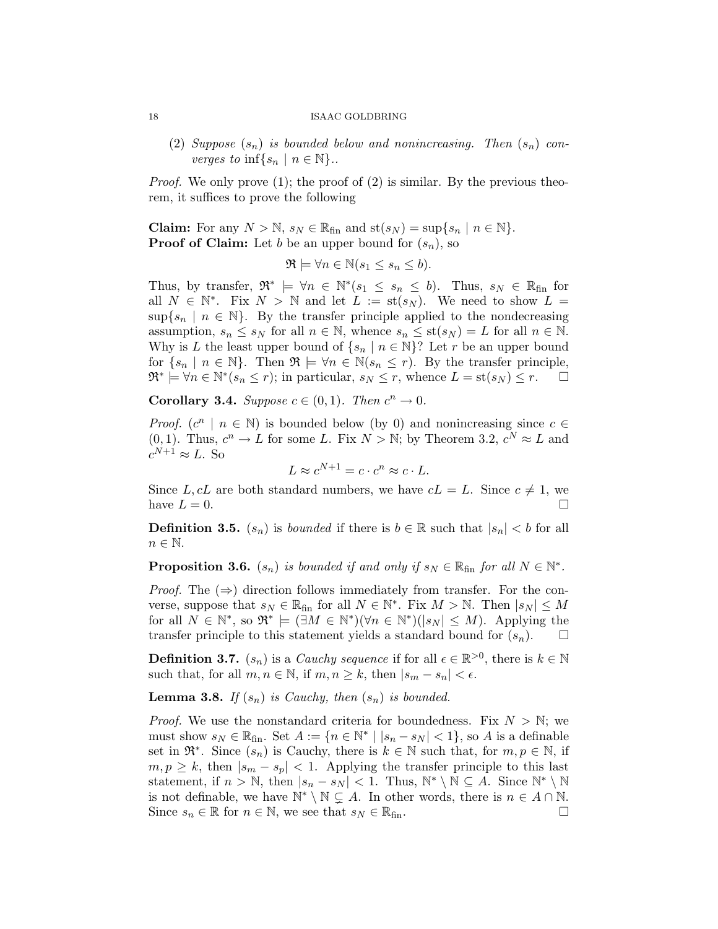(2) Suppose  $(s_n)$  is bounded below and nonincreasing. Then  $(s_n)$  converges to  $\inf\{s_n \mid n \in \mathbb{N}\}\.$ 

*Proof.* We only prove (1); the proof of (2) is similar. By the previous theorem, it suffices to prove the following

**Claim:** For any  $N > \mathbb{N}$ ,  $s_N \in \mathbb{R}_{fin}$  and  $\text{st}(s_N) = \sup\{s_n \mid n \in \mathbb{N}\}.$ **Proof of Claim:** Let b be an upper bound for  $(s_n)$ , so

$$
\mathfrak{R} \models \forall n \in \mathbb{N} (s_1 \le s_n \le b).
$$

Thus, by transfer,  $\mathfrak{R}^* \models \forall n \in \mathbb{N}^*(s_1 \leq s_n \leq b)$ . Thus,  $s_N \in \mathbb{R}_{fin}$  for all  $N \in \mathbb{N}^*$ . Fix  $N > \mathbb{N}$  and let  $L := st(s_N)$ . We need to show  $L =$  $\sup\{s_n \mid n \in \mathbb{N}\}\.$  By the transfer principle applied to the nondecreasing assumption,  $s_n \leq s_N$  for all  $n \in \mathbb{N}$ , whence  $s_n \leq st(s_N) = L$  for all  $n \in \mathbb{N}$ . Why is L the least upper bound of  $\{s_n \mid n \in \mathbb{N}\}$ ? Let r be an upper bound for  $\{s_n \mid n \in \mathbb{N}\}\$ . Then  $\mathfrak{R} \models \forall n \in \mathbb{N}$   $(s_n \leq r)$ . By the transfer principle,  $\mathfrak{R}^* \models \forall n \in \mathbb{N}^*(s_n \leq r);$  in particular,  $s_N \leq r$ , whence  $L = \text{st}(s_N) \leq r$ .  $\Box$ 

Corollary 3.4. Suppose  $c \in (0,1)$ . Then  $c^n \to 0$ .

*Proof.*  $(c^n | n \in \mathbb{N})$  is bounded below (by 0) and nonincreasing since  $c \in$  $(0, 1)$ . Thus,  $c^n \to L$  for some L. Fix  $N > N$ ; by Theorem 3.2,  $c^N \approx L$  and  $c^{N+1} \approx L$ . So

$$
L \approx c^{N+1} = c \cdot c^n \approx c \cdot L.
$$

Since L, cL are both standard numbers, we have  $cL = L$ . Since  $c \neq 1$ , we have  $L = 0$ .

**Definition 3.5.**  $(s_n)$  is *bounded* if there is  $b \in \mathbb{R}$  such that  $|s_n| < b$  for all  $n \in \mathbb{N}$ .

**Proposition 3.6.**  $(s_n)$  is bounded if and only if  $s_N \in \mathbb{R}_{fin}$  for all  $N \in \mathbb{N}^*$ .

*Proof.* The  $(\Rightarrow)$  direction follows immediately from transfer. For the converse, suppose that  $s_N \in \mathbb{R}_{fin}$  for all  $N \in \mathbb{N}^*$ . Fix  $M > \mathbb{N}$ . Then  $|s_N| \leq M$ for all  $N \in \mathbb{N}^*$ , so  $\mathfrak{R}^* \models (\exists M \in \mathbb{N}^*)(\forall n \in \mathbb{N}^*)(|s_N| \leq M)$ . Applying the transfer principle to this statement yields a standard bound for  $(s_n)$ .  $\Box$ 

**Definition 3.7.**  $(s_n)$  is a *Cauchy sequence* if for all  $\epsilon \in \mathbb{R}^{>0}$ , there is  $k \in \mathbb{N}$ such that, for all  $m, n \in \mathbb{N}$ , if  $m, n \geq k$ , then  $|s_m - s_n| < \epsilon$ .

**Lemma 3.8.** If  $(s_n)$  is Cauchy, then  $(s_n)$  is bounded.

*Proof.* We use the nonstandard criteria for boundedness. Fix  $N > N$ ; we must show  $s_N \in \mathbb{R}_{\text{fin}}$ . Set  $A := \{ n \in \mathbb{N}^* \mid |s_n - s_N| < 1 \}$ , so A is a definable set in  $\mathfrak{R}^*$ . Since  $(s_n)$  is Cauchy, there is  $k \in \mathbb{N}$  such that, for  $m, p \in \mathbb{N}$ , if  $m, p \geq k$ , then  $|s_m - s_p| < 1$ . Applying the transfer principle to this last statement, if  $n > \mathbb{N}$ , then  $|s_n - s_N| < 1$ . Thus,  $\mathbb{N}^* \setminus \mathbb{N} \subseteq A$ . Since  $\mathbb{N}^* \setminus \mathbb{N}$ is not definable, we have  $\mathbb{N}^* \setminus \mathbb{N} \subsetneq A$ . In other words, there is  $n \in A \cap \mathbb{N}$ . Since  $s_n \in \mathbb{R}$  for  $n \in \mathbb{N}$ , we see that  $s_N \in \mathbb{R}_{\text{fin}}$ .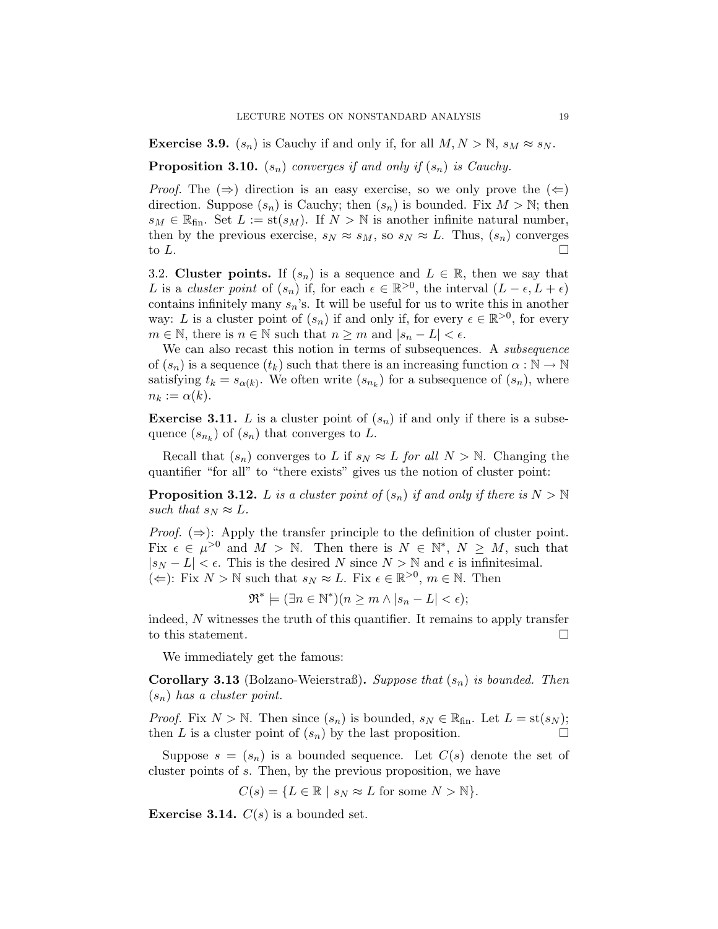**Exercise 3.9.**  $(s_n)$  is Cauchy if and only if, for all  $M, N > \mathbb{N}$ ,  $s_M \approx s_N$ .

**Proposition 3.10.**  $(s_n)$  converges if and only if  $(s_n)$  is Cauchy.

*Proof.* The  $(\Rightarrow)$  direction is an easy exercise, so we only prove the  $(\Leftarrow)$ direction. Suppose  $(s_n)$  is Cauchy; then  $(s_n)$  is bounded. Fix  $M > N$ ; then  $s_M \in \mathbb{R}_{fin}$ . Set  $L := \text{st}(s_M)$ . If  $N > \mathbb{N}$  is another infinite natural number, then by the previous exercise,  $s_N \approx s_M$ , so  $s_N \approx L$ . Thus,  $(s_n)$  converges to  $L$ .

3.2. Cluster points. If  $(s_n)$  is a sequence and  $L \in \mathbb{R}$ , then we say that L is a cluster point of  $(s_n)$  if, for each  $\epsilon \in \mathbb{R}^{>0}$ , the interval  $(L - \epsilon, L + \epsilon)$ contains infinitely many  $s_n$ 's. It will be useful for us to write this in another way: L is a cluster point of  $(s_n)$  if and only if, for every  $\epsilon \in \mathbb{R}^{>0}$ , for every  $m \in \mathbb{N}$ , there is  $n \in \mathbb{N}$  such that  $n \geq m$  and  $|s_n - L| < \epsilon$ .

We can also recast this notion in terms of subsequences. A *subsequence* of  $(s_n)$  is a sequence  $(t_k)$  such that there is an increasing function  $\alpha : \mathbb{N} \to \mathbb{N}$ satisfying  $t_k = s_{\alpha(k)}$ . We often write  $(s_{n_k})$  for a subsequence of  $(s_n)$ , where  $n_k := \alpha(k).$ 

**Exercise 3.11.** L is a cluster point of  $(s_n)$  if and only if there is a subsequence  $(s_{n_k})$  of  $(s_n)$  that converges to L.

Recall that  $(s_n)$  converges to L if  $s_N \approx L$  for all  $N > N$ . Changing the quantifier "for all" to "there exists" gives us the notion of cluster point:

**Proposition 3.12.** L is a cluster point of  $(s_n)$  if and only if there is  $N > N$ such that  $s_N \approx L$ .

*Proof.*  $(\Rightarrow)$ : Apply the transfer principle to the definition of cluster point. Fix  $\epsilon \in \mu^{>0}$  and  $M > \mathbb{N}$ . Then there is  $N \in \mathbb{N}^*, N \geq M$ , such that  $|s_N - L| < \epsilon$ . This is the desired N since  $N > N$  and  $\epsilon$  is infinitesimal. (←): Fix  $N > N$  such that  $s_N \approx L$ . Fix  $\epsilon \in \mathbb{R}^{>0}$ ,  $m \in \mathbb{N}$ . Then

 $\mathfrak{R}^* \models (\exists n \in \mathbb{N}^*)(n \geq m \land |s_n - L| < \epsilon);$ 

indeed, N witnesses the truth of this quantifier. It remains to apply transfer to this statement.

We immediately get the famous:

**Corollary 3.13** (Bolzano-Weierstraß). Suppose that  $(s_n)$  is bounded. Then  $(s_n)$  has a cluster point.

*Proof.* Fix  $N > N$ . Then since  $(s_n)$  is bounded,  $s_N \in \mathbb{R}_{\text{fin}}$ . Let  $L = \text{st}(s_N)$ ; then L is a cluster point of  $(s_n)$  by the last proposition.

Suppose  $s = (s_n)$  is a bounded sequence. Let  $C(s)$  denote the set of cluster points of s. Then, by the previous proposition, we have

 $C(s) = \{L \in \mathbb{R} \mid s_N \approx L \text{ for some } N > \mathbb{N}\}.$ 

**Exercise 3.14.**  $C(s)$  is a bounded set.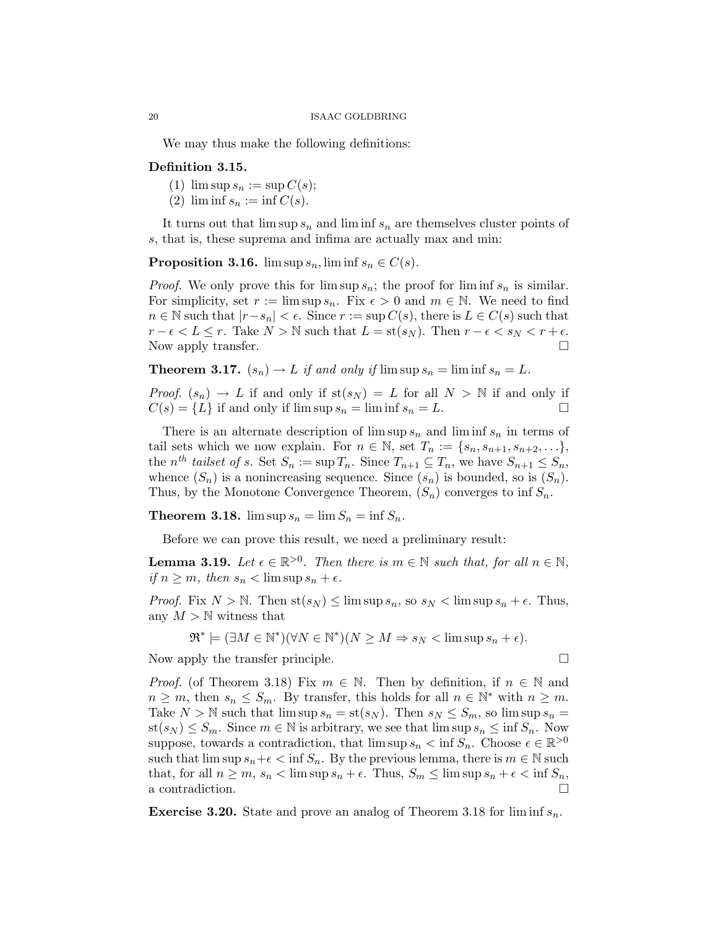We may thus make the following definitions:

#### Definition 3.15.

(1)  $\limsup s_n := \sup C(s);$ 

(2) lim inf  $s_n := \inf C(s)$ .

It turns out that  $\limsup s_n$  and  $\liminf s_n$  are themselves cluster points of s, that is, these suprema and infima are actually max and min:

**Proposition 3.16.** lim sup  $s_n$ , lim inf  $s_n \in C(s)$ .

*Proof.* We only prove this for  $\limsup s_n$ ; the proof for  $\liminf s_n$  is similar. For simplicity, set  $r := \limsup s_n$ . Fix  $\epsilon > 0$  and  $m \in \mathbb{N}$ . We need to find  $n \in \mathbb{N}$  such that  $|r-s_n| < \epsilon$ . Since  $r := \sup C(s)$ , there is  $L \in C(s)$  such that  $r - \epsilon < L \leq r$ . Take  $N > N$  such that  $L = st(s_N)$ . Then  $r - \epsilon < s_N < r + \epsilon$ . Now apply transfer.

**Theorem 3.17.**  $(s_n) \to L$  if and only if  $\limsup s_n = \liminf s_n = L$ .

*Proof.*  $(s_n) \to L$  if and only if  $st(s_N) = L$  for all  $N > N$  if and only if  $C(s) = \{L\}$  if and only if lim sup  $s_n = \liminf s_n = L$ .

There is an alternate description of  $\limsup s_n$  and  $\liminf s_n$  in terms of tail sets which we now explain. For  $n \in \mathbb{N}$ , set  $T_n := \{s_n, s_{n+1}, s_{n+2}, \ldots\},\$ the *n*<sup>th</sup> tailset of s. Set  $S_n := \sup T_n$ . Since  $T_{n+1} \subseteq T_n$ , we have  $S_{n+1} \leq S_n$ , whence  $(S_n)$  is a nonincreasing sequence. Since  $(s_n)$  is bounded, so is  $(S_n)$ . Thus, by the Monotone Convergence Theorem,  $(S_n)$  converges to inf  $S_n$ .

**Theorem 3.18.** lim sup  $s_n = \lim S_n = \inf S_n$ .

Before we can prove this result, we need a preliminary result:

**Lemma 3.19.** Let  $\epsilon \in \mathbb{R}^{>0}$ . Then there is  $m \in \mathbb{N}$  such that, for all  $n \in \mathbb{N}$ , if  $n \geq m$ , then  $s_n < \limsup s_n + \epsilon$ .

*Proof.* Fix  $N > N$ . Then  $st(s_N) \leq \limsup s_n$ , so  $s_N < \limsup s_n + \epsilon$ . Thus, any  $M > N$  witness that

$$
\mathfrak{R}^* \models (\exists M \in \mathbb{N}^*)(\forall N \in \mathbb{N}^*)(N \ge M \Rightarrow s_N < \limsup s_n + \epsilon).
$$

Now apply the transfer principle.

*Proof.* (of Theorem 3.18) Fix  $m \in \mathbb{N}$ . Then by definition, if  $n \in \mathbb{N}$  and  $n \geq m$ , then  $s_n \leq S_m$ . By transfer, this holds for all  $n \in \mathbb{N}^*$  with  $n \geq m$ . Take  $N > N$  such that  $\limsup s_n = \text{st}(s_N)$ . Then  $s_N \leq S_m$ , so  $\limsup s_n =$  $st(s_N) \leq S_m$ . Since  $m \in \mathbb{N}$  is arbitrary, we see that  $\limsup s_n \leq \inf S_n$ . Now suppose, towards a contradiction, that  $\limsup s_n < \inf S_n$ . Choose  $\epsilon \in \mathbb{R}^{>0}$ such that  $\limsup s_n + \epsilon < \inf S_n$ . By the previous lemma, there is  $m \in \mathbb{N}$  such that, for all  $n \geq m$ ,  $s_n < \limsup s_n + \epsilon$ . Thus,  $S_m \leq \limsup s_n + \epsilon < \inf S_n$ , a contradiction.

**Exercise 3.20.** State and prove an analog of Theorem 3.18 for  $\liminf s_n$ .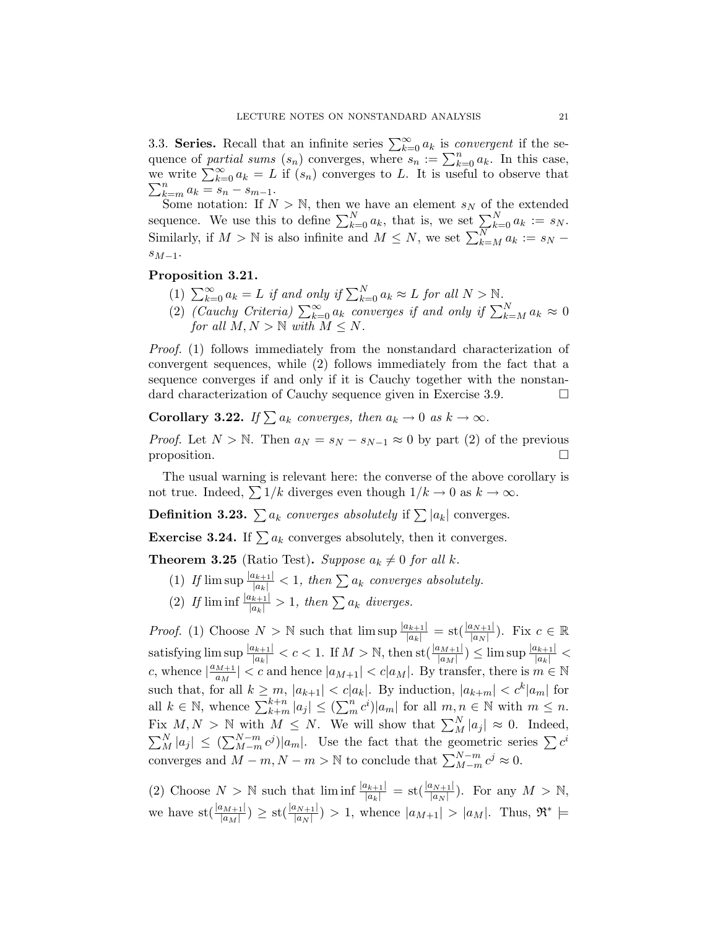3.3. Series. Recall that an infinite series  $\sum_{k=0}^{\infty} a_k$  is *convergent* if the sequence of *partial sums*  $(s_n)$  converges, where  $s_n := \sum_{k=0}^n a_k$ . In this case, we write  $\sum_{k=0}^{\infty} a_k = L$  if  $(s_n)$  converges to L. It is useful to observe that  $\sum_{k=m}^{n} a_k = s_n - s_{m-1}.$ 

Some notation: If  $N > N$ , then we have an element  $s_N$  of the extended sequence. We use this to define  $\sum_{k=0}^{N} a_k$ , that is, we set  $\sum_{k=0}^{N} a_k := s_N$ . Similarly, if  $M > \mathbb{N}$  is also infinite and  $M \leq N$ , we set  $\sum_{k=M}^{N} a_k := s_N$  $s_{M-1}$ .

## Proposition 3.21.

- (1)  $\sum_{k=0}^{\infty} a_k = L$  if and only if  $\sum_{k=0}^{N} a_k \approx L$  for all  $N > N$ .
- (2) (Cauchy Criteria)  $\sum_{k=0}^{\infty} a_k$  converges if and only if  $\sum_{k=M}^{N} a_k \approx 0$ for all  $M, N > N$  with  $M \leq N$ .

Proof. (1) follows immediately from the nonstandard characterization of convergent sequences, while (2) follows immediately from the fact that a sequence converges if and only if it is Cauchy together with the nonstandard characterization of Cauchy sequence given in Exercise 3.9.

Corollary 3.22. If  $\sum a_k$  converges, then  $a_k \to 0$  as  $k \to \infty$ .

*Proof.* Let  $N > N$ . Then  $a_N = s_N - s_{N-1} \approx 0$  by part (2) of the previous proposition.  $\Box$ 

The usual warning is relevant here: the converse of the above corollary is not true. Indeed,  $\sum 1/k$  diverges even though  $1/k \to 0$  as  $k \to \infty$ .

**Definition 3.23.**  $\sum a_k$  converges absolutely if  $\sum |a_k|$  converges.

**Exercise 3.24.** If  $\sum a_k$  converges absolutely, then it converges.

**Theorem 3.25** (Ratio Test). Suppose  $a_k \neq 0$  for all k.

- (1) If  $\limsup \frac{|a_{k+1}|}{|a_k|} < 1$ , then  $\sum a_k$  converges absolutely.
- (2) If  $\liminf \frac{|a_{k+1}|}{|a_k|} > 1$ , then  $\sum a_k$  diverges.

*Proof.* (1) Choose  $N > \mathbb{N}$  such that  $\limsup \frac{|a_{k+1}|}{|a_k|} = \text{st}(\frac{|a_{N+1}|}{|a_N|})$ . Fix  $c \in \mathbb{R}$ satisfying  $\limsup \frac{|a_{k+1}|}{|a_k|} < c < 1$ . If  $M > \mathbb{N}$ , then  $\text{st}(\frac{|a_{M+1}|}{|a_M|}) \leq \limsup \frac{|a_{k+1}|}{|a_k|} <$ c, whence  $\left|\frac{a_{M+1}}{a_{M+1}}\right|$  $\frac{M+1}{a_M}$  < c and hence  $|a_{M+1}| < c |a_M|$ . By transfer, there is  $m \in \mathbb{N}$ such that, for all  $k \geq m$ ,  $|a_{k+1}| < c|a_k|$ . By induction,  $|a_{k+m}| < c^k |a_m|$  for all  $k \in \mathbb{N}$ , whence  $\sum_{k+m}^{k+n} |a_k| \leq (\sum_{m}^{n} c^i)|a_m|$  for all  $m, n \in \mathbb{N}$  with  $m \leq n$ . Fix  $M, N > N$  with  $M \leq N$ . We will show that  $\sum_{M}^{N} |a_j| \approx 0$ . Indeed,  $\sum_{M}^{N} |a_j| \leq (\sum_{M-m}^{N-m} c^j)|a_m|$ . Use the fact that the geometric series  $\sum_{m} c^i$ converges and  $M - m$ ,  $N - m > N$  to conclude that  $\sum_{M-m}^{N-m} c^j \approx 0$ .

(2) Choose  $N > \mathbb{N}$  such that  $\liminf \frac{|a_{k+1}|}{|a_k|} = \text{st}(\frac{|a_{N+1}|}{|a_N|})$ . For any  $M > \mathbb{N}$ , we have  $\text{st}(\frac{|a_{M+1}|}{|a_M|}) \geq \text{st}(\frac{|a_{N+1}|}{|a_N|}) > 1$ , whence  $|a_{M+1}| > |a_M|$ . Thus,  $\mathfrak{R}^* \models$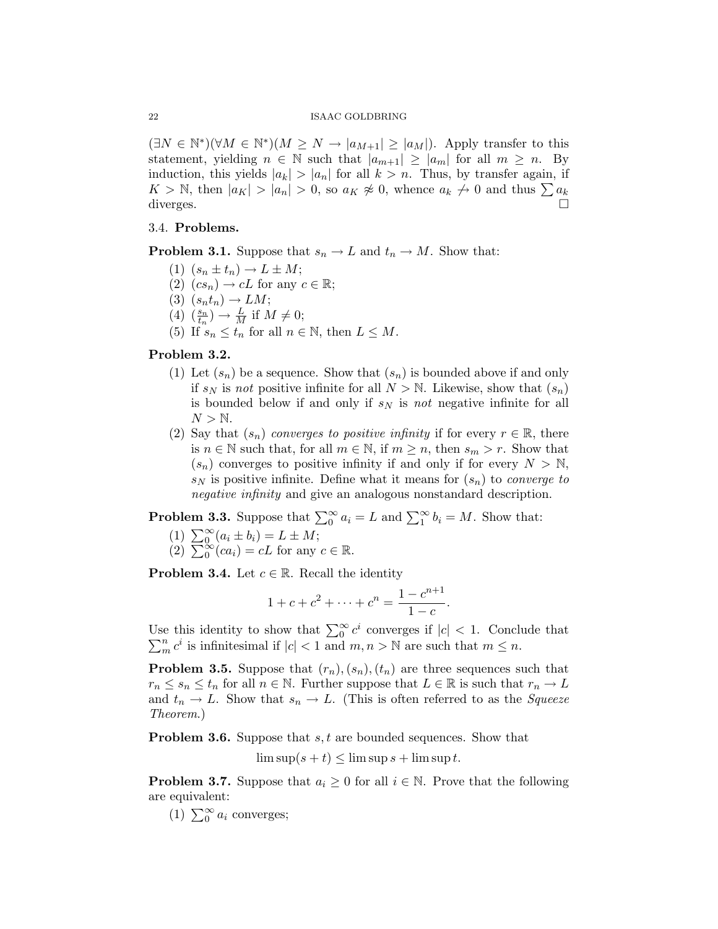$(\exists N \in \mathbb{N}^*)(\forall M \in \mathbb{N}^*)(M \geq N \rightarrow |a_{M+1}| \geq |a_M|)$ . Apply transfer to this statement, yielding  $n \in \mathbb{N}$  such that  $|a_{m+1}| \geq |a_m|$  for all  $m \geq n$ . By induction, this yields  $|a_k| > |a_n|$  for all  $k > n$ . Thus, by transfer again, if  $K > \mathbb{N}$ , then  $|a_K| > |a_n| > 0$ , so  $a_K \not\approx 0$ , whence  $a_k \not\rightarrow 0$  and thus  $\sum a_k$ diverges. □

### 3.4. Problems.

**Problem 3.1.** Suppose that  $s_n \to L$  and  $t_n \to M$ . Show that:

- (1)  $(s_n \pm t_n) \rightarrow L \pm M;$
- (2)  $(c s_n) \rightarrow cL$  for any  $c \in \mathbb{R}$ ;
- (3)  $(s_n t_n) \rightarrow LM;$
- (4)  $(\frac{s_n}{t_n}) \to \frac{L}{M}$  if  $M \neq 0$ ;
- (5) If  $s_n \leq t_n$  for all  $n \in \mathbb{N}$ , then  $L \leq M$ .

## Problem 3.2.

- (1) Let  $(s_n)$  be a sequence. Show that  $(s_n)$  is bounded above if and only if  $s_N$  is not positive infinite for all  $N > N$ . Likewise, show that  $(s_n)$ is bounded below if and only if  $s_N$  is not negative infinite for all  $N > N$ .
- (2) Say that  $(s_n)$  converges to positive infinity if for every  $r \in \mathbb{R}$ , there is  $n \in \mathbb{N}$  such that, for all  $m \in \mathbb{N}$ , if  $m \ge n$ , then  $s_m > r$ . Show that  $(s_n)$  converges to positive infinity if and only if for every  $N > N$ ,  $s_N$  is positive infinite. Define what it means for  $(s_n)$  to *converge to* negative infinity and give an analogous nonstandard description.

**Problem 3.3.** Suppose that  $\sum_{i=0}^{\infty} a_i = L$  and  $\sum_{i=1}^{\infty} b_i = M$ . Show that:

- (1)  $\sum_{0}^{\infty} (a_i \pm b_i) = L \pm M;$
- $(2)$   $\sum_{0}^{\infty} (ca_i) = cL$  for any  $c \in \mathbb{R}$ .

**Problem 3.4.** Let  $c \in \mathbb{R}$ . Recall the identity

$$
1 + c + c2 + \dots + cn = \frac{1 - c^{n+1}}{1 - c}.
$$

Use this identity to show that  $\sum_{0}^{\infty} c^{i}$  converges if  $|c| < 1$ . Conclude that  $\sum_{m=1}^{n} c^{i}$  is infinitesimal if  $|c| < 1$  and  $m, n > N$  are such that  $m \leq n$ .

**Problem 3.5.** Suppose that  $(r_n), (s_n), (t_n)$  are three sequences such that  $r_n \leq s_n \leq t_n$  for all  $n \in \mathbb{N}$ . Further suppose that  $L \in \mathbb{R}$  is such that  $r_n \to L$ and  $t_n \to L$ . Show that  $s_n \to L$ . (This is often referred to as the *Squeeze* Theorem.)

**Problem 3.6.** Suppose that s, t are bounded sequences. Show that

 $\limsup(s+t) \leq \limsup s+\limsup t$ .

**Problem 3.7.** Suppose that  $a_i \geq 0$  for all  $i \in \mathbb{N}$ . Prove that the following are equivalent:

(1)  $\sum_{0}^{\infty} a_i$  converges;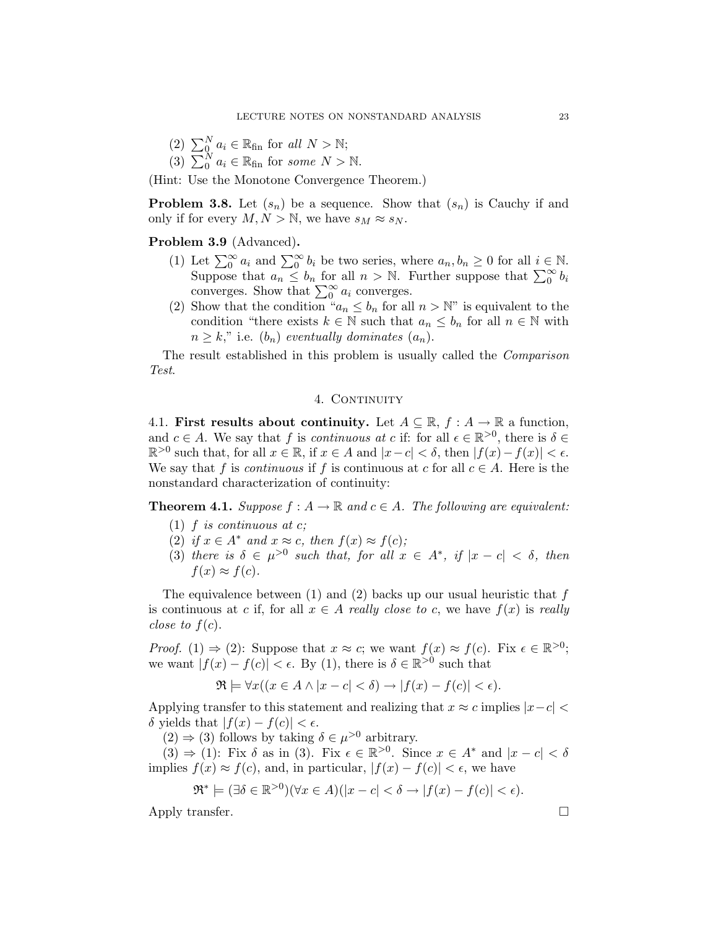(2) 
$$
\sum_{N}^{N} a_i \in \mathbb{R}_{\text{fin}}
$$
 for all  $N > \mathbb{N}$ ;

(3)  $\sum_{0}^{N} a_i \in \mathbb{R}_{fin}$  for some  $N > N$ .

(Hint: Use the Monotone Convergence Theorem.)

**Problem 3.8.** Let  $(s_n)$  be a sequence. Show that  $(s_n)$  is Cauchy if and only if for every  $M, N > \mathbb{N}$ , we have  $s_M \approx s_N$ .

## Problem 3.9 (Advanced).

- (1) Let  $\sum_{0}^{\infty} a_i$  and  $\sum_{0}^{\infty} b_i$  be two series, where  $a_n, b_n \geq 0$  for all  $i \in \mathbb{N}$ . Suppose that  $a_n \leq b_n$  for all  $n > \mathbb{N}$ . Further suppose that  $\sum_0^{\infty} b_i$ converges. Show that  $\sum_{0}^{\infty} a_i$  converges.
- (2) Show that the condition " $a_n \leq b_n$  for all  $n > \mathbb{N}$ " is equivalent to the condition "there exists  $k \in \mathbb{N}$  such that  $a_n \leq b_n$  for all  $n \in \mathbb{N}$  with  $n \geq k$ ," i.e.  $(b_n)$  eventually dominates  $(a_n)$ .

The result established in this problem is usually called the Comparison Test.

## 4. CONTINUITY

4.1. First results about continuity. Let  $A \subseteq \mathbb{R}$ ,  $f : A \to \mathbb{R}$  a function, and  $c \in A$ . We say that f is continuous at c if: for all  $\epsilon \in \mathbb{R}^{>0}$ , there is  $\delta \in$  $\mathbb{R}^{>0}$  such that, for all  $x \in \mathbb{R}$ , if  $x \in A$  and  $|x-c| < \delta$ , then  $|f(x)-f(x)| < \epsilon$ . We say that f is *continuous* if f is continuous at c for all  $c \in A$ . Here is the nonstandard characterization of continuity:

**Theorem 4.1.** Suppose  $f : A \to \mathbb{R}$  and  $c \in A$ . The following are equivalent:

- (1)  $f$  is continuous at  $c$ ;
- (2) if  $x \in A^*$  and  $x \approx c$ , then  $f(x) \approx f(c)$ ;
- (3) there is  $\delta \in \mu^{>0}$  such that, for all  $x \in A^*$ , if  $|x c| < \delta$ , then  $f(x) \approx f(c)$ .

The equivalence between (1) and (2) backs up our usual heuristic that  $f$ is continuous at c if, for all  $x \in A$  really close to c, we have  $f(x)$  is really close to  $f(c)$ .

*Proof.* (1)  $\Rightarrow$  (2): Suppose that  $x \approx c$ ; we want  $f(x) \approx f(c)$ . Fix  $\epsilon \in \mathbb{R}^{>0}$ ; we want  $|f(x) - f(c)| < \epsilon$ . By (1), there is  $\delta \in \mathbb{R}^{>0}$  such that

$$
\Re \models \forall x ((x \in A \land |x - c| < \delta) \rightarrow |f(x) - f(c)| < \epsilon).
$$

Applying transfer to this statement and realizing that  $x \approx c$  implies  $|x-c|$ δ yields that  $|f(x) - f(c)| < \epsilon$ .

 $(2) \Rightarrow (3)$  follows by taking  $\delta \in \mu^{>0}$  arbitrary.

 $(3) \Rightarrow (1)$ : Fix  $\delta$  as in (3). Fix  $\epsilon \in \mathbb{R}^{>0}$ . Since  $x \in A^*$  and  $|x - c| < \delta$ implies  $f(x) \approx f(c)$ , and, in particular,  $|f(x) - f(c)| < \epsilon$ , we have

$$
\mathfrak{R}^* \models (\exists \delta \in \mathbb{R}^{>0})(\forall x \in A)(|x - c| < \delta \rightarrow |f(x) - f(c)| < \epsilon).
$$

Apply transfer.  $\Box$ 

$$
^{23}
$$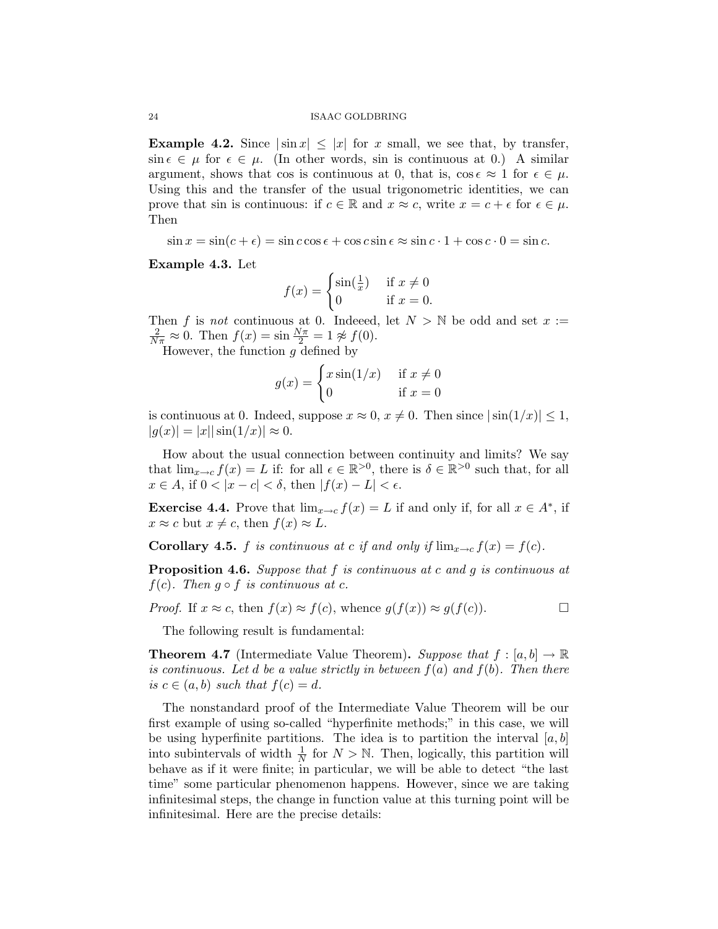**Example 4.2.** Since  $|\sin x| \leq |x|$  for x small, we see that, by transfer,  $\sin \epsilon \in \mu$  for  $\epsilon \in \mu$ . (In other words, sin is continuous at 0.) A similar argument, shows that cos is continuous at 0, that is,  $\cos \epsilon \approx 1$  for  $\epsilon \in \mu$ . Using this and the transfer of the usual trigonometric identities, we can prove that sin is continuous: if  $c \in \mathbb{R}$  and  $x \approx c$ , write  $x = c + \epsilon$  for  $\epsilon \in \mu$ . Then

 $\sin x = \sin(c + \epsilon) = \sin c \cos \epsilon + \cos c \sin \epsilon \approx \sin c \cdot 1 + \cos c \cdot 0 = \sin c.$ 

Example 4.3. Let

$$
f(x) = \begin{cases} \sin(\frac{1}{x}) & \text{if } x \neq 0 \\ 0 & \text{if } x = 0. \end{cases}
$$

Then f is not continuous at 0. Indeed, let  $N > N$  be odd and set  $x :=$  $\frac{2}{N\pi} \approx 0$ . Then  $f(x) = \sin \frac{N\pi}{2} = 1 \not\approx f(0)$ .

However, the function  $g$  defined by

$$
g(x) = \begin{cases} x\sin(1/x) & \text{if } x \neq 0\\ 0 & \text{if } x = 0 \end{cases}
$$

is continuous at 0. Indeed, suppose  $x \approx 0$ ,  $x \neq 0$ . Then since  $|\sin(1/x)| \leq 1$ ,  $|g(x)| = |x| \sin(1/x) \approx 0.$ 

How about the usual connection between continuity and limits? We say that  $\lim_{x\to c} f(x) = L$  if: for all  $\epsilon \in \mathbb{R}^{>0}$ , there is  $\delta \in \mathbb{R}^{>0}$  such that, for all  $x \in A$ , if  $0 < |x - c| < \delta$ , then  $|f(x) - L| < \epsilon$ .

**Exercise 4.4.** Prove that  $\lim_{x\to c} f(x) = L$  if and only if, for all  $x \in A^*$ , if  $x \approx c$  but  $x \neq c$ , then  $f(x) \approx L$ .

**Corollary 4.5.** f is continuous at c if and only if  $\lim_{x\to c} f(x) = f(c)$ .

Proposition 4.6. Suppose that f is continuous at c and g is continuous at  $f(c)$ . Then  $g \circ f$  is continuous at c.

*Proof.* If  $x \approx c$ , then  $f(x) \approx f(c)$ , whence  $g(f(x)) \approx g(f(c))$ .

The following result is fundamental:

**Theorem 4.7** (Intermediate Value Theorem). Suppose that  $f : [a, b] \to \mathbb{R}$ is continuous. Let d be a value strictly in between  $f(a)$  and  $f(b)$ . Then there is  $c \in (a, b)$  such that  $f(c) = d$ .

The nonstandard proof of the Intermediate Value Theorem will be our first example of using so-called "hyperfinite methods;" in this case, we will be using hyperfinite partitions. The idea is to partition the interval  $[a, b]$ into subintervals of width  $\frac{1}{N}$  for  $N > N$ . Then, logically, this partition will behave as if it were finite; in particular, we will be able to detect "the last time" some particular phenomenon happens. However, since we are taking infinitesimal steps, the change in function value at this turning point will be infinitesimal. Here are the precise details: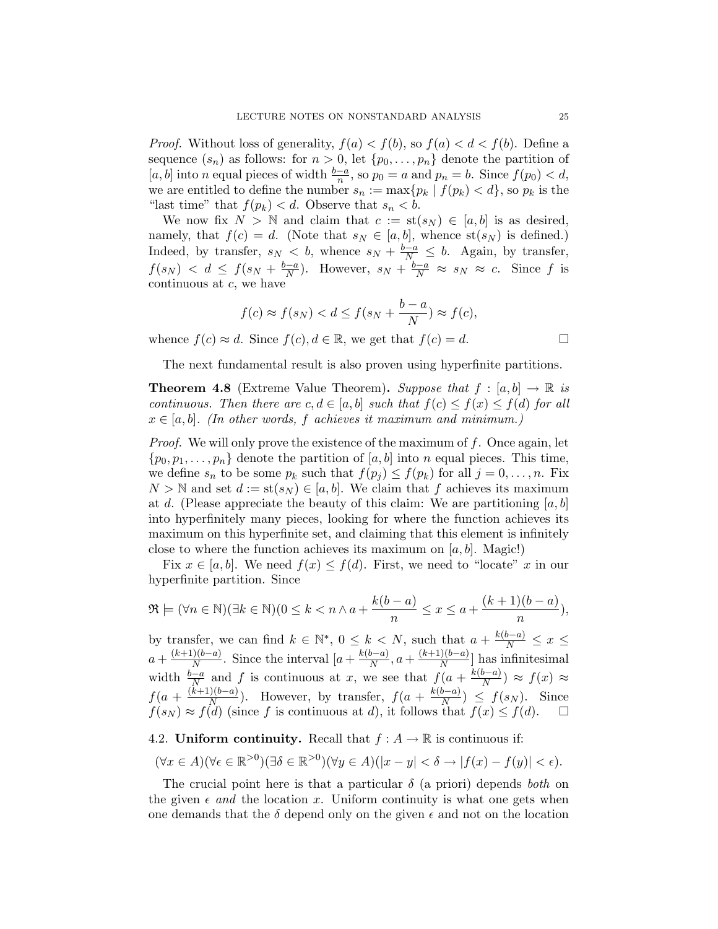*Proof.* Without loss of generality,  $f(a) < f(b)$ , so  $f(a) < d < f(b)$ . Define a sequence  $(s_n)$  as follows: for  $n > 0$ , let  $\{p_0, \ldots, p_n\}$  denote the partition of [a, b] into n equal pieces of width  $\frac{b-a}{n}$ , so  $p_0 = a$  and  $p_n = b$ . Since  $f(p_0) < d$ , we are entitled to define the number  $s_n := \max\{p_k \mid f(p_k) < d\}$ , so  $p_k$  is the "last time" that  $f(p_k) < d$ . Observe that  $s_n < b$ .

We now fix  $N > N$  and claim that  $c := st(s_N) \in [a, b]$  is as desired, namely, that  $f(c) = d$ . (Note that  $s_N \in [a, b]$ , whence  $st(s_N)$  is defined.) Indeed, by transfer,  $s_N < b$ , whence  $s_N + \frac{b-a}{N} \leq b$ . Again, by transfer,  $f(s_N)$  <  $d \leq f(s_N + \frac{b-a}{N})$  $\frac{-a}{N}$ ). However,  $s_N + \frac{b-a}{N} \approx s_N \approx c$ . Since f is continuous at  $c$ , we have

$$
f(c) \approx f(s_N) < d \le f(s_N + \frac{b-a}{N}) \approx f(c),
$$

whence  $f(c) \approx d$ . Since  $f(c), d \in \mathbb{R}$ , we get that  $f(c) = d$ .

The next fundamental result is also proven using hyperfinite partitions.

**Theorem 4.8** (Extreme Value Theorem). Suppose that  $f : [a, b] \rightarrow \mathbb{R}$  is continuous. Then there are  $c, d \in [a, b]$  such that  $f(c) \leq f(x) \leq f(d)$  for all  $x \in [a, b]$ . (In other words, f achieves it maximum and minimum.)

*Proof.* We will only prove the existence of the maximum of  $f$ . Once again, let  $\{p_0, p_1, \ldots, p_n\}$  denote the partition of  $[a, b]$  into n equal pieces. This time, we define  $s_n$  to be some  $p_k$  such that  $f(p_i) \leq f(p_k)$  for all  $j = 0, \ldots, n$ . Fix  $N > N$  and set  $d := st(s_N) \in [a, b]$ . We claim that f achieves its maximum at d. (Please appreciate the beauty of this claim: We are partitioning  $[a, b]$ into hyperfinitely many pieces, looking for where the function achieves its maximum on this hyperfinite set, and claiming that this element is infinitely close to where the function achieves its maximum on  $[a, b]$ . Magic!)

Fix  $x \in [a, b]$ . We need  $f(x) \leq f(d)$ . First, we need to "locate" x in our hyperfinite partition. Since

$$
\mathfrak{R} \models (\forall n \in \mathbb{N})(\exists k \in \mathbb{N})(0 \le k < n \land a + \frac{k(b-a)}{n} \le x \le a + \frac{(k+1)(b-a)}{n}),
$$

by transfer, we can find  $k \in \mathbb{N}^*$ ,  $0 \leq k \leq N$ , such that  $a + \frac{k(b-a)}{N} \leq x \leq$  $a + \frac{(k+1)(b-a)}{N}$  $\frac{h(b-a)}{N}$ . Since the interval  $[a + \frac{k(b-a)}{N}]$  $\frac{(b-a)}{N}, a + \frac{(k+1)(b-a)}{N}$  $\frac{N^{(0-a)}}{N}$ ] has infinitesimal width  $\frac{b-a}{N}$  and f is continuous at x, we see that  $f(a + \frac{k(b-a)}{N})$  $\frac{p-a}{N}$ )  $\approx f(x) \approx$  $f(a + \frac{(k+1)(b-a)}{N})$  $\frac{h(b-a)}{N}$ ). However, by transfer,  $f(a + \frac{k(b-a)}{N})$  $\frac{p-a}{N}$ )  $\leq f(s_N)$ . Since  $f(s_N) \approx f(d)$  (since f is continuous at d), it follows that  $f(x) \leq f(d)$ .

## 4.2. Uniform continuity. Recall that  $f : A \to \mathbb{R}$  is continuous if:

$$
(\forall x \in A)(\forall \epsilon \in \mathbb{R}^{>0})(\exists \delta \in \mathbb{R}^{>0})(\forall y \in A)(|x - y| < \delta \rightarrow |f(x) - f(y)| < \epsilon).
$$

The crucial point here is that a particular  $\delta$  (a priori) depends both on the given  $\epsilon$  and the location x. Uniform continuity is what one gets when one demands that the  $\delta$  depend only on the given  $\epsilon$  and not on the location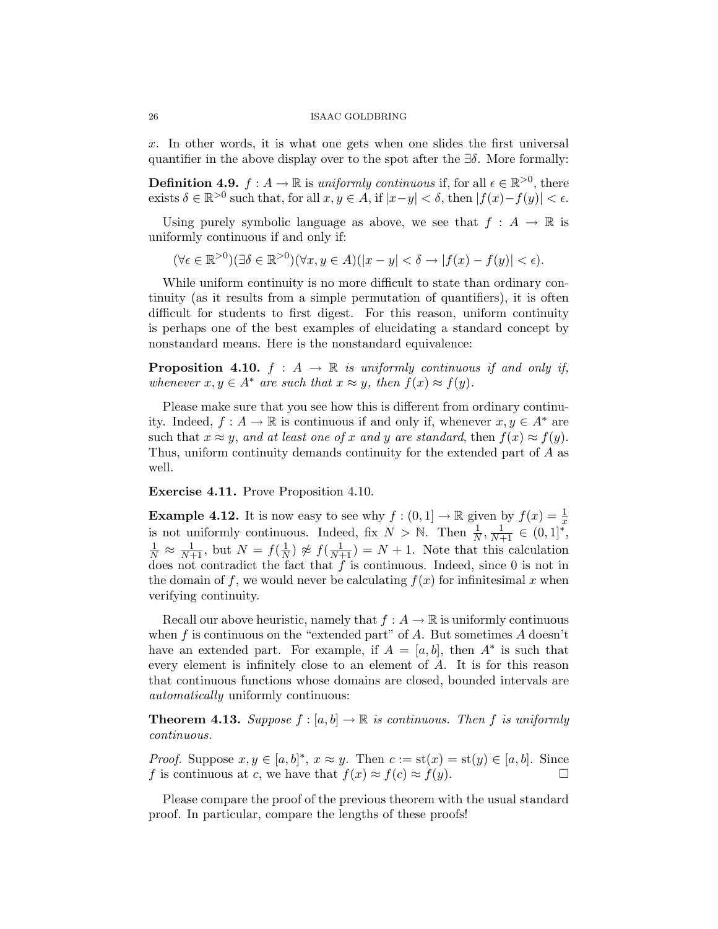x. In other words, it is what one gets when one slides the first universal quantifier in the above display over to the spot after the  $\exists \delta$ . More formally:

**Definition 4.9.**  $f : A \to \mathbb{R}$  is uniformly continuous if, for all  $\epsilon \in \mathbb{R}^{>0}$ , there exists  $\delta \in \mathbb{R}^{>0}$  such that, for all  $x, y \in A$ , if  $|x-y| < \delta$ , then  $|f(x)-f(y)| < \epsilon$ .

Using purely symbolic language as above, we see that  $f : A \to \mathbb{R}$  is uniformly continuous if and only if:

$$
(\forall \epsilon \in \mathbb{R}^{>0})(\exists \delta \in \mathbb{R}^{>0})(\forall x,y \in A)(|x-y| < \delta \rightarrow |f(x)-f(y)| < \epsilon).
$$

While uniform continuity is no more difficult to state than ordinary continuity (as it results from a simple permutation of quantifiers), it is often difficult for students to first digest. For this reason, uniform continuity is perhaps one of the best examples of elucidating a standard concept by nonstandard means. Here is the nonstandard equivalence:

**Proposition 4.10.**  $f : A \rightarrow \mathbb{R}$  is uniformly continuous if and only if, whenever  $x, y \in A^*$  are such that  $x \approx y$ , then  $f(x) \approx f(y)$ .

Please make sure that you see how this is different from ordinary continuity. Indeed,  $f : A \to \mathbb{R}$  is continuous if and only if, whenever  $x, y \in A^*$  are such that  $x \approx y$ , and at least one of x and y are standard, then  $f(x) \approx f(y)$ . Thus, uniform continuity demands continuity for the extended part of A as well.

Exercise 4.11. Prove Proposition 4.10.

**Example 4.12.** It is now easy to see why  $f : (0,1] \to \mathbb{R}$  given by  $f(x) = \frac{1}{x}$ is not uniformly continuous. Indeed, fix  $N > N$ . Then  $\frac{1}{N}, \frac{1}{N+1} \in (0,1]^*$ ,  $\frac{1}{N} \approx \frac{1}{N+1}$ , but  $N = f(\frac{1}{N})$  $\frac{1}{N}$ )  $\not\approx f(\frac{1}{N+1}) = N+1$ . Note that this calculation does not contradict the fact that  $f$  is continuous. Indeed, since 0 is not in the domain of f, we would never be calculating  $f(x)$  for infinitesimal x when verifying continuity.

Recall our above heuristic, namely that  $f : A \to \mathbb{R}$  is uniformly continuous when f is continuous on the "extended part" of A. But sometimes A doesn't have an extended part. For example, if  $A = [a, b]$ , then  $A^*$  is such that every element is infinitely close to an element of A. It is for this reason that continuous functions whose domains are closed, bounded intervals are automatically uniformly continuous:

**Theorem 4.13.** Suppose  $f : [a, b] \to \mathbb{R}$  is continuous. Then f is uniformly continuous.

*Proof.* Suppose  $x, y \in [a, b]^*, x \approx y$ . Then  $c := \text{st}(x) = \text{st}(y) \in [a, b]$ . Since f is continuous at c, we have that  $f(x) \approx f(c) \approx f(y)$ .

Please compare the proof of the previous theorem with the usual standard proof. In particular, compare the lengths of these proofs!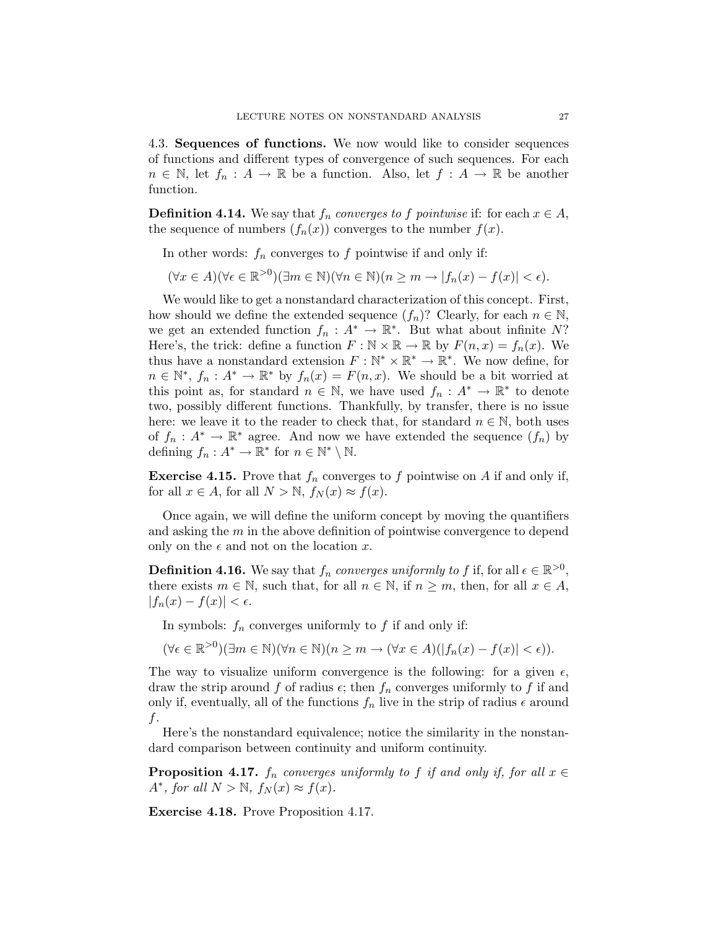4.3. Sequences of functions. We now would like to consider sequences of functions and different types of convergence of such sequences. For each  $n \in \mathbb{N}$ , let  $f_n : A \to \mathbb{R}$  be a function. Also, let  $f : A \to \mathbb{R}$  be another function.

**Definition 4.14.** We say that  $f_n$  converges to f pointwise if: for each  $x \in A$ , the sequence of numbers  $(f_n(x))$  converges to the number  $f(x)$ .

In other words:  $f_n$  converges to f pointwise if and only if:

$$
(\forall x \in A)(\forall \epsilon \in \mathbb{R}^{>0})(\exists m \in \mathbb{N})(\forall n \in \mathbb{N})(n \ge m \to |f_n(x) - f(x)| < \epsilon).
$$

We would like to get a nonstandard characterization of this concept. First, how should we define the extended sequence  $(f_n)$ ? Clearly, for each  $n \in \mathbb{N}$ , we get an extended function  $f_n: A^* \to \mathbb{R}^*$ . But what about infinite N? Here's, the trick: define a function  $F : \mathbb{N} \times \mathbb{R} \to \mathbb{R}$  by  $F(n, x) = f_n(x)$ . We thus have a nonstandard extension  $F: \mathbb{N}^* \times \mathbb{R}^* \to \mathbb{R}^*$ . We now define, for  $n \in \mathbb{N}^*, f_n: A^* \to \mathbb{R}^*$  by  $f_n(x) = F(n, x)$ . We should be a bit worried at this point as, for standard  $n \in \mathbb{N}$ , we have used  $f_n : A^* \to \mathbb{R}^*$  to denote two, possibly different functions. Thankfully, by transfer, there is no issue here: we leave it to the reader to check that, for standard  $n \in \mathbb{N}$ , both uses of  $f_n: A^* \to \mathbb{R}^*$  agree. And now we have extended the sequence  $(f_n)$  by defining  $f_n: A^* \to \mathbb{R}^*$  for  $n \in \mathbb{N}^* \setminus \mathbb{N}$ .

**Exercise 4.15.** Prove that  $f_n$  converges to f pointwise on A if and only if, for all  $x \in A$ , for all  $N > \mathbb{N}$ ,  $f_N(x) \approx f(x)$ .

Once again, we will define the uniform concept by moving the quantifiers and asking the m in the above definition of pointwise convergence to depend only on the  $\epsilon$  and not on the location x.

**Definition 4.16.** We say that  $f_n$  converges uniformly to f if, for all  $\epsilon \in \mathbb{R}^{>0}$ , there exists  $m \in \mathbb{N}$ , such that, for all  $n \in \mathbb{N}$ , if  $n \geq m$ , then, for all  $x \in A$ ,  $|f_n(x) - f(x)| < \epsilon.$ 

In symbols:  $f_n$  converges uniformly to f if and only if:

$$
(\forall \epsilon \in \mathbb{R}^{>0})(\exists m \in \mathbb{N})(\forall n \in \mathbb{N})(n \ge m \to (\forall x \in A)(|f_n(x) - f(x)| < \epsilon)).
$$

The way to visualize uniform convergence is the following: for a given  $\epsilon$ , draw the strip around f of radius  $\epsilon$ ; then  $f_n$  converges uniformly to f if and only if, eventually, all of the functions  $f_n$  live in the strip of radius  $\epsilon$  around f.

Here's the nonstandard equivalence; notice the similarity in the nonstandard comparison between continuity and uniform continuity.

**Proposition 4.17.**  $f_n$  converges uniformly to f if and only if, for all  $x \in$  $A^*$ , for all  $N > N$ ,  $f_N(x) \approx f(x)$ .

Exercise 4.18. Prove Proposition 4.17.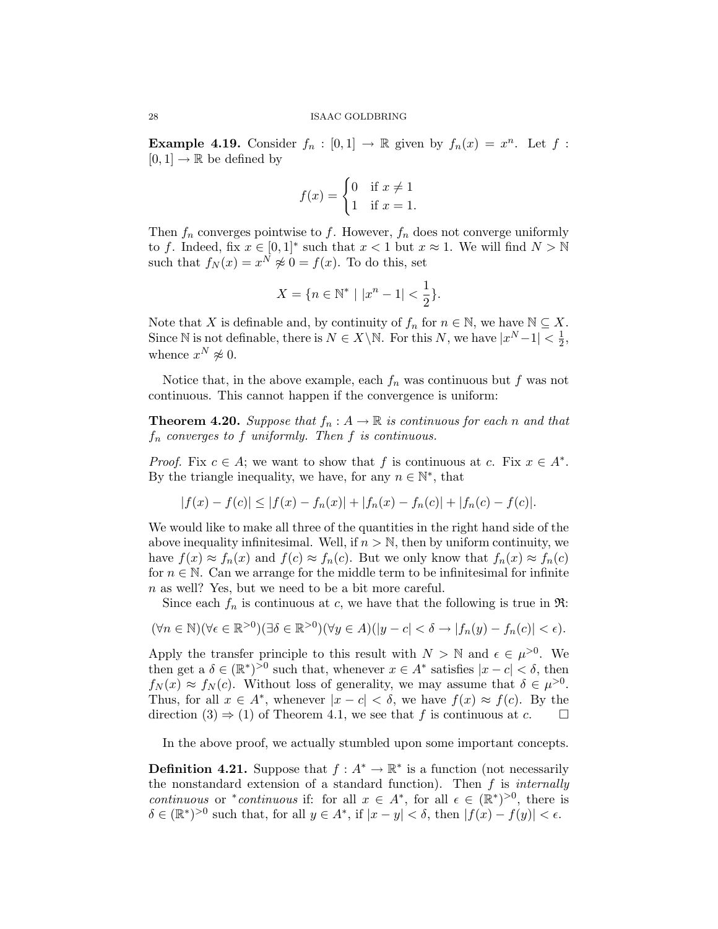**Example 4.19.** Consider  $f_n : [0,1] \to \mathbb{R}$  given by  $f_n(x) = x^n$ . Let  $f$ :  $[0, 1] \rightarrow \mathbb{R}$  be defined by

$$
f(x) = \begin{cases} 0 & \text{if } x \neq 1 \\ 1 & \text{if } x = 1. \end{cases}
$$

Then  $f_n$  converges pointwise to f. However,  $f_n$  does not converge uniformly to f. Indeed, fix  $x \in [0,1]^*$  such that  $x < 1$  but  $x \approx 1$ . We will find  $N > N$ such that  $f_N(x) = x^N \not\approx 0 = f(x)$ . To do this, set

$$
X = \{ n \in \mathbb{N}^* \mid |x^n - 1| < \frac{1}{2} \}.
$$

Note that X is definable and, by continuity of  $f_n$  for  $n \in \mathbb{N}$ , we have  $\mathbb{N} \subseteq X$ . Since N is not definable, there is  $N \in X \backslash \mathbb{N}$ . For this N, we have  $|x^N-1| < \frac{1}{2}$  $\frac{1}{2}$ , whence  $x^N \not\approx 0$ .

Notice that, in the above example, each  $f_n$  was continuous but f was not continuous. This cannot happen if the convergence is uniform:

**Theorem 4.20.** Suppose that  $f_n : A \to \mathbb{R}$  is continuous for each n and that  $f_n$  converges to f uniformly. Then f is continuous.

*Proof.* Fix  $c \in A$ ; we want to show that f is continuous at c. Fix  $x \in A^*$ . By the triangle inequality, we have, for any  $n \in \mathbb{N}^*$ , that

$$
|f(x) - f(c)| \le |f(x) - f_n(x)| + |f_n(x) - f_n(c)| + |f_n(c) - f(c)|.
$$

We would like to make all three of the quantities in the right hand side of the above inequality infinitesimal. Well, if  $n > N$ , then by uniform continuity, we have  $f(x) \approx f_n(x)$  and  $f(c) \approx f_n(c)$ . But we only know that  $f_n(x) \approx f_n(c)$ for  $n \in \mathbb{N}$ . Can we arrange for the middle term to be infinitesimal for infinite n as well? Yes, but we need to be a bit more careful.

Since each  $f_n$  is continuous at c, we have that the following is true in  $\Re$ :

$$
(\forall n \in \mathbb{N})(\forall \epsilon \in \mathbb{R}^{>0})(\exists \delta \in \mathbb{R}^{>0})(\forall y \in A)(|y - c| < \delta \rightarrow |f_n(y) - f_n(c)| < \epsilon).
$$

Apply the transfer principle to this result with  $N > N$  and  $\epsilon \in \mu^{>0}$ . We then get a  $\delta \in (\mathbb{R}^*)^{\geq 0}$  such that, whenever  $x \in A^*$  satisfies  $|x-c| < \delta$ , then  $f_N(x) \approx f_N(c)$ . Without loss of generality, we may assume that  $\delta \in \mu^{>0}$ . Thus, for all  $x \in A^*$ , whenever  $|x - c| < \delta$ , we have  $f(x) \approx f(c)$ . By the direction  $(3) \Rightarrow (1)$  of Theorem 4.1, we see that f is continuous at c.

In the above proof, we actually stumbled upon some important concepts.

**Definition 4.21.** Suppose that  $f: A^* \to \mathbb{R}^*$  is a function (not necessarily the nonstandard extension of a standard function). Then  $f$  is *internally* continuous or \*continuous if: for all  $x \in A^*$ , for all  $\epsilon \in (\mathbb{R}^*)^{\geq 0}$ , there is  $\delta \in (\mathbb{R}^*)^{>0}$  such that, for all  $y \in A^*$ , if  $|x-y| < \delta$ , then  $|f(x) - f(y)| < \epsilon$ .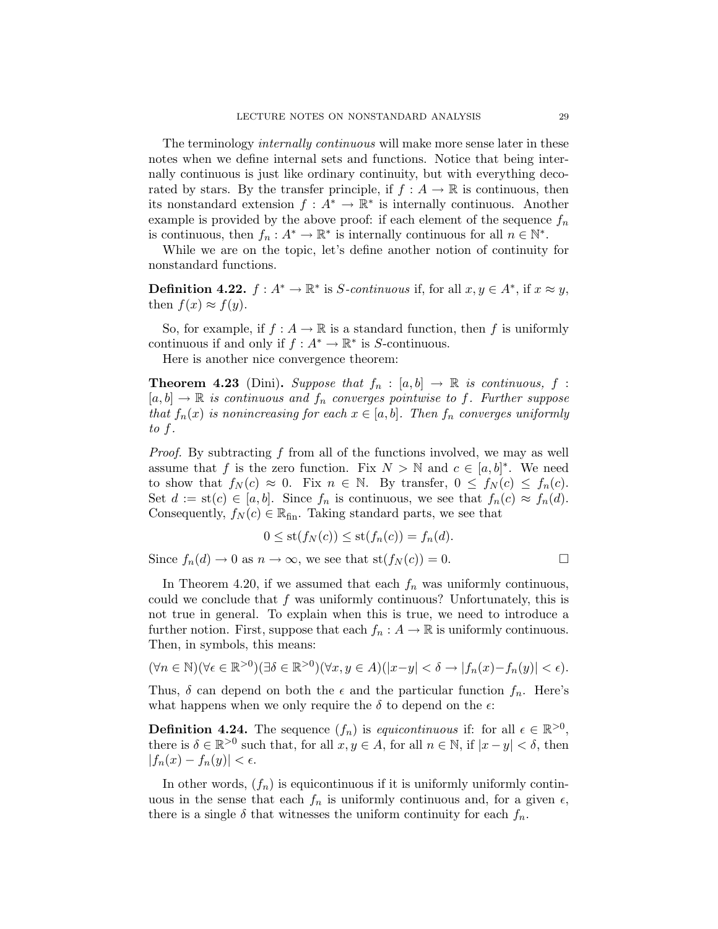The terminology *internally continuous* will make more sense later in these notes when we define internal sets and functions. Notice that being internally continuous is just like ordinary continuity, but with everything decorated by stars. By the transfer principle, if  $f : A \to \mathbb{R}$  is continuous, then its nonstandard extension  $f: A^* \to \mathbb{R}^*$  is internally continuous. Another example is provided by the above proof: if each element of the sequence  $f_n$ is continuous, then  $f_n: A^* \to \mathbb{R}^*$  is internally continuous for all  $n \in \mathbb{N}^*$ .

While we are on the topic, let's define another notion of continuity for nonstandard functions.

**Definition 4.22.**  $f: A^* \to \mathbb{R}^*$  is *S*-continuous if, for all  $x, y \in A^*$ , if  $x \approx y$ , then  $f(x) \approx f(y)$ .

So, for example, if  $f : A \to \mathbb{R}$  is a standard function, then f is uniformly continuous if and only if  $f : A^* \to \mathbb{R}^*$  is S-continuous.

Here is another nice convergence theorem:

**Theorem 4.23** (Dini). Suppose that  $f_n : [a, b] \rightarrow \mathbb{R}$  is continuous,  $f$ :  $[a, b] \to \mathbb{R}$  is continuous and  $f_n$  converges pointwise to f. Further suppose that  $f_n(x)$  is nonincreasing for each  $x \in [a, b]$ . Then  $f_n$  converges uniformly to f.

*Proof.* By subtracting  $f$  from all of the functions involved, we may as well assume that f is the zero function. Fix  $N > N$  and  $c \in [a, b]^*$ . We need to show that  $f_N(c) \approx 0$ . Fix  $n \in \mathbb{N}$ . By transfer,  $0 \le f_N(c) \le f_n(c)$ . Set  $d := \text{st}(c) \in [a, b]$ . Since  $f_n$  is continuous, we see that  $f_n(c) \approx f_n(d)$ . Consequently,  $f_N(c) \in \mathbb{R}_{fin}$ . Taking standard parts, we see that

$$
0 \le \mathrm{st}(f_N(c)) \le \mathrm{st}(f_n(c)) = f_n(d).
$$

Since  $f_n(d) \to 0$  as  $n \to \infty$ , we see that  $st(f_N(c)) = 0$ .

In Theorem 4.20, if we assumed that each  $f_n$  was uniformly continuous, could we conclude that  $f$  was uniformly continuous? Unfortunately, this is not true in general. To explain when this is true, we need to introduce a further notion. First, suppose that each  $f_n : A \to \mathbb{R}$  is uniformly continuous. Then, in symbols, this means:

$$
(\forall n \in \mathbb{N})(\forall \epsilon \in \mathbb{R}^{>0})(\exists \delta \in \mathbb{R}^{>0})(\forall x, y \in A)(|x-y| < \delta \rightarrow |f_n(x)-f_n(y)| < \epsilon).
$$

Thus,  $\delta$  can depend on both the  $\epsilon$  and the particular function  $f_n$ . Here's what happens when we only require the  $\delta$  to depend on the  $\epsilon$ :

**Definition 4.24.** The sequence  $(f_n)$  is *equicontinuous* if: for all  $\epsilon \in \mathbb{R}^{>0}$ , there is  $\delta \in \mathbb{R}^{>0}$  such that, for all  $x, y \in A$ , for all  $n \in \mathbb{N}$ , if  $|x-y| < \delta$ , then  $|f_n(x) - f_n(y)| < \epsilon.$ 

In other words,  $(f_n)$  is equicontinuous if it is uniformly uniformly continuous in the sense that each  $f_n$  is uniformly continuous and, for a given  $\epsilon$ , there is a single  $\delta$  that witnesses the uniform continuity for each  $f_n$ .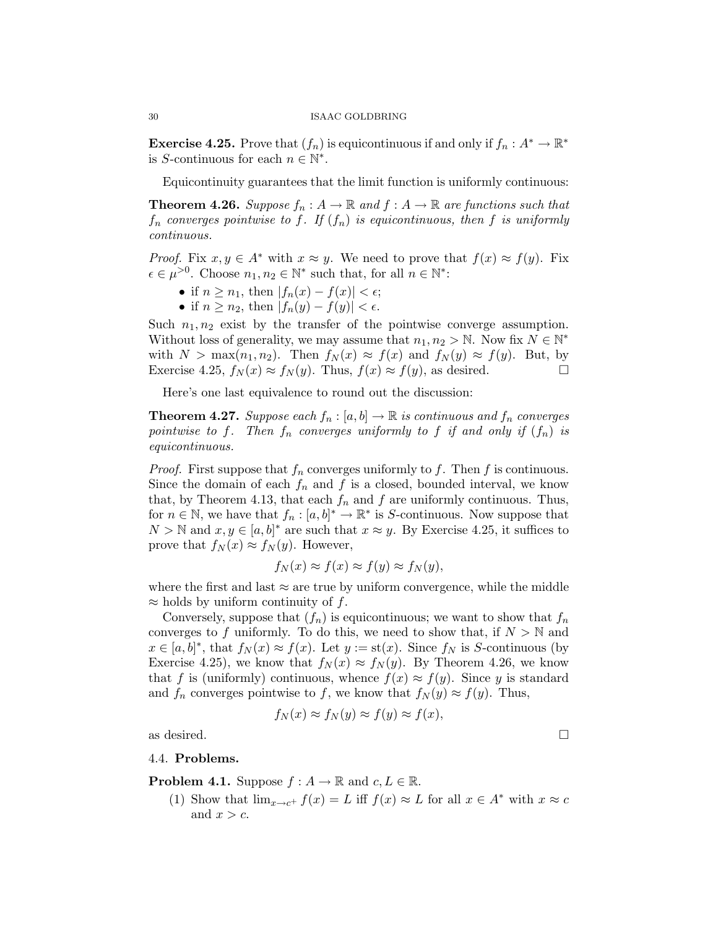**Exercise 4.25.** Prove that  $(f_n)$  is equicontinuous if and only if  $f_n: A^* \to \mathbb{R}^*$ is S-continuous for each  $n \in \mathbb{N}^*$ .

Equicontinuity guarantees that the limit function is uniformly continuous:

**Theorem 4.26.** Suppose  $f_n : A \to \mathbb{R}$  and  $f : A \to \mathbb{R}$  are functions such that  $f_n$  converges pointwise to f. If  $(f_n)$  is equicontinuous, then f is uniformly continuous.

*Proof.* Fix  $x, y \in A^*$  with  $x \approx y$ . We need to prove that  $f(x) \approx f(y)$ . Fix  $\epsilon \in \mu^{>0}$ . Choose  $n_1, n_2 \in \mathbb{N}^*$  such that, for all  $n \in \mathbb{N}^*$ :

- if  $n \geq n_1$ , then  $|f_n(x) f(x)| < \epsilon$ ;
- if  $n \ge n_2$ , then  $|f_n(y) f(y)| < \epsilon$ .

Such  $n_1, n_2$  exist by the transfer of the pointwise converge assumption. Without loss of generality, we may assume that  $n_1, n_2 > \mathbb{N}$ . Now fix  $N \in \mathbb{N}^*$ with  $N > \max(n_1, n_2)$ . Then  $f_N(x) \approx f(x)$  and  $f_N(y) \approx f(y)$ . But, by Exercise 4.25,  $f_N(x) \approx f_N(y)$ . Thus,  $f(x) \approx f(y)$ , as desired.

Here's one last equivalence to round out the discussion:

**Theorem 4.27.** Suppose each  $f_n : [a, b] \to \mathbb{R}$  is continuous and  $f_n$  converges pointwise to f. Then  $f_n$  converges uniformly to f if and only if  $(f_n)$  is equicontinuous.

*Proof.* First suppose that  $f_n$  converges uniformly to f. Then f is continuous. Since the domain of each  $f_n$  and  $f$  is a closed, bounded interval, we know that, by Theorem 4.13, that each  $f_n$  and  $f$  are uniformly continuous. Thus, for  $n \in \mathbb{N}$ , we have that  $f_n : [a, b]^* \to \mathbb{R}^*$  is S-continuous. Now suppose that  $N > N$  and  $x, y \in [a, b]^*$  are such that  $x \approx y$ . By Exercise 4.25, it suffices to prove that  $f_N(x) \approx f_N(y)$ . However,

$$
f_N(x) \approx f(x) \approx f(y) \approx f_N(y),
$$

where the first and last  $\approx$  are true by uniform convergence, while the middle  $\approx$  holds by uniform continuity of f.

Conversely, suppose that  $(f_n)$  is equicontinuous; we want to show that  $f_n$ converges to f uniformly. To do this, we need to show that, if  $N > N$  and  $x \in [a, b]^*$ , that  $f_N(x) \approx f(x)$ . Let  $y := st(x)$ . Since  $f_N$  is S-continuous (by Exercise 4.25), we know that  $f_N(x) \approx f_N(y)$ . By Theorem 4.26, we know that f is (uniformly) continuous, whence  $f(x) \approx f(y)$ . Since y is standard and  $f_n$  converges pointwise to f, we know that  $f_N(y) \approx f(y)$ . Thus,

$$
f_N(x) \approx f_N(y) \approx f(y) \approx f(x),
$$

as desired.  $\hfill \square$ 

4.4. Problems.

**Problem 4.1.** Suppose  $f : A \to \mathbb{R}$  and  $c, L \in \mathbb{R}$ .

(1) Show that  $\lim_{x\to c^+} f(x) = L$  iff  $f(x) \approx L$  for all  $x \in A^*$  with  $x \approx c$ and  $x > c$ .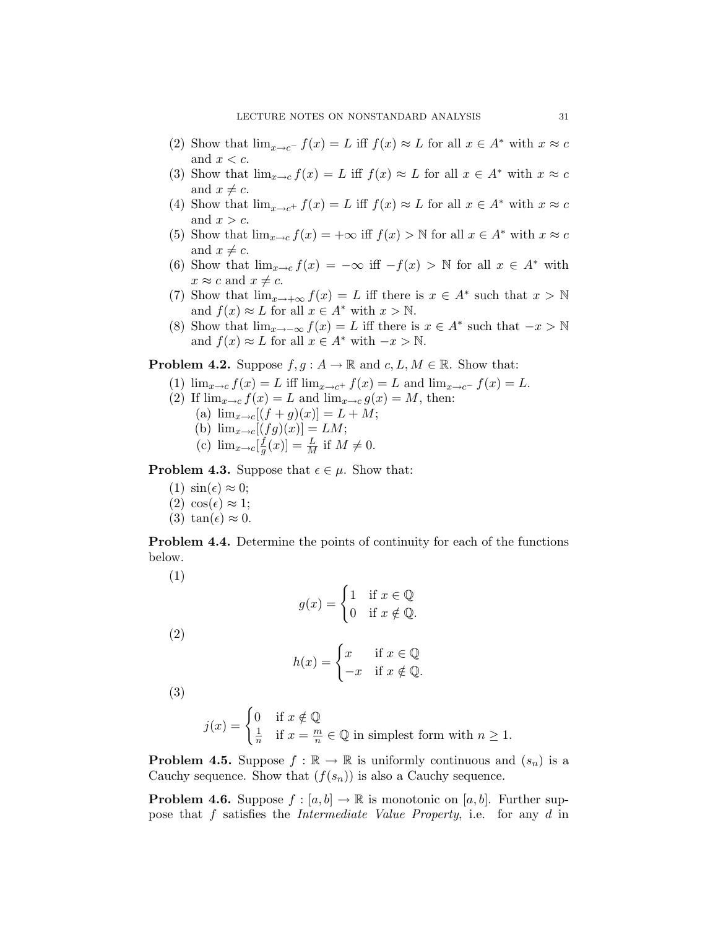- (2) Show that  $\lim_{x\to c^-} f(x) = L$  iff  $f(x) \approx L$  for all  $x \in A^*$  with  $x \approx c$ and  $x < c$ .
- (3) Show that  $\lim_{x\to c} f(x) = L$  iff  $f(x) \approx L$  for all  $x \in A^*$  with  $x \approx c$ and  $x \neq c$ .
- (4) Show that  $\lim_{x\to c^+} f(x) = L$  iff  $f(x) \approx L$  for all  $x \in A^*$  with  $x \approx c$ and  $x > c$ .
- (5) Show that  $\lim_{x\to c} f(x) = +\infty$  iff  $f(x) > \mathbb{N}$  for all  $x \in A^*$  with  $x \approx c$ and  $x \neq c$ .
- (6) Show that  $\lim_{x\to c} f(x) = -\infty$  iff  $-f(x) > \mathbb{N}$  for all  $x \in A^*$  with  $x \approx c$  and  $x \neq c$ .
- (7) Show that  $\lim_{x\to+\infty} f(x) = L$  iff there is  $x \in A^*$  such that  $x > \mathbb{N}$ and  $f(x) \approx L$  for all  $x \in A^*$  with  $x > \mathbb{N}$ .
- (8) Show that  $\lim_{x\to -\infty} f(x) = L$  iff there is  $x \in A^*$  such that  $-x > \mathbb{N}$ and  $f(x) \approx L$  for all  $x \in A^*$  with  $-x > \mathbb{N}$ .

**Problem 4.2.** Suppose  $f, g: A \to \mathbb{R}$  and  $c, L, M \in \mathbb{R}$ . Show that:

- (1)  $\lim_{x\to c} f(x) = L$  iff  $\lim_{x\to c^+} f(x) = L$  and  $\lim_{x\to c^-} f(x) = L$ .
- (2) If  $\lim_{x\to c} f(x) = L$  and  $\lim_{x\to c} g(x) = M$ , then:
	- (a)  $\lim_{x \to c} [(f+g)(x)] = L + M;$
	- (b)  $\lim_{x \to c} [(fg)(x)] = LM;$
	- (c)  $\lim_{x\to c} \left[\frac{f}{a}\right]$  $\frac{f}{g}(x)$ ] =  $\frac{L}{M}$  if  $M \neq 0$ .

**Problem 4.3.** Suppose that  $\epsilon \in \mu$ . Show that:

- $(1)$  sin( $\epsilon$ )  $\approx$  0;  $(2) \cos(\epsilon) \approx 1;$
- (3)  $\tan(\epsilon) \approx 0$ .

Problem 4.4. Determine the points of continuity for each of the functions below.

(1)

$$
g(x) = \begin{cases} 1 & \text{if } x \in \mathbb{Q} \\ 0 & \text{if } x \notin \mathbb{Q}. \end{cases}
$$

(2)

$$
h(x) = \begin{cases} x & \text{if } x \in \mathbb{Q} \\ -x & \text{if } x \notin \mathbb{Q}. \end{cases}
$$

(3)

$$
j(x) = \begin{cases} 0 & \text{if } x \notin \mathbb{Q} \\ \frac{1}{n} & \text{if } x = \frac{m}{n} \in \mathbb{Q} \text{ in simplest form with } n \ge 1. \end{cases}
$$

**Problem 4.5.** Suppose  $f : \mathbb{R} \to \mathbb{R}$  is uniformly continuous and  $(s_n)$  is a Cauchy sequence. Show that  $(f(s_n))$  is also a Cauchy sequence.

**Problem 4.6.** Suppose  $f : [a, b] \to \mathbb{R}$  is monotonic on  $[a, b]$ . Further suppose that f satisfies the Intermediate Value Property, i.e. for any d in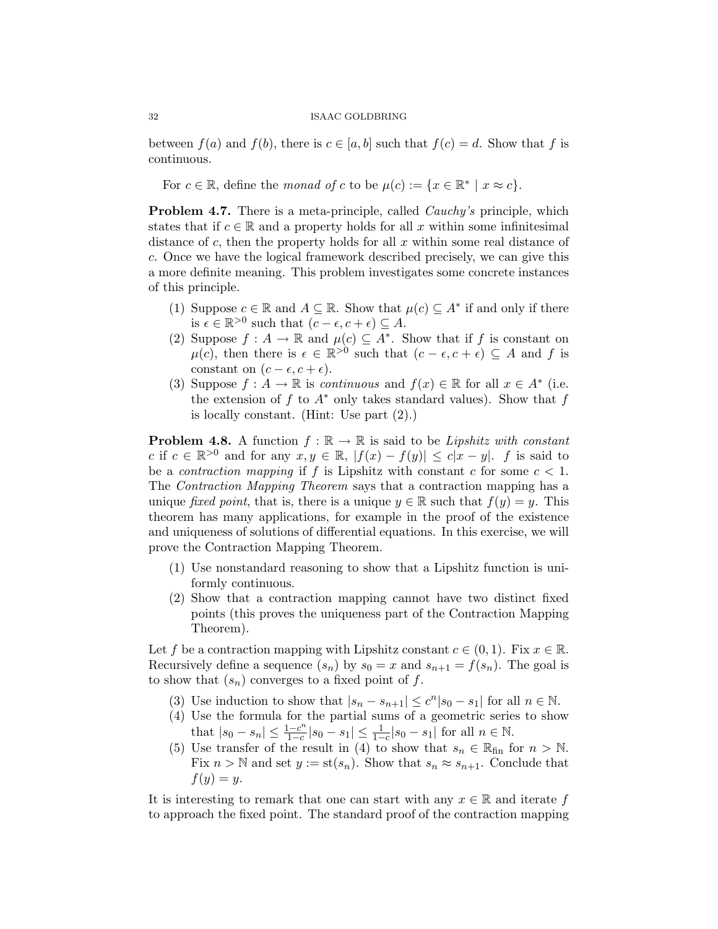between  $f(a)$  and  $f(b)$ , there is  $c \in [a, b]$  such that  $f(c) = d$ . Show that f is continuous.

For  $c \in \mathbb{R}$ , define the monad of c to be  $\mu(c) := \{x \in \mathbb{R}^* \mid x \approx c\}.$ 

**Problem 4.7.** There is a meta-principle, called *Cauchy's* principle, which states that if  $c \in \mathbb{R}$  and a property holds for all x within some infinitesimal distance of  $c$ , then the property holds for all  $x$  within some real distance of c. Once we have the logical framework described precisely, we can give this a more definite meaning. This problem investigates some concrete instances of this principle.

- (1) Suppose  $c \in \mathbb{R}$  and  $A \subseteq \mathbb{R}$ . Show that  $\mu(c) \subseteq A^*$  if and only if there is  $\epsilon \in \mathbb{R}^{>0}$  such that  $(c - \epsilon, c + \epsilon) \subseteq A$ .
- (2) Suppose  $f : A \to \mathbb{R}$  and  $\mu(c) \subseteq A^*$ . Show that if f is constant on  $\mu(c)$ , then there is  $\epsilon \in \mathbb{R}^{>0}$  such that  $(c - \epsilon, c + \epsilon) \subseteq A$  and f is constant on  $(c - \epsilon, c + \epsilon)$ .
- (3) Suppose  $f : A \to \mathbb{R}$  is *continuous* and  $f(x) \in \mathbb{R}$  for all  $x \in A^*$  (i.e. the extension of f to  $A^*$  only takes standard values). Show that f is locally constant. (Hint: Use part (2).)

**Problem 4.8.** A function  $f : \mathbb{R} \to \mathbb{R}$  is said to be *Lipshitz with constant* c if  $c \in \mathbb{R}^{>0}$  and for any  $x, y \in \mathbb{R}$ ,  $|f(x) - f(y)| \le c|x - y|$ . f is said to be a *contraction mapping* if f is Lipshitz with constant c for some  $c < 1$ . The Contraction Mapping Theorem says that a contraction mapping has a unique *fixed point*, that is, there is a unique  $y \in \mathbb{R}$  such that  $f(y) = y$ . This theorem has many applications, for example in the proof of the existence and uniqueness of solutions of differential equations. In this exercise, we will prove the Contraction Mapping Theorem.

- (1) Use nonstandard reasoning to show that a Lipshitz function is uniformly continuous.
- (2) Show that a contraction mapping cannot have two distinct fixed points (this proves the uniqueness part of the Contraction Mapping Theorem).

Let f be a contraction mapping with Lipshitz constant  $c \in (0,1)$ . Fix  $x \in \mathbb{R}$ . Recursively define a sequence  $(s_n)$  by  $s_0 = x$  and  $s_{n+1} = f(s_n)$ . The goal is to show that  $(s_n)$  converges to a fixed point of f.

- (3) Use induction to show that  $|s_n s_{n+1}| \leq c^n |s_0 s_1|$  for all  $n \in \mathbb{N}$ .
- (4) Use the formula for the partial sums of a geometric series to show that  $|s_0 - s_n| \leq \frac{1 - c^n}{1 - c}$  $\frac{-c^n}{1-c}|s_0-s_1| \leq \frac{1}{1-c}|s_0-s_1|$  for all  $n \in \mathbb{N}$ .
- (5) Use transfer of the result in (4) to show that  $s_n \in \mathbb{R}_{fin}$  for  $n > \mathbb{N}$ . Fix  $n > N$  and set  $y := st(s_n)$ . Show that  $s_n \approx s_{n+1}$ . Conclude that  $f(y) = y$ .

It is interesting to remark that one can start with any  $x \in \mathbb{R}$  and iterate f to approach the fixed point. The standard proof of the contraction mapping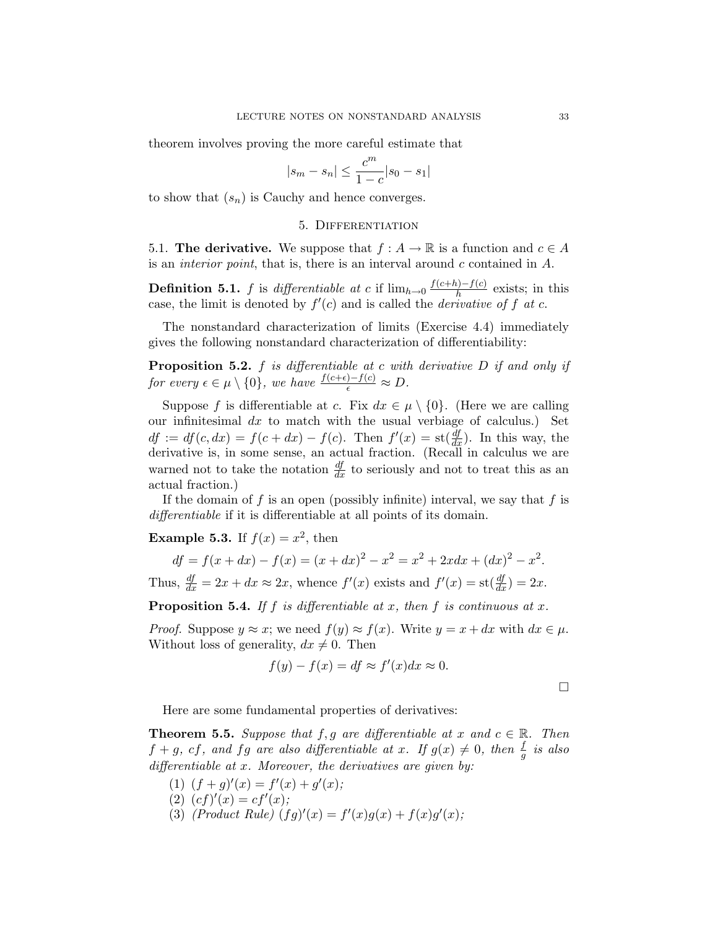theorem involves proving the more careful estimate that

$$
|s_m-s_n|\leq \frac{c^m}{1-c}|s_0-s_1|
$$

to show that  $(s_n)$  is Cauchy and hence converges.

## 5. Differentiation

5.1. The derivative. We suppose that  $f : A \to \mathbb{R}$  is a function and  $c \in A$ is an *interior point*, that is, there is an interval around  $c$  contained in  $A$ .

**Definition 5.1.** f is differentiable at c if  $\lim_{h\to 0} \frac{f(c+h)-f(c)}{h}$  $\frac{h^{(1)}-f(c)}{h}$  exists; in this case, the limit is denoted by  $f'(c)$  and is called the *derivative of f at c*.

The nonstandard characterization of limits (Exercise 4.4) immediately gives the following nonstandard characterization of differentiability:

**Proposition 5.2.**  $f$  is differentiable at  $c$  with derivative  $D$  if and only if for every  $\epsilon \in \mu \setminus \{0\}$ , we have  $\frac{f(c+\epsilon)-f(c)}{\epsilon} \approx D$ .

Suppose f is differentiable at c. Fix  $dx \in \mu \setminus \{0\}$ . (Here we are calling our infinitesimal  $dx$  to match with the usual verbiage of calculus.) Set  $df := df(c, dx) = f(c + dx) - f(c)$ . Then  $f'(x) = st(\frac{df}{dx})$ . In this way, the derivative is, in some sense, an actual fraction. (Recall in calculus we are warned not to take the notation  $\frac{df}{dx}$  to seriously and not to treat this as an actual fraction.)

If the domain of f is an open (possibly infinite) interval, we say that f is differentiable if it is differentiable at all points of its domain.

**Example 5.3.** If  $f(x) = x^2$ , then

$$
df = f(x + dx) - f(x) = (x + dx)^{2} - x^{2} = x^{2} + 2xdx + (dx)^{2} - x^{2}.
$$

Thus,  $\frac{df}{dx} = 2x + dx \approx 2x$ , whence  $f'(x)$  exists and  $f'(x) = \text{st}(\frac{df}{dx}) = 2x$ .

**Proposition 5.4.** If f is differentiable at x, then f is continuous at x.

*Proof.* Suppose  $y \approx x$ ; we need  $f(y) \approx f(x)$ . Write  $y = x + dx$  with  $dx \in \mu$ . Without loss of generality,  $dx \neq 0$ . Then

$$
f(y) - f(x) = df \approx f'(x)dx \approx 0.
$$

Here are some fundamental properties of derivatives:

**Theorem 5.5.** Suppose that f, g are differentiable at x and  $c \in \mathbb{R}$ . Then  $f + g$ , cf, and fg are also differentiable at x. If  $g(x) \neq 0$ , then  $\frac{f}{g}$  is also differentiable at x. Moreover, the derivatives are given by:

(1)  $(f+g)'(x) = f'(x) + g'(x);$ (2)  $(cf)'(x) = cf'(x);$ (3) (Product Rule)  $(fg)'(x) = f'(x)g(x) + f(x)g'(x);$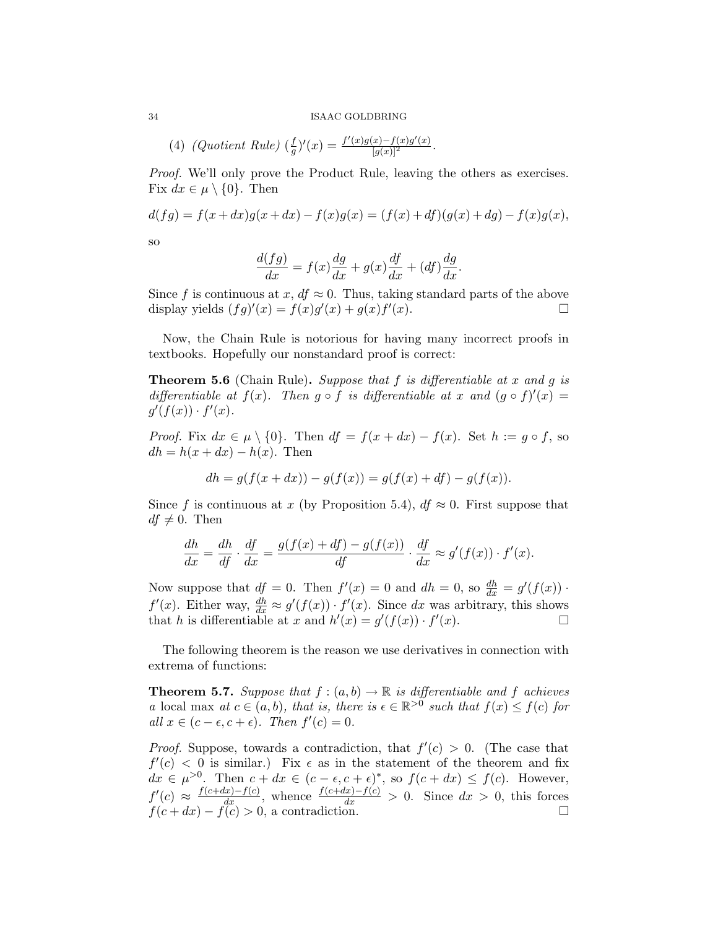(4) (Quotient Rule) 
$$
(\frac{f}{g})'(x) = \frac{f'(x)g(x) - f(x)g'(x)}{[g(x)]^2}
$$
.

Proof. We'll only prove the Product Rule, leaving the others as exercises. Fix  $dx \in \mu \setminus \{0\}$ . Then

$$
d(fg) = f(x+dx)g(x+dx) - f(x)g(x) = (f(x)+df)(g(x)+dg) - f(x)g(x),
$$

so

$$
\frac{d(fg)}{dx} = f(x)\frac{dg}{dx} + g(x)\frac{df}{dx} + (df)\frac{dg}{dx}.
$$

Since f is continuous at x,  $df \approx 0$ . Thus, taking standard parts of the above display yields  $(fg)'(x) = f(x)g'(x) + g(x)f'$  $(x)$ .

Now, the Chain Rule is notorious for having many incorrect proofs in textbooks. Hopefully our nonstandard proof is correct:

**Theorem 5.6** (Chain Rule). Suppose that f is differentiable at x and g is differentiable at  $f(x)$ . Then  $g \circ f$  is differentiable at x and  $(g \circ f)'(x) =$  $g'(f(x)) \cdot f'(x)$ .

*Proof.* Fix  $dx \in \mu \setminus \{0\}$ . Then  $df = f(x + dx) - f(x)$ . Set  $h := g \circ f$ , so  $dh = h(x + dx) - h(x)$ . Then

$$
dh = g(f(x + dx)) - g(f(x)) = g(f(x) + df) - g(f(x)).
$$

Since f is continuous at x (by Proposition 5.4),  $df \approx 0$ . First suppose that  $df \neq 0$ . Then

$$
\frac{dh}{dx} = \frac{dh}{df} \cdot \frac{df}{dx} = \frac{g(f(x) + df) - g(f(x))}{df} \cdot \frac{df}{dx} \approx g'(f(x)) \cdot f'(x).
$$

Now suppose that  $df = 0$ . Then  $f'(x) = 0$  and  $dh = 0$ , so  $\frac{dh}{dx} = g'(f(x))$ .  $f'(x)$ . Either way,  $\frac{dh}{dx} \approx g'(f(x)) \cdot f'(x)$ . Since dx was arbitrary, this shows that h is differentiable at x and  $h'(x) = g'(f(x)) \cdot f'(x)$ .

The following theorem is the reason we use derivatives in connection with extrema of functions:

**Theorem 5.7.** Suppose that  $f:(a, b) \to \mathbb{R}$  is differentiable and f achieves a local max at  $c \in (a, b)$ , that is, there is  $\epsilon \in \mathbb{R}^{>0}$  such that  $f(x) \leq f(c)$  for all  $x \in (c - \epsilon, c + \epsilon)$ . Then  $f'(c) = 0$ .

*Proof.* Suppose, towards a contradiction, that  $f'(c) > 0$ . (The case that  $f'(c) < 0$  is similar.) Fix  $\epsilon$  as in the statement of the theorem and fix  $dx \in \mu^{>0}$ . Then  $c + dx \in (c - \epsilon, c + \epsilon)^*$ , so  $f(c + dx) \leq f(c)$ . However,  $f'(c) \approx \frac{f(c+dx)-f(c)}{dx}$ , whence  $\frac{f(c+dx)-f(c)}{dx} > 0$ . Since  $dx > 0$ , this forces  $f(c+dx) - f(c) > 0$ , a contradiction.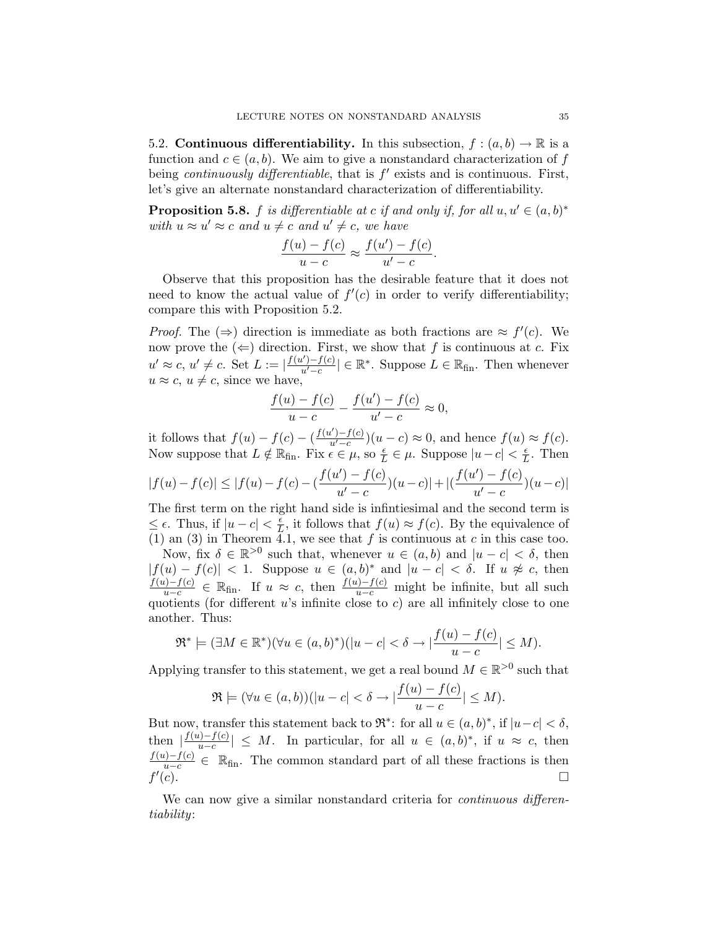5.2. Continuous differentiability. In this subsection,  $f : (a, b) \to \mathbb{R}$  is a function and  $c \in (a, b)$ . We aim to give a nonstandard characterization of f being *continuously differentiable*, that is  $f'$  exists and is continuous. First, let's give an alternate nonstandard characterization of differentiability.

**Proposition 5.8.** f is differentiable at c if and only if, for all  $u, u' \in (a, b)^*$ with  $u \approx u' \approx c$  and  $u \neq c$  and  $u' \neq c$ , we have

$$
\frac{f(u) - f(c)}{u - c} \approx \frac{f(u') - f(c)}{u' - c}.
$$

Observe that this proposition has the desirable feature that it does not need to know the actual value of  $f'(c)$  in order to verify differentiability; compare this with Proposition 5.2.

*Proof.* The  $(\Rightarrow)$  direction is immediate as both fractions are  $\approx f'(c)$ . We now prove the  $(\Leftarrow)$  direction. First, we show that f is continuous at c. Fix  $u' \approx c, u' \neq c$ . Set  $L := \left| \frac{f(u') - f(c)}{u' - c} \right|$  $\frac{u'-t'(c)}{u'-c}| \in \mathbb{R}^*$ . Suppose  $L \in \mathbb{R}_{fin}$ . Then whenever  $u \approx c, u \neq c$ , since we have,

$$
\frac{f(u) - f(c)}{u - c} - \frac{f(u') - f(c)}{u' - c} \approx 0,
$$

it follows that  $f(u) - f(c) - \left(\frac{f(u') - f(c)}{u' - c}\right)$  $\frac{u^y - f(c)}{u^y - c}(u - c) \approx 0$ , and hence  $f(u) \approx f(c)$ . Now suppose that  $L \notin \mathbb{R}_{fin}$ . Fix  $\epsilon \in \mu$ , so  $\frac{\epsilon}{L} \in \mu$ . Suppose  $|u-c| < \frac{\epsilon}{L}$  $\frac{\epsilon}{L}$ . Then

$$
|f(u)-f(c)| \le |f(u)-f(c)-(\frac{f(u')-f(c)}{u'-c})(u-c)|+|(\frac{f(u')-f(c)}{u'-c})(u-c)|
$$

The first term on the right hand side is infintiesimal and the second term is  $\leq \epsilon$ . Thus, if  $|u-c| < \frac{\epsilon}{L}$  $\frac{\epsilon}{L}$ , it follows that  $f(u) \approx f(c)$ . By the equivalence of (1) an (3) in Theorem 4.1, we see that f is continuous at c in this case too.

Now, fix  $\delta \in \mathbb{R}^{>0}$  such that, whenever  $u \in (a, b)$  and  $|u - c| < \delta$ , then  $|f(u) - f(c)| < 1$ . Suppose  $u \in (a, b)^*$  and  $|u - c| < \delta$ . If  $u \not\approx c$ , then  $f(u)-f(c)$  $\frac{u-f(c)}{u-c}$  ∈ R<sub>fin</sub>. If  $u \approx c$ , then  $\frac{f(u)-f(c)}{u-c}$  might be infinite, but all such quotients (for different u's infinite close to c) are all infinitely close to one another. Thus:

$$
\mathfrak{R}^* \models (\exists M \in \mathbb{R}^*)(\forall u \in (a,b)^*)(|u-c| < \delta \rightarrow |\frac{f(u)-f(c)}{u-c}| \leq M).
$$

Applying transfer to this statement, we get a real bound  $M \in \mathbb{R}^{>0}$  such that

$$
\mathfrak{R} \models (\forall u \in (a,b))(|u-c| < \delta \rightarrow |\frac{f(u)-f(c)}{u-c}| \leq M).
$$

But now, transfer this statement back to  $\mathfrak{R}^*$ : for all  $u \in (a, b)^*$ , if  $|u-c| < \delta$ , then  $\frac{f(u)-f(c)}{u-c}$  $\frac{u(x)-f(c)}{u-c}$  ≤ M. In particular, for all  $u \in (a, b)^*$ , if  $u \approx c$ , then  $f(u)-f(c)$  $\frac{u_0-f(c)}{u-c}$  ∈ R<sub>fin</sub>. The common standard part of all these fractions is then  $f'$  $\ddot{\hspace{1cm}}(c)$ .

We can now give a similar nonstandard criteria for *continuous differen*tiability: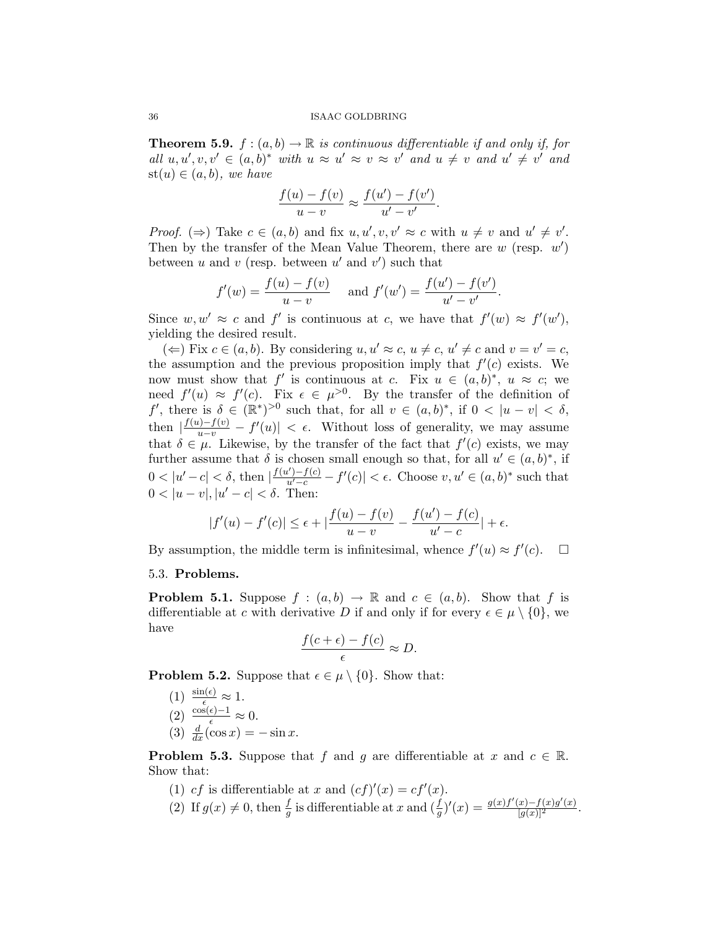**Theorem 5.9.**  $f:(a,b) \to \mathbb{R}$  is continuous differentiable if and only if, for all  $u, u', v, v' \in (a, b)^*$  with  $u \approx u' \approx v \approx v'$  and  $u \neq v$  and  $u' \neq v'$  and  $\mathrm{st}(u) \in (a, b), \text{ we have}$ 

$$
\frac{f(u) - f(v)}{u - v} \approx \frac{f(u') - f(v')}{u' - v'}.
$$

*Proof.*  $(\Rightarrow)$  Take  $c \in (a, b)$  and fix  $u, u', v, v' \approx c$  with  $u \neq v$  and  $u' \neq v'$ . Then by the transfer of the Mean Value Theorem, there are  $w$  (resp.  $w'$ ) between  $u$  and  $v$  (resp. between  $u'$  and  $v'$ ) such that

$$
f'(w) = \frac{f(u) - f(v)}{u - v}
$$
 and  $f'(w') = \frac{f(u') - f(v')}{u' - v'}$ .

Since  $w, w' \approx c$  and f' is continuous at c, we have that  $f'(w) \approx f'(w')$ , yielding the desired result.

(←) Fix  $c \in (a, b)$ . By considering  $u, u' \approx c, u \neq c, u' \neq c$  and  $v = v' = c$ , the assumption and the previous proposition imply that  $f'(c)$  exists. We now must show that f' is continuous at c. Fix  $u \in (a, b)^*$ ,  $u \approx c$ ; we need  $f'(u) \approx f'(c)$ . Fix  $\epsilon \in \mu^{>0}$ . By the transfer of the definition of f', there is  $\delta \in (\mathbb{R}^*)^{>0}$  such that, for all  $v \in (a, b)^*$ , if  $0 < |u - v| < \delta$ , then  $\left|\frac{f(u)-f(v)}{u-v} - f'(u)\right| < \epsilon$ . Without loss of generality, we may assume that  $\delta \in \mu$ . Likewise, by the transfer of the fact that  $f'(c)$  exists, we may further assume that  $\delta$  is chosen small enough so that, for all  $u' \in (a, b)^*$ , if  $0 < |u' - c| < \delta$ , then  $|\frac{f(u') - f(c)}{u' - c} - f'(c)| < \epsilon$ . Choose  $v, u' \in (a, b)^*$  such that  $0 < |u - v|, |u' - c| < \delta$ . Then:

$$
|f'(u) - f'(c)| \le \epsilon + |\frac{f(u) - f(v)}{u - v} - \frac{f(u') - f(c)}{u' - c}| + \epsilon.
$$

By assumption, the middle term is infinitesimal, whence  $f'(u) \approx f'(c)$ .  $\Box$ 

## 5.3. Problems.

**Problem 5.1.** Suppose  $f : (a, b) \to \mathbb{R}$  and  $c \in (a, b)$ . Show that f is differentiable at c with derivative D if and only if for every  $\epsilon \in \mu \setminus \{0\}$ , we have

$$
\frac{f(c+\epsilon)-f(c)}{\epsilon} \approx D.
$$

**Problem 5.2.** Suppose that  $\epsilon \in \mu \setminus \{0\}$ . Show that:

 $(1) \frac{\sin(\epsilon)}{\epsilon} \approx 1.$ (2)  $\frac{\cos(\epsilon)-1}{\epsilon} \approx 0$ . (3)  $\frac{d}{dx}(\cos x) = -\sin x$ .

**Problem 5.3.** Suppose that f and g are differentiable at x and  $c \in \mathbb{R}$ . Show that:

- (1) cf is differentiable at x and  $(cf)'(x) = cf'(x)$ .
- (2) If  $g(x) \neq 0$ , then  $\frac{f}{g}$  is differentiable at x and  $(\frac{f}{g})'(x) = \frac{g(x)f'(x) f(x)g'(x)}{[g(x)]^2}$ .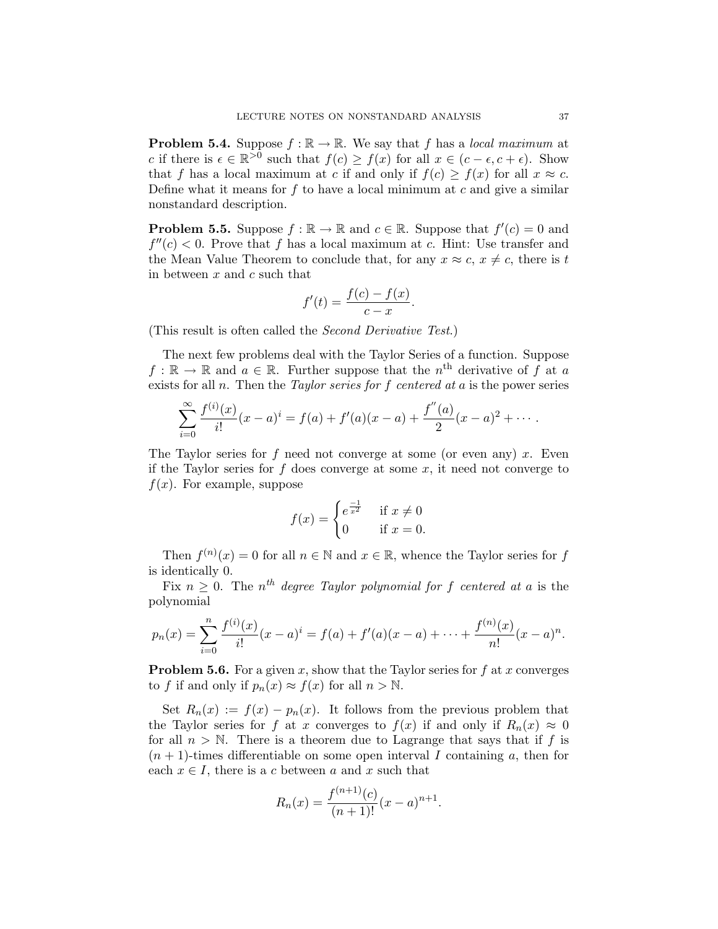**Problem 5.4.** Suppose  $f : \mathbb{R} \to \mathbb{R}$ . We say that f has a local maximum at c if there is  $\epsilon \in \mathbb{R}^{>0}$  such that  $f(c) \geq f(x)$  for all  $x \in (c - \epsilon, c + \epsilon)$ . Show that f has a local maximum at c if and only if  $f(c) \geq f(x)$  for all  $x \approx c$ . Define what it means for  $f$  to have a local minimum at  $c$  and give a similar nonstandard description.

**Problem 5.5.** Suppose  $f : \mathbb{R} \to \mathbb{R}$  and  $c \in \mathbb{R}$ . Suppose that  $f'(c) = 0$  and  $f''(c) < 0$ . Prove that f has a local maximum at c. Hint: Use transfer and the Mean Value Theorem to conclude that, for any  $x \approx c, x \neq c$ , there is t in between x and c such that

$$
f'(t) = \frac{f(c) - f(x)}{c - x}.
$$

(This result is often called the Second Derivative Test.)

The next few problems deal with the Taylor Series of a function. Suppose  $f : \mathbb{R} \to \mathbb{R}$  and  $a \in \mathbb{R}$ . Further suppose that the  $n^{\text{th}}$  derivative of f at a exists for all  $n$ . Then the *Taylor series for f centered at a* is the power series

$$
\sum_{i=0}^{\infty} \frac{f^{(i)}(x)}{i!} (x-a)^i = f(a) + f'(a)(x-a) + \frac{f''(a)}{2} (x-a)^2 + \cdots
$$

The Taylor series for f need not converge at some (or even any) x. Even if the Taylor series for  $f$  does converge at some  $x$ , it need not converge to  $f(x)$ . For example, suppose

$$
f(x) = \begin{cases} e^{\frac{-1}{x^2}} & \text{if } x \neq 0\\ 0 & \text{if } x = 0. \end{cases}
$$

Then  $f^{(n)}(x) = 0$  for all  $n \in \mathbb{N}$  and  $x \in \mathbb{R}$ , whence the Taylor series for f is identically 0.

Fix  $n \geq 0$ . The n<sup>th</sup> degree Taylor polynomial for f centered at a is the polynomial

$$
p_n(x) = \sum_{i=0}^n \frac{f^{(i)}(x)}{i!} (x-a)^i = f(a) + f'(a)(x-a) + \dots + \frac{f^{(n)}(x)}{n!} (x-a)^n.
$$

**Problem 5.6.** For a given x, show that the Taylor series for f at x converges to f if and only if  $p_n(x) \approx f(x)$  for all  $n > \mathbb{N}$ .

Set  $R_n(x) := f(x) - p_n(x)$ . It follows from the previous problem that the Taylor series for f at x converges to  $f(x)$  if and only if  $R_n(x) \approx 0$ for all  $n > N$ . There is a theorem due to Lagrange that says that if f is  $(n + 1)$ -times differentiable on some open interval I containing a, then for each  $x \in I$ , there is a c between a and x such that

$$
R_n(x) = \frac{f^{(n+1)}(c)}{(n+1)!} (x-a)^{n+1}.
$$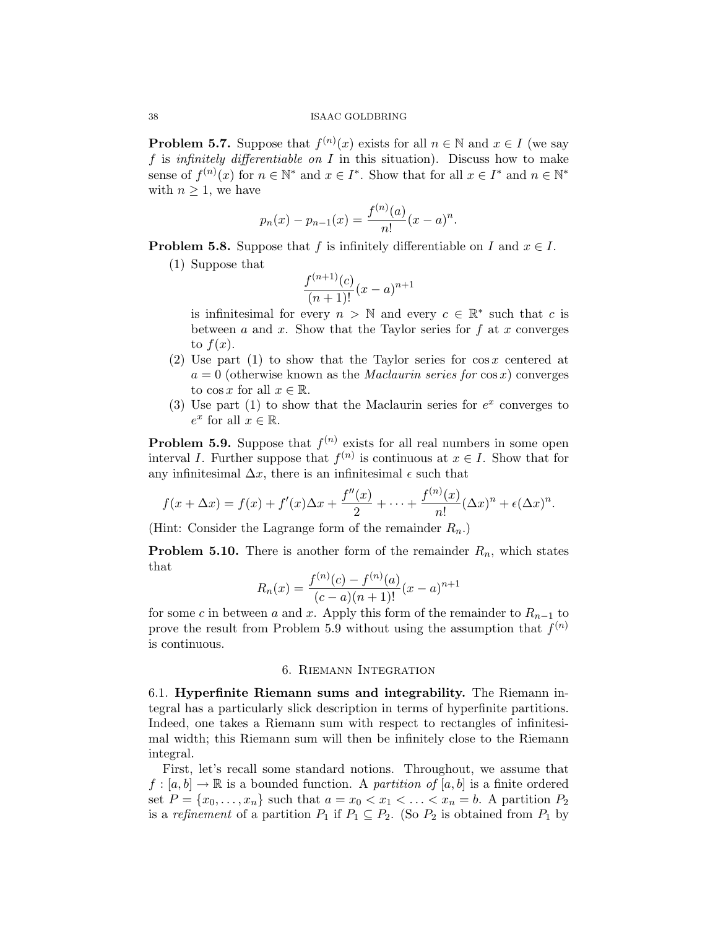**Problem 5.7.** Suppose that  $f^{(n)}(x)$  exists for all  $n \in \mathbb{N}$  and  $x \in I$  (we say f is *infinitely differentiable on I* in this situation). Discuss how to make sense of  $f^{(n)}(x)$  for  $n \in \mathbb{N}^*$  and  $x \in I^*$ . Show that for all  $x \in I^*$  and  $n \in \mathbb{N}^*$ with  $n \geq 1$ , we have

$$
p_n(x) - p_{n-1}(x) = \frac{f^{(n)}(a)}{n!}(x-a)^n.
$$

**Problem 5.8.** Suppose that f is infinitely differentiable on I and  $x \in I$ .

(1) Suppose that

$$
\frac{f^{(n+1)}(c)}{(n+1)!}(x-a)^{n+1}
$$

is infinitesimal for every  $n > \mathbb{N}$  and every  $c \in \mathbb{R}^*$  such that c is between  $a$  and  $x$ . Show that the Taylor series for  $f$  at  $x$  converges to  $f(x)$ .

- (2) Use part (1) to show that the Taylor series for  $\cos x$  centered at  $a = 0$  (otherwise known as the *Maclaurin series for*  $\cos x$ ) converges to  $\cos x$  for all  $x \in \mathbb{R}$ .
- (3) Use part (1) to show that the Maclaurin series for  $e^x$  converges to  $e^x$  for all  $x \in \mathbb{R}$ .

**Problem 5.9.** Suppose that  $f^{(n)}$  exists for all real numbers in some open interval I. Further suppose that  $f^{(n)}$  is continuous at  $x \in I$ . Show that for any infinitesimal  $\Delta x$ , there is an infinitesimal  $\epsilon$  such that

$$
f(x + \Delta x) = f(x) + f'(x)\Delta x + \frac{f''(x)}{2} + \dots + \frac{f^{(n)}(x)}{n!}(\Delta x)^n + \epsilon(\Delta x)^n.
$$

(Hint: Consider the Lagrange form of the remainder  $R_n$ .)

**Problem 5.10.** There is another form of the remainder  $R_n$ , which states that

$$
R_n(x) = \frac{f^{(n)}(c) - f^{(n)}(a)}{(c - a)(n + 1)!} (x - a)^{n+1}
$$

for some c in between a and x. Apply this form of the remainder to  $R_{n-1}$  to prove the result from Problem 5.9 without using the assumption that  $f^{(n)}$ is continuous.

## 6. Riemann Integration

6.1. Hyperfinite Riemann sums and integrability. The Riemann integral has a particularly slick description in terms of hyperfinite partitions. Indeed, one takes a Riemann sum with respect to rectangles of infinitesimal width; this Riemann sum will then be infinitely close to the Riemann integral.

First, let's recall some standard notions. Throughout, we assume that  $f : [a, b] \to \mathbb{R}$  is a bounded function. A partition of  $[a, b]$  is a finite ordered set  $P = \{x_0, \ldots, x_n\}$  such that  $a = x_0 < x_1 < \ldots < x_n = b$ . A partition  $P_2$ is a refinement of a partition  $P_1$  if  $P_1 \subseteq P_2$ . (So  $P_2$  is obtained from  $P_1$  by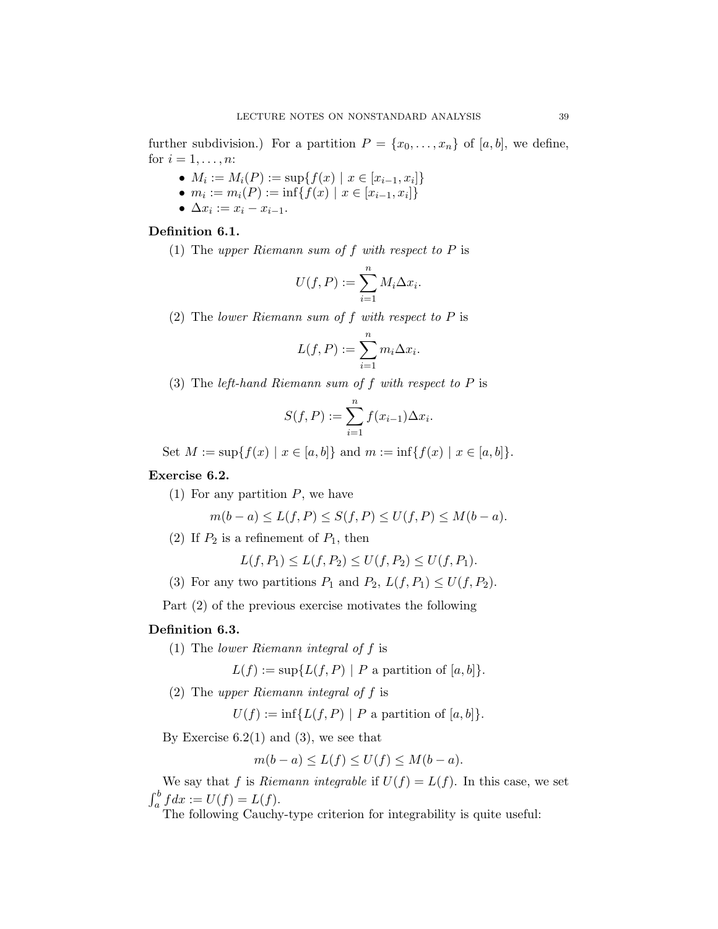further subdivision.) For a partition  $P = \{x_0, \ldots, x_n\}$  of  $[a, b]$ , we define, for  $i = 1, \ldots, n$ :

- $M_i := M_i(P) := \sup\{f(x) \mid x \in [x_{i-1}, x_i]\}$
- $m_i := m_i(P) := \inf\{f(x) \mid x \in [x_{i-1}, x_i]\}$
- $\Delta x_i := x_i x_{i-1}.$

# Definition 6.1.

(1) The upper Riemann sum of  $f$  with respect to  $P$  is

$$
U(f, P) := \sum_{i=1}^{n} M_i \Delta x_i.
$$

(2) The lower Riemann sum of  $f$  with respect to  $P$  is

$$
L(f, P) := \sum_{i=1}^{n} m_i \Delta x_i.
$$

(3) The *left-hand Riemann* sum of  $f$  with respect to  $P$  is

$$
S(f, P) := \sum_{i=1}^{n} f(x_{i-1}) \Delta x_i.
$$

Set  $M := \sup\{f(x) \mid x \in [a, b]\}\$  and  $m := \inf\{f(x) \mid x \in [a, b]\}.$ 

### Exercise 6.2.

(1) For any partition  $P$ , we have

$$
m(b-a) \le L(f, P) \le S(f, P) \le U(f, P) \le M(b-a).
$$

(2) If  $P_2$  is a refinement of  $P_1$ , then

$$
L(f, P_1) \le L(f, P_2) \le U(f, P_2) \le U(f, P_1).
$$

(3) For any two partitions  $P_1$  and  $P_2$ ,  $L(f, P_1) \leq U(f, P_2)$ .

Part (2) of the previous exercise motivates the following

## Definition 6.3.

(1) The lower Riemann integral of f is

$$
L(f) := \sup \{ L(f, P) \mid P \text{ a partition of } [a, b] \}.
$$

(2) The upper Riemann integral of f is

 $U(f) := \inf \{ L(f, P) \mid P \text{ a partition of } [a, b] \}.$ 

By Exercise  $6.2(1)$  and  $(3)$ , we see that

$$
m(b-a) \le L(f) \le U(f) \le M(b-a).
$$

We say that f is Riemann integrable if  $U(f) = L(f)$ . In this case, we set  $\int_{a}^{b} f dx := U(f) = L(f).$ 

The following Cauchy-type criterion for integrability is quite useful: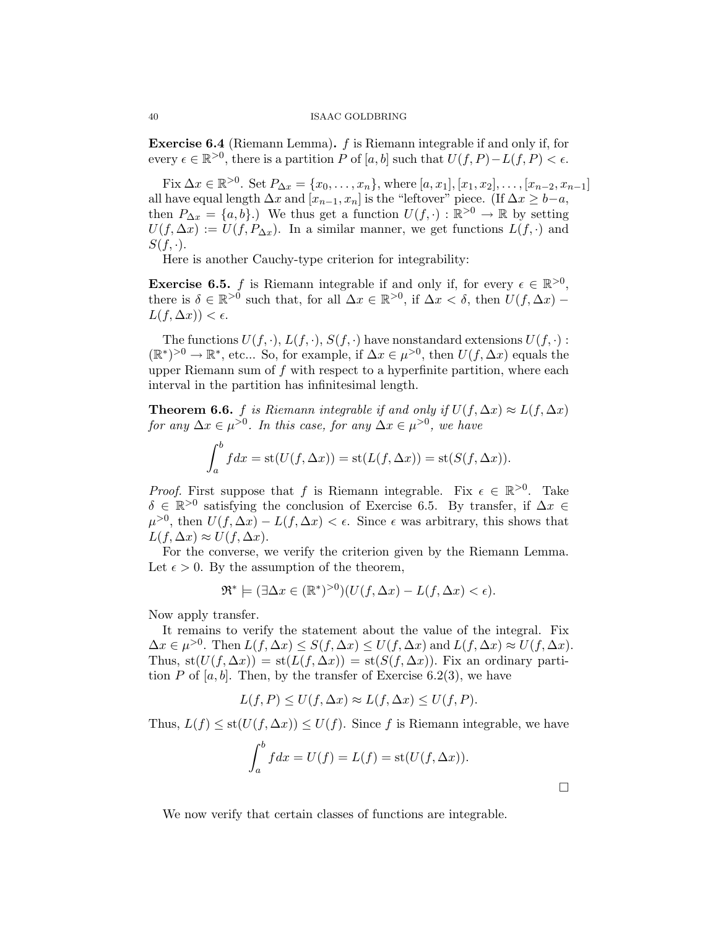Exercise 6.4 (Riemann Lemma). f is Riemann integrable if and only if, for every  $\epsilon \in \mathbb{R}^{>0}$ , there is a partition P of [a, b] such that  $U(f, P) - L(f, P) < \epsilon$ .

Fix  $\Delta x \in \mathbb{R}^{>0}$ . Set  $P_{\Delta x} = \{x_0, \ldots, x_n\}$ , where  $[a, x_1], [x_1, x_2], \ldots, [x_{n-2}, x_{n-1}]$ all have equal length  $\Delta x$  and  $[x_{n-1}, x_n]$  is the "leftover" piece. (If  $\Delta x \geq b-a$ , then  $P_{\Delta x} = \{a, b\}$ .) We thus get a function  $U(f, \cdot) : \mathbb{R}^{>0} \to \mathbb{R}$  by setting  $U(f, \Delta x) := U(f, P_{\Delta x})$ . In a similar manner, we get functions  $L(f, \cdot)$  and  $S(f, \cdot).$ 

Here is another Cauchy-type criterion for integrability:

**Exercise 6.5.** f is Riemann integrable if and only if, for every  $\epsilon \in \mathbb{R}^{>0}$ , there is  $\delta \in \mathbb{R}^{>0}$  such that, for all  $\Delta x \in \mathbb{R}^{>0}$ , if  $\Delta x < \delta$ , then  $U(f, \Delta x)$  –  $L(f, \Delta x)) < \epsilon.$ 

The functions  $U(f, \cdot), L(f, \cdot), S(f, \cdot)$  have nonstandard extensions  $U(f, \cdot)$ :  $(\mathbb{R}^*)^{>0} \to \mathbb{R}^*$ , etc... So, for example, if  $\Delta x \in \mu^{>0}$ , then  $U(f, \Delta x)$  equals the upper Riemann sum of  $f$  with respect to a hyperfinite partition, where each interval in the partition has infinitesimal length.

**Theorem 6.6.** f is Riemann integrable if and only if  $U(f, \Delta x) \approx L(f, \Delta x)$ for any  $\Delta x \in \mu^{>0}$ . In this case, for any  $\Delta x \in \mu^{>0}$ , we have

$$
\int_a^b f dx = \text{st}(U(f, \Delta x)) = \text{st}(L(f, \Delta x)) = \text{st}(S(f, \Delta x)).
$$

*Proof.* First suppose that f is Riemann integrable. Fix  $\epsilon \in \mathbb{R}^{>0}$ . Take  $\delta \in \mathbb{R}^{>0}$  satisfying the conclusion of Exercise 6.5. By transfer, if  $\Delta x \in$  $\mu^{>0}$ , then  $U(f, \Delta x) - L(f, \Delta x) < \epsilon$ . Since  $\epsilon$  was arbitrary, this shows that  $L(f, \Delta x) \approx U(f, \Delta x).$ 

For the converse, we verify the criterion given by the Riemann Lemma. Let  $\epsilon > 0$ . By the assumption of the theorem,

$$
\mathfrak{R}^* \models (\exists \Delta x \in (\mathbb{R}^*)^{>0})(U(f, \Delta x) - L(f, \Delta x) < \epsilon).
$$

Now apply transfer.

It remains to verify the statement about the value of the integral. Fix  $\Delta x \in \mu^{>0}$ . Then  $L(f, \Delta x) \leq S(f, \Delta x) \leq U(f, \Delta x)$  and  $L(f, \Delta x) \approx U(f, \Delta x)$ . Thus,  $st(U(f, \Delta x)) = st(L(f, \Delta x)) = st(S(f, \Delta x))$ . Fix an ordinary partition P of  $[a, b]$ . Then, by the transfer of Exercise 6.2(3), we have

$$
L(f, P) \le U(f, \Delta x) \approx L(f, \Delta x) \le U(f, P).
$$

Thus,  $L(f) \leq \text{st}(U(f, \Delta x)) \leq U(f)$ . Since f is Riemann integrable, we have

$$
\int_{a}^{b} f dx = U(f) = L(f) = \operatorname{st}(U(f, \Delta x)).
$$

We now verify that certain classes of functions are integrable.

 $\Box$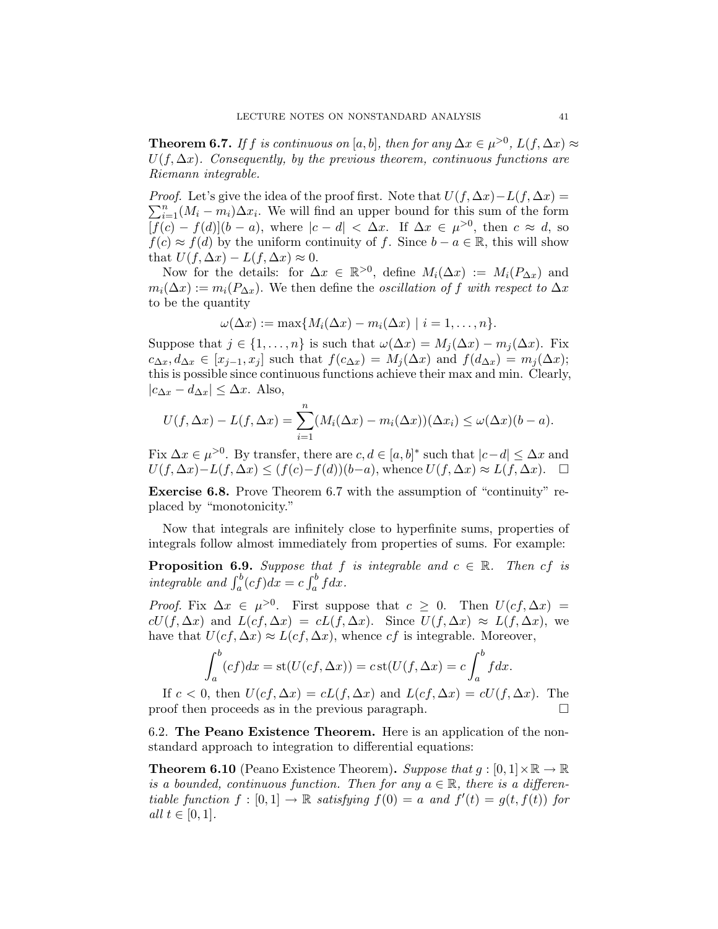**Theorem 6.7.** If f is continuous on [a, b], then for any  $\Delta x \in \mu^{>0}$ ,  $L(f, \Delta x) \approx$  $U(f, \Delta x)$ . Consequently, by the previous theorem, continuous functions are Riemann integrable.

 $\sum_{i=1}^{n} (M_i - m_i) \Delta x_i$ . We will find an upper bound for this sum of the form *Proof.* Let's give the idea of the proof first. Note that  $U(f, \Delta x) - L(f, \Delta x) =$  $[f(c) - f(d)](b - a)$ , where  $|c - d| < \Delta x$ . If  $\Delta x \in \mu^{>0}$ , then  $c \approx d$ , so  $f(c) \approx f(d)$  by the uniform continuity of f. Since  $b - a \in \mathbb{R}$ , this will show that  $U(f, \Delta x) - L(f, \Delta x) \approx 0$ .

Now for the details: for  $\Delta x \in \mathbb{R}^{>0}$ , define  $M_i(\Delta x) := M_i(P_{\Delta x})$  and  $m_i(\Delta x) := m_i(P_{\Delta x})$ . We then define the *oscillation of f with respect to*  $\Delta x$ to be the quantity

$$
\omega(\Delta x) := \max\{M_i(\Delta x) - m_i(\Delta x) \mid i = 1,\ldots,n\}.
$$

Suppose that  $j \in \{1, ..., n\}$  is such that  $\omega(\Delta x) = M_j(\Delta x) - m_j(\Delta x)$ . Fix  $c_{\Delta x}, d_{\Delta x} \in [x_{j-1}, x_j]$  such that  $f(c_{\Delta x}) = M_j(\Delta x)$  and  $f(d_{\Delta x}) = m_j(\Delta x)$ ; this is possible since continuous functions achieve their max and min. Clearly,  $|c_{\Delta x} - d_{\Delta x}| \leq \Delta x$ . Also,

$$
U(f, \Delta x) - L(f, \Delta x) = \sum_{i=1}^{n} (M_i(\Delta x) - m_i(\Delta x))(\Delta x_i) \le \omega(\Delta x)(b - a).
$$

Fix  $\Delta x \in \mu^{>0}$ . By transfer, there are  $c, d \in [a, b]^*$  such that  $|c-d| \leq \Delta x$  and  $U(f, \Delta x) - L(f, \Delta x) \leq (f(c) - f(d))(b - a)$ , whence  $U(f, \Delta x) \approx L(f, \Delta x)$ .  $\Box$ 

Exercise 6.8. Prove Theorem 6.7 with the assumption of "continuity" replaced by "monotonicity."

Now that integrals are infinitely close to hyperfinite sums, properties of integrals follow almost immediately from properties of sums. For example:

**Proposition 6.9.** Suppose that f is integrable and  $c \in \mathbb{R}$ . Then cf is integrable and  $\int_a^b (cf)dx = c \int_a^b f dx$ .

*Proof.* Fix  $\Delta x \in \mu^{>0}$ . First suppose that  $c \geq 0$ . Then  $U(cf, \Delta x) =$  $cU(f, \Delta x)$  and  $L(cf, \Delta x) = cL(f, \Delta x)$ . Since  $U(f, \Delta x) \approx L(f, \Delta x)$ , we have that  $U(cf, \Delta x) \approx L(cf, \Delta x)$ , whence cf is integrable. Moreover,

$$
\int_{a}^{b} (cf)dx = \operatorname{st}(U(cf, \Delta x)) = c \operatorname{st}(U(f, \Delta x)) = c \int_{a}^{b} f dx.
$$

If  $c < 0$ , then  $U(cf, \Delta x) = cL(f, \Delta x)$  and  $L(cf, \Delta x) = cU(f, \Delta x)$ . The proof then proceeds as in the previous paragraph.  $\Box$ 

6.2. The Peano Existence Theorem. Here is an application of the nonstandard approach to integration to differential equations:

**Theorem 6.10** (Peano Existence Theorem). Suppose that  $q : [0, 1] \times \mathbb{R} \to \mathbb{R}$ is a bounded, continuous function. Then for any  $a \in \mathbb{R}$ , there is a differentiable function  $f : [0,1] \to \mathbb{R}$  satisfying  $f(0) = a$  and  $f'(t) = g(t, f(t))$  for all  $t \in [0,1]$ .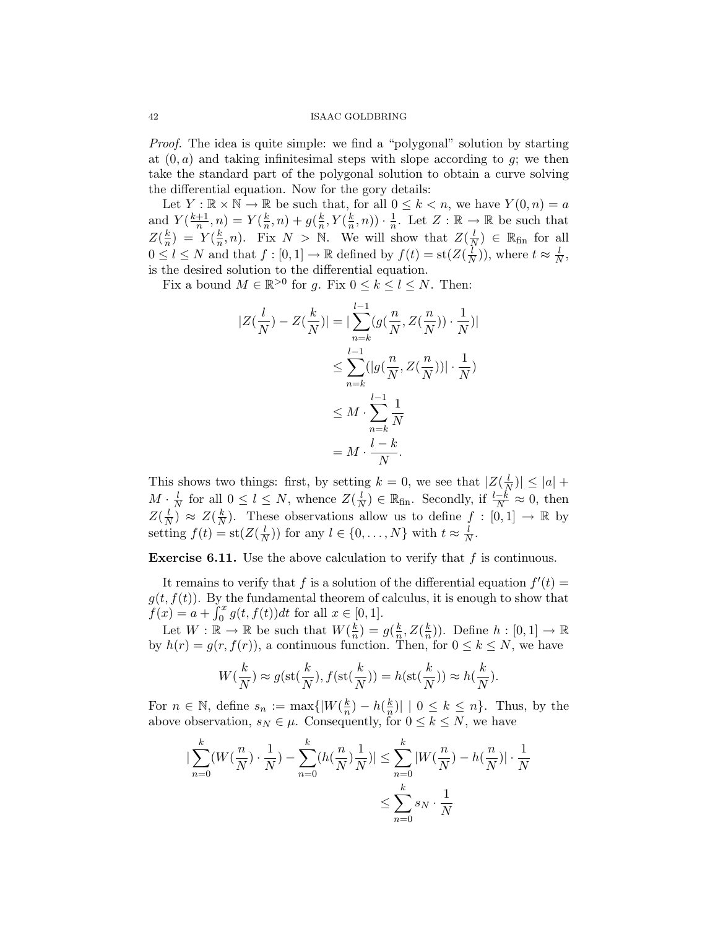Proof. The idea is quite simple: we find a "polygonal" solution by starting at  $(0, a)$  and taking infinitesimal steps with slope according to  $q$ ; we then take the standard part of the polygonal solution to obtain a curve solving the differential equation. Now for the gory details:

Let  $Y : \mathbb{R} \times \mathbb{N} \to \mathbb{R}$  be such that, for all  $0 \leq k < n$ , we have  $Y(0, n) = a$ and  $Y(\frac{k+1}{n})$  $\frac{+1}{n}, n) = Y(\frac{k}{n})$  $\frac{k}{n}, n) + g(\frac{k}{n})$  $\frac{k}{n}, Y(\frac{k}{n})$  $(\frac{k}{n}, n)) \cdot \frac{1}{n}$  $\frac{1}{n}$ . Let  $Z : \mathbb{R} \to \mathbb{R}$  be such that  $Z(\frac{k}{n})$  $\frac{k}{n}$ ) =  $Y(\frac{k}{n})$  $\frac{k}{n}, n$ ). Fix  $N > N$ . We will show that  $Z(\frac{k}{N})$  $\frac{l}{N}$ )  $\in \mathbb{R}_{\text{fin}}$  for all  $0 \leq l \leq N$  and that  $f : [0, 1] \to \mathbb{R}$  defined by  $f(t) = \text{st}(Z(\frac{l}{N}))$  $(\frac{l}{N})$ , where  $t \approx \frac{l}{N}$  $\frac{l}{N}$ , is the desired solution to the differential equation.

Fix a bound  $M \in \mathbb{R}^{>0}$  for g. Fix  $0 \le k \le l \le N$ . Then:

$$
|Z(\frac{l}{N}) - Z(\frac{k}{N})| = |\sum_{n=k}^{l-1} (g(\frac{n}{N}, Z(\frac{n}{N})) \cdot \frac{1}{N})|
$$
  

$$
\leq \sum_{n=k}^{l-1} (|g(\frac{n}{N}, Z(\frac{n}{N}))| \cdot \frac{1}{N})
$$
  

$$
\leq M \cdot \sum_{n=k}^{l-1} \frac{1}{N}
$$
  

$$
= M \cdot \frac{l-k}{N}.
$$

This shows two things: first, by setting  $k = 0$ , we see that  $|Z(\frac{l}{\lambda})|$  $\vert \frac{l}{N} \rangle \vert \leq \vert a \vert +$  $M \cdot \frac{l}{\Lambda}$  $\frac{l}{N}$  for all  $0 \leq l \leq N$ , whence  $Z(\frac{l}{N})$  $\frac{l}{N}$ ) ∈  $\mathbb{R}_{\text{fin}}$ . Secondly, if  $\frac{l-\tilde{k}}{N} \approx 0$ , then  $Z(\frac{l}{\lambda})$  $\frac{l}{N}$ )  $\approx Z(\frac{k}{N})$  $\frac{k}{N}$ ). These observations allow us to define  $f : [0,1] \to \mathbb{R}$  by setting  $f(t) = \text{st}(Z(\frac{l}{\lambda}))$  $\frac{l}{N}$ ) for any  $l \in \{0, \ldots, N\}$  with  $t \approx \frac{l}{N}$  $\frac{l}{N}$  .

**Exercise 6.11.** Use the above calculation to verify that  $f$  is continuous.

It remains to verify that f is a solution of the differential equation  $f'(t) =$  $g(t, f(t))$ . By the fundamental theorem of calculus, it is enough to show that  $f(x) = a + \int_0^x g(t, f(t))dt$  for all  $x \in [0, 1]$ .

Let  $W:\mathbb{R}\to\mathbb{R}$  be such that  $W(\frac{k}{n})$  $\frac{k}{n}$ ) =  $g(\frac{k}{n})$  $\frac{k}{n}, Z(\frac{k}{n}$  $\frac{k}{n}$ )). Define  $h: [0,1] \to \mathbb{R}$ by  $h(r) = g(r, f(r))$ , a continuous function. Then, for  $0 \le k \le N$ , we have

$$
W(\frac{k}{N}) \approx g(\text{st}(\frac{k}{N}), f(\text{st}(\frac{k}{N})) = h(\text{st}(\frac{k}{N})) \approx h(\frac{k}{N}).
$$

For  $n \in \mathbb{N}$ , define  $s_n := \max\{|W(\frac{k}{n})\}$  $\frac{k}{n}$ ) –  $h(\frac{k}{n})$  $\frac{k}{n}$ ||  $0 \leq k \leq n$  }. Thus, by the above observation,  $s_N \in \mu$ . Consequently, for  $0 \le k \le N$ , we have

$$
\left| \sum_{n=0}^{k} (W(\frac{n}{N}) \cdot \frac{1}{N}) - \sum_{n=0}^{k} (h(\frac{n}{N}) \frac{1}{N}) \right| \le \sum_{n=0}^{k} |W(\frac{n}{N}) - h(\frac{n}{N})| \cdot \frac{1}{N}
$$
  

$$
\le \sum_{n=0}^{k} s_N \cdot \frac{1}{N}
$$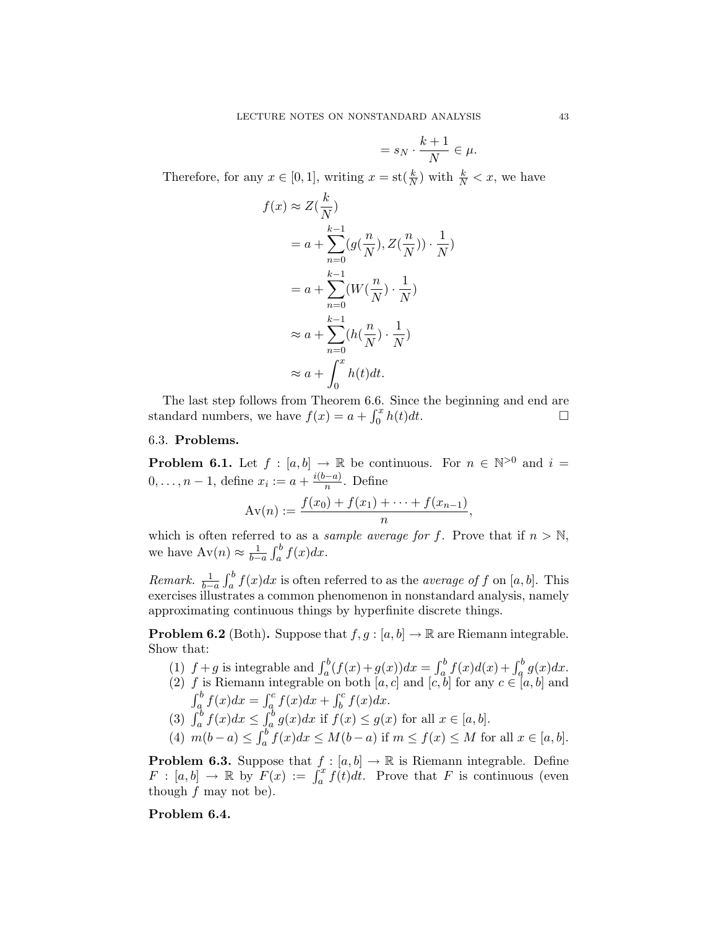$$
= s_N \cdot \frac{k+1}{N} \in \mu.
$$

Therefore, for any  $x \in [0,1]$ , writing  $x = \operatorname{st}(\frac{k}{N})$  with  $\frac{k}{N} < x$ , we have

$$
f(x) \approx Z(\frac{k}{N})
$$
  
=  $a + \sum_{n=0}^{k-1} (g(\frac{n}{N}), Z(\frac{n}{N})) \cdot \frac{1}{N})$   
=  $a + \sum_{n=0}^{k-1} (W(\frac{n}{N}) \cdot \frac{1}{N})$   
 $\approx a + \sum_{n=0}^{k-1} (h(\frac{n}{N}) \cdot \frac{1}{N})$   
 $\approx a + \int_0^x h(t)dt.$ 

The last step follows from Theorem 6.6. Since the beginning and end are standard numbers, we have  $f(x) = a + \int_0^x h(t)dt$ .

## 6.3. Problems.

**Problem 6.1.** Let  $f : [a, b] \to \mathbb{R}$  be continuous. For  $n \in \mathbb{N}^{>0}$  and  $i =$  $0, \ldots, n-1$ , define  $x_i := a + \frac{i(b-a)}{n}$  $\frac{(-a)}{n}$ . Define

$$
Av(n) := \frac{f(x_0) + f(x_1) + \dots + f(x_{n-1})}{n},
$$

which is often referred to as a *sample average for f*. Prove that if  $n > N$ , we have  $Av(n) \approx \frac{1}{b-a} \int_a^b f(x) dx$ .

Remark.  $\frac{1}{b-a} \int_a^b f(x) dx$  is often referred to as the average of f on [a, b]. This exercises illustrates a common phenomenon in nonstandard analysis, namely approximating continuous things by hyperfinite discrete things.

**Problem 6.2** (Both). Suppose that  $f, g : [a, b] \to \mathbb{R}$  are Riemann integrable. Show that:

- (1)  $f+g$  is integrable and  $\int_a^b (f(x)+g(x))dx = \int_a^b f(x)d(x)+\int_a^b g(x)dx$ .
- (2) f is Riemann integrable on both  $[a, c]$  and  $[c, b]$  for any  $c \in [a, b]$  and  $\int_{a}^{b} f(x)dx = \int_{a}^{c} f(x)dx + \int_{b}^{c} f(x)dx.$
- (3)  $\int_a^b f(x)dx \leq \int_a^b g(x)dx$  if  $f(x) \leq g(x)$  for all  $x \in [a, b]$ .
- (4)  $m(b-a) \leq \int_a^b f(x)dx \leq M(b-a)$  if  $m \leq f(x) \leq M$  for all  $x \in [a, b]$ .

**Problem 6.3.** Suppose that  $f : [a, b] \to \mathbb{R}$  is Riemann integrable. Define  $F : [a, b] \to \mathbb{R}$  by  $F(x) := \int_a^x f(t) dt$ . Prove that F is continuous (even though  $f$  may not be).

### Problem 6.4.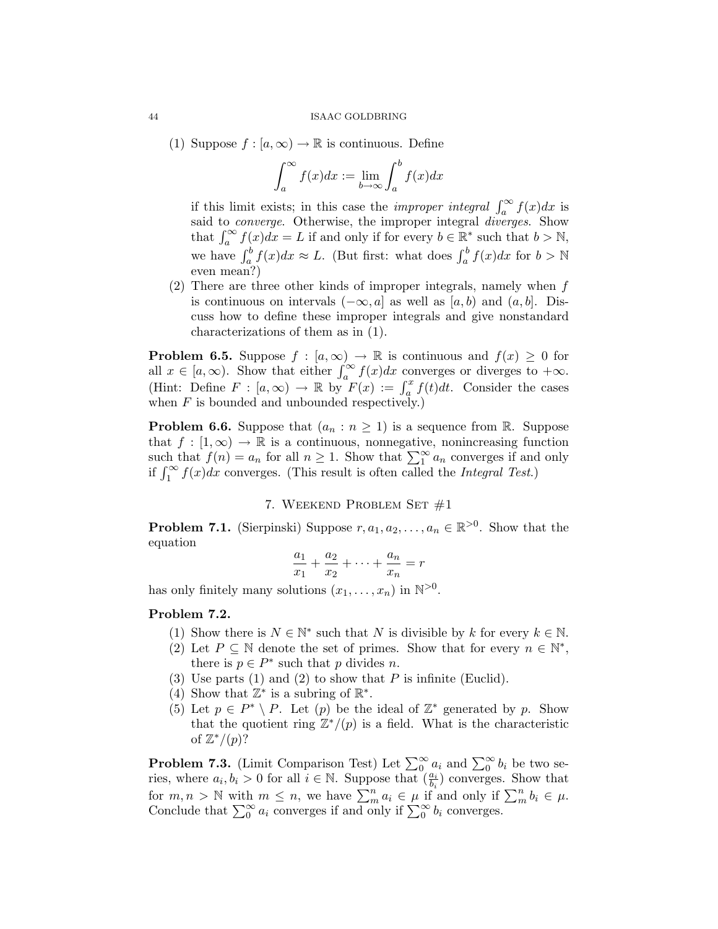(1) Suppose  $f : [a, \infty) \to \mathbb{R}$  is continuous. Define

$$
\int_{a}^{\infty} f(x)dx := \lim_{b \to \infty} \int_{a}^{b} f(x)dx
$$

if this limit exists; in this case the *improper integral*  $\int_a^{\infty} f(x)dx$  is said to converge. Otherwise, the improper integral diverges. Show that  $\int_a^{\infty} f(x)dx = L$  if and only if for every  $b \in \mathbb{R}^*$  such that  $b > \mathbb{N}$ , we have  $\int_a^b f(x)dx \approx L$ . (But first: what does  $\int_a^b f(x)dx$  for  $b > \mathbb{N}$ even mean?)

(2) There are three other kinds of improper integrals, namely when  $f$ is continuous on intervals  $(-\infty, a]$  as well as  $[a, b]$  and  $(a, b]$ . Discuss how to define these improper integrals and give nonstandard characterizations of them as in (1).

**Problem 6.5.** Suppose  $f : [a, \infty) \to \mathbb{R}$  is continuous and  $f(x) \geq 0$  for all  $x \in [a, \infty)$ . Show that either  $\int_a^{\infty} f(x)dx$  converges or diverges to  $+\infty$ . (Hint: Define  $F : [a, \infty) \to \mathbb{R}$  by  $F(x) := \int_a^x f(t) dt$ . Consider the cases when  $F$  is bounded and unbounded respectively.)

**Problem 6.6.** Suppose that  $(a_n : n \ge 1)$  is a sequence from R. Suppose that  $f : [1, \infty) \to \mathbb{R}$  is a continuous, nonnegative, nonincreasing function such that  $f(n) = a_n$  for all  $n \geq 1$ . Show that  $\sum_{1}^{\infty} a_n$  converges if and only if  $\int_1^{\infty} f(x)dx$  converges. (This result is often called the *Integral Test.*)

7. Weekend Problem Set #1

**Problem 7.1.** (Sierpinski) Suppose  $r, a_1, a_2, \ldots, a_n \in \mathbb{R}^{>0}$ . Show that the equation

$$
\frac{a_1}{x_1} + \frac{a_2}{x_2} + \dots + \frac{a_n}{x_n} = r
$$

has only finitely many solutions  $(x_1, \ldots, x_n)$  in  $\mathbb{N}^{>0}$ .

## Problem 7.2.

- (1) Show there is  $N \in \mathbb{N}^*$  such that N is divisible by k for every  $k \in \mathbb{N}$ .
- (2) Let  $P \subseteq \mathbb{N}$  denote the set of primes. Show that for every  $n \in \mathbb{N}^*$ , there is  $p \in P^*$  such that p divides n.
- (3) Use parts (1) and (2) to show that  $P$  is infinite (Euclid).
- (4) Show that  $\mathbb{Z}^*$  is a subring of  $\mathbb{R}^*$ .
- (5) Let  $p \in P^* \setminus P$ . Let  $(p)$  be the ideal of  $\mathbb{Z}^*$  generated by p. Show that the quotient ring  $\mathbb{Z}^*/(p)$  is a field. What is the characteristic of  $\mathbb{Z}^*/(p)$ ?

**Problem 7.3.** (Limit Comparison Test) Let  $\sum_{0}^{\infty} a_i$  and  $\sum_{0}^{\infty} b_i$  be two series, where  $a_i, b_i > 0$  for all  $i \in \mathbb{N}$ . Suppose that  $\left(\frac{a_i}{b_i}\right)$  converges. Show that for  $m, n > \mathbb{N}$  with  $m \leq n$ , we have  $\sum_{m}^{n} a_i \in \mu$  if and only if  $\sum_{m}^{n} b_i \in \mu$ . Conclude that  $\sum_{0}^{\infty} a_i$  converges if and only if  $\sum_{0}^{\infty} b_i$  converges.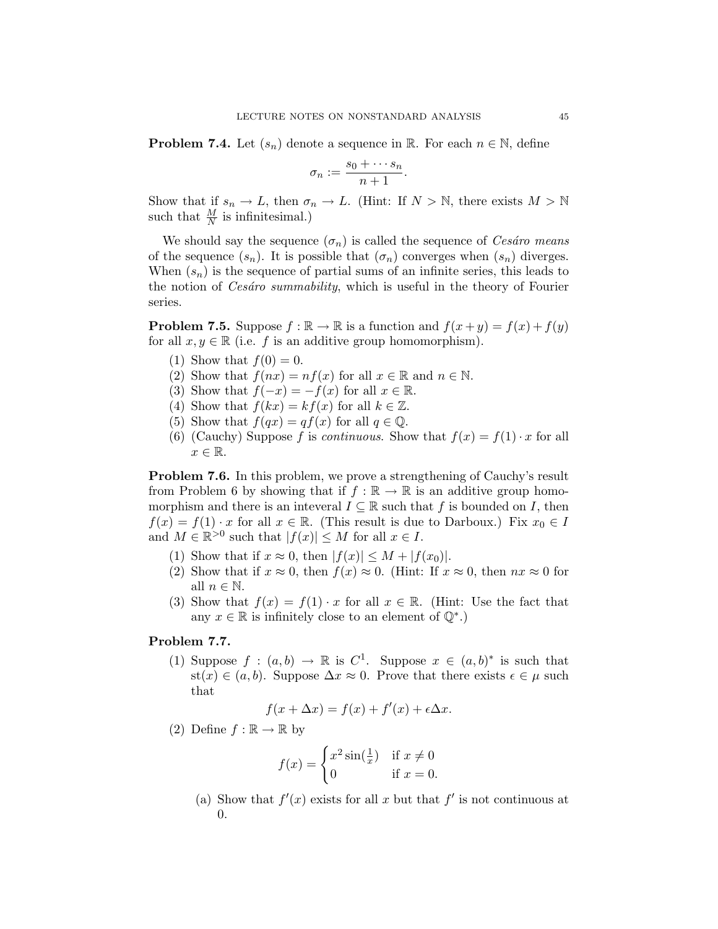**Problem 7.4.** Let  $(s_n)$  denote a sequence in R. For each  $n \in \mathbb{N}$ , define

$$
\sigma_n := \frac{s_0 + \cdots s_n}{n+1}.
$$

Show that if  $s_n \to L$ , then  $\sigma_n \to L$ . (Hint: If  $N > \mathbb{N}$ , there exists  $M > \mathbb{N}$ such that  $\frac{M}{N}$  is infinitesimal.)

We should say the sequence  $(\sigma_n)$  is called the sequence of Cesaro means of the sequence  $(s_n)$ . It is possible that  $(\sigma_n)$  converges when  $(s_n)$  diverges. When  $(s_n)$  is the sequence of partial sums of an infinite series, this leads to the notion of *Cesáro summability*, which is useful in the theory of Fourier series.

**Problem 7.5.** Suppose  $f : \mathbb{R} \to \mathbb{R}$  is a function and  $f(x+y) = f(x) + f(y)$ for all  $x, y \in \mathbb{R}$  (i.e. f is an additive group homomorphism).

- (1) Show that  $f(0) = 0$ .
- (2) Show that  $f(nx) = nf(x)$  for all  $x \in \mathbb{R}$  and  $n \in \mathbb{N}$ .
- (3) Show that  $f(-x) = -f(x)$  for all  $x \in \mathbb{R}$ .
- (4) Show that  $f(kx) = kf(x)$  for all  $k \in \mathbb{Z}$ .
- (5) Show that  $f(qx) = qf(x)$  for all  $q \in \mathbb{Q}$ .
- (6) (Cauchy) Suppose f is *continuous*. Show that  $f(x) = f(1) \cdot x$  for all  $x \in \mathbb{R}$ .

Problem 7.6. In this problem, we prove a strengthening of Cauchy's result from Problem 6 by showing that if  $f : \mathbb{R} \to \mathbb{R}$  is an additive group homomorphism and there is an inteveral  $I \subseteq \mathbb{R}$  such that f is bounded on I, then  $f(x) = f(1) \cdot x$  for all  $x \in \mathbb{R}$ . (This result is due to Darboux.) Fix  $x_0 \in I$ and  $M \in \mathbb{R}^{>0}$  such that  $|f(x)| \leq M$  for all  $x \in I$ .

- (1) Show that if  $x \approx 0$ , then  $|f(x)| \leq M + |f(x_0)|$ .
- (2) Show that if  $x \approx 0$ , then  $f(x) \approx 0$ . (Hint: If  $x \approx 0$ , then  $nx \approx 0$  for all  $n \in \mathbb{N}$ .
- (3) Show that  $f(x) = f(1) \cdot x$  for all  $x \in \mathbb{R}$ . (Hint: Use the fact that any  $x \in \mathbb{R}$  is infinitely close to an element of  $\mathbb{Q}^*$ .)

### Problem 7.7.

(1) Suppose  $f : (a, b) \to \mathbb{R}$  is  $C^1$ . Suppose  $x \in (a, b)^*$  is such that st(x) ∈ (a, b). Suppose  $\Delta x \approx 0$ . Prove that there exists  $\epsilon \in \mu$  such that

$$
f(x + \Delta x) = f(x) + f'(x) + \epsilon \Delta x.
$$

(2) Define  $f : \mathbb{R} \to \mathbb{R}$  by

$$
f(x) = \begin{cases} x^2 \sin(\frac{1}{x}) & \text{if } x \neq 0\\ 0 & \text{if } x = 0. \end{cases}
$$

(a) Show that  $f'(x)$  exists for all x but that  $f'$  is not continuous at 0.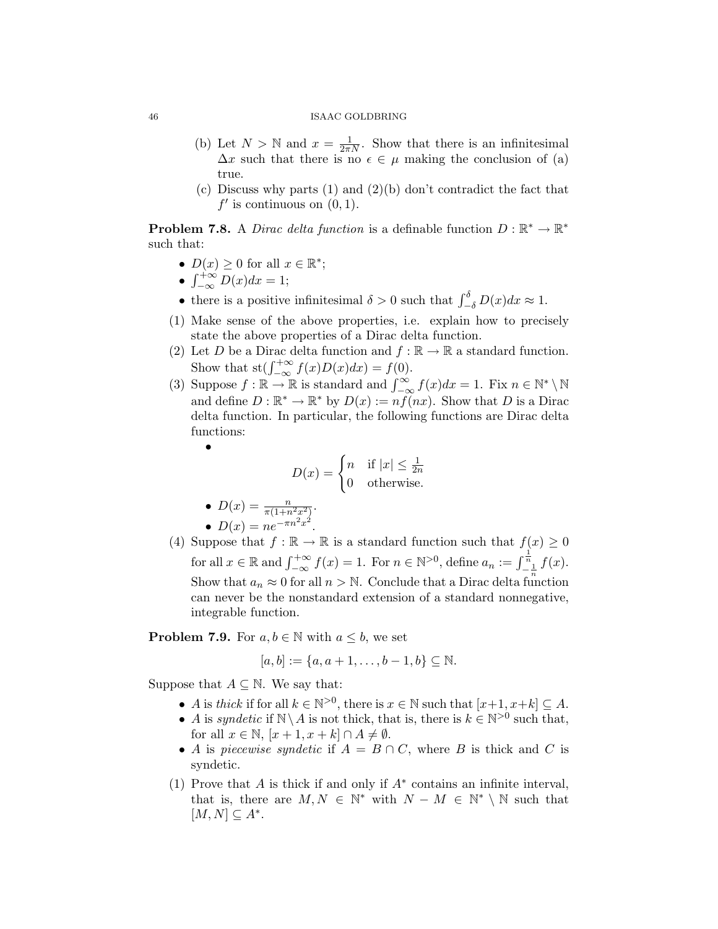#### 46 ISAAC GOLDBRING

- (b) Let  $N > N$  and  $x = \frac{1}{2\pi N}$ . Show that there is an infinitesimal  $\Delta x$  such that there is no  $\epsilon \in \mu$  making the conclusion of (a) true.
- (c) Discuss why parts (1) and (2)(b) don't contradict the fact that  $f'$  is continuous on  $(0, 1)$ .

**Problem 7.8.** A *Dirac delta function* is a definable function  $D : \mathbb{R}^* \to \mathbb{R}^*$ such that:

- $D(x) \geq 0$  for all  $x \in \mathbb{R}^*$ ;
- $\int_{-\infty}^{+\infty} D(x)dx = 1;$

•

- there is a positive infinitesimal  $\delta > 0$  such that  $\int_{-\delta}^{\delta} D(x)dx \approx 1$ .
- (1) Make sense of the above properties, i.e. explain how to precisely state the above properties of a Dirac delta function.
- (2) Let D be a Dirac delta function and  $f : \mathbb{R} \to \mathbb{R}$  a standard function. Show that  $\operatorname{st}(\int_{-\infty}^{+\infty} f(x)D(x)dx) = f(0)$ .
- (3) Suppose  $f : \mathbb{R} \to \mathbb{R}$  is standard and  $\int_{-\infty}^{\infty} f(x) dx = 1$ . Fix  $n \in \mathbb{N}^* \setminus \mathbb{N}$ and define  $D: \mathbb{R}^* \to \mathbb{R}^*$  by  $D(x) := nf(nx)$ . Show that D is a Dirac delta function. In particular, the following functions are Dirac delta functions:

$$
D(x) = \begin{cases} n & \text{if } |x| \le \frac{1}{2n} \\ 0 & \text{otherwise.} \end{cases}
$$

• 
$$
D(x) = \frac{n}{\pi(1 + n^2 x^2)}
$$
.  
\n•  $D(x) = n e^{-\pi n^2 x^2}$ .

(4) Suppose that  $f : \mathbb{R} \to \mathbb{R}$  is a standard function such that  $f(x) \geq 0$ for all  $x \in \mathbb{R}$  and  $\int_{-\infty}^{+\infty} f(x) = 1$ . For  $n \in \mathbb{N}^{>0}$ , define  $a_n := \int_{-\frac{1}{n}}^{\frac{1}{n}} f(x)$ . Show that  $a_n \approx 0$  for all  $n > \mathbb{N}$ . Conclude that a Dirac delta function can never be the nonstandard extension of a standard nonnegative, integrable function.

**Problem 7.9.** For  $a, b \in \mathbb{N}$  with  $a \leq b$ , we set

$$
[a, b] := \{a, a + 1, \ldots, b - 1, b\} \subseteq \mathbb{N}.
$$

Suppose that  $A \subseteq \mathbb{N}$ . We say that:

- A is thick if for all  $k \in \mathbb{N}^{>0}$ , there is  $x \in \mathbb{N}$  such that  $[x+1, x+k] \subseteq A$ .
- A is syndetic if  $\mathbb{N} \setminus A$  is not thick, that is, there is  $k \in \mathbb{N}^{>0}$  such that, for all  $x \in \mathbb{N}$ ,  $[x+1, x+k] \cap A \neq \emptyset$ .
- A is piecewise syndetic if  $A = B \cap C$ , where B is thick and C is syndetic.
- (1) Prove that  $A$  is thick if and only if  $A^*$  contains an infinite interval, that is, there are  $M, N \in \mathbb{N}^*$  with  $N - M \in \mathbb{N}^* \setminus \mathbb{N}$  such that  $[M, N] \subseteq A^*$ .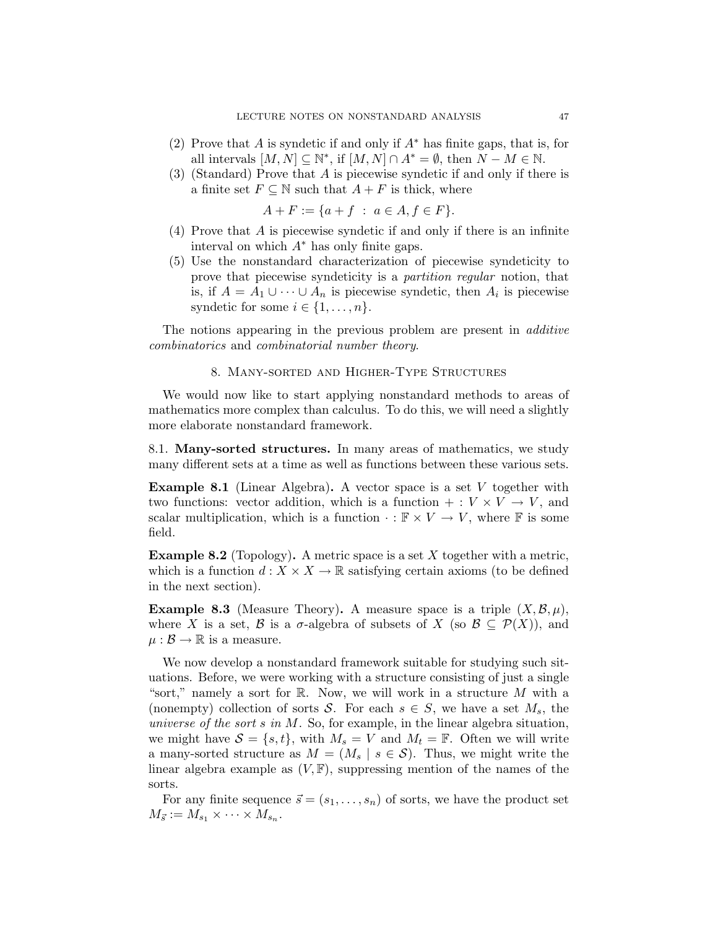- (2) Prove that A is syndetic if and only if  $A^*$  has finite gaps, that is, for all intervals  $[M, N] \subseteq \mathbb{N}^*$ , if  $[M, N] \cap A^* = \emptyset$ , then  $N - M \in \mathbb{N}$ .
- (3) (Standard) Prove that A is piecewise syndetic if and only if there is a finite set  $F \subseteq \mathbb{N}$  such that  $A + F$  is thick, where

 $A + F := \{a + f : a \in A, f \in F\}.$ 

- (4) Prove that A is piecewise syndetic if and only if there is an infinite interval on which  $A^*$  has only finite gaps.
- (5) Use the nonstandard characterization of piecewise syndeticity to prove that piecewise syndeticity is a partition regular notion, that is, if  $A = A_1 \cup \cdots \cup A_n$  is piecewise syndetic, then  $A_i$  is piecewise syndetic for some  $i \in \{1, \ldots, n\}.$

The notions appearing in the previous problem are present in *additive* combinatorics and combinatorial number theory.

#### 8. Many-sorted and Higher-Type Structures

We would now like to start applying nonstandard methods to areas of mathematics more complex than calculus. To do this, we will need a slightly more elaborate nonstandard framework.

8.1. Many-sorted structures. In many areas of mathematics, we study many different sets at a time as well as functions between these various sets.

**Example 8.1** (Linear Algebra). A vector space is a set  $V$  together with two functions: vector addition, which is a function  $+: V \times V \to V$ , and scalar multiplication, which is a function  $\cdot : \mathbb{F} \times V \to V$ , where  $\mathbb{F}$  is some field.

**Example 8.2** (Topology). A metric space is a set X together with a metric, which is a function  $d: X \times X \to \mathbb{R}$  satisfying certain axioms (to be defined in the next section).

**Example 8.3** (Measure Theory). A measure space is a triple  $(X, \mathcal{B}, \mu)$ , where X is a set, B is a  $\sigma$ -algebra of subsets of X (so  $\mathcal{B} \subseteq \mathcal{P}(X)$ ), and  $\mu : \mathcal{B} \to \mathbb{R}$  is a measure.

We now develop a nonstandard framework suitable for studying such situations. Before, we were working with a structure consisting of just a single "sort," namely a sort for  $\mathbb R$ . Now, we will work in a structure M with a (nonempty) collection of sorts S. For each  $s \in S$ , we have a set  $M_s$ , the universe of the sort  $s$  in  $M$ . So, for example, in the linear algebra situation, we might have  $S = \{s, t\}$ , with  $M_s = V$  and  $M_t = \mathbb{F}$ . Often we will write a many-sorted structure as  $M = (M_s | s \in S)$ . Thus, we might write the linear algebra example as  $(V, \mathbb{F})$ , suppressing mention of the names of the sorts.

For any finite sequence  $\vec{s} = (s_1, \ldots, s_n)$  of sorts, we have the product set  $M_{\vec{s}} := M_{s_1} \times \cdots \times M_{s_n}.$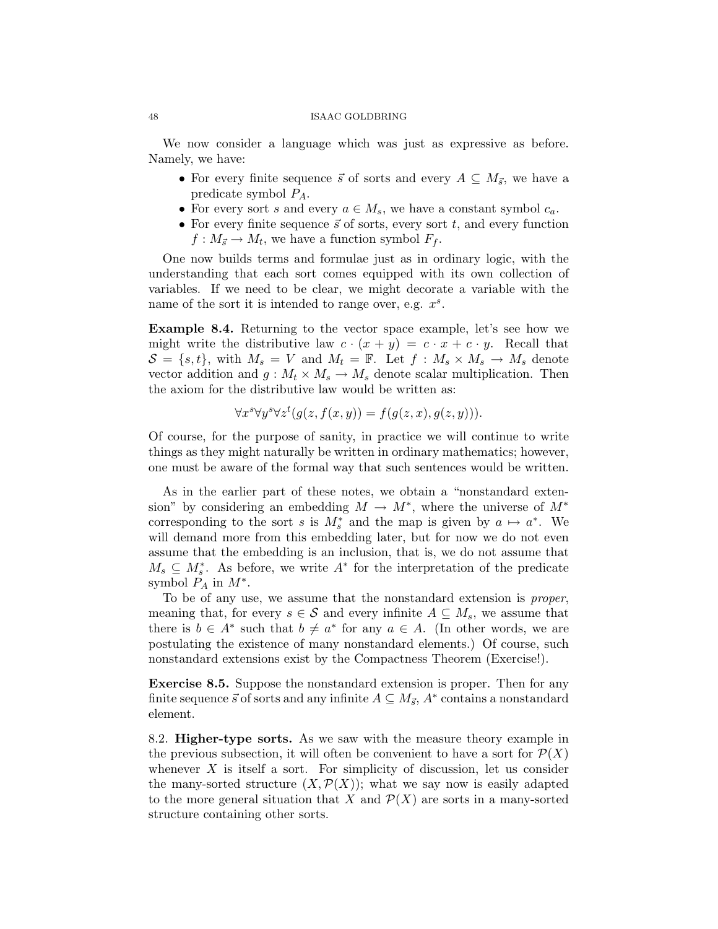#### 48 ISAAC GOLDBRING

We now consider a language which was just as expressive as before. Namely, we have:

- For every finite sequence  $\vec{s}$  of sorts and every  $A \subseteq M_{\vec{s}}$ , we have a predicate symbol  $P_A$ .
- For every sort s and every  $a \in M_s$ , we have a constant symbol  $c_a$ .
- For every finite sequence  $\vec{s}$  of sorts, every sort t, and every function  $f: M_{\vec{s}} \to M_t$ , we have a function symbol  $F_f$ .

One now builds terms and formulae just as in ordinary logic, with the understanding that each sort comes equipped with its own collection of variables. If we need to be clear, we might decorate a variable with the name of the sort it is intended to range over, e.g.  $x^s$ .

Example 8.4. Returning to the vector space example, let's see how we might write the distributive law  $c \cdot (x + y) = c \cdot x + c \cdot y$ . Recall that  $S = \{s, t\}$ , with  $M_s = V$  and  $M_t = \mathbb{F}$ . Let  $f : M_s \times M_s \to M_s$  denote vector addition and  $g: M_t \times M_s \to M_s$  denote scalar multiplication. Then the axiom for the distributive law would be written as:

$$
\forall x^s \forall y^s \forall z^t (g(z, f(x, y)) = f(g(z, x), g(z, y))).
$$

Of course, for the purpose of sanity, in practice we will continue to write things as they might naturally be written in ordinary mathematics; however, one must be aware of the formal way that such sentences would be written.

As in the earlier part of these notes, we obtain a "nonstandard extension" by considering an embedding  $M \to M^*$ , where the universe of  $M^*$ corresponding to the sort s is  $M_s^*$  and the map is given by  $a \mapsto a^*$ . We will demand more from this embedding later, but for now we do not even assume that the embedding is an inclusion, that is, we do not assume that  $M_s \subseteq M_s^*$ . As before, we write  $A^*$  for the interpretation of the predicate symbol  $P_A$  in  $M^*$ .

To be of any use, we assume that the nonstandard extension is proper, meaning that, for every  $s \in \mathcal{S}$  and every infinite  $A \subseteq M_s$ , we assume that there is  $b \in A^*$  such that  $b \neq a^*$  for any  $a \in A$ . (In other words, we are postulating the existence of many nonstandard elements.) Of course, such nonstandard extensions exist by the Compactness Theorem (Exercise!).

Exercise 8.5. Suppose the nonstandard extension is proper. Then for any finite sequence  $\vec{s}$  of sorts and any infinite  $A \subseteq M_{\vec{s}}, A^*$  contains a nonstandard element.

8.2. Higher-type sorts. As we saw with the measure theory example in the previous subsection, it will often be convenient to have a sort for  $\mathcal{P}(X)$ whenever  $X$  is itself a sort. For simplicity of discussion, let us consider the many-sorted structure  $(X, \mathcal{P}(X))$ ; what we say now is easily adapted to the more general situation that X and  $\mathcal{P}(X)$  are sorts in a many-sorted structure containing other sorts.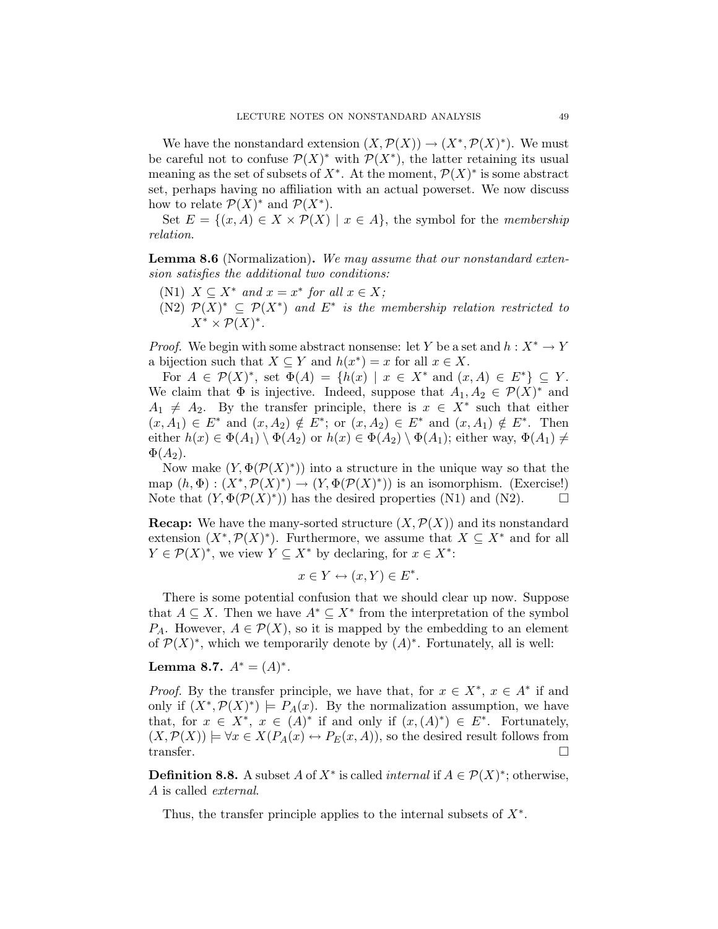We have the nonstandard extension  $(X, \mathcal{P}(X)) \to (X^*, \mathcal{P}(X)^*)$ . We must be careful not to confuse  $\mathcal{P}(X)^*$  with  $\mathcal{P}(X^*)$ , the latter retaining its usual meaning as the set of subsets of  $X^*$ . At the moment,  $\mathcal{P}(X)^*$  is some abstract set, perhaps having no affiliation with an actual powerset. We now discuss how to relate  $\mathcal{P}(X)^*$  and  $\mathcal{P}(X^*)$ .

Set  $E = \{(x, A) \in X \times \mathcal{P}(X) \mid x \in A\}$ , the symbol for the membership relation.

**Lemma 8.6** (Normalization). We may assume that our nonstandard extension satisfies the additional two conditions:

- (N1)  $X \subseteq X^*$  and  $x = x^*$  for all  $x \in X$ ;
- (N2)  $\mathcal{P}(X)^* \subseteq \mathcal{P}(X^*)$  and  $E^*$  is the membership relation restricted to  $X^* \times \mathcal{P}(X)^*.$

*Proof.* We begin with some abstract nonsense: let Y be a set and  $h: X^* \to Y$ a bijection such that  $X \subseteq Y$  and  $h(x^*) = x$  for all  $x \in X$ .

For  $A \in \mathcal{P}(X)^*$ , set  $\Phi(A) = \{h(x) \mid x \in X^* \text{ and } (x, A) \in E^*\} \subseteq Y$ . We claim that  $\Phi$  is injective. Indeed, suppose that  $A_1, A_2 \in \mathcal{P}(X)^*$  and  $A_1 \neq A_2$ . By the transfer principle, there is  $x \in X^*$  such that either  $(x, A_1) \in E^*$  and  $(x, A_2) \notin E^*$ ; or  $(x, A_2) \in E^*$  and  $(x, A_1) \notin E^*$ . Then either  $h(x) \in \Phi(A_1) \setminus \Phi(A_2)$  or  $h(x) \in \Phi(A_2) \setminus \Phi(A_1)$ ; either way,  $\Phi(A_1) \neq$  $\Phi(A_2)$ .

Now make  $(Y, \Phi(\mathcal{P}(X^*)))$  into a structure in the unique way so that the map  $(h, \Phi) : (X^*, \mathcal{P}(X)^*) \to (Y, \Phi(\mathcal{P}(X)^*))$  is an isomorphism. (Exercise!) Note that  $(Y, \Phi(\mathcal{P}(X)^*))$  has the desired properties (N1) and (N2).

**Recap:** We have the many-sorted structure  $(X, \mathcal{P}(X))$  and its nonstandard extension  $(X^*, \mathcal{P}(X)^*)$ . Furthermore, we assume that  $X \subseteq X^*$  and for all  $Y \in \mathcal{P}(X)^*$ , we view  $Y \subseteq X^*$  by declaring, for  $x \in X^*$ :

$$
x \in Y \leftrightarrow (x, Y) \in E^*.
$$

There is some potential confusion that we should clear up now. Suppose that  $A \subseteq X$ . Then we have  $A^* \subseteq X^*$  from the interpretation of the symbol  $P_A$ . However,  $A \in \mathcal{P}(X)$ , so it is mapped by the embedding to an element of  $\mathcal{P}(X)^*$ , which we temporarily denote by  $(A)^*$ . Fortunately, all is well:

# Lemma 8.7.  $A^* = (A)^*$ .

*Proof.* By the transfer principle, we have that, for  $x \in X^*$ ,  $x \in A^*$  if and only if  $(X^*, \mathcal{P}(X)^*)$   $\models$   $P_A(x)$ . By the normalization assumption, we have that, for  $x \in X^*$ ,  $x \in (A)^*$  if and only if  $(x, (A)^*) \in E^*$ . Fortunately,  $(X,\mathcal{P}(X)) \models \forall x \in X(P_A(x) \leftrightarrow P_E(x,A))$ , so the desired result follows from transfer.

**Definition 8.8.** A subset A of  $X^*$  is called *internal* if  $A \in \mathcal{P}(X)^*$ ; otherwise, A is called external.

Thus, the transfer principle applies to the internal subsets of  $X^*$ .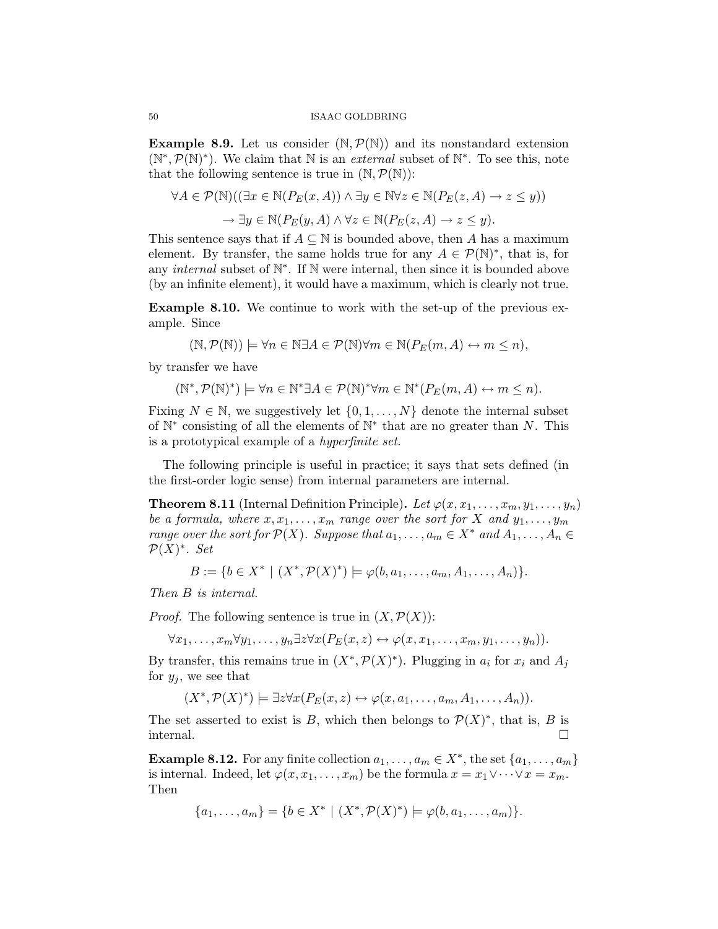#### 50 ISAAC GOLDBRING

**Example 8.9.** Let us consider  $(\mathbb{N}, \mathcal{P}(\mathbb{N}))$  and its nonstandard extension  $(N^*, \mathcal{P}(N)^*)$ . We claim that N is an *external* subset of N<sup>\*</sup>. To see this, note that the following sentence is true in  $(\mathbb{N}, \mathcal{P}(\mathbb{N}))$ :

$$
\forall A \in \mathcal{P}(\mathbb{N})((\exists x \in \mathbb{N}(P_E(x, A)) \land \exists y \in \mathbb{N} \forall z \in \mathbb{N}(P_E(z, A) \to z \le y))
$$

$$
\to \exists y \in \mathbb{N}(P_E(y, A) \land \forall z \in \mathbb{N}(P_E(z, A) \to z \le y).
$$

This sentence says that if  $A \subseteq \mathbb{N}$  is bounded above, then A has a maximum element. By transfer, the same holds true for any  $A \in \mathcal{P}(\mathbb{N})^*$ , that is, for any *internal* subset of  $\mathbb{N}^*$ . If  $\mathbb{N}$  were internal, then since it is bounded above (by an infinite element), it would have a maximum, which is clearly not true.

Example 8.10. We continue to work with the set-up of the previous example. Since

$$
(\mathbb{N}, \mathcal{P}(\mathbb{N})) \models \forall n \in \mathbb{N} \exists A \in \mathcal{P}(\mathbb{N}) \forall m \in \mathbb{N} (P_E(m, A) \leftrightarrow m \le n),
$$

by transfer we have

$$
(\mathbb{N}^*, \mathcal{P}(\mathbb{N})^*) \models \forall n \in \mathbb{N}^* \exists A \in \mathcal{P}(\mathbb{N})^* \forall m \in \mathbb{N}^* (P_E(m, A) \leftrightarrow m \le n).
$$

Fixing  $N \in \mathbb{N}$ , we suggestively let  $\{0, 1, \ldots, N\}$  denote the internal subset of  $\mathbb{N}^*$  consisting of all the elements of  $\mathbb{N}^*$  that are no greater than N. This is a prototypical example of a hyperfinite set.

The following principle is useful in practice; it says that sets defined (in the first-order logic sense) from internal parameters are internal.

**Theorem 8.11** (Internal Definition Principle). Let  $\varphi(x, x_1, \ldots, x_m, y_1, \ldots, y_n)$ be a formula, where  $x, x_1, \ldots, x_m$  range over the sort for X and  $y_1, \ldots, y_m$ range over the sort for  $\mathcal{P}(X)$ . Suppose that  $a_1, \ldots, a_m \in X^*$  and  $A_1, \ldots, A_n \in$  $\mathcal{P}(X)^*$ . Set

$$
B := \{b \in X^* \mid (X^*, \mathcal{P}(X)^*) \models \varphi(b, a_1, \dots, a_m, A_1, \dots, A_n)\}.
$$

Then B is internal.

*Proof.* The following sentence is true in  $(X, \mathcal{P}(X))$ :

$$
\forall x_1, \ldots, x_m \forall y_1, \ldots, y_n \exists z \forall x (P_E(x, z) \leftrightarrow \varphi(x, x_1, \ldots, x_m, y_1, \ldots, y_n)).
$$

By transfer, this remains true in  $(X^*, \mathcal{P}(X)^*)$ . Plugging in  $a_i$  for  $x_i$  and  $A_j$ for  $y_i$ , we see that

$$
(X^*, \mathcal{P}(X)^*) \models \exists z \forall x (P_E(x, z) \leftrightarrow \varphi(x, a_1, \dots, a_m, A_1, \dots, A_n)).
$$

The set asserted to exist is B, which then belongs to  $\mathcal{P}(X)^*$ , that is, B is internal.  $\Box$ 

**Example 8.12.** For any finite collection  $a_1, \ldots, a_m \in X^*$ , the set  $\{a_1, \ldots, a_m\}$ is internal. Indeed, let  $\varphi(x, x_1, \ldots, x_m)$  be the formula  $x = x_1 \vee \cdots \vee x = x_m$ . Then

$$
\{a_1, \ldots, a_m\} = \{b \in X^* \mid (X^*, \mathcal{P}(X)^*) \models \varphi(b, a_1, \ldots, a_m)\}.
$$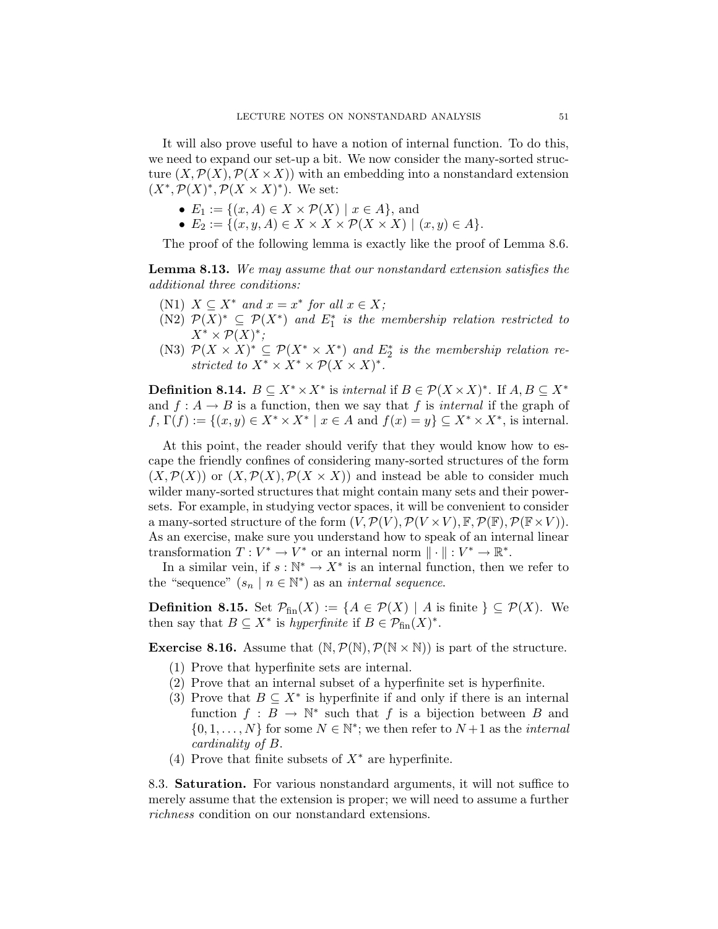It will also prove useful to have a notion of internal function. To do this, we need to expand our set-up a bit. We now consider the many-sorted structure  $(X, \mathcal{P}(X), \mathcal{P}(X \times X))$  with an embedding into a nonstandard extension  $(X^*, \mathcal{P}(X)^*, \mathcal{P}(X \times X)^*)$ . We set:

- $E_1 := \{(x, A) \in X \times \mathcal{P}(X) \mid x \in A\}$ , and
- $E_2 := \{(x, y, A) \in X \times X \times \mathcal{P}(X \times X) \mid (x, y) \in A\}.$

The proof of the following lemma is exactly like the proof of Lemma 8.6.

Lemma 8.13. We may assume that our nonstandard extension satisfies the additional three conditions:

- (N1)  $X \subseteq X^*$  and  $x = x^*$  for all  $x \in X$ ;
- (N2)  $\mathcal{P}(X)^* \subseteq \mathcal{P}(X^*)$  and  $E_1^*$  is the membership relation restricted to  $X^* \times \mathcal{P}(X)^*$ ;
- (N3)  $\mathcal{P}(X \times X)^* \subseteq \mathcal{P}(X^* \times X^*)$  and  $E_2^*$  is the membership relation restricted to  $X^* \times X^* \times \mathcal{P}(X \times X)^*$ .

**Definition 8.14.**  $B \subseteq X^* \times X^*$  is internal if  $B \in \mathcal{P}(X \times X)^*$ . If  $A, B \subseteq X^*$ and  $f: A \to B$  is a function, then we say that f is *internal* if the graph of  $f, \Gamma(f) := \{(x, y) \in X^* \times X^* \mid x \in A \text{ and } f(x) = y\} \subseteq X^* \times X^*$ , is internal.

At this point, the reader should verify that they would know how to escape the friendly confines of considering many-sorted structures of the form  $(X,\mathcal{P}(X))$  or  $(X,\mathcal{P}(X),\mathcal{P}(X\times X))$  and instead be able to consider much wilder many-sorted structures that might contain many sets and their powersets. For example, in studying vector spaces, it will be convenient to consider a many-sorted structure of the form  $(V, \mathcal{P}(V), \mathcal{P}(V \times V), \mathbb{F}, \mathcal{P}(\mathbb{F}), \mathcal{P}(\mathbb{F} \times V)).$ As an exercise, make sure you understand how to speak of an internal linear transformation  $T: V^* \to V^*$  or an internal norm  $\|\cdot\|: V^* \to \mathbb{R}^*$ .

In a similar vein, if  $s : \mathbb{N}^* \to X^*$  is an internal function, then we refer to the "sequence"  $(s_n | n \in \mathbb{N}^*)$  as an *internal sequence*.

**Definition 8.15.** Set  $\mathcal{P}_{fin}(X) := \{A \in \mathcal{P}(X) \mid A \text{ is finite }\} \subseteq \mathcal{P}(X)$ . We then say that  $B \subseteq X^*$  is hyperfinite if  $B \in \mathcal{P}_{fin}(X)^*$ .

**Exercise 8.16.** Assume that  $(N, \mathcal{P}(N), \mathcal{P}(N \times N))$  is part of the structure.

- (1) Prove that hyperfinite sets are internal.
- (2) Prove that an internal subset of a hyperfinite set is hyperfinite.
- (3) Prove that  $B \subseteq X^*$  is hyperfinite if and only if there is an internal function  $f : B \to \mathbb{N}^*$  such that f is a bijection between B and  $\{0, 1, \ldots, N\}$  for some  $N \in \mathbb{N}^*$ ; we then refer to  $N+1$  as the *internal* cardinality of B.
- (4) Prove that finite subsets of  $X^*$  are hyperfinite.

8.3. Saturation. For various nonstandard arguments, it will not suffice to merely assume that the extension is proper; we will need to assume a further richness condition on our nonstandard extensions.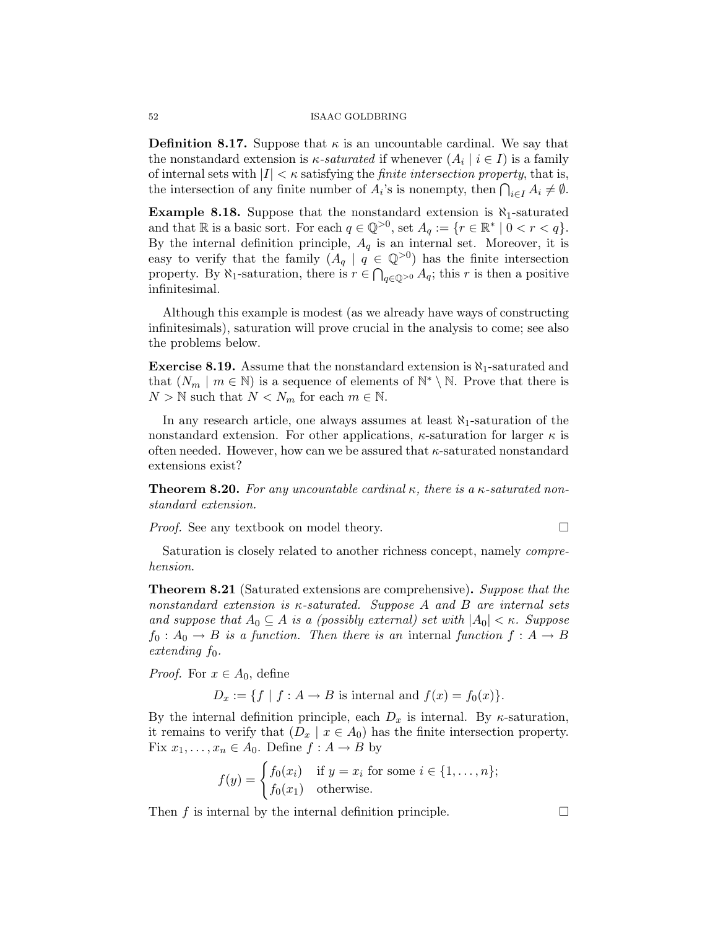#### 52 ISAAC GOLDBRING

**Definition 8.17.** Suppose that  $\kappa$  is an uncountable cardinal. We say that the nonstandard extension is  $\kappa$ -saturated if whenever  $(A_i \mid i \in I)$  is a family of internal sets with  $|I| < \kappa$  satisfying the *finite intersection property*, that is, the intersection of any finite number of  $A_i$ 's is nonempty, then  $\bigcap_{i\in I} A_i \neq \emptyset$ .

**Example 8.18.** Suppose that the nonstandard extension is  $\aleph_1$ -saturated and that  $\mathbb R$  is a basic sort. For each  $q \in \mathbb Q^{>0}$ , set  $A_q := \{r \in \mathbb R^* \mid 0 < r < q\}.$ By the internal definition principle,  $A_q$  is an internal set. Moreover, it is easy to verify that the family  $(A_q \mid q \in \mathbb{Q}^{>0})$  has the finite intersection property. By  $\aleph_1$ -saturation, there is  $r \in \bigcap_{q \in \mathbb{Q} > 0} A_q$ ; this r is then a positive infinitesimal.

Although this example is modest (as we already have ways of constructing infinitesimals), saturation will prove crucial in the analysis to come; see also the problems below.

**Exercise 8.19.** Assume that the nonstandard extension is  $\aleph_1$ -saturated and that  $(N_m \mid m \in \mathbb{N})$  is a sequence of elements of  $\mathbb{N}^* \setminus \mathbb{N}$ . Prove that there is  $N > N$  such that  $N < N_m$  for each  $m \in N$ .

In any research article, one always assumes at least  $\aleph_1$ -saturation of the nonstandard extension. For other applications,  $\kappa$ -saturation for larger  $\kappa$  is often needed. However, how can we be assured that  $\kappa$ -saturated nonstandard extensions exist?

**Theorem 8.20.** For any uncountable cardinal  $\kappa$ , there is a  $\kappa$ -saturated nonstandard extension.

*Proof.* See any textbook on model theory.  $\Box$ 

Saturation is closely related to another richness concept, namely comprehension.

Theorem 8.21 (Saturated extensions are comprehensive). Suppose that the nonstandard extension is  $\kappa$ -saturated. Suppose A and B are internal sets and suppose that  $A_0 \subseteq A$  is a (possibly external) set with  $|A_0| < \kappa$ . Suppose  $f_0: A_0 \to B$  is a function. Then there is an internal function  $f: A \to B$ extending  $f_0$ .

*Proof.* For  $x \in A_0$ , define

 $D_x := \{f \mid f : A \to B \text{ is internal and } f(x) = f_0(x)\}.$ 

By the internal definition principle, each  $D_x$  is internal. By  $\kappa$ -saturation, it remains to verify that  $(D_x \mid x \in A_0)$  has the finite intersection property. Fix  $x_1, \ldots, x_n \in A_0$ . Define  $f : A \to B$  by

$$
f(y) = \begin{cases} f_0(x_i) & \text{if } y = x_i \text{ for some } i \in \{1, \dots, n\}; \\ f_0(x_1) & \text{otherwise.} \end{cases}
$$

Then  $f$  is internal by the internal definition principle.  $\Box$ 

$$
52\,
$$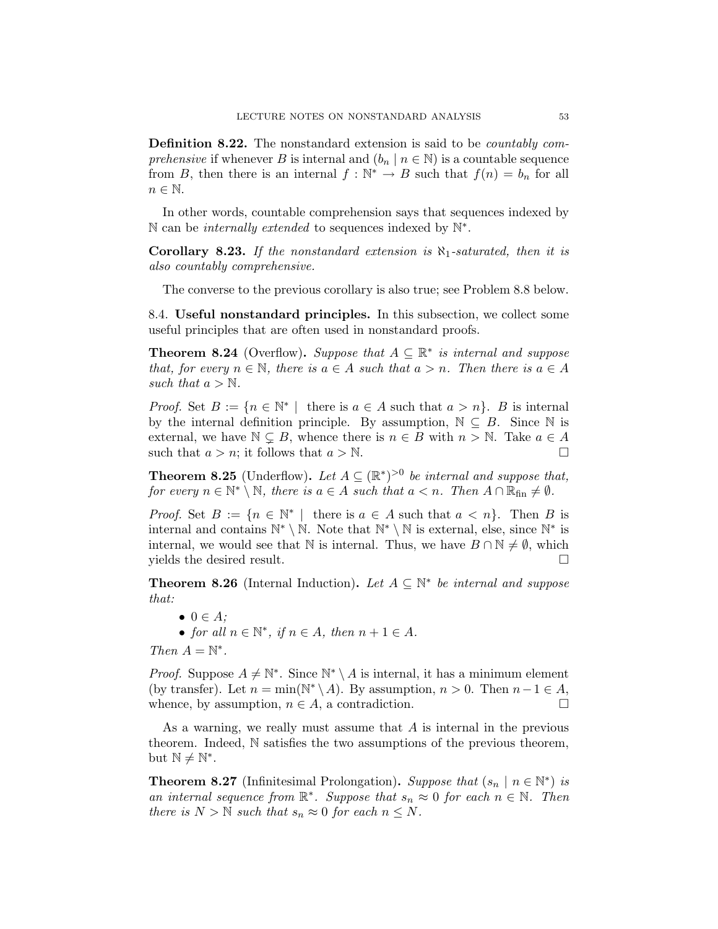Definition 8.22. The nonstandard extension is said to be countably comprehensive if whenever B is internal and  $(b_n | n \in \mathbb{N})$  is a countable sequence from B, then there is an internal  $f: \mathbb{N}^* \to B$  such that  $f(n) = b_n$  for all  $n \in \mathbb{N}$ .

In other words, countable comprehension says that sequences indexed by N can be *internally extended* to sequences indexed by  $\mathbb{N}^*$ .

**Corollary 8.23.** If the nonstandard extension is  $\aleph_1$ -saturated, then it is also countably comprehensive.

The converse to the previous corollary is also true; see Problem 8.8 below.

8.4. Useful nonstandard principles. In this subsection, we collect some useful principles that are often used in nonstandard proofs.

**Theorem 8.24** (Overflow). Suppose that  $A \subseteq \mathbb{R}^*$  is internal and suppose that, for every  $n \in \mathbb{N}$ , there is  $a \in A$  such that  $a > n$ . Then there is  $a \in A$ such that  $a > \mathbb{N}$ .

*Proof.* Set  $B := \{n \in \mathbb{N}^* \mid \text{ there is } a \in A \text{ such that } a > n\}.$  B is internal by the internal definition principle. By assumption,  $\mathbb{N} \subseteq B$ . Since  $\mathbb{N}$  is external, we have  $\mathbb{N} \subseteq B$ , whence there is  $n \in B$  with  $n > \mathbb{N}$ . Take  $a \in A$ such that  $a > n$ ; it follows that  $a > \mathbb{N}$ .

**Theorem 8.25** (Underflow). Let  $A \subseteq (\mathbb{R}^*)^{>0}$  be internal and suppose that, for every  $n \in \mathbb{N}^* \setminus \mathbb{N}$ , there is  $a \in A$  such that  $a < n$ . Then  $A \cap \mathbb{R}_{fin} \neq \emptyset$ .

*Proof.* Set  $B := \{n \in \mathbb{N}^* \mid \text{ there is } a \in A \text{ such that } a < n\}.$  Then B is internal and contains  $\mathbb{N}^* \setminus \mathbb{N}$ . Note that  $\mathbb{N}^* \setminus \mathbb{N}$  is external, else, since  $\mathbb{N}^*$  is internal, we would see that N is internal. Thus, we have  $B \cap N \neq \emptyset$ , which yields the desired result.

**Theorem 8.26** (Internal Induction). Let  $A \subseteq \mathbb{N}^*$  be internal and suppose that:

 $\bullet \ 0 \in A$ ; • for all  $n \in \mathbb{N}^*$ , if  $n \in A$ , then  $n + 1 \in A$ . Then  $A = \mathbb{N}^*$ .

*Proof.* Suppose  $A \neq \mathbb{N}^*$ . Since  $\mathbb{N}^* \setminus A$  is internal, it has a minimum element (by transfer). Let  $n = \min(N^* \setminus A)$ . By assumption,  $n > 0$ . Then  $n - 1 \in A$ , whence, by assumption,  $n \in A$ , a contradiction.

As a warning, we really must assume that  $A$  is internal in the previous theorem. Indeed, N satisfies the two assumptions of the previous theorem, but  $\mathbb{N} \neq \mathbb{N}^*$ .

**Theorem 8.27** (Infinitesimal Prolongation). Suppose that  $(s_n | n \in \mathbb{N}^*)$  is an internal sequence from  $\mathbb{R}^*$ . Suppose that  $s_n \approx 0$  for each  $n \in \mathbb{N}$ . Then there is  $N > N$  such that  $s_n \approx 0$  for each  $n \leq N$ .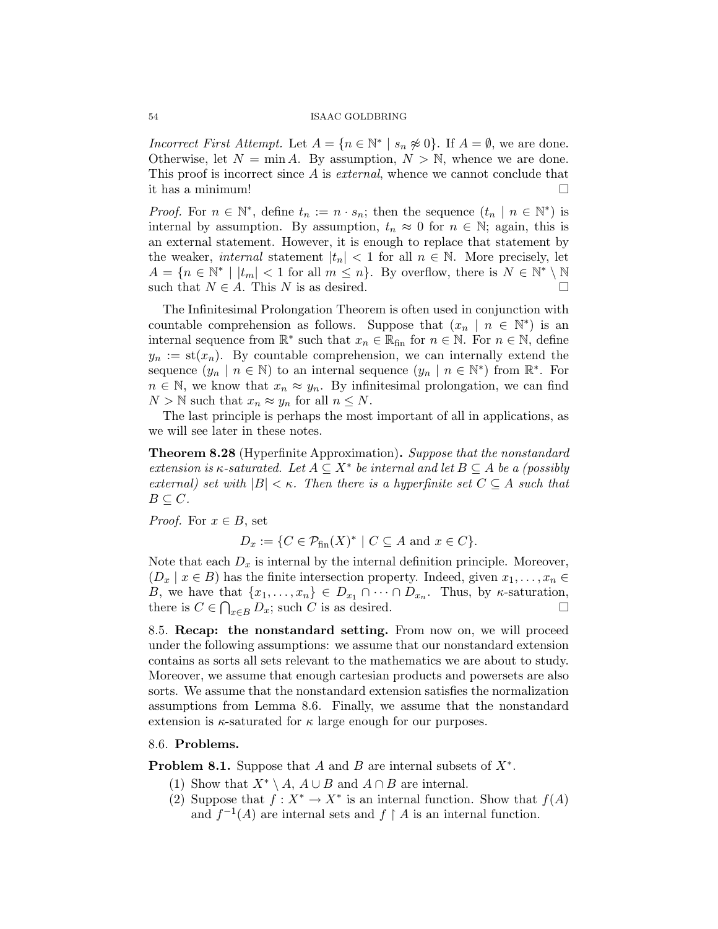#### 54 ISAAC GOLDBRING

*Incorrect First Attempt.* Let  $A = \{n \in \mathbb{N}^* \mid s_n \neq 0\}$ . If  $A = \emptyset$ , we are done. Otherwise, let  $N = \min A$ . By assumption,  $N > N$ , whence we are done. This proof is incorrect since A is *external*, whence we cannot conclude that it has a minimum!

*Proof.* For  $n \in \mathbb{N}^*$ , define  $t_n := n \cdot s_n$ ; then the sequence  $(t_n | n \in \mathbb{N}^*)$  is internal by assumption. By assumption,  $t_n \approx 0$  for  $n \in \mathbb{N}$ ; again, this is an external statement. However, it is enough to replace that statement by the weaker, internal statement  $|t_n| < 1$  for all  $n \in \mathbb{N}$ . More precisely, let  $A = \{n \in \mathbb{N}^* \mid |t_m| < 1 \text{ for all } m \leq n\}.$  By overflow, there is  $N \in \mathbb{N}^* \setminus \mathbb{N}$ such that  $N \in A$ . This N is as desired.

The Infinitesimal Prolongation Theorem is often used in conjunction with countable comprehension as follows. Suppose that  $(x_n | n \in \mathbb{N}^*)$  is an internal sequence from  $\mathbb{R}^*$  such that  $x_n \in \mathbb{R}_{\text{fin}}$  for  $n \in \mathbb{N}$ . For  $n \in \mathbb{N}$ , define  $y_n := st(x_n)$ . By countable comprehension, we can internally extend the sequence  $(y_n \mid n \in \mathbb{N})$  to an internal sequence  $(y_n \mid n \in \mathbb{N}^*)$  from  $\mathbb{R}^*$ . For  $n \in \mathbb{N}$ , we know that  $x_n \approx y_n$ . By infinitesimal prolongation, we can find  $N > N$  such that  $x_n \approx y_n$  for all  $n \leq N$ .

The last principle is perhaps the most important of all in applications, as we will see later in these notes.

Theorem 8.28 (Hyperfinite Approximation). Suppose that the nonstandard extension is  $\kappa$ -saturated. Let  $A \subseteq X^*$  be internal and let  $B \subseteq A$  be a (possibly external) set with  $|B| < \kappa$ . Then there is a hyperfinite set  $C \subseteq A$  such that  $B \subseteq C$ .

*Proof.* For  $x \in B$ , set

$$
D_x := \{ C \in \mathcal{P}_{\text{fin}}(X)^* \mid C \subseteq A \text{ and } x \in C \}.
$$

Note that each  $D_x$  is internal by the internal definition principle. Moreover,  $(D_x | x \in B)$  has the finite intersection property. Indeed, given  $x_1, \ldots, x_n \in$ B, we have that  $\{x_1, \ldots, x_n\} \in D_{x_1} \cap \cdots \cap D_{x_n}$ . Thus, by  $\kappa$ -saturation, there is  $C \in \bigcap_{x \in B} D_x$ ; such  $C$  is as desired.

8.5. Recap: the nonstandard setting. From now on, we will proceed under the following assumptions: we assume that our nonstandard extension contains as sorts all sets relevant to the mathematics we are about to study. Moreover, we assume that enough cartesian products and powersets are also sorts. We assume that the nonstandard extension satisfies the normalization assumptions from Lemma 8.6. Finally, we assume that the nonstandard extension is  $\kappa$ -saturated for  $\kappa$  large enough for our purposes.

### 8.6. Problems.

**Problem 8.1.** Suppose that  $A$  and  $B$  are internal subsets of  $X^*$ .

- (1) Show that  $X^* \setminus A$ ,  $A \cup B$  and  $A \cap B$  are internal.
- (2) Suppose that  $f: X^* \to X^*$  is an internal function. Show that  $f(A)$ and  $f^{-1}(A)$  are internal sets and  $f \restriction A$  is an internal function.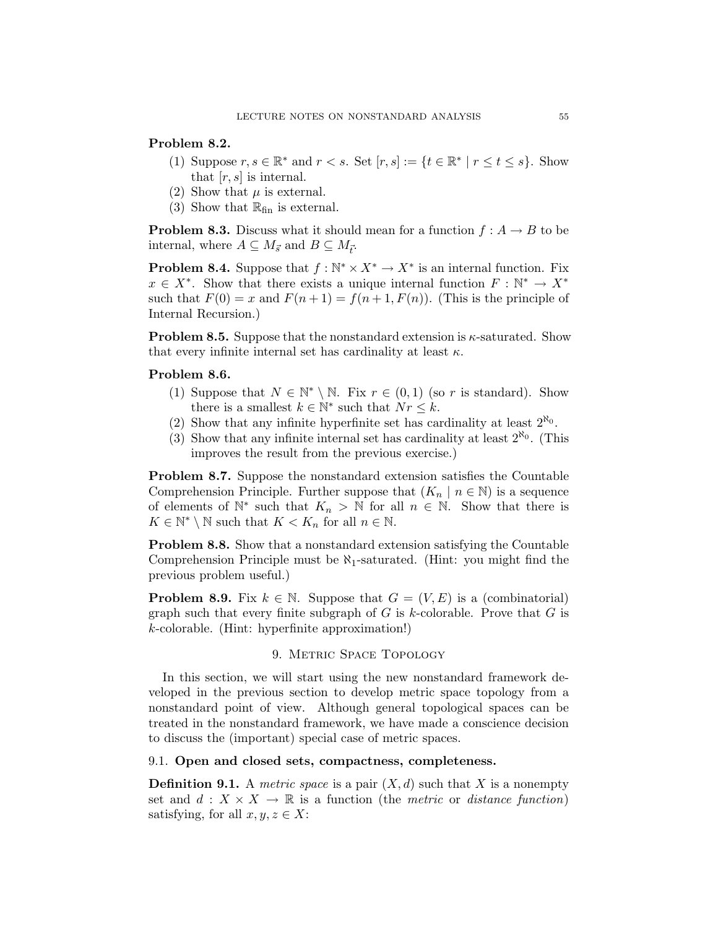## Problem 8.2.

- (1) Suppose  $r, s \in \mathbb{R}^*$  and  $r < s$ . Set  $[r, s] := \{t \in \mathbb{R}^* \mid r \le t \le s\}$ . Show that  $[r, s]$  is internal.
- (2) Show that  $\mu$  is external.
- (3) Show that  $\mathbb{R}_{fin}$  is external.

**Problem 8.3.** Discuss what it should mean for a function  $f : A \rightarrow B$  to be internal, where  $A \subseteq M_{\vec{s}}$  and  $B \subseteq M_{\vec{t}}$ .

**Problem 8.4.** Suppose that  $f : \mathbb{N}^* \times X^* \to X^*$  is an internal function. Fix  $x \in X^*$ . Show that there exists a unique internal function  $F : \mathbb{N}^* \to X^*$ such that  $F(0) = x$  and  $F(n+1) = f(n+1, F(n))$ . (This is the principle of Internal Recursion.)

**Problem 8.5.** Suppose that the nonstandard extension is  $\kappa$ -saturated. Show that every infinite internal set has cardinality at least  $\kappa$ .

## Problem 8.6.

- (1) Suppose that  $N \in \mathbb{N}^* \setminus \mathbb{N}$ . Fix  $r \in (0,1)$  (so r is standard). Show there is a smallest  $k \in \mathbb{N}^*$  such that  $Nr \leq k$ .
- (2) Show that any infinite hyperfinite set has cardinality at least  $2^{\aleph_0}$ .
- (3) Show that any infinite internal set has cardinality at least  $2^{\aleph_0}$ . (This improves the result from the previous exercise.)

Problem 8.7. Suppose the nonstandard extension satisfies the Countable Comprehension Principle. Further suppose that  $(K_n | n \in \mathbb{N})$  is a sequence of elements of  $\mathbb{N}^*$  such that  $K_n > \mathbb{N}$  for all  $n \in \mathbb{N}$ . Show that there is  $K \in \mathbb{N}^* \setminus \mathbb{N}$  such that  $K < K_n$  for all  $n \in \mathbb{N}$ .

Problem 8.8. Show that a nonstandard extension satisfying the Countable Comprehension Principle must be  $\aleph_1$ -saturated. (Hint: you might find the previous problem useful.)

**Problem 8.9.** Fix  $k \in \mathbb{N}$ . Suppose that  $G = (V, E)$  is a (combinatorial) graph such that every finite subgraph of  $G$  is  $k$ -colorable. Prove that  $G$  is k-colorable. (Hint: hyperfinite approximation!)

## 9. Metric Space Topology

In this section, we will start using the new nonstandard framework developed in the previous section to develop metric space topology from a nonstandard point of view. Although general topological spaces can be treated in the nonstandard framework, we have made a conscience decision to discuss the (important) special case of metric spaces.

## 9.1. Open and closed sets, compactness, completeness.

**Definition 9.1.** A metric space is a pair  $(X, d)$  such that X is a nonempty set and  $d : X \times X \to \mathbb{R}$  is a function (the metric or distance function) satisfying, for all  $x, y, z \in X$ :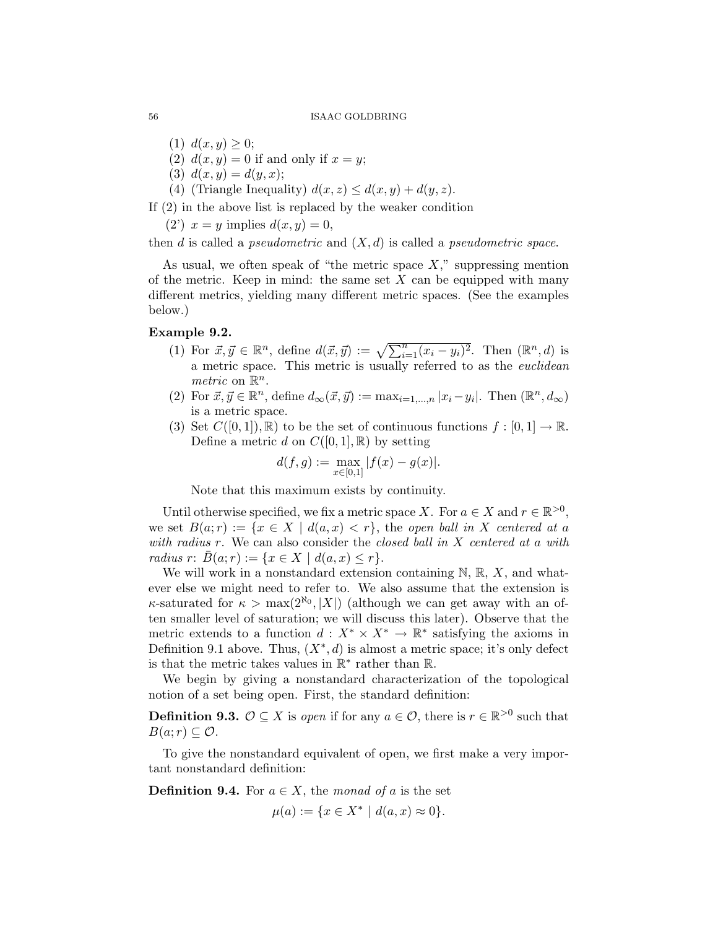#### 56 ISAAC GOLDBRING

- (1)  $d(x, y) \geq 0$ ;
- (2)  $d(x, y) = 0$  if and only if  $x = y$ ;
- (3)  $d(x, y) = d(y, x);$
- (4) (Triangle Inequality)  $d(x, z) \leq d(x, y) + d(y, z)$ .

If (2) in the above list is replaced by the weaker condition

(2')  $x = y$  implies  $d(x, y) = 0$ ,

then d is called a *pseudometric* and  $(X, d)$  is called a *pseudometric space*.

As usual, we often speak of "the metric space  $X$ ," suppressing mention of the metric. Keep in mind: the same set  $X$  can be equipped with many different metrics, yielding many different metric spaces. (See the examples below.)

### Example 9.2.

- (1) For  $\vec{x}, \vec{y} \in \mathbb{R}^n$ , define  $d(\vec{x}, \vec{y}) := \sqrt{\sum_{i=1}^n (x_i y_i)^2}$ . Then  $(\mathbb{R}^n, d)$  is a metric space. This metric is usually referred to as the *euclidean* metric on  $\mathbb{R}^n$ .
- (2) For  $\vec{x}, \vec{y} \in \mathbb{R}^n$ , define  $d_{\infty}(\vec{x}, \vec{y}) := \max_{i=1,\dots,n} |x_i y_i|$ . Then  $(\mathbb{R}^n, d_{\infty})$ is a metric space.
- (3) Set  $C([0,1]), \mathbb{R}$  to be the set of continuous functions  $f : [0,1] \to \mathbb{R}$ . Define a metric d on  $C([0,1], \mathbb{R})$  by setting

$$
d(f,g):=\max_{x\in[0,1]}|f(x)-g(x)|.
$$

Note that this maximum exists by continuity.

Until otherwise specified, we fix a metric space X. For  $a \in X$  and  $r \in \mathbb{R}^{>0}$ , we set  $B(a;r) := \{x \in X \mid d(a,x) < r\}$ , the open ball in X centered at a with radius  $r$ . We can also consider the *closed ball in X centered at a with* radius r:  $B(a; r) := \{x \in X \mid d(a, x) \leq r\}.$ 

We will work in a nonstandard extension containing  $\mathbb{N}, \mathbb{R}, X$ , and whatever else we might need to refer to. We also assume that the extension is  $\kappa$ -saturated for  $\kappa > \max(2^{\aleph_0}, |X|)$  (although we can get away with an often smaller level of saturation; we will discuss this later). Observe that the metric extends to a function  $d: X^* \times X^* \to \mathbb{R}^*$  satisfying the axioms in Definition 9.1 above. Thus,  $(X^*, d)$  is almost a metric space; it's only defect is that the metric takes values in  $\mathbb{R}^*$  rather than  $\mathbb{R}$ .

We begin by giving a nonstandard characterization of the topological notion of a set being open. First, the standard definition:

**Definition 9.3.**  $\mathcal{O} \subseteq X$  is open if for any  $a \in \mathcal{O}$ , there is  $r \in \mathbb{R}^{>0}$  such that  $B(a;r) \subseteq \mathcal{O}.$ 

To give the nonstandard equivalent of open, we first make a very important nonstandard definition:

**Definition 9.4.** For  $a \in X$ , the monad of a is the set

$$
\mu(a) := \{ x \in X^* \mid d(a, x) \approx 0 \}.
$$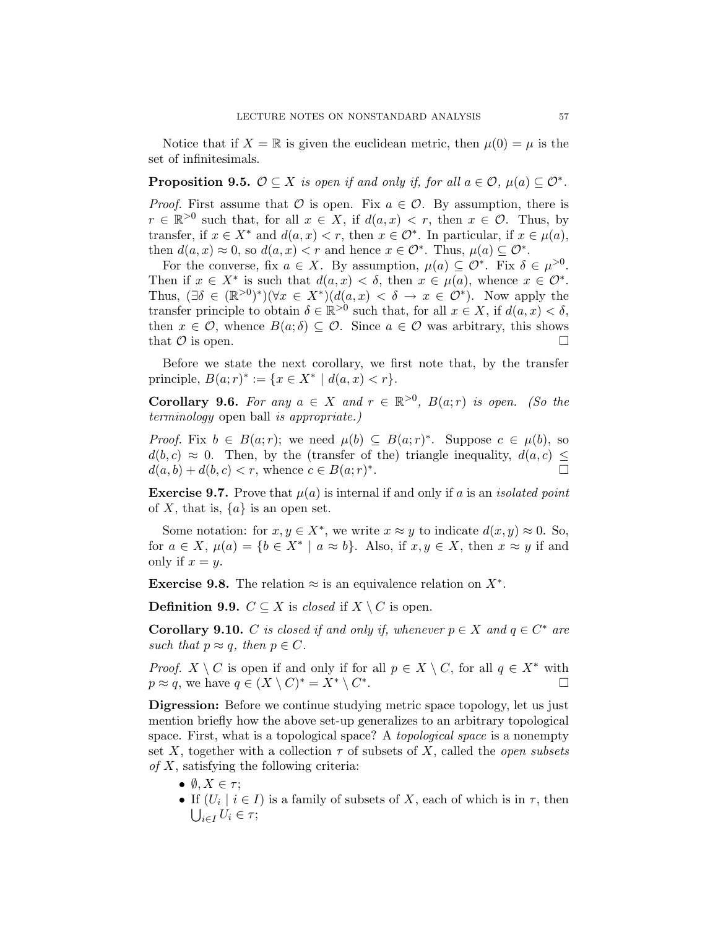Notice that if  $X = \mathbb{R}$  is given the euclidean metric, then  $\mu(0) = \mu$  is the set of infinitesimals.

**Proposition 9.5.**  $\mathcal{O} \subseteq X$  is open if and only if, for all  $a \in \mathcal{O}$ ,  $\mu(a) \subseteq \mathcal{O}^*$ .

*Proof.* First assume that  $\mathcal O$  is open. Fix  $a \in \mathcal O$ . By assumption, there is  $r \in \mathbb{R}^{>0}$  such that, for all  $x \in X$ , if  $d(a, x) < r$ , then  $x \in \mathcal{O}$ . Thus, by transfer, if  $x \in X^*$  and  $d(a, x) < r$ , then  $x \in \mathcal{O}^*$ . In particular, if  $x \in \mu(a)$ , then  $d(a, x) \approx 0$ , so  $d(a, x) < r$  and hence  $x \in \mathcal{O}^*$ . Thus,  $\mu(a) \subseteq \mathcal{O}^*$ .

For the converse, fix  $a \in X$ . By assumption,  $\mu(a) \subseteq \mathcal{O}^*$ . Fix  $\delta \in \mu^{>0}$ . Then if  $x \in X^*$  is such that  $d(a, x) < \delta$ , then  $x \in \mu(a)$ , whence  $x \in \mathcal{O}^*$ . Thus,  $(\exists \delta \in (\mathbb{R}^{>0})^*)(\forall x \in X^*)(d(a,x) < \delta \rightarrow x \in \mathcal{O}^*)$ . Now apply the transfer principle to obtain  $\delta \in \mathbb{R}^{>0}$  such that, for all  $x \in X$ , if  $d(a, x) < \delta$ , then  $x \in \mathcal{O}$ , whence  $B(a; \delta) \subseteq \mathcal{O}$ . Since  $a \in \mathcal{O}$  was arbitrary, this shows that  $\mathcal O$  is open.

Before we state the next corollary, we first note that, by the transfer principle,  $B(a; r)^* := \{x \in X^* \mid d(a, x) < r\}.$ 

**Corollary 9.6.** For any  $a \in X$  and  $r \in \mathbb{R}^{>0}$ ,  $B(a;r)$  is open. (So the terminology open ball is appropriate.)

*Proof.* Fix  $b \in B(a; r)$ ; we need  $\mu(b) \subseteq B(a; r)^*$ . Suppose  $c \in \mu(b)$ , so  $d(b, c) \approx 0$ . Then, by the (transfer of the) triangle inequality,  $d(a, c) \leq$  $d(a, b) + d(b, c) < r$ , whence  $c \in B(a; r)^*$ .

**Exercise 9.7.** Prove that  $\mu(a)$  is internal if and only if a is an *isolated point* of X, that is,  $\{a\}$  is an open set.

Some notation: for  $x, y \in X^*$ , we write  $x \approx y$  to indicate  $d(x, y) \approx 0$ . So, for  $a \in X$ ,  $\mu(a) = \{b \in X^* \mid a \approx b\}$ . Also, if  $x, y \in X$ , then  $x \approx y$  if and only if  $x = y$ .

Exercise 9.8. The relation  $\approx$  is an equivalence relation on  $X^*$ .

**Definition 9.9.**  $C \subseteq X$  is closed if  $X \setminus C$  is open.

**Corollary 9.10.** C is closed if and only if, whenever  $p \in X$  and  $q \in C^*$  are such that  $p \approx q$ , then  $p \in C$ .

*Proof.*  $X \setminus C$  is open if and only if for all  $p \in X \setminus C$ , for all  $q \in X^*$  with  $p \approx q$ , we have  $q \in (X \setminus C)^* = X^* \setminus C^*$ .

Digression: Before we continue studying metric space topology, let us just mention briefly how the above set-up generalizes to an arbitrary topological space. First, what is a topological space? A *topological space* is a nonempty set X, together with a collection  $\tau$  of subsets of X, called the *open subsets* of  $X$ , satisfying the following criteria:

- $\bullet$   $\emptyset$ ,  $X \in \tau$ ;
- If  $(U_i \mid i \in I)$  is a family of subsets of X, each of which is in  $\tau$ , then  $\bigcup_{i\in I}U_i\in\tau;$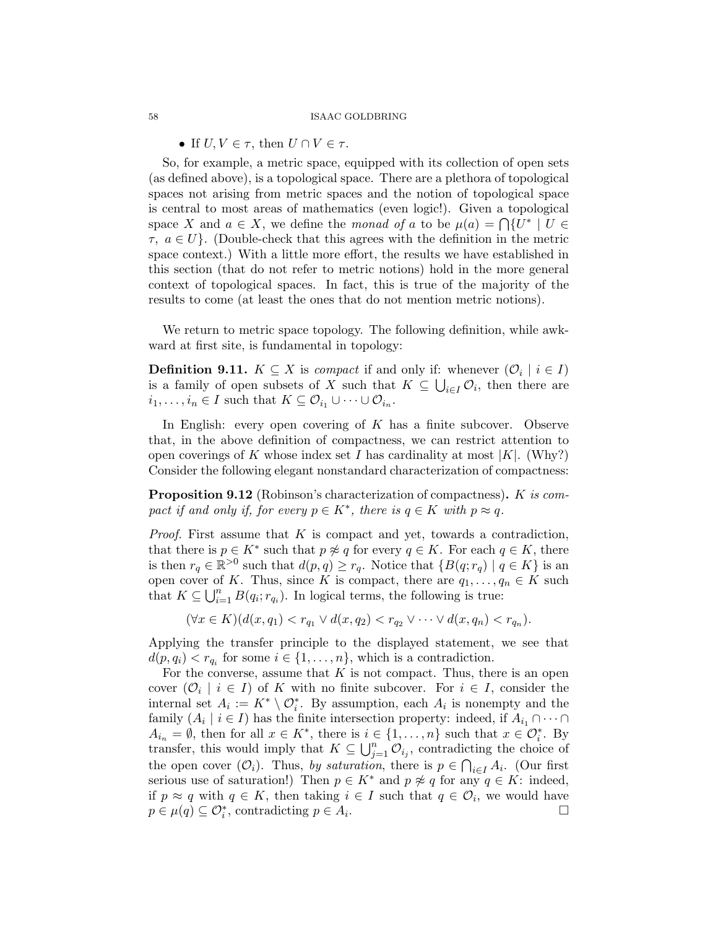#### 58 ISAAC GOLDBRING

• If  $U, V \in \tau$ , then  $U \cap V \in \tau$ .

So, for example, a metric space, equipped with its collection of open sets (as defined above), is a topological space. There are a plethora of topological spaces not arising from metric spaces and the notion of topological space is central to most areas of mathematics (even logic!). Given a topological space X and  $a \in X$ , we define the monad of a to be  $\mu(a) = \bigcap \{U^* \mid U \in$  $\tau, a \in U$ . (Double-check that this agrees with the definition in the metric space context.) With a little more effort, the results we have established in this section (that do not refer to metric notions) hold in the more general context of topological spaces. In fact, this is true of the majority of the results to come (at least the ones that do not mention metric notions).

We return to metric space topology. The following definition, while awkward at first site, is fundamental in topology:

**Definition 9.11.**  $K \subseteq X$  is *compact* if and only if: whenever  $(\mathcal{O}_i \mid i \in I)$ is a family of open subsets of X such that  $K \subseteq \bigcup_{i \in I} \mathcal{O}_i$ , then there are  $i_1, \ldots, i_n \in I$  such that  $K \subseteq \mathcal{O}_{i_1} \cup \cdots \cup \mathcal{O}_{i_n}$ .

In English: every open covering of  $K$  has a finite subcover. Observe that, in the above definition of compactness, we can restrict attention to open coverings of K whose index set I has cardinality at most  $|K|$ . (Why?) Consider the following elegant nonstandard characterization of compactness:

**Proposition 9.12** (Robinson's characterization of compactness). K is compact if and only if, for every  $p \in K^*$ , there is  $q \in K$  with  $p \approx q$ .

*Proof.* First assume that  $K$  is compact and yet, towards a contradiction, that there is  $p \in K^*$  such that  $p \not\approx q$  for every  $q \in K$ . For each  $q \in K$ , there is then  $r_q \in \mathbb{R}^{>0}$  such that  $d(p,q) \geq r_q$ . Notice that  $\{B(q;r_q) \mid q \in K\}$  is an open cover of K. Thus, since K is compact, there are  $q_1, \ldots, q_n \in K$  such that  $K \subseteq \bigcup_{i=1}^n B(q_i; r_{q_i})$ . In logical terms, the following is true:

$$
(\forall x \in K)(d(x, q_1) < r_{q_1} \lor d(x, q_2) < r_{q_2} \lor \dots \lor d(x, q_n) < r_{q_n}).
$$

Applying the transfer principle to the displayed statement, we see that  $d(p, q_i) < r_{q_i}$  for some  $i \in \{1, \ldots, n\}$ , which is a contradiction.

For the converse, assume that  $K$  is not compact. Thus, there is an open cover  $(\mathcal{O}_i \mid i \in I)$  of K with no finite subcover. For  $i \in I$ , consider the internal set  $A_i := K^* \setminus \mathcal{O}_i^*$ . By assumption, each  $A_i$  is nonempty and the family  $(A_i \mid i \in I)$  has the finite intersection property: indeed, if  $A_{i_1} \cap \cdots \cap$  $A_{i_n} = \emptyset$ , then for all  $x \in K^*$ , there is  $i \in \{1, ..., n\}$  such that  $x \in \mathcal{O}_i^*$ . By transfer, this would imply that  $K \subseteq \bigcup_{j=1}^n \mathcal{O}_{i_j}$ , contradicting the choice of the open cover  $(O_i)$ . Thus, by saturation, there is  $p \in \bigcap_{i \in I} A_i$ . (Our first serious use of saturation!) Then  $p \in K^*$  and  $p \not\approx q$  for any  $q \in K$ : indeed, if  $p \approx q$  with  $q \in K$ , then taking  $i \in I$  such that  $q \in \mathcal{O}_i$ , we would have  $p \in \mu(q) \subseteq \mathcal{O}_i^*$ , contradicting  $p \in A_i$ . В последните последните последните последните и последните последните последните последните последните после<br>В последните последните последните последните последните последните последните последните последните последнит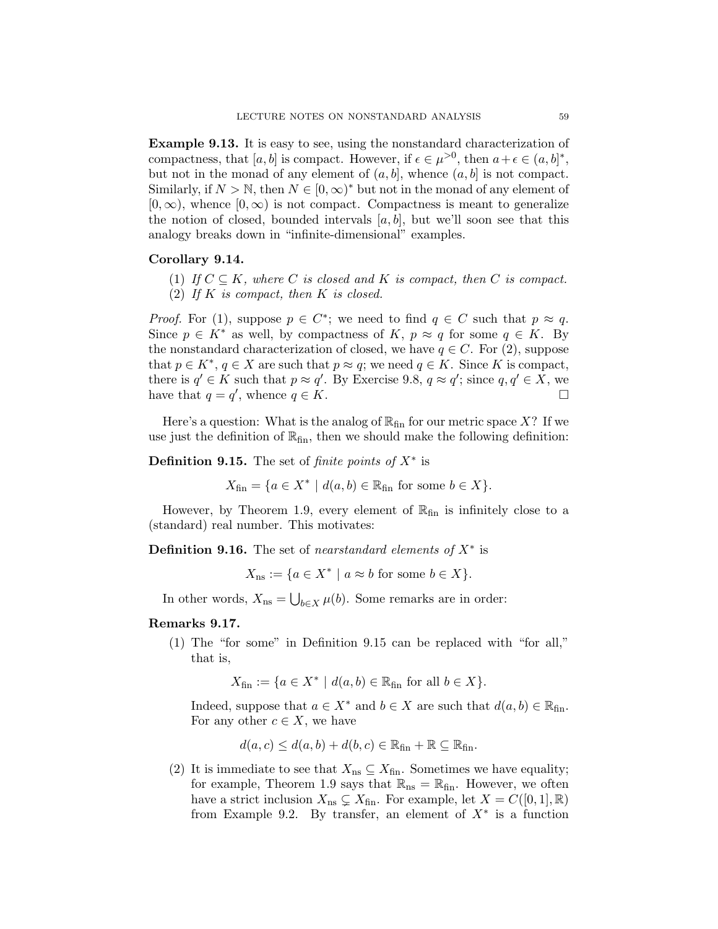Example 9.13. It is easy to see, using the nonstandard characterization of compactness, that [a, b] is compact. However, if  $\epsilon \in \mu^{>0}$ , then  $a + \epsilon \in (a, b]^*$ , but not in the monad of any element of  $(a, b]$ , whence  $(a, b]$  is not compact. Similarly, if  $N > N$ , then  $N \in [0, \infty)^*$  but not in the monad of any element of  $[0, \infty)$ , whence  $[0, \infty)$  is not compact. Compactness is meant to generalize the notion of closed, bounded intervals  $[a, b]$ , but we'll soon see that this analogy breaks down in "infinite-dimensional" examples.

### Corollary 9.14.

(1) If  $C \subseteq K$ , where C is closed and K is compact, then C is compact. (2) If K is compact, then K is closed.

*Proof.* For (1), suppose  $p \in C^*$ ; we need to find  $q \in C$  such that  $p \approx q$ . Since  $p \in K^*$  as well, by compactness of K,  $p \approx q$  for some  $q \in K$ . By the nonstandard characterization of closed, we have  $q \in C$ . For (2), suppose that  $p \in K^*$ ,  $q \in X$  are such that  $p \approx q$ ; we need  $q \in K$ . Since K is compact, there is  $q' \in K$  such that  $p \approx q'$ . By Exercise 9.8,  $q \approx q'$ ; since  $q, q' \in X$ , we have that  $q = q'$ , whence  $q \in K$ .

Here's a question: What is the analog of  $\mathbb{R}_{fin}$  for our metric space X? If we use just the definition of  $\mathbb{R}_{fin}$ , then we should make the following definition:

**Definition 9.15.** The set of *finite points of*  $X^*$  is

$$
X_{\text{fin}} = \{ a \in X^* \mid d(a, b) \in \mathbb{R}_{\text{fin}} \text{ for some } b \in X \}.
$$

However, by Theorem 1.9, every element of  $\mathbb{R}_{fin}$  is infinitely close to a (standard) real number. This motivates:

**Definition 9.16.** The set of nearstandard elements of  $X^*$  is

 $X_{\text{ns}} := \{ a \in X^* \mid a \approx b \text{ for some } b \in X \}.$ 

In other words,  $X_{\text{ns}} = \bigcup_{b \in X} \mu(b)$ . Some remarks are in order:

#### Remarks 9.17.

(1) The "for some" in Definition 9.15 can be replaced with "for all," that is,

 $X_{\text{fin}} := \{a \in X^* \mid d(a, b) \in \mathbb{R}_{\text{fin}} \text{ for all } b \in X\}.$ 

Indeed, suppose that  $a \in X^*$  and  $b \in X$  are such that  $d(a, b) \in \mathbb{R}_{fin}$ . For any other  $c \in X$ , we have

$$
d(a,c) \leq d(a,b) + d(b,c) \in \mathbb{R}_{\text{fin}} + \mathbb{R} \subseteq \mathbb{R}_{\text{fin}}.
$$

(2) It is immediate to see that  $X_{\text{ns}} \subseteq X_{\text{fin}}$ . Sometimes we have equality; for example, Theorem 1.9 says that  $\mathbb{R}_{ns} = \mathbb{R}_{fin}$ . However, we often have a strict inclusion  $X_{\text{ns}} \subsetneq X_{\text{fin}}$ . For example, let  $X = C([0, 1], \mathbb{R})$ from Example 9.2. By transfer, an element of  $X^*$  is a function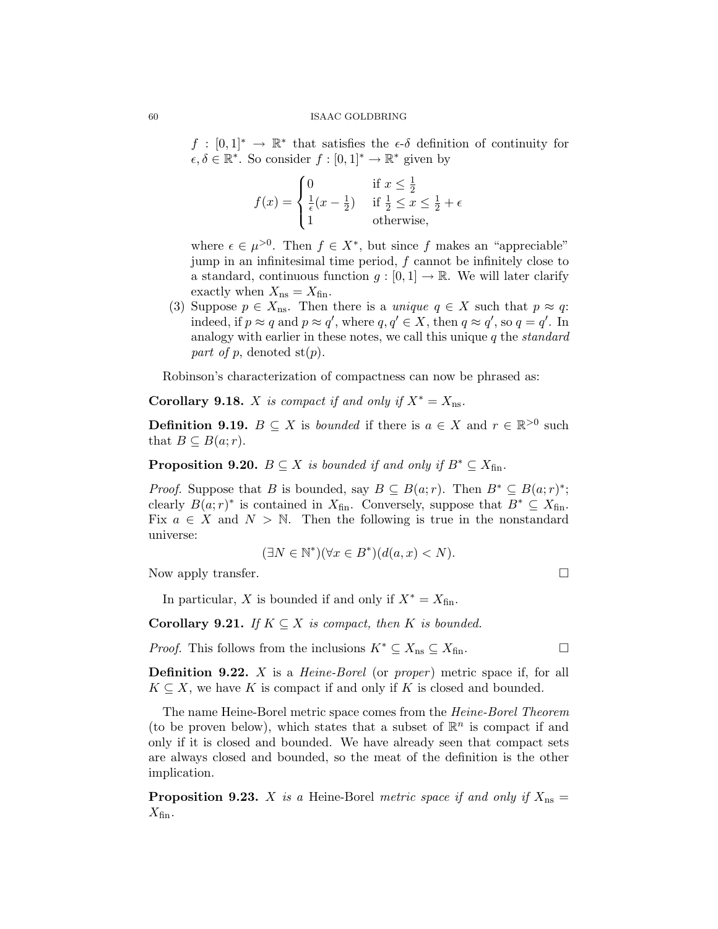f :  $[0,1]^{*}$  →  $\mathbb{R}^{*}$  that satisfies the  $\epsilon$ -δ definition of continuity for  $\epsilon, \delta \in \mathbb{R}^*$ . So consider  $f : [0,1]^* \to \mathbb{R}^*$  given by

$$
f(x) = \begin{cases} 0 & \text{if } x \le \frac{1}{2} \\ \frac{1}{\epsilon}(x - \frac{1}{2}) & \text{if } \frac{1}{2} \le x \le \frac{1}{2} + \epsilon \\ 1 & \text{otherwise,} \end{cases}
$$

where  $\epsilon \in \mu^{>0}$ . Then  $f \in X^*$ , but since f makes an "appreciable" jump in an infinitesimal time period,  $f$  cannot be infinitely close to a standard, continuous function  $g : [0,1] \to \mathbb{R}$ . We will later clarify exactly when  $X_{\text{ns}} = X_{\text{fin}}$ .

(3) Suppose  $p \in X_{\text{ns}}$ . Then there is a *unique*  $q \in X$  such that  $p \approx q$ . indeed, if  $p \approx q$  and  $p \approx q'$ , where  $q, q' \in X$ , then  $q \approx q'$ , so  $q = q'$ . In analogy with earlier in these notes, we call this unique  $q$  the *standard* part of p, denoted  $\text{st}(p)$ .

Robinson's characterization of compactness can now be phrased as:

Corollary 9.18. X is compact if and only if  $X^* = X_{\text{ns}}$ .

**Definition 9.19.**  $B \subseteq X$  is *bounded* if there is  $a \in X$  and  $r \in \mathbb{R}^{>0}$  such that  $B \subseteq B(a; r)$ .

**Proposition 9.20.**  $B \subseteq X$  is bounded if and only if  $B^* \subseteq X_{fin}$ .

*Proof.* Suppose that B is bounded, say  $B \subseteq B(a; r)$ . Then  $B^* \subseteq B(a; r)^*$ ; clearly  $B(a; r)^*$  is contained in  $X_{fin}$ . Conversely, suppose that  $B^* \subseteq X_{fin}$ . Fix  $a \in X$  and  $N > N$ . Then the following is true in the nonstandard universe:

$$
(\exists N \in \mathbb{N}^*)(\forall x \in B^*)(d(a, x) < N).
$$

Now apply transfer.

In particular, X is bounded if and only if  $X^* = X_{fin}$ .

**Corollary 9.21.** If  $K \subseteq X$  is compact, then K is bounded.

*Proof.* This follows from the inclusions  $K^* \subseteq X_{\text{ns}} \subseteq X_{\text{fin}}$ .

**Definition 9.22.**  $X$  is a *Heine-Borel* (or *proper*) metric space if, for all  $K \subseteq X$ , we have K is compact if and only if K is closed and bounded.

The name Heine-Borel metric space comes from the Heine-Borel Theorem (to be proven below), which states that a subset of  $\mathbb{R}^n$  is compact if and only if it is closed and bounded. We have already seen that compact sets are always closed and bounded, so the meat of the definition is the other implication.

**Proposition 9.23.** X is a Heine-Borel metric space if and only if  $X_{\text{ns}} =$  $X_{fin}$ .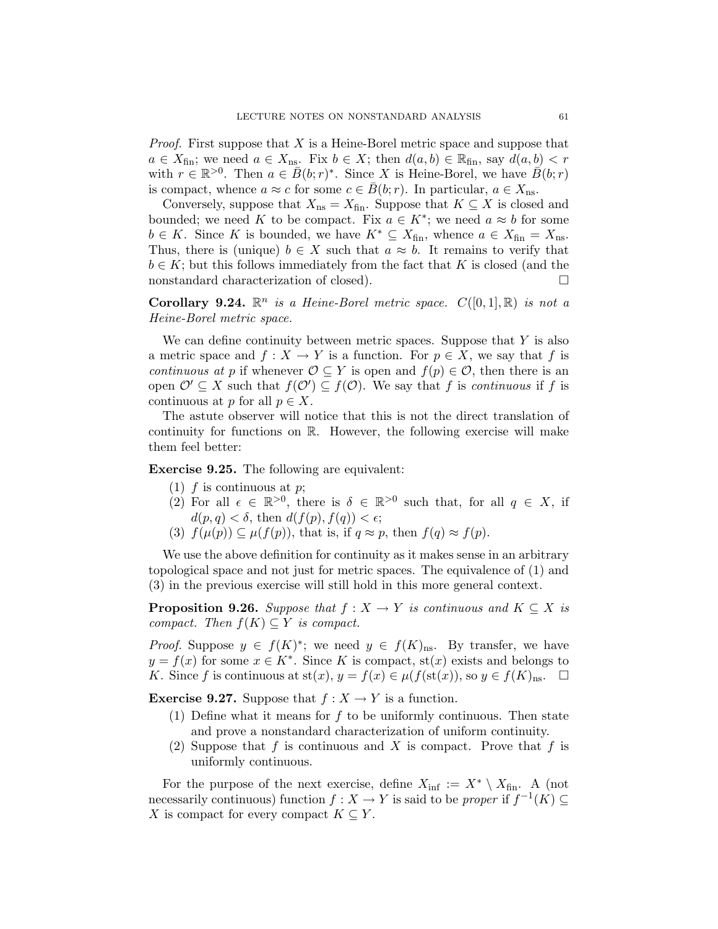*Proof.* First suppose that  $X$  is a Heine-Borel metric space and suppose that  $a \in X_{\text{fin}}$ ; we need  $a \in X_{\text{ns}}$ . Fix  $b \in X$ ; then  $d(a, b) \in \mathbb{R}_{\text{fin}}$ , say  $d(a, b) < r$ with  $r \in \mathbb{R}^{>0}$ . Then  $a \in \overline{B}(b;r)^*$ . Since X is Heine-Borel, we have  $\overline{B}(b;r)$ is compact, whence  $a \approx c$  for some  $c \in B(b; r)$ . In particular,  $a \in X_{\text{ns}}$ .

Conversely, suppose that  $X_{\text{ns}} = X_{\text{fin}}$ . Suppose that  $K \subseteq X$  is closed and bounded; we need K to be compact. Fix  $a \in K^*$ ; we need  $a \approx b$  for some  $b \in K$ . Since K is bounded, we have  $K^* \subseteq X_{fin}$ , whence  $a \in X_{fin} = X_{ns}$ . Thus, there is (unique)  $b \in X$  such that  $a \approx b$ . It remains to verify that  $b \in K$ ; but this follows immediately from the fact that K is closed (and the nonstandard characterization of closed).

Corollary 9.24.  $\mathbb{R}^n$  is a Heine-Borel metric space.  $C([0,1], \mathbb{R})$  is not a Heine-Borel metric space.

We can define continuity between metric spaces. Suppose that  $Y$  is also a metric space and  $f: X \to Y$  is a function. For  $p \in X$ , we say that f is *continuous at p* if whenever  $\mathcal{O} \subseteq Y$  is open and  $f(p) \in \mathcal{O}$ , then there is an open  $\mathcal{O}' \subseteq X$  such that  $f(\mathcal{O}') \subseteq f(\mathcal{O})$ . We say that f is continuous if f is continuous at p for all  $p \in X$ .

The astute observer will notice that this is not the direct translation of continuity for functions on R. However, the following exercise will make them feel better:

Exercise 9.25. The following are equivalent:

- (1) f is continuous at p;
- (2) For all  $\epsilon \in \mathbb{R}^{>0}$ , there is  $\delta \in \mathbb{R}^{>0}$  such that, for all  $q \in X$ , if  $d(p,q) < \delta$ , then  $d(f(p), f(q)) < \epsilon$ ;
- (3)  $f(\mu(p)) \subseteq \mu(f(p))$ , that is, if  $q \approx p$ , then  $f(q) \approx f(p)$ .

We use the above definition for continuity as it makes sense in an arbitrary topological space and not just for metric spaces. The equivalence of (1) and (3) in the previous exercise will still hold in this more general context.

**Proposition 9.26.** Suppose that  $f : X \to Y$  is continuous and  $K \subseteq X$  is compact. Then  $f(K) \subseteq Y$  is compact.

*Proof.* Suppose  $y \in f(K)^*$ ; we need  $y \in f(K)_{\text{ns}}$ . By transfer, we have  $y = f(x)$  for some  $x \in K^*$ . Since K is compact, st(x) exists and belongs to K. Since f is continuous at st(x),  $y = f(x) \in \mu(f(st(x)), \text{ so } y \in f(K)_{\text{ns}}.$ 

**Exercise 9.27.** Suppose that  $f : X \to Y$  is a function.

- (1) Define what it means for  $f$  to be uniformly continuous. Then state and prove a nonstandard characterization of uniform continuity.
- (2) Suppose that f is continuous and X is compact. Prove that f is uniformly continuous.

For the purpose of the next exercise, define  $X_{\text{inf}} := X^* \setminus X_{\text{fin}}$ . A (not necessarily continuous) function  $f: X \to Y$  is said to be *proper* if  $f^{-1}(K) \subseteq$ X is compact for every compact  $K \subseteq Y$ .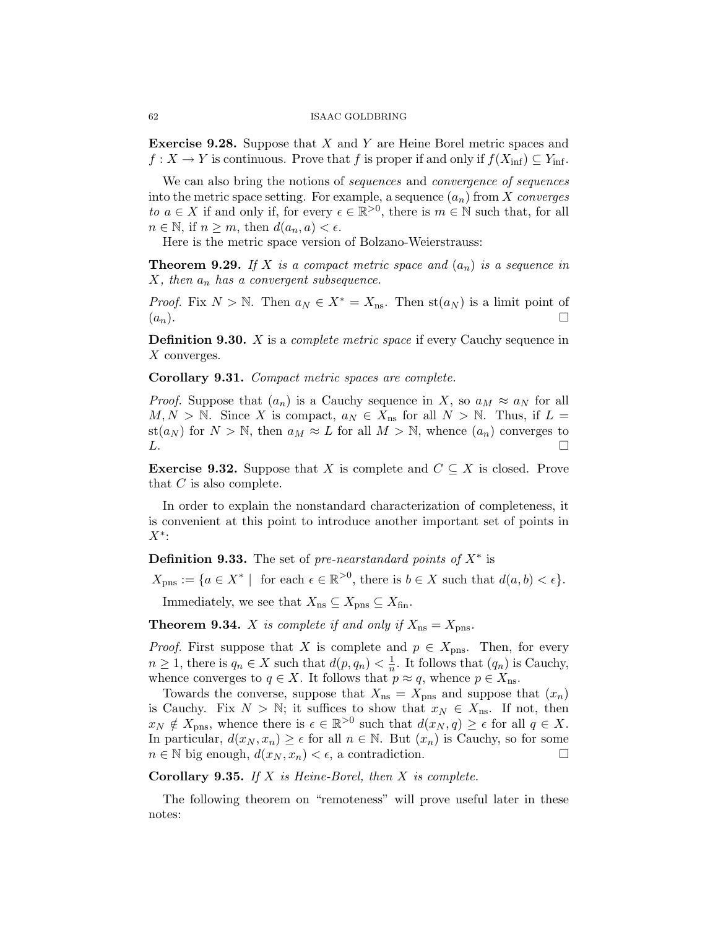**Exercise 9.28.** Suppose that  $X$  and  $Y$  are Heine Borel metric spaces and  $f: X \to Y$  is continuous. Prove that f is proper if and only if  $f(X_{\text{inf}}) \subseteq Y_{\text{inf}}$ .

We can also bring the notions of sequences and convergence of sequences into the metric space setting. For example, a sequence  $(a_n)$  from X converges to  $a \in X$  if and only if, for every  $\epsilon \in \mathbb{R}^{>0}$ , there is  $m \in \mathbb{N}$  such that, for all  $n \in \mathbb{N}$ , if  $n \geq m$ , then  $d(a_n, a) < \epsilon$ .

Here is the metric space version of Bolzano-Weierstrauss:

**Theorem 9.29.** If X is a compact metric space and  $(a_n)$  is a sequence in  $X$ , then  $a_n$  has a convergent subsequence.

*Proof.* Fix  $N > N$ . Then  $a_N \in X^* = X_{ns}$ . Then  $st(a_N)$  is a limit point of  $(a_n).$ 

**Definition 9.30.** X is a *complete metric space* if every Cauchy sequence in  $X$  converges.

Corollary 9.31. Compact metric spaces are complete.

*Proof.* Suppose that  $(a_n)$  is a Cauchy sequence in X, so  $a_M \approx a_N$  for all  $M, N > \mathbb{N}$ . Since X is compact,  $a_N \in X_{\text{ns}}$  for all  $N > \mathbb{N}$ . Thus, if  $L =$ st(a<sub>N</sub>) for  $N > N$ , then  $a_M \approx L$  for all  $M > N$ , whence  $(a_n)$  converges to  $L.$ 

**Exercise 9.32.** Suppose that X is complete and  $C \subseteq X$  is closed. Prove that  $C$  is also complete.

In order to explain the nonstandard characterization of completeness, it is convenient at this point to introduce another important set of points in X<sup>∗</sup> :

**Definition 9.33.** The set of pre-nearstandard points of  $X^*$  is

 $X_{\text{pns}} := \{a \in X^* \mid \text{ for each } \epsilon \in \mathbb{R}^{>0}, \text{ there is } b \in X \text{ such that } d(a, b) < \epsilon\}.$ 

Immediately, we see that  $X_{\text{ns}} \subseteq X_{\text{pns}} \subseteq X_{\text{fin}}$ .

**Theorem 9.34.** X is complete if and only if  $X_{\text{ns}} = X_{\text{pns}}$ .

*Proof.* First suppose that X is complete and  $p \in X_{\text{pns}}$ . Then, for every  $n \geq 1$ , there is  $q_n \in X$  such that  $d(p, q_n) < \frac{1}{n}$  $\frac{1}{n}$ . It follows that  $(q_n)$  is Cauchy, whence converges to  $q \in X$ . It follows that  $p \approx q$ , whence  $p \in X_{\text{ns}}$ .

Towards the converse, suppose that  $X_{\text{ns}} = X_{\text{pns}}$  and suppose that  $(x_n)$ is Cauchy. Fix  $N > \mathbb{N}$ ; it suffices to show that  $x_N \in X_{\text{ns}}$ . If not, then  $x_N \notin X_{\text{pns}}$ , whence there is  $\epsilon \in \mathbb{R}^{>0}$  such that  $d(x_N, q) \geq \epsilon$  for all  $q \in X$ . In particular,  $d(x_N, x_n) \geq \epsilon$  for all  $n \in \mathbb{N}$ . But  $(x_n)$  is Cauchy, so for some  $n \in \mathbb{N}$  big enough,  $d(x_N, x_n) < \epsilon$ , a contradiction.

**Corollary 9.35.** If  $X$  is Heine-Borel, then  $X$  is complete.

The following theorem on "remoteness" will prove useful later in these notes: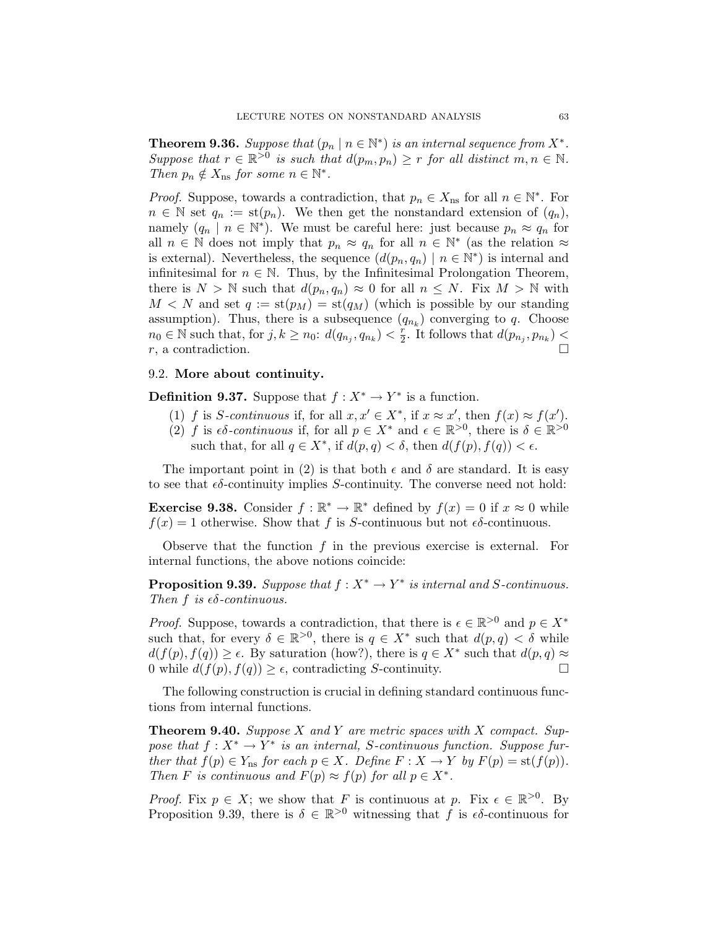**Theorem 9.36.** Suppose that  $(p_n | n \in \mathbb{N}^*)$  is an internal sequence from  $X^*$ . Suppose that  $r \in \mathbb{R}^{>0}$  is such that  $d(p_m, p_n) \geq r$  for all distinct  $m, n \in \mathbb{N}$ . Then  $p_n \notin X_{\text{ns}}$  for some  $n \in \mathbb{N}^*$ .

*Proof.* Suppose, towards a contradiction, that  $p_n \in X_{\text{ns}}$  for all  $n \in \mathbb{N}^*$ . For  $n \in \mathbb{N}$  set  $q_n := \operatorname{st}(p_n)$ . We then get the nonstandard extension of  $(q_n)$ , namely  $(q_n \mid n \in \mathbb{N}^*)$ . We must be careful here: just because  $p_n \approx q_n$  for all  $n \in \mathbb{N}$  does not imply that  $p_n \approx q_n$  for all  $n \in \mathbb{N}^*$  (as the relation  $\approx$ is external). Nevertheless, the sequence  $(d(p_n, q_n) | n \in \mathbb{N}^*)$  is internal and infinitesimal for  $n \in \mathbb{N}$ . Thus, by the Infinitesimal Prolongation Theorem, there is  $N > N$  such that  $d(p_n, q_n) \approx 0$  for all  $n \leq N$ . Fix  $M > N$  with  $M < N$  and set  $q := \text{st}(p_M) = \text{st}(q_M)$  (which is possible by our standing assumption). Thus, there is a subsequence  $(q_{n_k})$  converging to q. Choose  $n_0 \in \overline{\mathbb{N}}$  such that, for  $j, k \geq n_0: d(q_{n_j}, q_{n_k}) < \frac{r}{2}$  $\frac{r}{2}$ . It follows that  $d(p_{n_j}, p_{n_k}) <$ r, a contradiction.

### 9.2. More about continuity.

**Definition 9.37.** Suppose that  $f: X^* \to Y^*$  is a function.

- (1) f is S-continuous if, for all  $x, x' \in X^*$ , if  $x \approx x'$ , then  $f(x) \approx f(x')$ .
- (2) f is  $\epsilon \delta$ -continuous if, for all  $p \in X^*$  and  $\epsilon \in \mathbb{R}^{>0}$ , there is  $\delta \in \mathbb{R}^{>0}$ such that, for all  $q \in X^*$ , if  $d(p, q) < \delta$ , then  $d(f(p), f(q)) < \epsilon$ .

The important point in (2) is that both  $\epsilon$  and  $\delta$  are standard. It is easy to see that  $\epsilon \delta$ -continuity implies S-continuity. The converse need not hold:

**Exercise 9.38.** Consider  $f : \mathbb{R}^* \to \mathbb{R}^*$  defined by  $f(x) = 0$  if  $x \approx 0$  while  $f(x) = 1$  otherwise. Show that f is S-continuous but not  $\epsilon \delta$ -continuous.

Observe that the function  $f$  in the previous exercise is external. For internal functions, the above notions coincide:

**Proposition 9.39.** Suppose that  $f: X^* \to Y^*$  is internal and S-continuous. Then  $f$  is  $\epsilon \delta$ -continuous.

*Proof.* Suppose, towards a contradiction, that there is  $\epsilon \in \mathbb{R}^{>0}$  and  $p \in X^*$ such that, for every  $\delta \in \mathbb{R}^{>0}$ , there is  $q \in X^*$  such that  $d(p,q) < \delta$  while  $d(f(p), f(q)) \geq \epsilon$ . By saturation (how?), there is  $q \in X^*$  such that  $d(p, q) \approx$ 0 while  $d(f(p), f(q)) \geq \epsilon$ , contradicting S-continuity.

The following construction is crucial in defining standard continuous functions from internal functions.

**Theorem 9.40.** Suppose X and Y are metric spaces with X compact. Suppose that  $f: X^* \to Y^*$  is an internal, S-continuous function. Suppose further that  $f(p) \in Y_{\text{ns}}$  for each  $p \in X$ . Define  $F: X \to Y$  by  $F(p) = \text{st}(f(p))$ . Then F is continuous and  $F(p) \approx f(p)$  for all  $p \in X^*$ .

*Proof.* Fix  $p \in X$ ; we show that F is continuous at p. Fix  $\epsilon \in \mathbb{R}^{>0}$ . By Proposition 9.39, there is  $\delta \in \mathbb{R}^{>0}$  witnessing that f is  $\epsilon \delta$ -continuous for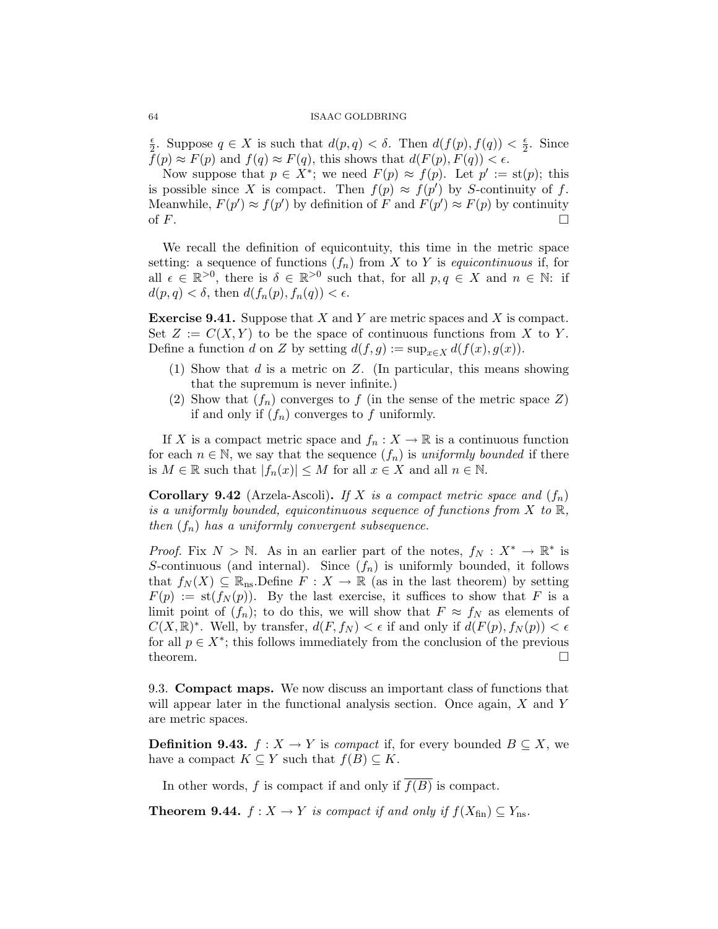$\epsilon$  $\frac{\epsilon}{2}$ . Suppose  $q \in X$  is such that  $d(p, q) < \delta$ . Then  $d(f(p), f(q)) < \frac{\epsilon}{2}$  $\frac{\epsilon}{2}$ . Since  $f(p) \approx F(p)$  and  $f(q) \approx F(q)$ , this shows that  $d(F(p), F(q)) < \epsilon$ .

Now suppose that  $p \in X^*$ ; we need  $F(p) \approx f(p)$ . Let  $p' := st(p)$ ; this is possible since X is compact. Then  $f(p) \approx f(p')$  by S-continuity of f. Meanwhile,  $F(p') \approx f(p')$  by definition of F and  $F(p') \approx F(p)$  by continuity of  $F$ .

We recall the definition of equicontuity, this time in the metric space setting: a sequence of functions  $(f_n)$  from X to Y is *equicontinuous* if, for all  $\epsilon \in \mathbb{R}^{>0}$ , there is  $\delta \in \mathbb{R}^{>0}$  such that, for all  $p, q \in X$  and  $n \in \mathbb{N}$ : if  $d(p,q) < \delta$ , then  $d(f_n(p), f_n(q)) < \epsilon$ .

**Exercise 9.41.** Suppose that X and Y are metric spaces and X is compact. Set  $Z := C(X, Y)$  to be the space of continuous functions from X to Y. Define a function d on Z by setting  $d(f,g) := \sup_{x \in X} d(f(x), g(x)).$ 

- (1) Show that  $d$  is a metric on  $Z$ . (In particular, this means showing that the supremum is never infinite.)
- (2) Show that  $(f_n)$  converges to f (in the sense of the metric space Z) if and only if  $(f_n)$  converges to f uniformly.

If X is a compact metric space and  $f_n: X \to \mathbb{R}$  is a continuous function for each  $n \in \mathbb{N}$ , we say that the sequence  $(f_n)$  is uniformly bounded if there is  $M \in \mathbb{R}$  such that  $|f_n(x)| \leq M$  for all  $x \in X$  and all  $n \in \mathbb{N}$ .

**Corollary 9.42** (Arzela-Ascoli). If X is a compact metric space and  $(f_n)$ is a uniformly bounded, equicontinuous sequence of functions from  $X$  to  $\mathbb{R}$ , then  $(f_n)$  has a uniformly convergent subsequence.

*Proof.* Fix  $N > N$ . As in an earlier part of the notes,  $f_N : X^* \to \mathbb{R}^*$  is S-continuous (and internal). Since  $(f_n)$  is uniformly bounded, it follows that  $f_N(X) \subseteq \mathbb{R}_{\text{ns}}$ . Define  $F: X \to \mathbb{R}$  (as in the last theorem) by setting  $F(p) := \text{st}(f_N(p)).$  By the last exercise, it suffices to show that F is a limit point of  $(f_n)$ ; to do this, we will show that  $F \approx f_N$  as elements of  $C(X,\mathbb{R})^*$ . Well, by transfer,  $d(F, f_N) < \epsilon$  if and only if  $d(F(p), f_N(p)) < \epsilon$ for all  $p \in X^*$ ; this follows immediately from the conclusion of the previous theorem.  $\Box$ 

9.3. Compact maps. We now discuss an important class of functions that will appear later in the functional analysis section. Once again, X and Y are metric spaces.

**Definition 9.43.**  $f: X \to Y$  is *compact* if, for every bounded  $B \subseteq X$ , we have a compact  $K \subseteq Y$  such that  $f(B) \subseteq K$ .

In other words,  $f$  is compact if and only if  $f(B)$  is compact.

**Theorem 9.44.**  $f: X \to Y$  is compact if and only if  $f(X_{fin}) \subseteq Y_{\text{ns}}$ .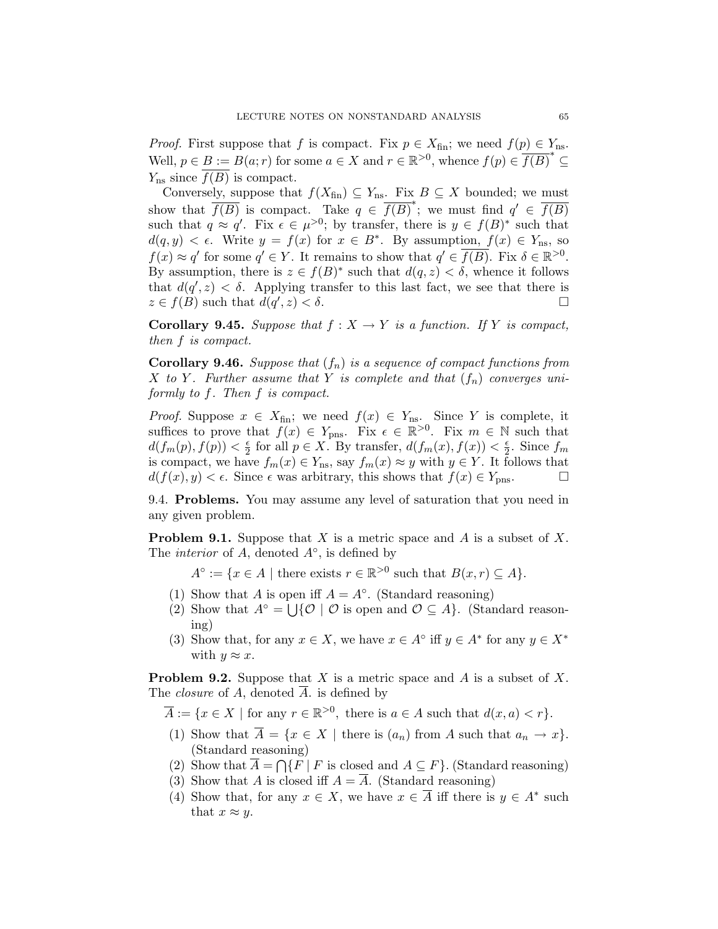*Proof.* First suppose that f is compact. Fix  $p \in X_{fin}$ ; we need  $f(p) \in Y_{ns}$ . Well,  $p \in B := B(a; r)$  for some  $a \in X$  and  $r \in \mathbb{R}^{>0}$ , whence  $f(p) \in \overline{f(B)}^* \subseteq$  $Y_{\text{ns}}$  since  $\overline{f(B)}$  is compact.

Conversely, suppose that  $f(X_{fin}) \subseteq Y_{\text{ns}}$ . Fix  $B \subseteq X$  bounded; we must show that  $\frac{f(B)}{f(B)}$  is compact. Take  $q \in \overline{f(B)}^*$ ; we must find  $q' \in \overline{f(B)}$ such that  $q \approx q'$ . Fix  $\epsilon \in \mu^{>0}$ ; by transfer, there is  $y \in f(B)^*$  such that  $d(q, y) < \epsilon$ . Write  $y = f(x)$  for  $x \in B^*$ . By assumption,  $f(x) \in Y_{\text{ns}}$ , so  $f(x) \approx q'$  for some  $q' \in Y$ . It remains to show that  $q' \in \overline{f(B)}$ . Fix  $\delta \in \mathbb{R}^{>0}$ . By assumption, there is  $z \in f(B)^*$  such that  $d(q, z) < \delta$ , whence it follows that  $d(q', z) < \delta$ . Applying transfer to this last fact, we see that there is  $z \in f(B)$  such that  $d(q', z) < \delta$ .

**Corollary 9.45.** Suppose that  $f : X \to Y$  is a function. If Y is compact, then f is compact.

**Corollary 9.46.** Suppose that  $(f_n)$  is a sequence of compact functions from X to Y. Further assume that Y is complete and that  $(f_n)$  converges uniformly to f. Then f is compact.

*Proof.* Suppose  $x \in X_{fin}$ ; we need  $f(x) \in Y_{ns}$ . Since Y is complete, it suffices to prove that  $f(x) \in Y_{\text{pns}}$ . Fix  $\epsilon \in \mathbb{R}^{>0}$ . Fix  $m \in \mathbb{N}$  such that  $d(f_m(p), f(p)) < \frac{\epsilon}{2}$  $\frac{\epsilon}{2}$  for all  $p \in X$ . By transfer,  $d(f_m(x), f(x)) < \frac{\epsilon}{2}$  $\frac{\epsilon}{2}$ . Since  $f_m$ is compact, we have  $f_m(x) \in Y_{\text{ns}}$ , say  $f_m(x) \approx y$  with  $y \in Y$ . It follows that  $d(f(x), y) < \epsilon$ . Since  $\epsilon$  was arbitrary, this shows that  $f(x) \in Y_{\text{pns}}$ .

9.4. Problems. You may assume any level of saturation that you need in any given problem.

**Problem 9.1.** Suppose that X is a metric space and A is a subset of X. The *interior* of  $A$ , denoted  $A^\circ$ , is defined by

 $A^{\circ} := \{x \in A \mid \text{there exists } r \in \mathbb{R}^{>0} \text{ such that } B(x,r) \subseteq A\}.$ 

- (1) Show that A is open iff  $A = A^\circ$ . (Standard reasoning)
- (2) Show that  $A^{\circ} = \bigcup \{ \mathcal{O} \mid \mathcal{O} \text{ is open and } \mathcal{O} \subseteq A \}.$  (Standard reasoning)
- (3) Show that, for any  $x \in X$ , we have  $x \in A^{\circ}$  iff  $y \in A^*$  for any  $y \in X^*$ with  $y \approx x$ .

**Problem 9.2.** Suppose that X is a metric space and A is a subset of X. The *closure* of A, denoted  $\overline{A}$ , is defined by

 $\overline{A} := \{x \in X \mid \text{for any } r \in \mathbb{R}^{>0}, \text{ there is } a \in A \text{ such that } d(x, a) < r\}.$ 

- (1) Show that  $\overline{A} = \{x \in X \mid \text{there is } (a_n) \text{ from } A \text{ such that } a_n \to x\}.$ (Standard reasoning)
- (2) Show that  $\overline{A} = \bigcap \{F \mid F \text{ is closed and } A \subseteq F\}.$  (Standard reasoning)
- (3) Show that A is closed iff  $A = \overline{A}$ . (Standard reasoning)
- (4) Show that, for any  $x \in X$ , we have  $x \in \overline{A}$  iff there is  $y \in A^*$  such that  $x \approx y$ .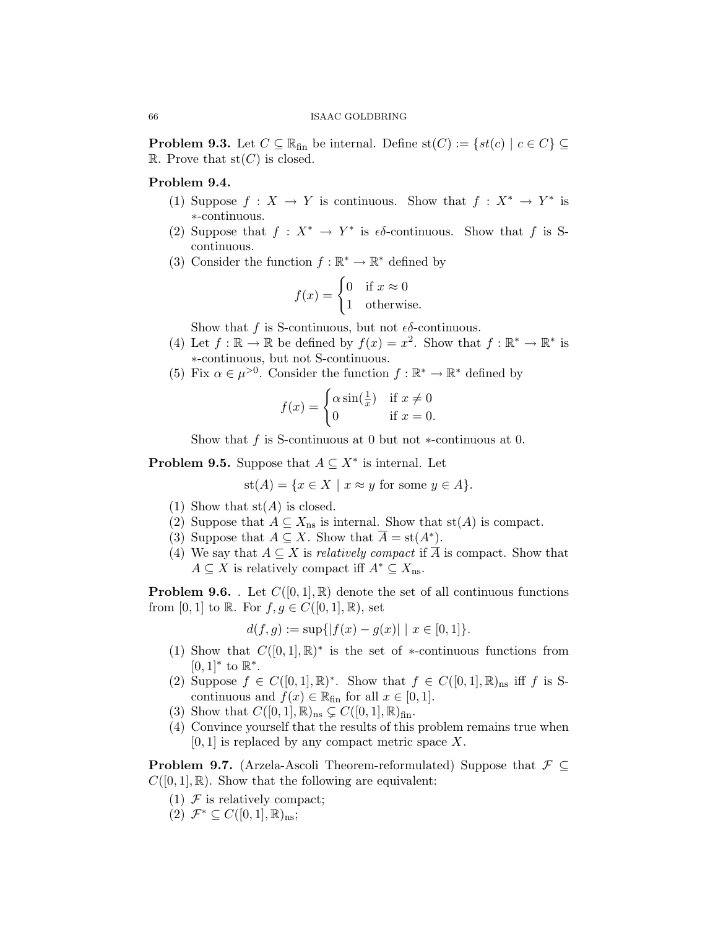**Problem 9.3.** Let  $C \subseteq \mathbb{R}_{fin}$  be internal. Define st $(C) := \{st(c) | c \in C\} \subseteq$ R. Prove that  $st(C)$  is closed.

### Problem 9.4.

- (1) Suppose  $f: X \to Y$  is continuous. Show that  $f: X^* \to Y^*$  is ∗-continuous.
- (2) Suppose that  $f: X^* \to Y^*$  is  $\epsilon \delta$ -continuous. Show that f is Scontinuous.
- (3) Consider the function  $f : \mathbb{R}^* \to \mathbb{R}^*$  defined by

$$
f(x) = \begin{cases} 0 & \text{if } x \approx 0 \\ 1 & \text{otherwise.} \end{cases}
$$

Show that f is S-continuous, but not  $\epsilon \delta$ -continuous.

- (4) Let  $f : \mathbb{R} \to \mathbb{R}$  be defined by  $f(x) = x^2$ . Show that  $f : \mathbb{R}^* \to \mathbb{R}^*$  is ∗-continuous, but not S-continuous.
- (5) Fix  $\alpha \in \mu^{>0}$ . Consider the function  $f : \mathbb{R}^* \to \mathbb{R}^*$  defined by

$$
f(x) = \begin{cases} \alpha \sin(\frac{1}{x}) & \text{if } x \neq 0 \\ 0 & \text{if } x = 0. \end{cases}
$$

Show that f is S-continuous at 0 but not  $*$ -continuous at 0.

**Problem 9.5.** Suppose that  $A \subseteq X^*$  is internal. Let

 $st(A) = \{x \in X \mid x \approx y \text{ for some } y \in A\}.$ 

- (1) Show that  $st(A)$  is closed.
- (2) Suppose that  $A \subseteq X_{\text{ns}}$  is internal. Show that  $\text{st}(A)$  is compact.
- (3) Suppose that  $A \subseteq X$ . Show that  $\overline{A} = \text{st}(A^*)$ .
- (4) We say that  $A \subseteq X$  is *relatively compact* if  $\overline{A}$  is compact. Show that  $A \subseteq X$  is relatively compact iff  $A^* \subseteq X_{\text{ns}}$ .

**Problem 9.6.** . Let  $C([0,1],\mathbb{R})$  denote the set of all continuous functions from [0, 1] to R. For  $f, g \in C([0, 1], \mathbb{R})$ , set

$$
d(f,g) := \sup\{|f(x) - g(x)| \mid x \in [0,1]\}.
$$

- (1) Show that  $C([0,1],\mathbb{R})^*$  is the set of \*-continuous functions from  $[0, 1]^*$  to  $\mathbb{R}^*$ .
- (2) Suppose  $f \in C([0,1], \mathbb{R})^*$ . Show that  $f \in C([0,1], \mathbb{R})_{\text{ns}}$  iff f is Scontinuous and  $f(x) \in \mathbb{R}_{fin}$  for all  $x \in [0, 1]$ .
- (3) Show that  $C([0,1], \mathbb{R})_{\text{ns}} \subsetneq C([0,1], \mathbb{R})_{\text{fin}}$ .
- (4) Convince yourself that the results of this problem remains true when  $[0, 1]$  is replaced by any compact metric space X.

**Problem 9.7.** (Arzela-Ascoli Theorem-reformulated) Suppose that  $\mathcal{F} \subseteq$  $C([0, 1], \mathbb{R})$ . Show that the following are equivalent:

- (1)  $\mathcal F$  is relatively compact;
- $(2)$   $\mathcal{F}^* \subseteq C([0,1],\mathbb{R})_{\text{ns}};$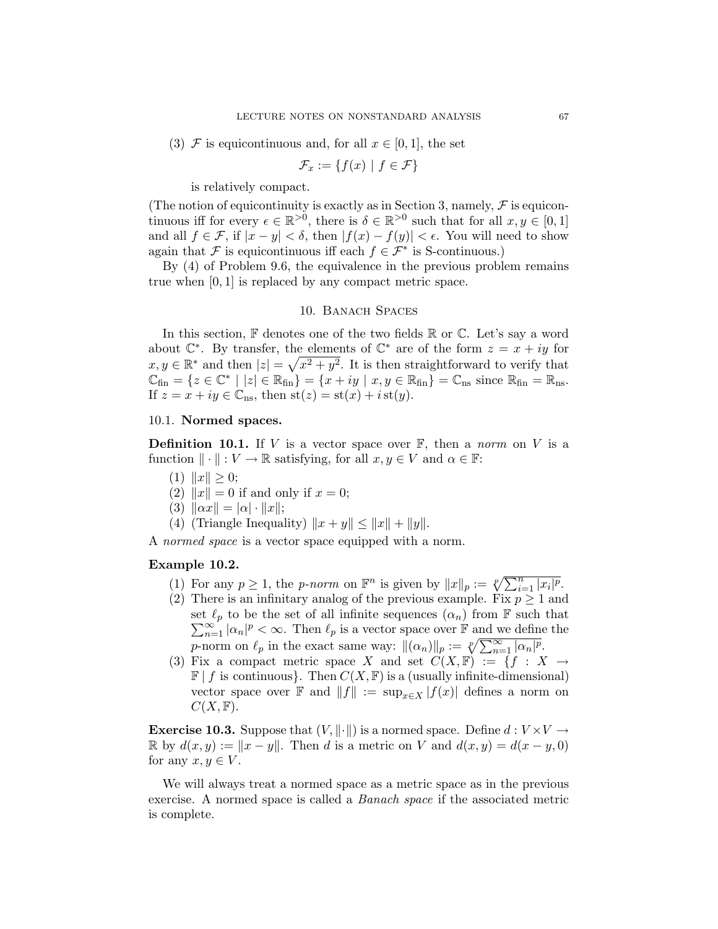(3) F is equicontinuous and, for all  $x \in [0,1]$ , the set

$$
\mathcal{F}_x := \{ f(x) \mid f \in \mathcal{F} \}
$$

is relatively compact.

(The notion of equicontinuity is exactly as in Section 3, namely,  $\mathcal F$  is equicontinuous iff for every  $\epsilon \in \mathbb{R}^{>0}$ , there is  $\delta \in \mathbb{R}^{>0}$  such that for all  $x, y \in [0, 1]$ and all  $f \in \mathcal{F}$ , if  $|x - y| < \delta$ , then  $|f(x) - f(y)| < \epsilon$ . You will need to show again that F is equicontinuous iff each  $f \in \mathcal{F}^*$  is S-continuous.)

By (4) of Problem 9.6, the equivalence in the previous problem remains true when [0, 1] is replaced by any compact metric space.

## 10. Banach Spaces

In this section,  $\mathbb F$  denotes one of the two fields  $\mathbb R$  or  $\mathbb C$ . Let's say a word about  $\mathbb{C}^*$ . By transfer, the elements of  $\mathbb{C}^*$  are of the form  $z = x + iy$  for  $x, y \in \mathbb{R}^*$  and then  $|z| = \sqrt{x^2 + y^2}$ . It is then straightforward to verify that  $\mathbb{C}_{\text{fin}} = \{z \in \mathbb{C}^* \mid |z| \in \mathbb{R}_{\text{fin}}\} = \{x + iy \mid x, y \in \mathbb{R}_{\text{fin}}\} = \mathbb{C}_{\text{ns}}$  since  $\mathbb{R}_{\text{fin}} = \mathbb{R}_{\text{ns}}$ . If  $z = x + iy \in \mathbb{C}_{\text{ns}}$ , then  $\text{st}(z) = \text{st}(x) + i \text{st}(y)$ .

### 10.1. Normed spaces.

**Definition 10.1.** If V is a vector space over  $\mathbb{F}$ , then a norm on V is a function  $\|\cdot\| : V \to \mathbb{R}$  satisfying, for all  $x, y \in V$  and  $\alpha \in \mathbb{F}$ :

- (1)  $||x|| \geq 0;$
- (2)  $||x|| = 0$  if and only if  $x = 0$ ;
- (3)  $\|\alpha x\| = |\alpha| \cdot \|x\|;$
- (4) (Triangle Inequality)  $||x + y|| \le ||x|| + ||y||$ .

A normed space is a vector space equipped with a norm.

### Example 10.2.

- (1) For any  $p \geq 1$ , the p-norm on  $\mathbb{F}^n$  is given by  $||x||_p := \sqrt[p]{\sum_{i=1}^n |x_i|^p}$ .
- (2) There is an infinitary analog of the previous example. Fix  $p \geq 1$  and set  $\ell_p$  to be the set of all infinite sequences  $(\alpha_n)$  from F such that  $\sum_{n=1}^{\infty} |\alpha_n|^p < \infty$ . Then  $\ell_p$  is a vector space over F and we define the p-norm on  $\ell_p$  in the exact same way:  $\|( \alpha_n ) \|_p := \sqrt[p]{\sum_{n=1}^{\infty} | \alpha_n |^p}$ .
- (3) Fix a compact metric space X and set  $C(X, \mathbb{F}) := \{f : X \to \mathbb{F}\}$  $\mathbb{F} | f$  is continuous}. Then  $C(X, \mathbb{F})$  is a (usually infinite-dimensional) vector space over F and  $||f|| := \sup_{x \in X} |f(x)|$  defines a norm on  $C(X,\mathbb{F}).$

**Exercise 10.3.** Suppose that  $(V, \|\cdot\|)$  is a normed space. Define  $d: V \times V \rightarrow$ R by  $d(x, y) := ||x - y||$ . Then d is a metric on V and  $d(x, y) = d(x - y, 0)$ for any  $x, y \in V$ .

We will always treat a normed space as a metric space as in the previous exercise. A normed space is called a Banach space if the associated metric is complete.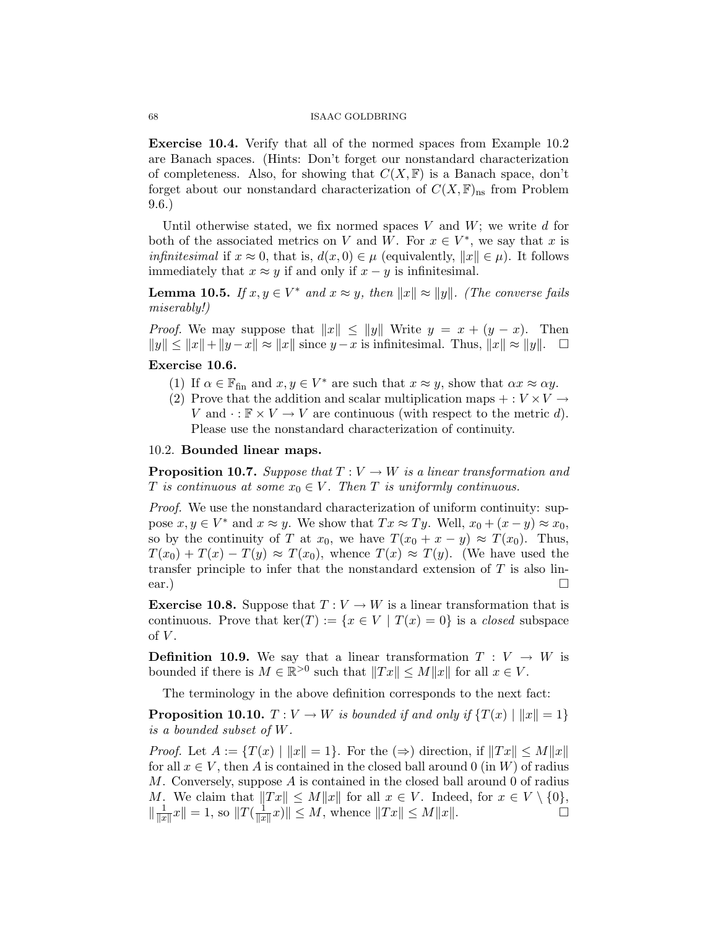Exercise 10.4. Verify that all of the normed spaces from Example 10.2 are Banach spaces. (Hints: Don't forget our nonstandard characterization of completeness. Also, for showing that  $C(X, F)$  is a Banach space, don't forget about our nonstandard characterization of  $C(X, \mathbb{F})$ <sub>ns</sub> from Problem 9.6.)

Until otherwise stated, we fix normed spaces  $V$  and  $W$ ; we write  $d$  for both of the associated metrics on V and W. For  $x \in V^*$ , we say that x is *infinitesimal* if  $x \approx 0$ , that is,  $d(x, 0) \in \mu$  (equivalently,  $||x|| \in \mu$ ). It follows immediately that  $x \approx y$  if and only if  $x - y$  is infinitesimal.

**Lemma 10.5.** If  $x, y \in V^*$  and  $x \approx y$ , then  $||x|| \approx ||y||$ . (The converse fails miserably!)

*Proof.* We may suppose that  $||x|| \le ||y||$  Write  $y = x + (y - x)$ . Then  $||y|| \le ||x|| + ||y - x|| \approx ||x||$  since  $y - x$  is infinitesimal. Thus,  $||x|| \approx ||y||$ .  $\Box$ 

# Exercise 10.6.

- (1) If  $\alpha \in \mathbb{F}_{\text{fin}}$  and  $x, y \in V^*$  are such that  $x \approx y$ , show that  $\alpha x \approx \alpha y$ .
- (2) Prove that the addition and scalar multiplication maps + :  $V \times V \rightarrow$ V and  $\cdot : \mathbb{F} \times V \to V$  are continuous (with respect to the metric d). Please use the nonstandard characterization of continuity.

## 10.2. Bounded linear maps.

**Proposition 10.7.** Suppose that  $T: V \to W$  is a linear transformation and T is continuous at some  $x_0 \in V$ . Then T is uniformly continuous.

Proof. We use the nonstandard characterization of uniform continuity: suppose  $x, y \in V^*$  and  $x \approx y$ . We show that  $Tx \approx Ty$ . Well,  $x_0 + (x - y) \approx x_0$ , so by the continuity of T at  $x_0$ , we have  $T(x_0 + x - y) \approx T(x_0)$ . Thus,  $T(x_0) + T(x) - T(y) \approx T(x_0)$ , whence  $T(x) \approx T(y)$ . (We have used the transfer principle to infer that the nonstandard extension of  $T$  is also linear.)  $\Box$ 

**Exercise 10.8.** Suppose that  $T: V \to W$  is a linear transformation that is continuous. Prove that ker(T) := { $x \in V | T(x) = 0$ } is a *closed* subspace of  $V$ .

**Definition 10.9.** We say that a linear transformation  $T: V \rightarrow W$  is bounded if there is  $M \in \mathbb{R}^{>0}$  such that  $||Tx|| \le M||x||$  for all  $x \in V$ .

The terminology in the above definition corresponds to the next fact:

**Proposition 10.10.**  $T: V \to W$  is bounded if and only if  $\{T(x) \mid ||x|| = 1\}$ is a bounded subset of W.

*Proof.* Let  $A := \{T(x) \mid ||x|| = 1\}$ . For the  $(\Rightarrow)$  direction, if  $||Tx|| \le M||x||$ for all  $x \in V$ , then A is contained in the closed ball around 0 (in W) of radius M. Conversely, suppose A is contained in the closed ball around 0 of radius M. We claim that  $||Tx|| \le M||x||$  for all  $x \in V$ . Indeed, for  $x \in V \setminus \{0\}$ ,  $\frac{1}{\ln x}$  $\frac{1}{\|x\|}x\| = 1$ , so  $\|T(\frac{1}{\|x\|})$  $\frac{1}{\|x\|}x$ )  $\leq M$ , whence  $\|Tx\| \leq M\|x\|$ .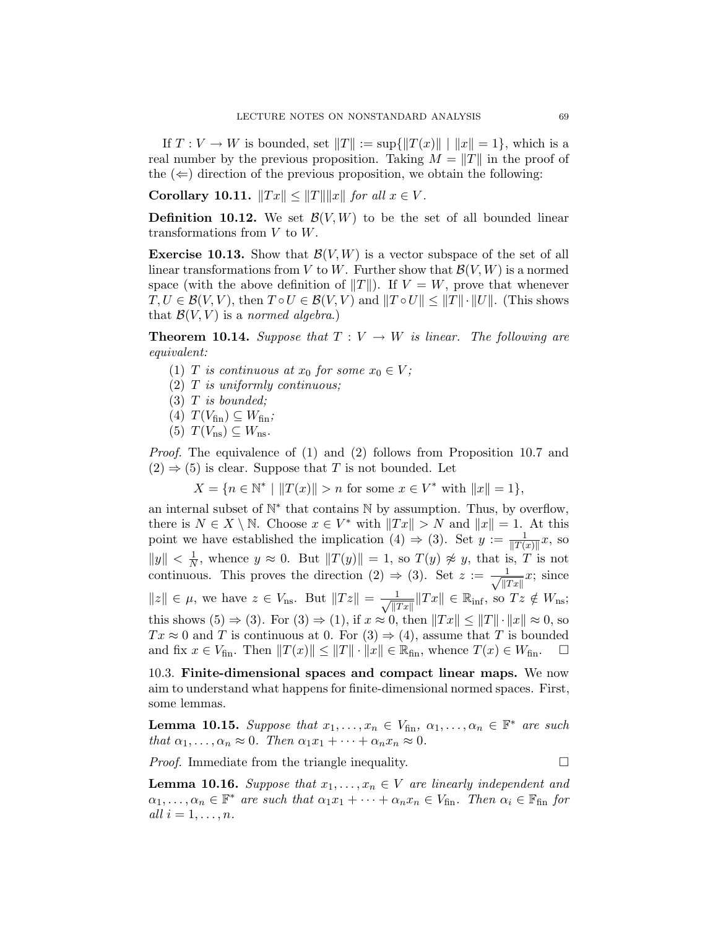If  $T: V \to W$  is bounded, set  $||T|| := \sup{||T(x)||} ||x|| = 1$ , which is a real number by the previous proposition. Taking  $M = ||T||$  in the proof of the  $(\Leftarrow)$  direction of the previous proposition, we obtain the following:

Corollary 10.11.  $||Tx|| \le ||T|| ||x||$  for all  $x \in V$ .

**Definition 10.12.** We set  $\mathcal{B}(V, W)$  to be the set of all bounded linear transformations from V to W.

**Exercise 10.13.** Show that  $\mathcal{B}(V, W)$  is a vector subspace of the set of all linear transformations from V to W. Further show that  $\mathcal{B}(V, W)$  is a normed space (with the above definition of  $||T||$ ). If  $V = W$ , prove that whenever  $T, U \in \mathcal{B}(V, V)$ , then  $T \circ U \in \mathcal{B}(V, V)$  and  $||T \circ U|| \leq ||T|| \cdot ||U||$ . (This shows that  $\mathcal{B}(V, V)$  is a normed algebra.)

**Theorem 10.14.** Suppose that  $T: V \to W$  is linear. The following are equivalent:

- (1) T is continuous at  $x_0$  for some  $x_0 \in V$ ;
- $(2)$  T is uniformly continuous;
- $(3)$  T is bounded;
- (4)  $T(V_{\text{fin}}) \subseteq W_{\text{fin}};$
- (5)  $T(V_{\text{ns}}) \subseteq W_{\text{ns}}$ .

Proof. The equivalence of (1) and (2) follows from Proposition 10.7 and  $(2) \Rightarrow (5)$  is clear. Suppose that T is not bounded. Let

 $X = \{n \in \mathbb{N}^* \mid ||T(x)|| > n \text{ for some } x \in V^* \text{ with } ||x|| = 1\},\$ 

an internal subset of  $\mathbb{N}^*$  that contains  $\mathbb N$  by assumption. Thus, by overflow, there is  $N \in X \setminus \mathbb{N}$ . Choose  $x \in V^*$  with  $||Tx|| > N$  and  $||x|| = 1$ . At this point we have established the implication  $(4) \Rightarrow (3)$ . Set  $y := \frac{1}{\|T(x)\|}x$ , so  $||y|| < \frac{1}{N}$  $\frac{1}{N}$ , whence  $y \approx 0$ . But  $||T(y)|| = 1$ , so  $T(y) \not\approx y$ , that is, T is not continuous. This proves the direction  $(2) \Rightarrow (3)$ . Set  $z := \frac{1}{\sqrt{16}}$  $\frac{1}{\|Tx\|}x$ ; since  $||z|| \in \mu$ , we have  $z \in V_{\text{ns}}$ . But  $||Tz|| = \frac{1}{\sqrt{2\pi i}}$  $\frac{1}{\|Tx\|}$   $\|Tx\| \in \mathbb{R}_{\text{inf}}$ , so  $Tz \notin W_{\text{ns}}$ ; this shows (5)  $\Rightarrow$  (3). For (3)  $\Rightarrow$  (1), if  $x \approx 0$ , then  $||Tx|| \le ||T|| \cdot ||x|| \approx 0$ , so  $Tx \approx 0$  and T is continuous at 0. For  $(3) \Rightarrow (4)$ , assume that T is bounded and fix  $x \in V_{\text{fin}}$ . Then  $||T(x)|| \le ||T|| \cdot ||x|| \in \mathbb{R}_{\text{fin}}$ , whence  $T(x) \in W_{\text{fin}}$ .  $\Box$ 

10.3. Finite-dimensional spaces and compact linear maps. We now aim to understand what happens for finite-dimensional normed spaces. First, some lemmas.

**Lemma 10.15.** Suppose that  $x_1, \ldots, x_n \in V_{\text{fin}}, \alpha_1, \ldots, \alpha_n \in \mathbb{F}^*$  are such that  $\alpha_1, \ldots, \alpha_n \approx 0$ . Then  $\alpha_1 x_1 + \cdots + \alpha_n x_n \approx 0$ .

*Proof.* Immediate from the triangle inequality.  $\square$ 

**Lemma 10.16.** Suppose that  $x_1, \ldots, x_n \in V$  are linearly independent and  $\alpha_1, \ldots, \alpha_n \in \mathbb{F}^*$  are such that  $\alpha_1 x_1 + \cdots + \alpha_n x_n \in V_{\text{fin}}$ . Then  $\alpha_i \in \mathbb{F}_{\text{fin}}$  for all  $i = 1, \ldots, n$ .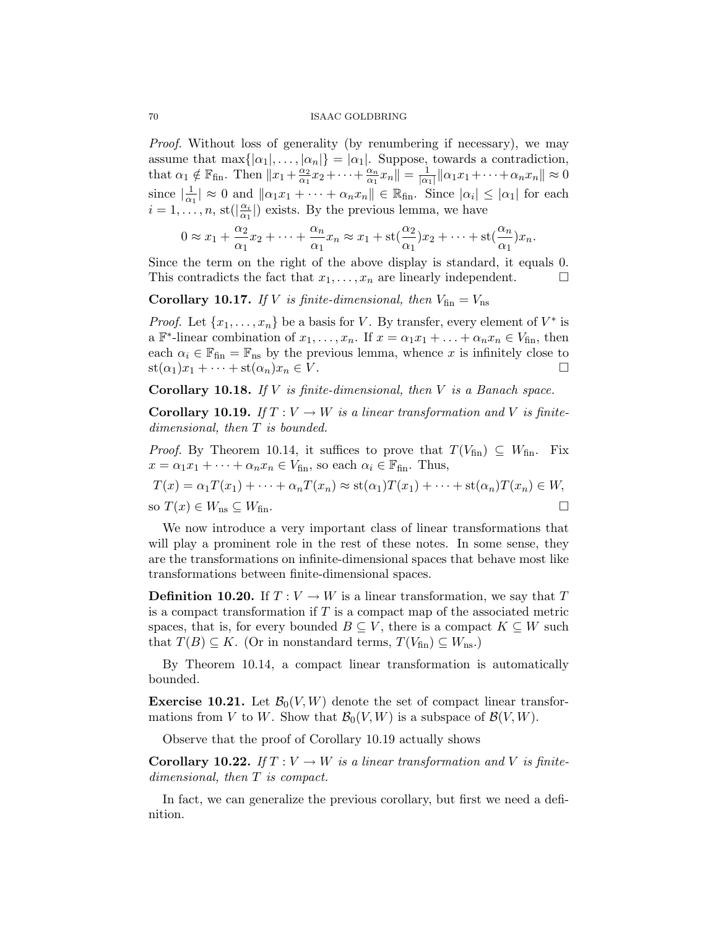Proof. Without loss of generality (by renumbering if necessary), we may assume that  $\max\{|\alpha_1|,\ldots,|\alpha_n|\}=|\alpha_1|$ . Suppose, towards a contradiction, that  $\alpha_1 \notin \mathbb{F}_{\text{fin}}$ . Then  $||x_1 + \frac{\alpha_2}{\alpha_1}||$  $\frac{\alpha_2}{\alpha_1}x_2+\cdots+\frac{\alpha_n}{\alpha_1}$  $\frac{\alpha_n}{\alpha_1}x_n\|=\frac{1}{|\alpha|}$  $\frac{1}{|\alpha_1|} ||\alpha_1 x_1 + \cdots + \alpha_n x_n|| \approx 0$ since  $\frac{1}{\alpha}$  $\frac{1}{\alpha_1}$   $\vert \approx 0$  and  $\Vert \alpha_1 x_1 + \cdots + \alpha_n x_n \Vert \in \mathbb{R}_{\text{fin}}$ . Since  $|\alpha_i| \leq |\alpha_1|$  for each  $i=1,\ldots,n, \operatorname{st}(\vert \frac{\alpha_i}{\alpha_i} \vert$  $\frac{\alpha_i}{\alpha_1}$ ) exists. By the previous lemma, we have

$$
0 \approx x_1 + \frac{\alpha_2}{\alpha_1} x_2 + \dots + \frac{\alpha_n}{\alpha_1} x_n \approx x_1 + \text{st}(\frac{\alpha_2}{\alpha_1}) x_2 + \dots + \text{st}(\frac{\alpha_n}{\alpha_1}) x_n.
$$

Since the term on the right of the above display is standard, it equals 0. This contradicts the fact that  $x_1, \ldots, x_n$  are linearly independent.  $\Box$ 

Corollary 10.17. If V is finite-dimensional, then  $V_{fin} = V_{ns}$ 

*Proof.* Let  $\{x_1, \ldots, x_n\}$  be a basis for V. By transfer, every element of  $V^*$  is a  $\mathbb{F}^*$ -linear combination of  $x_1, \ldots, x_n$ . If  $x = \alpha_1 x_1 + \ldots + \alpha_n x_n \in V_{\text{fin}}$ , then each  $\alpha_i \in \mathbb{F}_{\text{fin}} = \mathbb{F}_{\text{ns}}$  by the previous lemma, whence x is infinitely close to  $\operatorname{st}(\alpha_1)x_1 + \cdots + \operatorname{st}(\alpha_n)x_n \in V.$ 

**Corollary 10.18.** If  $V$  is finite-dimensional, then  $V$  is a Banach space.

**Corollary 10.19.** If  $T: V \to W$  is a linear transformation and V is finitedimensional, then  $T$  is bounded.

*Proof.* By Theorem 10.14, it suffices to prove that  $T(V_{fin}) \subseteq W_{fin}$ . Fix  $x = \alpha_1 x_1 + \cdots + \alpha_n x_n \in V_{\text{fin}}$ , so each  $\alpha_i \in \mathbb{F}_{\text{fin}}$ . Thus,

 $T(x) = \alpha_1 T(x_1) + \cdots + \alpha_n T(x_n) \approx \text{st}(\alpha_1) T(x_1) + \cdots + \text{st}(\alpha_n) T(x_n) \in W$ so  $T(x) \in W_{\text{ns}} \subseteq W_{\text{fin}}$ .

We now introduce a very important class of linear transformations that will play a prominent role in the rest of these notes. In some sense, they are the transformations on infinite-dimensional spaces that behave most like transformations between finite-dimensional spaces.

**Definition 10.20.** If  $T: V \to W$  is a linear transformation, we say that T is a compact transformation if  $T$  is a compact map of the associated metric spaces, that is, for every bounded  $B \subseteq V$ , there is a compact  $K \subseteq W$  such that  $T(B) \subseteq K$ . (Or in nonstandard terms,  $T(V_{fin}) \subseteq W_{\text{ns}}$ .)

By Theorem 10.14, a compact linear transformation is automatically bounded.

**Exercise 10.21.** Let  $\mathcal{B}_0(V, W)$  denote the set of compact linear transformations from V to W. Show that  $\mathcal{B}_0(V, W)$  is a subspace of  $\mathcal{B}(V, W)$ .

Observe that the proof of Corollary 10.19 actually shows

**Corollary 10.22.** If  $T: V \to W$  is a linear transformation and V is finitedimensional, then T is compact.

In fact, we can generalize the previous corollary, but first we need a definition.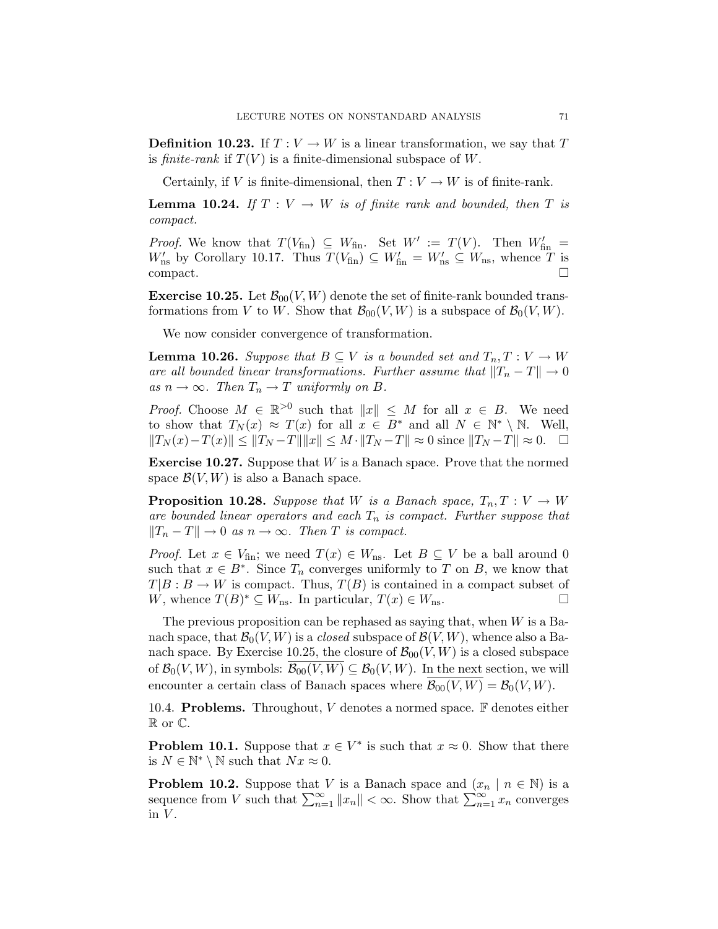**Definition 10.23.** If  $T: V \to W$  is a linear transformation, we say that T is finite-rank if  $T(V)$  is a finite-dimensional subspace of W.

Certainly, if V is finite-dimensional, then  $T: V \to W$  is of finite-rank.

**Lemma 10.24.** If  $T: V \to W$  is of finite rank and bounded, then T is compact.

*Proof.* We know that  $T(V_{fin}) \subseteq W_{fin}$ . Set  $W' := T(V)$ . Then  $W'_{fin} =$  $W'_{\text{ns}}$  by Corollary 10.17. Thus  $T(V_{\text{fin}}) \subseteq W'_{\text{fin}} = W'_{\text{ns}} \subseteq W_{\text{ns}}$ , whence T is  $\Box$  compact.  $\Box$ 

**Exercise 10.25.** Let  $\mathcal{B}_{00}(V, W)$  denote the set of finite-rank bounded transformations from V to W. Show that  $\mathcal{B}_{00}(V, W)$  is a subspace of  $\mathcal{B}_0(V, W)$ .

We now consider convergence of transformation.

**Lemma 10.26.** Suppose that  $B \subseteq V$  is a bounded set and  $T_n, T: V \to W$ are all bounded linear transformations. Further assume that  $||T_n - T|| \to 0$ as  $n \to \infty$ . Then  $T_n \to T$  uniformly on B.

*Proof.* Choose  $M \in \mathbb{R}^{>0}$  such that  $||x|| \leq M$  for all  $x \in B$ . We need to show that  $T_N(x) \approx T(x)$  for all  $x \in B^*$  and all  $N \in \mathbb{N}^* \setminus \mathbb{N}$ . Well,  $||T_N(x)-T(x)|| \le ||T_N-T|| ||x|| \le M \cdot ||T_N-T|| \approx 0$  since  $||T_N-T|| \approx 0$ .  $\Box$ 

**Exercise 10.27.** Suppose that  $W$  is a Banach space. Prove that the normed space  $\mathcal{B}(V, W)$  is also a Banach space.

**Proposition 10.28.** Suppose that W is a Banach space,  $T_n, T: V \to W$ are bounded linear operators and each  $T_n$  is compact. Further suppose that  $||T_n - T|| \to 0$  as  $n \to \infty$ . Then T is compact.

*Proof.* Let  $x \in V_{\text{fin}}$ ; we need  $T(x) \in W_{\text{ns}}$ . Let  $B \subseteq V$  be a ball around 0 such that  $x \in B^*$ . Since  $T_n$  converges uniformly to T on B, we know that  $T|B : B \to W$  is compact. Thus,  $T(B)$  is contained in a compact subset of W, whence  $T(B)^* \subseteq W_{\text{ns}}$ . In particular,  $T(x) \in W_{\text{ns}}$ .

The previous proposition can be rephased as saying that, when W is a Banach space, that  $\mathcal{B}_0(V, W)$  is a *closed* subspace of  $\mathcal{B}(V, W)$ , whence also a Banach space. By Exercise 10.25, the closure of  $\mathcal{B}_{00}(V, W)$  is a closed subspace of  $\mathcal{B}_0(V, W)$ , in symbols:  $\mathcal{B}_{00}(V, W) \subseteq \mathcal{B}_0(V, W)$ . In the next section, we will encounter a certain class of Banach spaces where  $\mathcal{B}_{00}(V, W) = \mathcal{B}_{0}(V, W)$ .

10.4. Problems. Throughout,  $V$  denotes a normed space.  $\mathbb F$  denotes either R or  $\mathbb C$ .

**Problem 10.1.** Suppose that  $x \in V^*$  is such that  $x \approx 0$ . Show that there is  $N \in \mathbb{N}^* \setminus \mathbb{N}$  such that  $Nx \approx 0$ .

**Problem 10.2.** Suppose that V is a Banach space and  $(x_n | n \in \mathbb{N})$  is a sequence from V such that  $\sum_{n=1}^{\infty} ||x_n|| < \infty$ . Show that  $\sum_{n=1}^{\infty} x_n$  converges in  $V$ .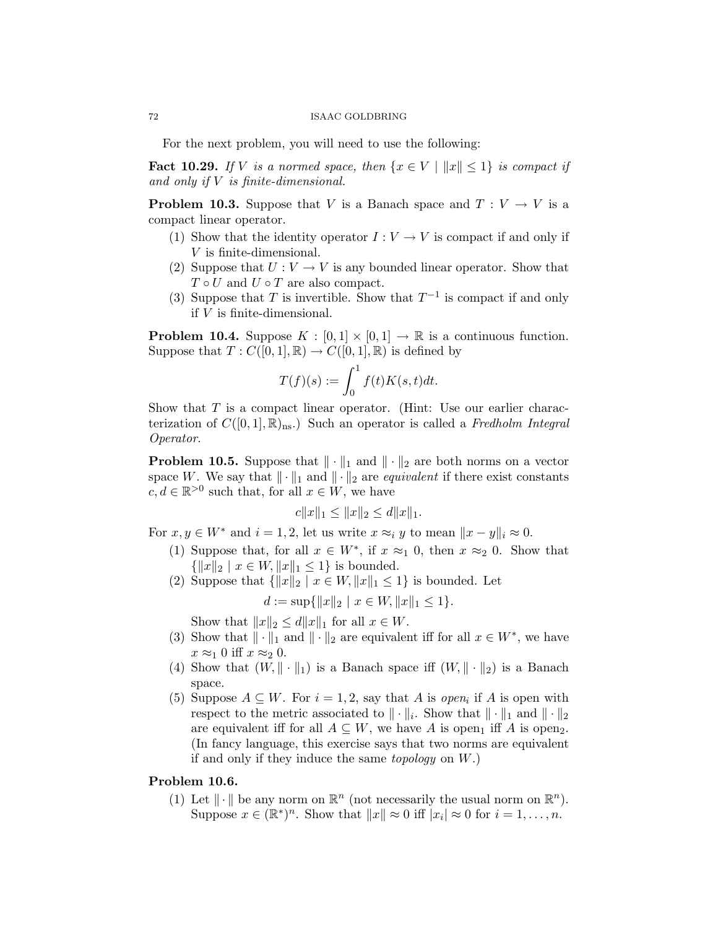For the next problem, you will need to use the following:

**Fact 10.29.** If V is a normed space, then  $\{x \in V \mid ||x|| \leq 1\}$  is compact if and only if V is finite-dimensional.

**Problem 10.3.** Suppose that V is a Banach space and  $T: V \to V$  is a compact linear operator.

- (1) Show that the identity operator  $I: V \to V$  is compact if and only if V is finite-dimensional.
- (2) Suppose that  $U: V \to V$  is any bounded linear operator. Show that  $T \circ U$  and  $U \circ T$  are also compact.
- (3) Suppose that T is invertible. Show that  $T^{-1}$  is compact if and only if V is finite-dimensional.

**Problem 10.4.** Suppose  $K : [0, 1] \times [0, 1] \rightarrow \mathbb{R}$  is a continuous function. Suppose that  $T: C([0,1], \mathbb{R}) \to C([0,1], \mathbb{R})$  is defined by

$$
T(f)(s) := \int_0^1 f(t)K(s, t)dt.
$$

Show that  $T$  is a compact linear operator. (Hint: Use our earlier characterization of  $C([0,1], \mathbb{R})_{\text{ns}}$ .) Such an operator is called a Fredholm Integral Operator.

**Problem 10.5.** Suppose that  $\|\cdot\|_1$  and  $\|\cdot\|_2$  are both norms on a vector space W. We say that  $\|\cdot\|_1$  and  $\|\cdot\|_2$  are *equivalent* if there exist constants  $c, d \in \mathbb{R}^{>0}$  such that, for all  $x \in W$ , we have

$$
c||x||_1 \le ||x||_2 \le d||x||_1.
$$

For  $x, y \in W^*$  and  $i = 1, 2$ , let us write  $x \approx_i y$  to mean  $||x - y||_i \approx 0$ .

- (1) Suppose that, for all  $x \in W^*$ , if  $x \approx_1 0$ , then  $x \approx_2 0$ . Show that  $\{|x\|_2 \mid x \in W, \|x\|_1 \leq 1\}$  is bounded.
- (2) Suppose that  $\{\|\xx\|_2 \mid x \in W, \|x\|_1 \leq 1\}$  is bounded. Let

$$
d := \sup\{\|x\|_2 \mid x \in W, \|x\|_1 \le 1\}.
$$

Show that  $||x||_2 \le d||x||_1$  for all  $x \in W$ .

- (3) Show that  $\|\cdot\|_1$  and  $\|\cdot\|_2$  are equivalent iff for all  $x \in W^*$ , we have  $x \approx_1 0$  iff  $x \approx_2 0$ .
- (4) Show that  $(W, \|\cdot\|_1)$  is a Banach space iff  $(W, \|\cdot\|_2)$  is a Banach space.
- (5) Suppose  $A \subseteq W$ . For  $i = 1, 2$ , say that A is *open*<sub>i</sub> if A is open with respect to the metric associated to  $\|\cdot\|_i$ . Show that  $\|\cdot\|_1$  and  $\|\cdot\|_2$ are equivalent iff for all  $A \subseteq W$ , we have A is open<sub>1</sub> iff A is open<sub>2</sub>. (In fancy language, this exercise says that two norms are equivalent if and only if they induce the same *topology* on  $W$ .)

## Problem 10.6.

(1) Let  $\|\cdot\|$  be any norm on  $\mathbb{R}^n$  (not necessarily the usual norm on  $\mathbb{R}^n$ ). Suppose  $x \in (\mathbb{R}^*)^n$ . Show that  $||x|| \approx 0$  iff  $|x_i| \approx 0$  for  $i = 1, \ldots, n$ .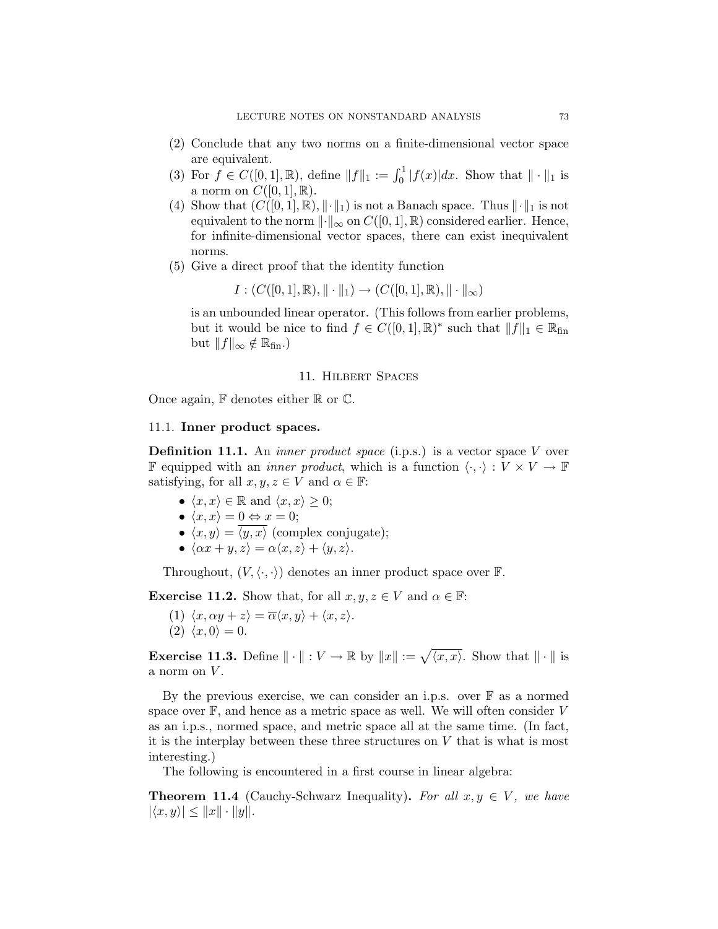- (2) Conclude that any two norms on a finite-dimensional vector space are equivalent.
- (3) For  $f \in C([0,1], \mathbb{R})$ , define  $||f||_1 := \int_0^1 |f(x)| dx$ . Show that  $|| \cdot ||_1$  is a norm on  $C([0,1],\mathbb{R})$ .
- (4) Show that  $(C([0, 1], \mathbb{R}), \|\cdot\|_1)$  is not a Banach space. Thus  $\|\cdot\|_1$  is not equivalent to the norm  $\lVert \cdot \rVert_{\infty}$  on  $C([0, 1], \mathbb{R})$  considered earlier. Hence, for infinite-dimensional vector spaces, there can exist inequivalent norms.
- (5) Give a direct proof that the identity function

$$
I: (C([0,1], \mathbb{R}), ||\cdot||_1) \to (C([0,1], \mathbb{R}), ||\cdot||_{\infty})
$$

is an unbounded linear operator. (This follows from earlier problems, but it would be nice to find  $f \in C([0,1], \mathbb{R})^*$  such that  $||f||_1 \in \mathbb{R}_{fin}$ but  $||f||_{\infty} \notin \mathbb{R}_{fin}$ .)

#### 11. Hilbert Spaces

Once again,  $\mathbb F$  denotes either  $\mathbb R$  or  $\mathbb C$ .

#### 11.1. Inner product spaces.

**Definition 11.1.** An *inner product space* (i.p.s.) is a vector space  $V$  over **F** equipped with an *inner product*, which is a function  $\langle \cdot, \cdot \rangle : V \times V \to \mathbb{F}$ satisfying, for all  $x, y, z \in V$  and  $\alpha \in \mathbb{F}$ :

- $\langle x, x \rangle \in \mathbb{R}$  and  $\langle x, x \rangle \geq 0$ ;
- $\langle x, x \rangle = 0 \Leftrightarrow x = 0;$
- $\langle x, y \rangle = \overline{\langle y, x \rangle}$  (complex conjugate);
- $\langle \alpha x + y, z \rangle = \alpha \langle x, z \rangle + \langle y, z \rangle.$

Throughout,  $(V, \langle \cdot, \cdot \rangle)$  denotes an inner product space over F.

**Exercise 11.2.** Show that, for all  $x, y, z \in V$  and  $\alpha \in \mathbb{F}$ :

(1)  $\langle x, \alpha y + z \rangle = \overline{\alpha} \langle x, y \rangle + \langle x, z \rangle.$ (2)  $\langle x, 0 \rangle = 0.$ 

**Exercise 11.3.** Define  $\|\cdot\| : V \to \mathbb{R}$  by  $\|x\| := \sqrt{\langle x, x \rangle}$ . Show that  $\|\cdot\|$  is a norm on  $V$ .

By the previous exercise, we can consider an i.p.s. over  $\mathbb F$  as a normed space over  $\mathbb{F}$ , and hence as a metric space as well. We will often consider V as an i.p.s., normed space, and metric space all at the same time. (In fact, it is the interplay between these three structures on  $V$  that is what is most interesting.)

The following is encountered in a first course in linear algebra:

**Theorem 11.4** (Cauchy-Schwarz Inequality). For all  $x, y \in V$ , we have  $|\langle x, y \rangle| \leq ||x|| \cdot ||y||.$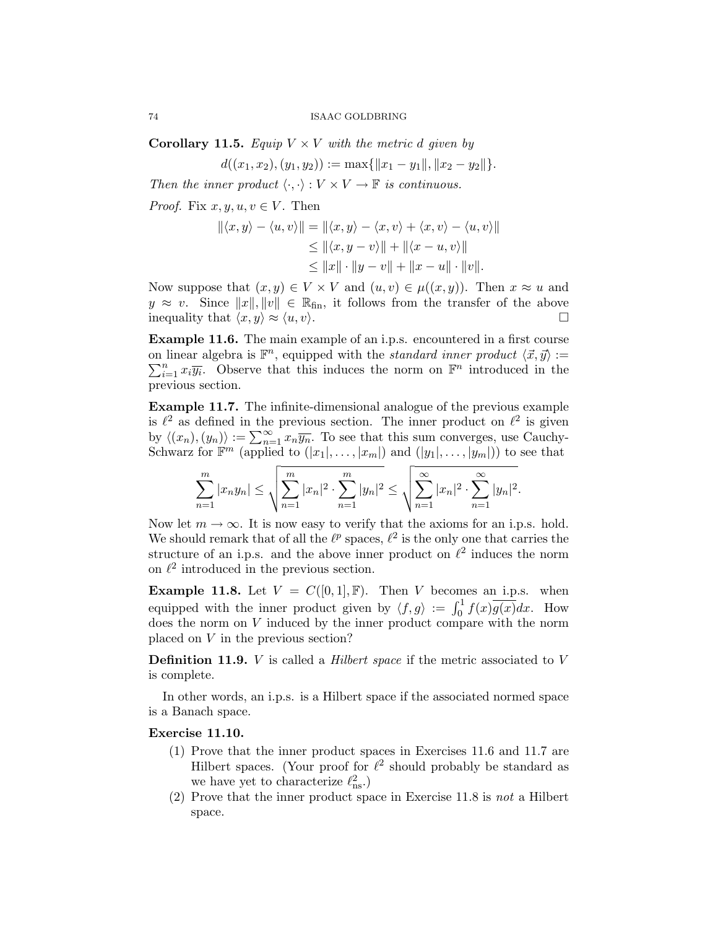**Corollary 11.5.** Equip  $V \times V$  with the metric d given by

$$
d((x_1,x_2),(y_1,y_2)) := \max\{\|x_1 - y_1\|, \|x_2 - y_2\|\}.
$$

Then the inner product  $\langle \cdot, \cdot \rangle : V \times V \to \mathbb{F}$  is continuous.

*Proof.* Fix  $x, y, u, v \in V$ . Then

$$
\begin{aligned} \|\langle x, y \rangle - \langle u, v \rangle\| &= \|\langle x, y \rangle - \langle x, v \rangle + \langle x, v \rangle - \langle u, v \rangle\| \\ &\le \|\langle x, y - v \rangle\| + \|\langle x - u, v \rangle\| \\ &\le \|x\| \cdot \|y - v\| + \|x - u\| \cdot \|v\|. \end{aligned}
$$

Now suppose that  $(x, y) \in V \times V$  and  $(u, v) \in \mu((x, y))$ . Then  $x \approx u$  and  $y \approx v$ . Since  $||x||, ||v|| \in \mathbb{R}_{fin}$ , it follows from the transfer of the above inequality that  $\langle x, y \rangle \approx \langle u, v \rangle$ .

Example 11.6. The main example of an i.p.s. encountered in a first course on linear algebra is  $\mathbb{F}^n$ , equipped with the *standard inner product*  $\langle \vec{x}, \vec{y} \rangle :=$  $\sum_{i=1}^{n} x_i \overline{y_i}$ . Observe that this induces the norm on  $\mathbb{F}^n$  introduced in the previous section.

Example 11.7. The infinite-dimensional analogue of the previous example is  $\ell^2$  as defined in the previous section. The inner product on  $\ell^2$  is given by  $\langle (x_n), (y_n) \rangle := \sum_{n=1}^{\infty} x_n \overline{y_n}$ . To see that this sum converges, use Cauchy-Schwarz for  $\mathbb{F}^m$  (applied to  $(|x_1|, \ldots, |x_m|)$  and  $(|y_1|, \ldots, |y_m|)$ ) to see that

$$
\sum_{n=1}^{m} |x_n y_n| \le \sqrt{\sum_{n=1}^{m} |x_n|^2 \cdot \sum_{n=1}^{m} |y_n|^2} \le \sqrt{\sum_{n=1}^{\infty} |x_n|^2 \cdot \sum_{n=1}^{\infty} |y_n|^2}.
$$

Now let  $m \to \infty$ . It is now easy to verify that the axioms for an i.p.s. hold. We should remark that of all the  $\ell^p$  spaces,  $\ell^2$  is the only one that carries the structure of an i.p.s. and the above inner product on  $\ell^2$  induces the norm on  $\ell^2$  introduced in the previous section.

**Example 11.8.** Let  $V = C([0,1], \mathbb{F})$ . Then V becomes an i.p.s. when equipped with the inner product given by  $\langle f, g \rangle := \int_0^1 f(x) \overline{g(x)} dx$ . How does the norm on V induced by the inner product compare with the norm placed on  $V$  in the previous section?

**Definition 11.9.** *V* is called a *Hilbert space* if the metric associated to *V* is complete.

In other words, an i.p.s. is a Hilbert space if the associated normed space is a Banach space.

# Exercise 11.10.

- (1) Prove that the inner product spaces in Exercises 11.6 and 11.7 are Hilbert spaces. (Your proof for  $\ell^2$  should probably be standard as we have yet to characterize  $\ell_{\rm ns}^2$ .)
- (2) Prove that the inner product space in Exercise 11.8 is not a Hilbert space.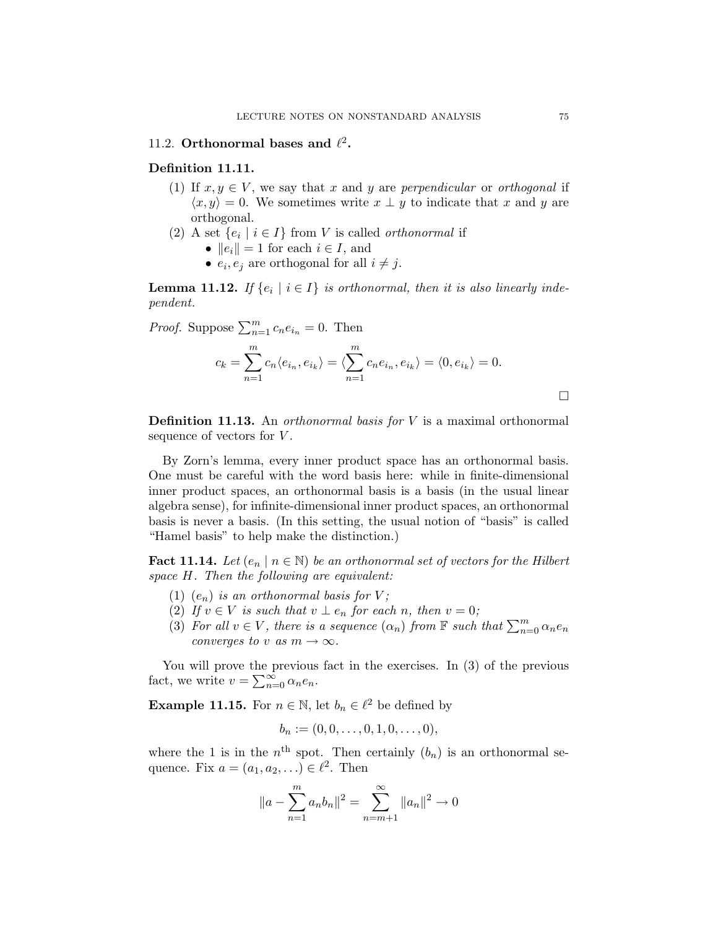# 11.2. Orthonormal bases and  $\ell^2$ .

#### Definition 11.11.

(1) If  $x, y \in V$ , we say that x and y are perpendicular or orthogonal if  $\langle x, y \rangle = 0$ . We sometimes write  $x \perp y$  to indicate that x and y are orthogonal.

(2) A set 
$$
\{e_i \mid i \in I\}
$$
 from V is called orthonormal if

- $||e_i|| = 1$  for each  $i \in I$ , and
- $e_i, e_j$  are orthogonal for all  $i \neq j$ .

**Lemma 11.12.** If  $\{e_i \mid i \in I\}$  is orthonormal, then it is also linearly independent.

*Proof.* Suppose  $\sum_{n=1}^{m} c_n e_{i_n} = 0$ . Then

$$
c_k = \sum_{n=1}^m c_n \langle e_{i_n}, e_{i_k} \rangle = \langle \sum_{n=1}^m c_n e_{i_n}, e_{i_k} \rangle = \langle 0, e_{i_k} \rangle = 0.
$$

 $\Box$ 

Definition 11.13. An *orthonormal basis for V* is a maximal orthonormal sequence of vectors for  $V$ .

By Zorn's lemma, every inner product space has an orthonormal basis. One must be careful with the word basis here: while in finite-dimensional inner product spaces, an orthonormal basis is a basis (in the usual linear algebra sense), for infinite-dimensional inner product spaces, an orthonormal basis is never a basis. (In this setting, the usual notion of "basis" is called "Hamel basis" to help make the distinction.)

**Fact 11.14.** Let  $(e_n \mid n \in \mathbb{N})$  be an orthonormal set of vectors for the Hilbert space H. Then the following are equivalent:

- (1)  $(e_n)$  is an orthonormal basis for V;
- (2) If  $v \in V$  is such that  $v \perp e_n$  for each n, then  $v = 0$ ;
- (3) For all  $v \in V$ , there is a sequence  $(\alpha_n)$  from  $\mathbb F$  such that  $\sum_{n=0}^m \alpha_n e_n$ converges to v as  $m \to \infty$ .

You will prove the previous fact in the exercises. In (3) of the previous fact, we write  $v = \sum_{n=0}^{\infty} \alpha_n e_n$ .

**Example 11.15.** For  $n \in \mathbb{N}$ , let  $b_n \in \ell^2$  be defined by

$$
b_n := (0, 0, \ldots, 0, 1, 0, \ldots, 0),
$$

where the 1 is in the  $n<sup>th</sup>$  spot. Then certainly  $(b_n)$  is an orthonormal sequence. Fix  $a = (a_1, a_2, \ldots) \in \ell^2$ . Then

$$
||a - \sum_{n=1}^{m} a_n b_n||^2 = \sum_{n=m+1}^{\infty} ||a_n||^2 \to 0
$$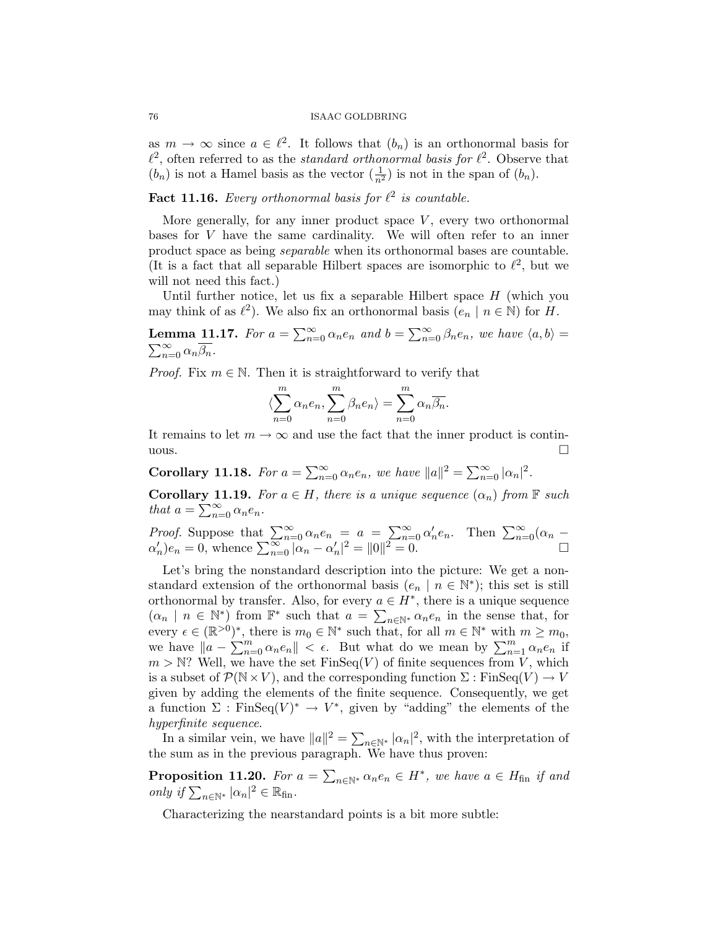#### 76 ISAAC GOLDBRING

as  $m \to \infty$  since  $a \in \ell^2$ . It follows that  $(b_n)$  is an orthonormal basis for  $\ell^2$ , often referred to as the *standard orthonormal basis for*  $\ell^2$ . Observe that  $(b_n)$  is not a Hamel basis as the vector  $(\frac{1}{n^2})$  is not in the span of  $(b_n)$ .

Fact 11.16. Every orthonormal basis for  $\ell^2$  is countable.

More generally, for any inner product space  $V$ , every two orthonormal bases for V have the same cardinality. We will often refer to an inner product space as being separable when its orthonormal bases are countable. (It is a fact that all separable Hilbert spaces are isomorphic to  $\ell^2$ , but we will not need this fact.)

Until further notice, let us fix a separable Hilbert space  $H$  (which you may think of as  $\ell^2$ ). We also fix an orthonormal basis  $(e_n | n \in \mathbb{N})$  for H.

**Lemma 11.17.** For  $a = \sum_{n=0}^{\infty} \alpha_n e_n$  and  $b = \sum_{n=0}^{\infty} \beta_n e_n$ , we have  $\langle a, b \rangle =$  $\sum_{n=0}^{\infty} \alpha_n \overline{\beta_n}.$ 

*Proof.* Fix  $m \in \mathbb{N}$ . Then it is straightforward to verify that

$$
\langle \sum_{n=0}^{m} \alpha_n e_n, \sum_{n=0}^{m} \beta_n e_n \rangle = \sum_{n=0}^{m} \alpha_n \overline{\beta_n}.
$$

It remains to let  $m \to \infty$  and use the fact that the inner product is contin- $\Box$ 

Corollary 11.18. For  $a = \sum_{n=0}^{\infty} \alpha_n e_n$ , we have  $||a||^2 = \sum_{n=0}^{\infty} |\alpha_n|^2$ .

**Corollary 11.19.** For  $a \in H$ , there is a unique sequence  $(\alpha_n)$  from  $\mathbb F$  such that  $a = \sum_{n=0}^{\infty} \alpha_n e_n$ .

*Proof.* Suppose that 
$$
\sum_{n=0}^{\infty} \alpha_n e_n = a = \sum_{n=0}^{\infty} \alpha'_n e_n
$$
. Then  $\sum_{n=0}^{\infty} (\alpha_n - \alpha'_n) e_n = 0$ , whence  $\sum_{n=0}^{\infty} |\alpha_n - \alpha'_n|^2 = ||0||^2 = 0$ .

Let's bring the nonstandard description into the picture: We get a nonstandard extension of the orthonormal basis  $(e_n \mid n \in \mathbb{N}^*)$ ; this set is still orthonormal by transfer. Also, for every  $a \in H^*$ , there is a unique sequence  $(\alpha_n \mid n \in \mathbb{N}^*)$  from  $\mathbb{F}^*$  such that  $a = \sum_{n \in \mathbb{N}^*} \alpha_n e_n$  in the sense that, for every  $\epsilon \in (\mathbb{R}^{>0})^*$ , there is  $m_0 \in \mathbb{N}^*$  such that, for all  $m \in \mathbb{N}^*$  with  $m \geq m_0$ , we have  $\|\alpha - \sum_{n=0}^m \alpha_n e_n\| < \epsilon$ . But what do we mean by  $\sum_{n=1}^m \alpha_n e_n$  if  $m > N$ ? Well, we have the set  $\text{FinSeq}(V)$  of finite sequences from V, which is a subset of  $\mathcal{P}(\mathbb{N} \times V)$ , and the corresponding function  $\Sigma$ : FinSeq $(V) \to V$ given by adding the elements of the finite sequence. Consequently, we get a function  $\Sigma$ : FinSeq $(V)^* \to V^*$ , given by "adding" the elements of the hyperfinite sequence.

In a similar vein, we have  $||a||^2 = \sum_{n \in \mathbb{N}^*} |\alpha_n|^2$ , with the interpretation of the sum as in the previous paragraph. We have thus proven:

**Proposition 11.20.** For  $a = \sum_{n \in \mathbb{N}^*} \alpha_n e_n \in H^*$ , we have  $a \in H_{\text{fin}}$  if and only if  $\sum_{n\in\mathbb{N}^*}|\alpha_n|^2 \in \mathbb{R}_{\text{fin}}$ .

Characterizing the nearstandard points is a bit more subtle: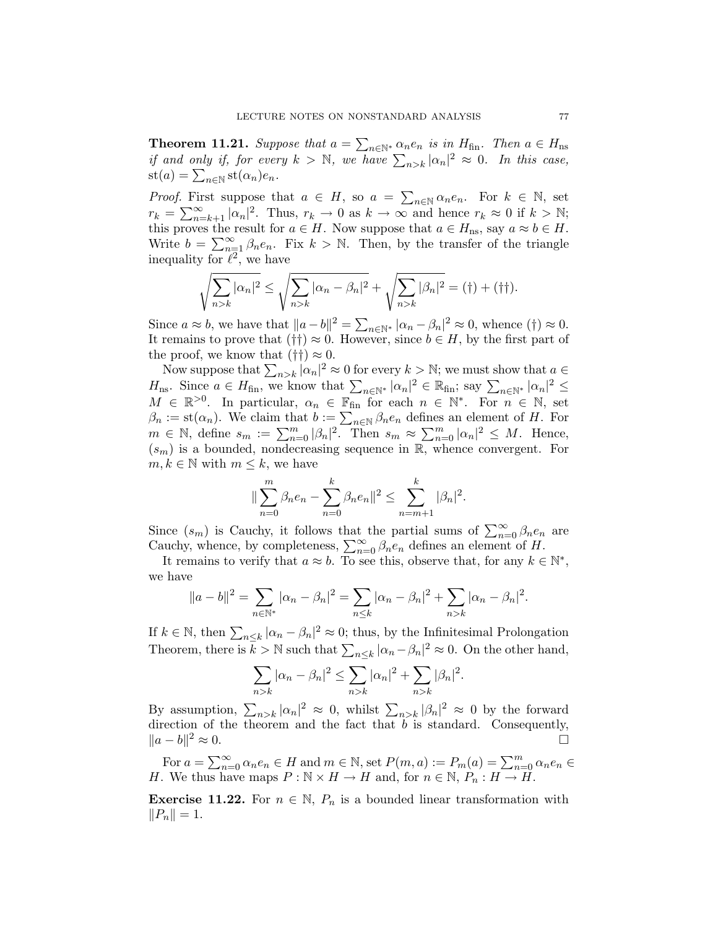**Theorem 11.21.** Suppose that  $a = \sum_{n \in \mathbb{N}^*} \alpha_n e_n$  is in  $H_{\text{fin}}$ . Then  $a \in H_{\text{ns}}$ if and only if, for every  $k > \mathbb{N}$ , we have  $\sum_{n > k} |\alpha_n|^2 \approx 0$ . In this case,  $\operatorname{st}(a) = \sum_{n \in \mathbb{N}} \operatorname{st}(\alpha_n) e_n.$ 

*Proof.* First suppose that  $a \in H$ , so  $a = \sum_{n \in \mathbb{N}} \alpha_n e_n$ . For  $k \in \mathbb{N}$ , set  $r_k = \sum_{n=k+1}^{\infty} |\alpha_n|^2$ . Thus,  $r_k \to 0$  as  $k \to \infty$  and hence  $r_k \approx 0$  if  $k > \mathbb{N}$ ; this proves the result for  $a \in H$ . Now suppose that  $a \in H_{\text{ns}}$ , say  $a \approx b \in H$ . Write  $b = \sum_{n=1}^{\infty} \beta_n e_n$ . Fix  $k > \mathbb{N}$ . Then, by the transfer of the triangle inequality for  $\ell^2$ , we have

$$
\sqrt{\sum_{n>k} |\alpha_n|^2} \le \sqrt{\sum_{n>k} |\alpha_n - \beta_n|^2} + \sqrt{\sum_{n>k} |\beta_n|^2} = (\dagger) + (\dagger \dagger).
$$

Since  $a \approx b$ , we have that  $||a - b||^2 = \sum_{n \in \mathbb{N}^*} |\alpha_n - \beta_n|^2 \approx 0$ , whence  $(\dagger) \approx 0$ . It remains to prove that (††)  $\approx 0$ . However, since  $b \in H$ , by the first part of the proof, we know that  $(\dagger\dagger) \approx 0$ .

Now suppose that  $\sum_{n>k} |\alpha_n|^2 \approx 0$  for every  $k > \mathbb{N}$ ; we must show that  $a \in \mathbb{N}$  $H_{\text{ns}}$ . Since  $a \in H_{\text{fin}}$ , we know that  $\sum_{n \in \mathbb{N}^*} |\alpha_n|^2 \in \mathbb{R}_{\text{fin}}$ ; say  $\sum_{n \in \mathbb{N}^*} |\alpha_n|^2 \le$  $M \in \mathbb{R}^{>0}$ . In particular,  $\alpha_n \in \mathbb{F}_{fin}$  for each  $n \in \mathbb{N}^*$ . For  $n \in \mathbb{N}$ , set  $\beta_n := \text{st}(\alpha_n)$ . We claim that  $b := \sum_{n \in \mathbb{N}} \beta_n e_n$  defines an element of H. For  $m \in \mathbb{N}$ , define  $s_m := \sum_{n=0}^m |\beta_n|^2$ . Then  $s_m \approx \sum_{n=0}^m |\alpha_n|^2 \leq M$ . Hence,  $(s_m)$  is a bounded, nondecreasing sequence in  $\mathbb{R}$ , whence convergent. For  $m, k \in \mathbb{N}$  with  $m \leq k$ , we have

$$
\|\sum_{n=0}^{m}\beta_n e_n - \sum_{n=0}^{k}\beta_n e_n\|^2 \le \sum_{n=m+1}^{k}|\beta_n|^2.
$$

Since  $(s_m)$  is Cauchy, it follows that the partial sums of  $\sum_{n=0}^{\infty} \beta_n e_n$  are Cauchy, whence, by completeness,  $\sum_{n=0}^{\infty} \beta_n e_n$  defines an element of H.

It remains to verify that  $a \approx b$ . To see this, observe that, for any  $k \in \mathbb{N}^*$ , we have

$$
||a - b||^2 = \sum_{n \in \mathbb{N}^*} |\alpha_n - \beta_n|^2 = \sum_{n \le k} |\alpha_n - \beta_n|^2 + \sum_{n > k} |\alpha_n - \beta_n|^2.
$$

If  $k \in \mathbb{N}$ , then  $\sum_{n \leq k} |\alpha_n - \beta_n|^2 \approx 0$ ; thus, by the Infinitesimal Prolongation Theorem, there is  $\bar{k} > \mathbb{N}$  such that  $\sum_{n \leq k} |\alpha_n - \beta_n|^2 \approx 0$ . On the other hand,

$$
\sum_{n>k} |\alpha_n - \beta_n|^2 \le \sum_{n>k} |\alpha_n|^2 + \sum_{n>k} |\beta_n|^2.
$$

By assumption,  $\sum_{n>k} |\alpha_n|^2 \approx 0$ , whilst  $\sum_{n>k} |\beta_n|^2 \approx 0$  by the forward direction of the theorem and the fact that  $b$  is standard. Consequently,  $||a - b||^2 \approx 0.$  $2 \approx 0$ .

For  $a = \sum_{n=0}^{\infty} \alpha_n e_n \in H$  and  $m \in \mathbb{N}$ , set  $P(m, a) := P_m(a) = \sum_{n=0}^m \alpha_n e_n \in H$ H. We thus have maps  $P : \mathbb{N} \times H \to H$  and, for  $n \in \mathbb{N}, P_n : H \to H$ .

**Exercise 11.22.** For  $n \in \mathbb{N}$ ,  $P_n$  is a bounded linear transformation with  $||P_n|| = 1.$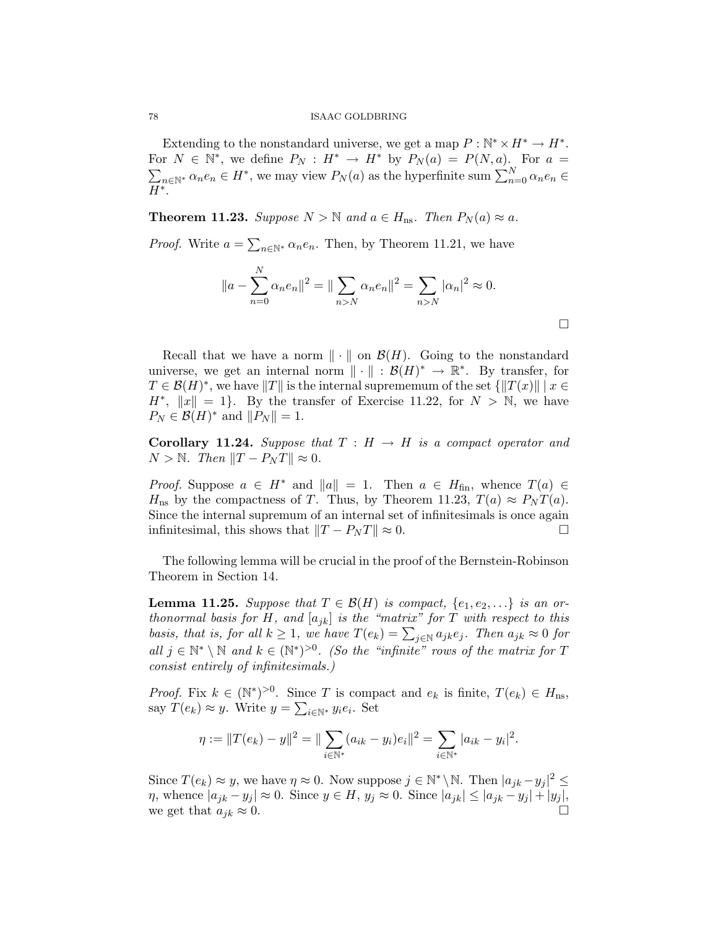78 ISAAC GOLDBRING

Extending to the nonstandard universe, we get a map  $P : \mathbb{N}^* \times H^* \to H^*$ . For  $N \in \mathbb{N}^*$ , we define  $P_N : H^* \to H^*$  by  $P_N(a) = P(N, a)$ . For  $a =$  $\sum_{n\in \mathbb{N}^*} \alpha_n e_n \in H^*$ , we may view  $P_N(a)$  as the hyperfinite sum  $\sum_{n=0}^N \alpha_n e_n \in$  $\overline{H}^*$ .

**Theorem 11.23.** Suppose  $N > N$  and  $a \in H_{ns}$ . Then  $P_N(a) \approx a$ .

*Proof.* Write  $a = \sum_{n \in \mathbb{N}^*} \alpha_n e_n$ . Then, by Theorem 11.21, we have

$$
||a - \sum_{n=0}^{N} \alpha_n e_n||^2 = ||\sum_{n>N} \alpha_n e_n||^2 = \sum_{n>N} |\alpha_n|^2 \approx 0.
$$

Recall that we have a norm  $\|\cdot\|$  on  $\mathcal{B}(H)$ . Going to the nonstandard universe, we get an internal norm  $\|\cdot\| : \mathcal{B}(H)^* \to \mathbb{R}^*$ . By transfer, for  $T \in \mathcal{B}(H)^*$ , we have  $||T||$  is the internal suprememum of the set  $\{||T(x)|| \mid x \in$  $H^*$ ,  $\|\hat{x}\| = 1$ . By the transfer of Exercise 11.22, for  $N > N$ , we have  $P_N \in \mathcal{B}(H)^*$  and  $||P_N|| = 1$ .

**Corollary 11.24.** Suppose that  $T : H \to H$  is a compact operator and  $N > \mathbb{N}$ . Then  $||T - P_N T|| \approx 0$ .

*Proof.* Suppose  $a \in H^*$  and  $||a|| = 1$ . Then  $a \in H_{fin}$ , whence  $T(a) \in$  $H_{\text{ns}}$  by the compactness of T. Thus, by Theorem 11.23,  $T(a) \approx P_N T(a)$ . Since the internal supremum of an internal set of infinitesimals is once again infinitesimal, this shows that  $||T - P_N T|| \approx 0$ .

The following lemma will be crucial in the proof of the Bernstein-Robinson Theorem in Section 14.

**Lemma 11.25.** Suppose that  $T \in \mathcal{B}(H)$  is compact,  $\{e_1, e_2, ...\}$  is an orthonormal basis for  $H$ , and  $[a_{jk}]$  is the "matrix" for  $T$  with respect to this basis, that is, for all  $k \geq 1$ , we have  $T(e_k) = \sum_{j \in \mathbb{N}} a_{jk} e_j$ . Then  $a_{jk} \approx 0$  for all  $j \in \mathbb{N}^* \setminus \mathbb{N}$  and  $k \in (\mathbb{N}^*)^{>0}$ . (So the "infinite" rows of the matrix for T consist entirely of infinitesimals.)

*Proof.* Fix  $k \in (\mathbb{N}^*)^{>0}$ . Since T is compact and  $e_k$  is finite,  $T(e_k) \in H_{\text{ns}}$ , say  $T(e_k) \approx y$ . Write  $y = \sum_{i \in \mathbb{N}^*} y_i e_i$ . Set

$$
\eta := \|T(e_k) - y\|^2 = \|\sum_{i \in \mathbb{N}^*} (a_{ik} - y_i)e_i\|^2 = \sum_{i \in \mathbb{N}^*} |a_{ik} - y_i|^2.
$$

Since  $T(e_k) \approx y$ , we have  $\eta \approx 0$ . Now suppose  $j \in \mathbb{N}^* \setminus \mathbb{N}$ . Then  $|a_{jk} - y_j|^2 \leq$  $\eta$ , whence  $|a_{jk} - y_j| \approx 0$ . Since  $y \in H$ ,  $y_j \approx 0$ . Since  $|a_{jk}| \leq |a_{jk} - y_j| + |y_j|$ , we get that  $a_{jk} \approx 0$ .

 $\Box$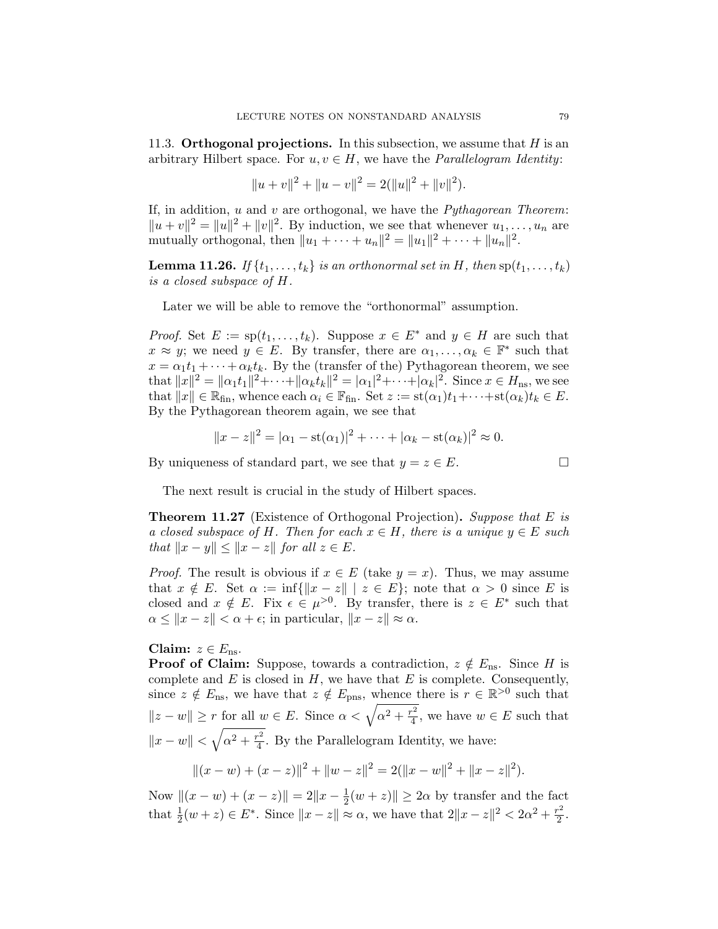11.3. Orthogonal projections. In this subsection, we assume that  $H$  is an arbitrary Hilbert space. For  $u, v \in H$ , we have the *Parallelogram Identity*:

$$
||u + v||2 + ||u - v||2 = 2(||u||2 + ||v||2).
$$

If, in addition,  $u$  and  $v$  are orthogonal, we have the *Pythagorean Theorem*:  $||u + v||^2 = ||u||^2 + ||v||^2$ . By induction, we see that whenever  $u_1, \ldots, u_n$  are mutually orthogonal, then  $||u_1 + \cdots + u_n||^2 = ||u_1||^2 + \cdots + ||u_n||^2$ .

**Lemma 11.26.** If  $\{t_1, \ldots, t_k\}$  is an orthonormal set in H, then  $sp(t_1, \ldots, t_k)$ is a closed subspace of H.

Later we will be able to remove the "orthonormal" assumption.

*Proof.* Set  $E := sp(t_1, \ldots, t_k)$ . Suppose  $x \in E^*$  and  $y \in H$  are such that  $x \approx y$ ; we need  $y \in E$ . By transfer, there are  $\alpha_1, \ldots, \alpha_k \in \mathbb{F}^*$  such that  $x = \alpha_1 t_1 + \cdots + \alpha_k t_k$ . By the (transfer of the) Pythagorean theorem, we see that  $||x||^2 = ||\alpha_1 t_1||^2 + \cdots + ||\alpha_k t_k||^2 = |\alpha_1|^2 + \cdots + |\alpha_k|^2$ . Since  $x \in H_{\text{ns}}$ , we see that  $||x|| \in \mathbb{R}_{fin}$ , whence each  $\alpha_i \in \mathbb{F}_{fin}$ . Set  $z := \text{st}(\alpha_1)t_1+\cdots+\text{st}(\alpha_k)t_k \in E$ . By the Pythagorean theorem again, we see that

$$
||x - z||2 = |\alpha_1 - st(\alpha_1)|2 + \dots + |\alpha_k - st(\alpha_k)|2 \approx 0.
$$

By uniqueness of standard part, we see that  $y = z \in E$ .

$$
\overline{\Box}
$$

The next result is crucial in the study of Hilbert spaces.

**Theorem 11.27** (Existence of Orthogonal Projection). Suppose that E is a closed subspace of H. Then for each  $x \in H$ , there is a unique  $y \in E$  such that  $||x - y|| \le ||x - z||$  for all  $z \in E$ .

*Proof.* The result is obvious if  $x \in E$  (take  $y = x$ ). Thus, we may assume that  $x \notin E$ . Set  $\alpha := \inf\{||x - z|| \mid z \in E\}$ ; note that  $\alpha > 0$  since E is closed and  $x \notin E$ . Fix  $\epsilon \in \mu^{>0}$ . By transfer, there is  $z \in E^*$  such that  $\alpha \leq ||x - z|| < \alpha + \epsilon$ ; in particular,  $||x - z|| \approx \alpha$ .

Claim:  $z \in E_{\text{ns}}$ .

**Proof of Claim:** Suppose, towards a contradiction,  $z \notin E_{\text{ns}}$ . Since H is complete and  $E$  is closed in  $H$ , we have that  $E$  is complete. Consequently, since  $z \notin E_{\text{ns}}$ , we have that  $z \notin E_{\text{pns}}$ , whence there is  $r \in \mathbb{R}^{>0}$  such that  $||z-w|| \geq r$  for all  $w \in E$ . Since  $\alpha < \sqrt{\alpha^2 + \frac{r^2}{4}}$  $\frac{d^2}{4}$ , we have  $w \in E$  such that  $||x - w|| < \sqrt{\alpha^2 + \frac{r^2}{4}}$  $\frac{1}{4}$ . By the Parallelogram Identity, we have:

$$
||(x-w)+(x-z)||^2 + ||w-z||^2 = 2(||x-w||^2 + ||x-z||^2).
$$

Now  $||(x - w) + (x - z)|| = 2||x - \frac{1}{2}||$  $\frac{1}{2}(w+z)\| \geq 2\alpha$  by transfer and the fact that  $\frac{1}{2}(w+z) \in E^*$ . Since  $||x-z|| \approx \alpha$ , we have that  $2||x-z||^2 < 2\alpha^2 + \frac{r^2}{2}$  $\frac{1}{2}$ .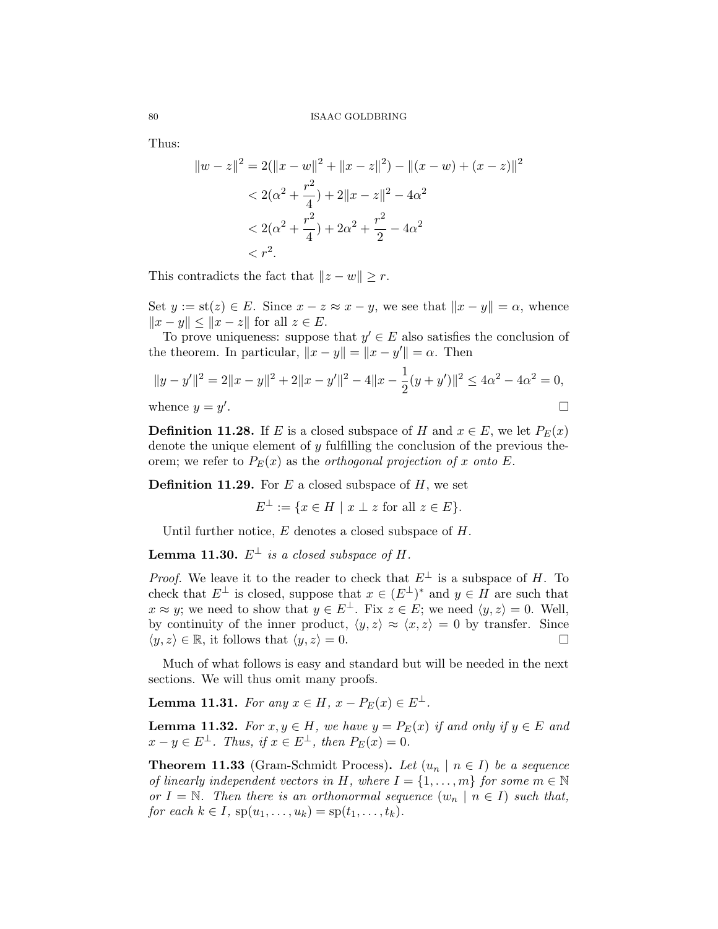Thus:

$$
||w - z||2 = 2(||x - w||2 + ||x - z||2) - ||(x - w) + (x - z)||2
$$
  
< 
$$
< 2(\alpha^{2} + \frac{r^{2}}{4}) + 2||x - z||^{2} - 4\alpha^{2}
$$
  
< 
$$
< 2(\alpha^{2} + \frac{r^{2}}{4}) + 2\alpha^{2} + \frac{r^{2}}{2} - 4\alpha^{2}
$$
  
< 
$$
< r^{2}.
$$

This contradicts the fact that  $||z - w|| \geq r$ .

Set  $y := st(z) \in E$ . Since  $x - z \approx x - y$ , we see that  $||x - y|| = \alpha$ , whence  $||x - y|| \le ||x - z||$  for all  $z \in E$ .

To prove uniqueness: suppose that  $y' \in E$  also satisfies the conclusion of the theorem. In particular,  $||x - y|| = ||x - y'|| = \alpha$ . Then

$$
||y - y'||^2 = 2||x - y||^2 + 2||x - y'||^2 - 4||x - \frac{1}{2}(y + y')||^2 \le 4\alpha^2 - 4\alpha^2 = 0,
$$
  
whence  $y = y'$ .

**Definition 11.28.** If E is a closed subspace of H and  $x \in E$ , we let  $P_E(x)$ denote the unique element of  $y$  fulfilling the conclusion of the previous theorem; we refer to  $P_E(x)$  as the *orthogonal projection of x onto E*.

**Definition 11.29.** For  $E$  a closed subspace of  $H$ , we set

 $E^{\perp} := \{x \in H \mid x \perp z \text{ for all } z \in E\}.$ 

Until further notice,  $E$  denotes a closed subspace of  $H$ .

**Lemma 11.30.**  $E^{\perp}$  is a closed subspace of H.

*Proof.* We leave it to the reader to check that  $E^{\perp}$  is a subspace of H. To check that  $E^{\perp}$  is closed, suppose that  $x \in (E^{\perp})^*$  and  $y \in H$  are such that  $x \approx y$ ; we need to show that  $y \in E^{\perp}$ . Fix  $z \in E$ ; we need  $\langle y, z \rangle = 0$ . Well, by continuity of the inner product,  $\langle y, z \rangle \approx \langle x, z \rangle = 0$  by transfer. Since  $\langle y, z \rangle \in \mathbb{R}$ , it follows that  $\langle y, z \rangle = 0$ .

Much of what follows is easy and standard but will be needed in the next sections. We will thus omit many proofs.

Lemma 11.31. For any  $x \in H$ ,  $x - P_E(x) \in E^{\perp}$ .

**Lemma 11.32.** For  $x, y \in H$ , we have  $y = P_E(x)$  if and only if  $y \in E$  and  $x - y \in E^{\perp}$ . Thus, if  $x \in E^{\perp}$ , then  $P_E(x) = 0$ .

**Theorem 11.33** (Gram-Schmidt Process). Let  $(u_n \mid n \in I)$  be a sequence of linearly independent vectors in H, where  $I = \{1, \ldots, m\}$  for some  $m \in \mathbb{N}$ or  $I = \mathbb{N}$ . Then there is an orthonormal sequence  $(w_n \mid n \in I)$  such that, for each  $k \in I$ ,  $sp(u_1, ..., u_k) = sp(t_1, ..., t_k)$ .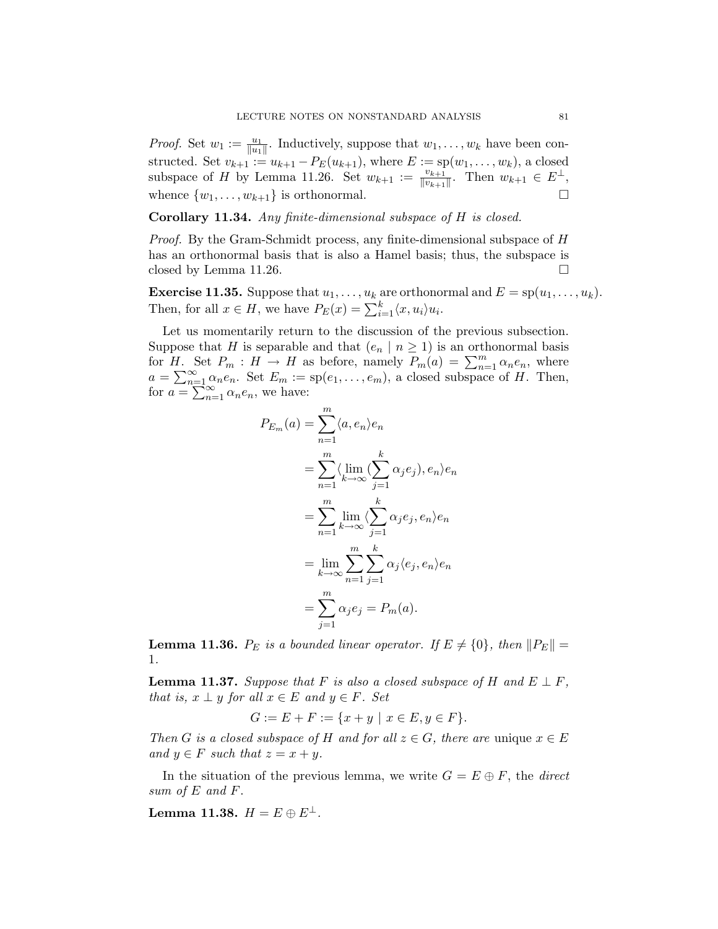*Proof.* Set  $w_1 := \frac{u_1}{\|u_1\|}$ . Inductively, suppose that  $w_1, \ldots, w_k$  have been constructed. Set  $v_{k+1} := u_{k+1} - P_E(u_{k+1}),$  where  $E := sp(w_1, \ldots, w_k),$  a closed subspace of H by Lemma 11.26. Set  $w_{k+1} := \frac{v_{k+1}}{||v_{k+1}||}$  $\frac{v_{k+1}}{\|v_{k+1}\|}$ . Then  $w_{k+1} \in E^{\perp}$ , whence  $\{w_1, \ldots, w_{k+1}\}\$ is orthonormal.

Corollary 11.34. Any finite-dimensional subspace of H is closed.

Proof. By the Gram-Schmidt process, any finite-dimensional subspace of H has an orthonormal basis that is also a Hamel basis; thus, the subspace is closed by Lemma 11.26.

**Exercise 11.35.** Suppose that  $u_1, \ldots, u_k$  are orthonormal and  $E = sp(u_1, \ldots, u_k)$ . Then, for all  $x \in H$ , we have  $P_E(x) = \sum_{i=1}^k \langle x, u_i \rangle u_i$ .

Let us momentarily return to the discussion of the previous subsection. Suppose that H is separable and that  $(e_n \mid n \geq 1)$  is an orthonormal basis for H. Set  $P_m$ :  $H \to H$  as before, namely  $P_m(a) = \sum_{n=1}^m \alpha_n e_n$ , where  $a = \sum_{n=1}^{\infty} \alpha_n e_n$ . Set  $E_m := \text{sp}(e_1, \ldots, e_m)$ , a closed subspace of H. Then, for  $a = \sum_{n=1}^{\infty} \alpha_n e_n$ , we have:

$$
P_{E_m}(a) = \sum_{n=1}^{m} \langle a, e_n \rangle e_n
$$
  
= 
$$
\sum_{n=1}^{m} \langle \lim_{k \to \infty} (\sum_{j=1}^{k} \alpha_j e_j), e_n \rangle e_n
$$
  
= 
$$
\sum_{n=1}^{m} \lim_{k \to \infty} \langle \sum_{j=1}^{k} \alpha_j e_j, e_n \rangle e_n
$$
  
= 
$$
\lim_{k \to \infty} \sum_{n=1}^{m} \sum_{j=1}^{k} \alpha_j \langle e_j, e_n \rangle e_n
$$
  
= 
$$
\sum_{j=1}^{m} \alpha_j e_j = P_m(a).
$$

**Lemma 11.36.**  $P_E$  is a bounded linear operator. If  $E \neq \{0\}$ , then  $||P_E|| =$ 1.

**Lemma 11.37.** Suppose that F is also a closed subspace of H and  $E \perp F$ , that is,  $x \perp y$  for all  $x \in E$  and  $y \in F$ . Set

$$
G := E + F := \{ x + y \mid x \in E, y \in F \}.
$$

Then G is a closed subspace of H and for all  $z \in G$ , there are unique  $x \in E$ and  $y \in F$  such that  $z = x + y$ .

In the situation of the previous lemma, we write  $G = E \oplus F$ , the direct sum of  $E$  and  $F$ .

Lemma 11.38.  $H = E \oplus E^{\perp}$ .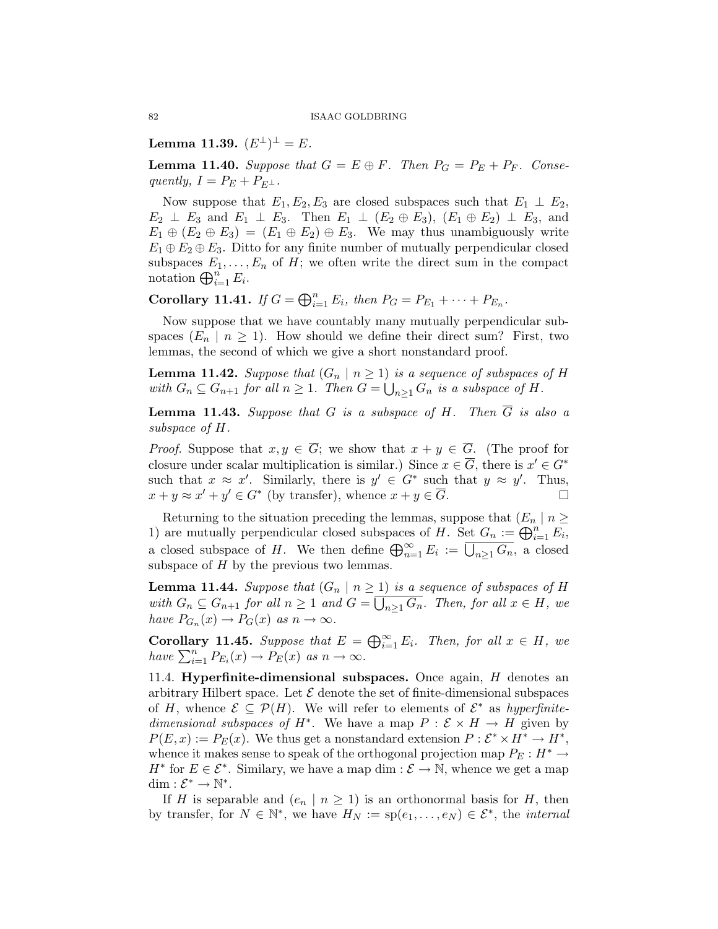Lemma 11.39.  $(E^{\perp})^{\perp}=E.$ 

**Lemma 11.40.** Suppose that  $G = E \oplus F$ . Then  $P_G = P_E + P_F$ . Consequently,  $I = P_E + P_{E^{\perp}}$ .

Now suppose that  $E_1, E_2, E_3$  are closed subspaces such that  $E_1 \perp E_2$ ,  $E_2 \perp E_3$  and  $E_1 \perp E_3$ . Then  $E_1 \perp (E_2 \oplus E_3)$ ,  $(E_1 \oplus E_2) \perp E_3$ , and  $E_1 \oplus (E_2 \oplus E_3) = (E_1 \oplus E_2) \oplus E_3$ . We may thus unambiguously write  $E_1 \oplus E_2 \oplus E_3$ . Ditto for any finite number of mutually perpendicular closed subspaces  $E_1, \ldots, E_n$  of H; we often write the direct sum in the compact notation  $\bigoplus_{i=1}^n E_i$ .

Corollary 11.41. If  $G = \bigoplus_{i=1}^{n} E_i$ , then  $P_G = P_{E_1} + \cdots + P_{E_n}$ .

Now suppose that we have countably many mutually perpendicular subspaces  $(E_n \mid n \geq 1)$ . How should we define their direct sum? First, two lemmas, the second of which we give a short nonstandard proof.

**Lemma 11.42.** Suppose that  $(G_n \mid n \geq 1)$  is a sequence of subspaces of H with  $G_n \subseteq G_{n+1}$  for all  $n \geq 1$ . Then  $G = \bigcup_{n \geq 1} G_n$  is a subspace of H.

**Lemma 11.43.** Suppose that G is a subspace of H. Then  $\overline{G}$  is also a subspace of H.

*Proof.* Suppose that  $x, y \in \overline{G}$ ; we show that  $x + y \in \overline{G}$ . (The proof for closure under scalar multiplication is similar.) Since  $x \in \overline{G}$ , there is  $x' \in G^*$ such that  $x \approx x'$ . Similarly, there is  $y' \in G^*$  such that  $y \approx y'$ . Thus,  $x + y \approx x' + y' \in G^*$  (by transfer), whence  $x + y \in \overline{G}$ .

Returning to the situation preceding the lemmas, suppose that  $(E_n \mid n \geq$ 1) are mutually perpendicular closed subspaces of H. Set  $G_n := \bigoplus_{i=1}^n E_i$ , a closed subspace of H. We then define  $\bigoplus_{n=1}^{\infty} E_i := \overline{\bigcup_{n \geq 1} G_n}$ , a closed subspace of  $H$  by the previous two lemmas.

**Lemma 11.44.** Suppose that  $(G_n \mid n \geq 1)$  is a sequence of subspaces of H with  $G_n \subseteq G_{n+1}$  for all  $n \ge 1$  and  $G = \bigcup_{n \ge 1} G_n$ . Then, for all  $x \in H$ , we have  $P_{G_n}(x) \to P_G(x)$  as  $n \to \infty$ .

**Corollary 11.45.** Suppose that  $E = \bigoplus_{i=1}^{\infty} E_i$ . Then, for all  $x \in H$ , we have  $\sum_{i=1}^n P_{E_i}(x) \to \widehat{P_E}(x)$  as  $n \to \infty$ .

11.4. Hyperfinite-dimensional subspaces. Once again,  $H$  denotes an arbitrary Hilbert space. Let  $\mathcal E$  denote the set of finite-dimensional subspaces of H, whence  $\mathcal{E} \subseteq \mathcal{P}(H)$ . We will refer to elements of  $\mathcal{E}^*$  as hyperfinitedimensional subspaces of  $H^*$ . We have a map  $P : \mathcal{E} \times H \to H$  given by  $P(E, x) := P_E(x)$ . We thus get a nonstandard extension  $P: \mathcal{E}^* \times H^* \to H^*$ , whence it makes sense to speak of the orthogonal projection map  $P_E : H^* \to$  $H^*$  for  $E \in \mathcal{E}^*$ . Similary, we have a map dim :  $\mathcal{E} \to \mathbb{N}$ , whence we get a map dim :  $\mathcal{E}^* \to \mathbb{N}^*$ .

If H is separable and  $(e_n \mid n \geq 1)$  is an orthonormal basis for H, then by transfer, for  $N \in \mathbb{N}^*$ , we have  $H_N := sp(e_1, \ldots, e_N) \in \mathcal{E}^*$ , the *internal*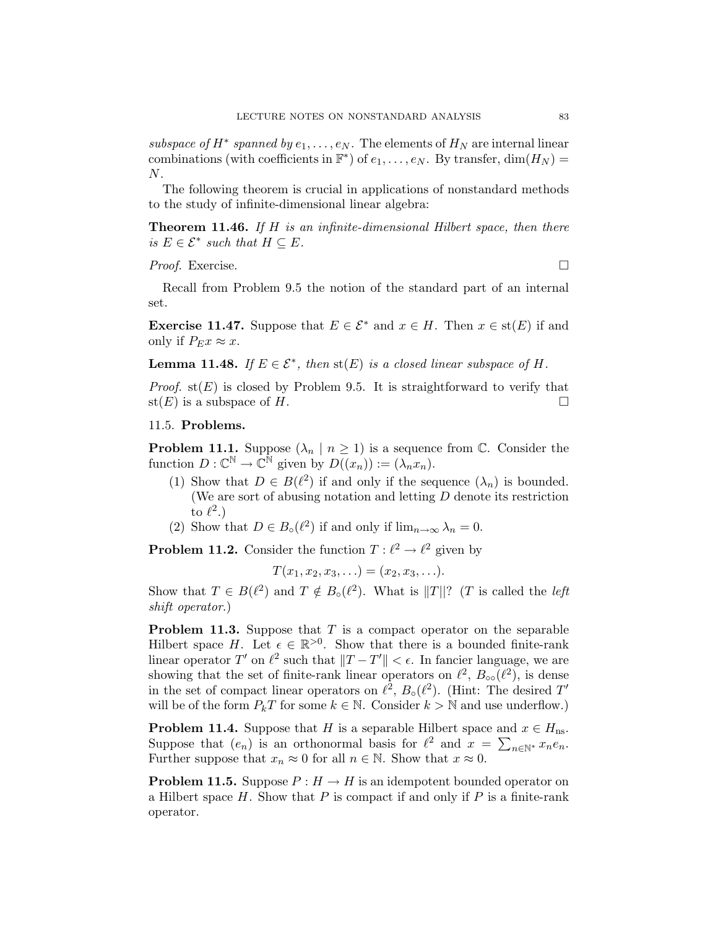subspace of  $H^*$  spanned by  $e_1, \ldots, e_N$ . The elements of  $H_N$  are internal linear combinations (with coefficients in  $\mathbb{F}^*$ ) of  $e_1, \ldots, e_N$ . By transfer,  $\dim(H_N) =$  $\cal N.$ 

The following theorem is crucial in applications of nonstandard methods to the study of infinite-dimensional linear algebra:

**Theorem 11.46.** If  $H$  is an infinite-dimensional Hilbert space, then there is  $E \in \mathcal{E}^*$  such that  $H \subseteq E$ .

Proof. Exercise. □

Recall from Problem 9.5 the notion of the standard part of an internal set.

**Exercise 11.47.** Suppose that  $E \in \mathcal{E}^*$  and  $x \in H$ . Then  $x \in \text{st}(E)$  if and only if  $P_{E}x \approx x$ .

**Lemma 11.48.** If  $E \in \mathcal{E}^*$ , then  $\text{st}(E)$  is a closed linear subspace of H.

*Proof.* st( $E$ ) is closed by Problem 9.5. It is straightforward to verify that  $\text{st}(E)$  is a subspace of H.

# 11.5. Problems.

**Problem 11.1.** Suppose  $(\lambda_n | n \ge 1)$  is a sequence from  $\mathbb{C}$ . Consider the function  $D: \mathbb{C}^{\mathbb{N}} \to \mathbb{C}^{\mathbb{N}}$  given by  $D((x_n)) := (\lambda_n x_n)$ .

- (1) Show that  $D \in B(\ell^2)$  if and only if the sequence  $(\lambda_n)$  is bounded. (We are sort of abusing notation and letting  $D$  denote its restriction to  $\ell^2$ .)
- (2) Show that  $D \in B_o(\ell^2)$  if and only if  $\lim_{n\to\infty} \lambda_n = 0$ .

**Problem 11.2.** Consider the function  $T : \ell^2 \to \ell^2$  given by

$$
T(x_1, x_2, x_3, \ldots) = (x_2, x_3, \ldots).
$$

Show that  $T \in B(\ell^2)$  and  $T \notin B_o(\ell^2)$ . What is ||T||? (T is called the *left* shift operator.)

**Problem 11.3.** Suppose that  $T$  is a compact operator on the separable Hilbert space H. Let  $\epsilon \in \mathbb{R}^{>0}$ . Show that there is a bounded finite-rank linear operator T' on  $\ell^2$  such that  $||T - T'|| < \epsilon$ . In fancier language, we are showing that the set of finite-rank linear operators on  $\ell^2$ ,  $B_{\infty}(\ell^2)$ , is dense in the set of compact linear operators on  $\ell^2$ ,  $B_\circ(\ell^2)$ . (Hint: The desired T' will be of the form  $P_kT$  for some  $k \in \mathbb{N}$ . Consider  $k > \mathbb{N}$  and use underflow.)

**Problem 11.4.** Suppose that H is a separable Hilbert space and  $x \in H_{\text{ns}}$ . Suppose that  $(e_n)$  is an orthonormal basis for  $\ell^2$  and  $x = \sum_{n \in \mathbb{N}^*} x_n e_n$ . Further suppose that  $x_n \approx 0$  for all  $n \in \mathbb{N}$ . Show that  $x \approx 0$ .

**Problem 11.5.** Suppose  $P: H \to H$  is an idempotent bounded operator on a Hilbert space  $H$ . Show that  $P$  is compact if and only if  $P$  is a finite-rank operator.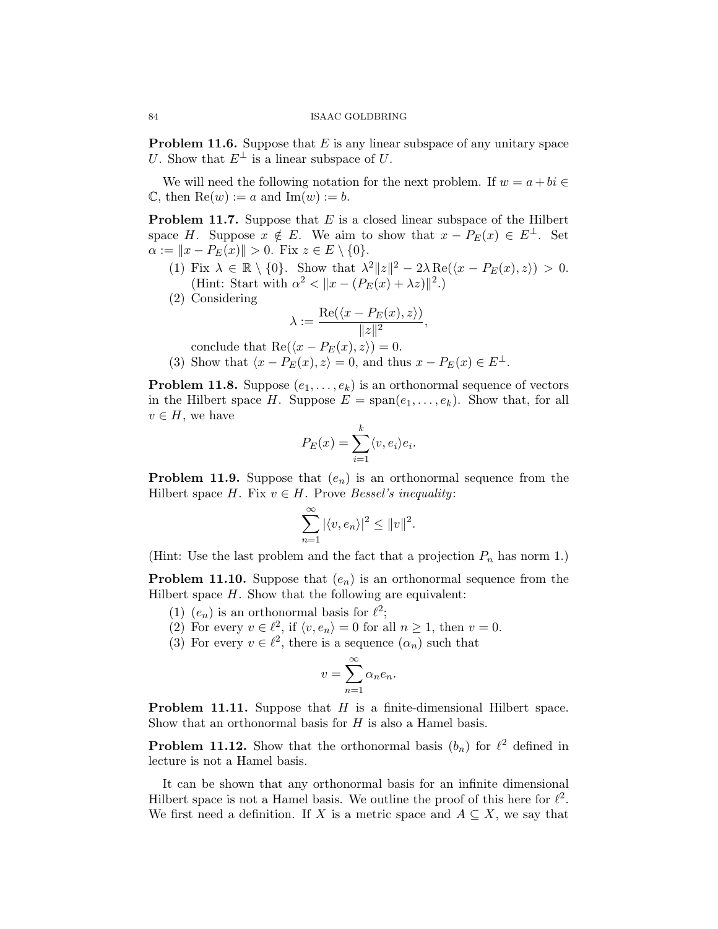**Problem 11.6.** Suppose that  $E$  is any linear subspace of any unitary space U. Show that  $E^{\perp}$  is a linear subspace of U.

We will need the following notation for the next problem. If  $w = a + bi \in \mathbb{R}$  $\mathbb{C}$ , then  $\text{Re}(w) := a$  and  $\text{Im}(w) := b$ .

**Problem 11.7.** Suppose that  $E$  is a closed linear subspace of the Hilbert space H. Suppose  $x \notin E$ . We aim to show that  $x - P_E(x) \in E^{\perp}$ . Set  $\alpha := \|x - P_E(x)\| > 0.$  Fix  $z \in E \setminus \{0\}.$ 

(1) Fix  $\lambda \in \mathbb{R} \setminus \{0\}$ . Show that  $\lambda^2 ||z||^2 - 2\lambda \operatorname{Re}(\langle x - P_E(x), z \rangle) > 0$ . (Hint: Start with  $\alpha^2 < ||x - (P_E(x) + \lambda z)||^2$ .)

(2) Considering

$$
\lambda := \frac{\operatorname{Re}(\langle x - P_E(x), z \rangle)}{\|z\|^2},
$$

conclude that Re( $\langle x - P_E(x), z \rangle$ ) = 0.

(3) Show that  $\langle x - P_E(x), z \rangle = 0$ , and thus  $x - P_E(x) \in E^{\perp}$ .

**Problem 11.8.** Suppose  $(e_1, \ldots, e_k)$  is an orthonormal sequence of vectors in the Hilbert space H. Suppose  $E = \text{span}(e_1, \ldots, e_k)$ . Show that, for all  $v \in H$ , we have

$$
P_E(x) = \sum_{i=1}^k \langle v, e_i \rangle e_i.
$$

**Problem 11.9.** Suppose that  $(e_n)$  is an orthonormal sequence from the Hilbert space H. Fix  $v \in H$ . Prove Bessel's inequality:

$$
\sum_{n=1}^{\infty} |\langle v, e_n \rangle|^2 \le ||v||^2.
$$

(Hint: Use the last problem and the fact that a projection  $P_n$  has norm 1.)

**Problem 11.10.** Suppose that  $(e_n)$  is an orthonormal sequence from the Hilbert space  $H$ . Show that the following are equivalent:

- (1)  $(e_n)$  is an orthonormal basis for  $\ell^2$ ;
- (2) For every  $v \in \ell^2$ , if  $\langle v, e_n \rangle = 0$  for all  $n \ge 1$ , then  $v = 0$ .
- (3) For every  $v \in \ell^2$ , there is a sequence  $(\alpha_n)$  such that

$$
v = \sum_{n=1}^{\infty} \alpha_n e_n.
$$

**Problem 11.11.** Suppose that  $H$  is a finite-dimensional Hilbert space. Show that an orthonormal basis for  $H$  is also a Hamel basis.

**Problem 11.12.** Show that the orthonormal basis  $(b_n)$  for  $\ell^2$  defined in lecture is not a Hamel basis.

It can be shown that any orthonormal basis for an infinite dimensional Hilbert space is not a Hamel basis. We outline the proof of this here for  $\ell^2$ . We first need a definition. If X is a metric space and  $A \subseteq X$ , we say that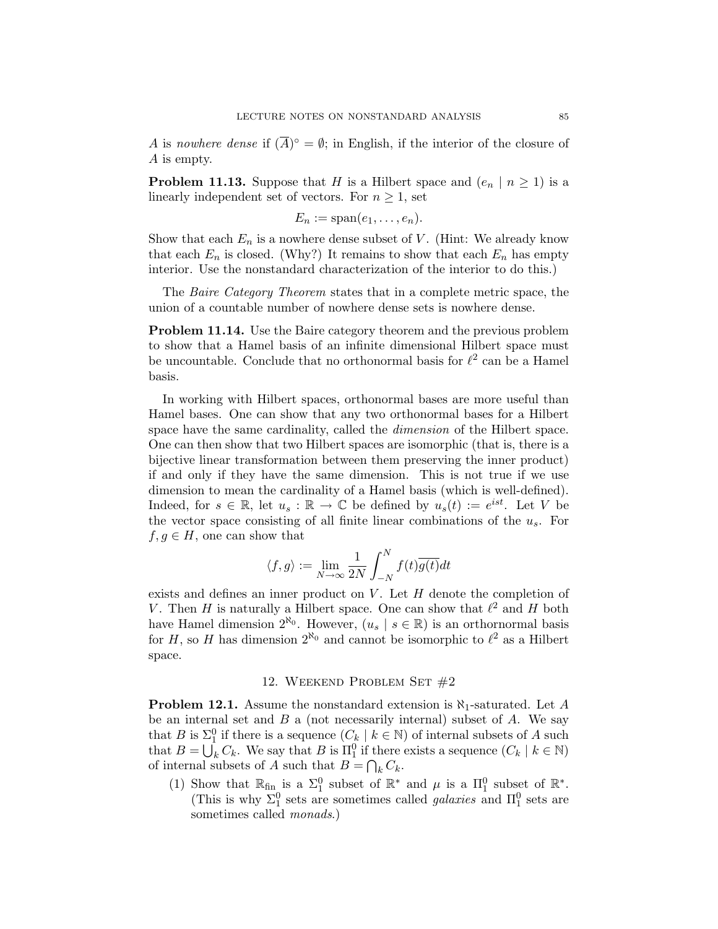A is nowhere dense if  $(\overline{A})^{\circ} = \emptyset$ ; in English, if the interior of the closure of A is empty.

**Problem 11.13.** Suppose that H is a Hilbert space and  $(e_n \mid n \geq 1)$  is a linearly independent set of vectors. For  $n \geq 1$ , set

$$
E_n := \mathrm{span}(e_1, \ldots, e_n).
$$

Show that each  $E_n$  is a nowhere dense subset of V. (Hint: We already know that each  $E_n$  is closed. (Why?) It remains to show that each  $E_n$  has empty interior. Use the nonstandard characterization of the interior to do this.)

The Baire Category Theorem states that in a complete metric space, the union of a countable number of nowhere dense sets is nowhere dense.

Problem 11.14. Use the Baire category theorem and the previous problem to show that a Hamel basis of an infinite dimensional Hilbert space must be uncountable. Conclude that no orthonormal basis for  $\ell^2$  can be a Hamel basis.

In working with Hilbert spaces, orthonormal bases are more useful than Hamel bases. One can show that any two orthonormal bases for a Hilbert space have the same cardinality, called the *dimension* of the Hilbert space. One can then show that two Hilbert spaces are isomorphic (that is, there is a bijective linear transformation between them preserving the inner product) if and only if they have the same dimension. This is not true if we use dimension to mean the cardinality of a Hamel basis (which is well-defined). Indeed, for  $s \in \mathbb{R}$ , let  $u_s : \mathbb{R} \to \mathbb{C}$  be defined by  $u_s(t) := e^{ist}$ . Let V be the vector space consisting of all finite linear combinations of the  $u_s$ . For  $f, g \in H$ , one can show that

$$
\langle f, g \rangle := \lim_{N \to \infty} \frac{1}{2N} \int_{-N}^{N} f(t) \overline{g(t)} dt
$$

exists and defines an inner product on  $V$ . Let  $H$  denote the completion of V. Then H is naturally a Hilbert space. One can show that  $\ell^2$  and H both have Hamel dimension  $2^{\aleph_0}$ . However,  $(u_s | s \in \mathbb{R})$  is an orthornormal basis for H, so H has dimension  $2^{\aleph_0}$  and cannot be isomorphic to  $\ell^2$  as a Hilbert space.

#### 12. Weekend Problem Set #2

**Problem 12.1.** Assume the nonstandard extension is  $\aleph_1$ -saturated. Let A be an internal set and  $B$  a (not necessarily internal) subset of  $A$ . We say that B is  $\Sigma_1^0$  if there is a sequence  $(C_k | k \in \mathbb{N})$  of internal subsets of A such that  $B = \bigcup_k C_k$ . We say that B is  $\Pi_1^0$  if there exists a sequence  $(C_k | k \in \mathbb{N})$ of internal subsets of A such that  $B = \bigcap_k C_k$ .

(1) Show that  $\mathbb{R}_{\text{fin}}$  is a  $\Sigma_1^0$  subset of  $\mathbb{R}^*$  and  $\mu$  is a  $\Pi_1^0$  subset of  $\mathbb{R}^*$ . (This is why  $\Sigma_1^0$  sets are sometimes called *galaxies* and  $\Pi_1^0$  sets are sometimes called *monads*.)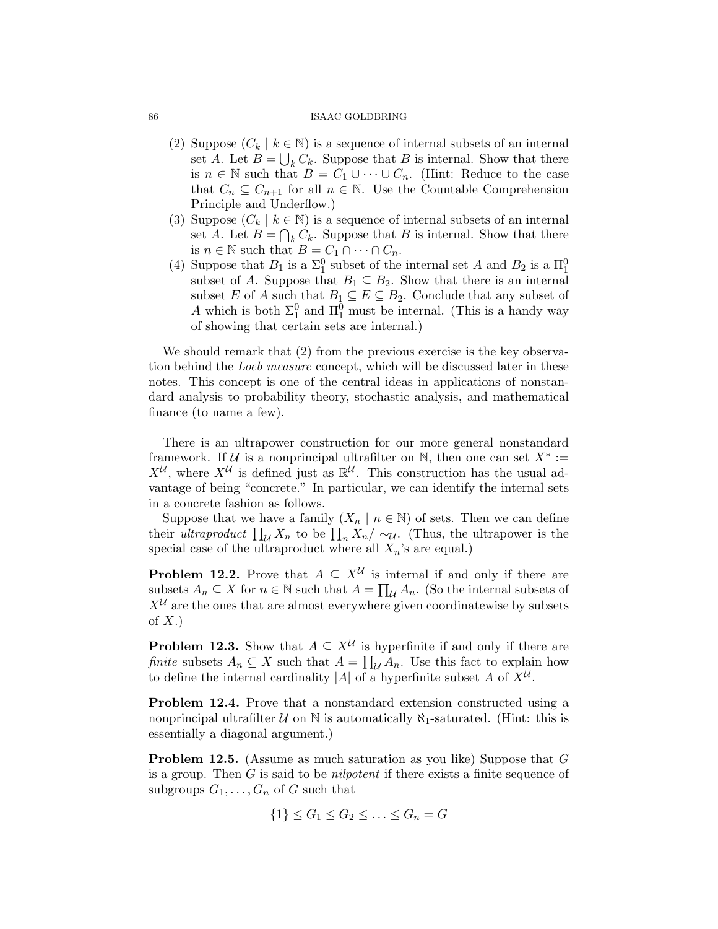#### 86 ISAAC GOLDBRING

- (2) Suppose  $(C_k | k \in \mathbb{N})$  is a sequence of internal subsets of an internal set A. Let  $B = \bigcup_k C_k$ . Suppose that B is internal. Show that there is  $n \in \mathbb{N}$  such that  $B = C_1 \cup \cdots \cup C_n$ . (Hint: Reduce to the case that  $C_n \subseteq C_{n+1}$  for all  $n \in \mathbb{N}$ . Use the Countable Comprehension Principle and Underflow.)
- (3) Suppose  $(C_k | k \in \mathbb{N})$  is a sequence of internal subsets of an internal set A. Let  $B = \bigcap_k C_k$ . Suppose that B is internal. Show that there is  $n \in \mathbb{N}$  such that  $B = C_1 \cap \cdots \cap C_n$ .
- (4) Suppose that  $B_1$  is a  $\Sigma_1^0$  subset of the internal set A and  $B_2$  is a  $\Pi_1^0$ subset of A. Suppose that  $B_1 \subseteq B_2$ . Show that there is an internal subset E of A such that  $B_1 \subseteq E \subseteq B_2$ . Conclude that any subset of A which is both  $\Sigma_1^0$  and  $\Pi_1^0$  must be internal. (This is a handy way of showing that certain sets are internal.)

We should remark that (2) from the previous exercise is the key observation behind the Loeb measure concept, which will be discussed later in these notes. This concept is one of the central ideas in applications of nonstandard analysis to probability theory, stochastic analysis, and mathematical finance (to name a few).

There is an ultrapower construction for our more general nonstandard framework. If  $\mathcal U$  is a nonprincipal ultrafilter on  $\mathbb N$ , then one can set  $X^* :=$  $X^{\mathcal{U}}$ , where  $X^{\mathcal{U}}$  is defined just as  $\mathbb{R}^{\mathcal{U}}$ . This construction has the usual advantage of being "concrete." In particular, we can identify the internal sets in a concrete fashion as follows.

Suppose that we have a family  $(X_n | n \in \mathbb{N})$  of sets. Then we can define their *ultraproduct*  $\prod_{\mathcal{U}} X_n$  to be  $\prod_n X_n / \sim_{\mathcal{U}}$ . (Thus, the ultrapower is the special case of the ultraproduct where all  $X_n$ 's are equal.)

**Problem 12.2.** Prove that  $A \subseteq X^{\mathcal{U}}$  is internal if and only if there are subsets  $A_n \subseteq X$  for  $n \in \mathbb{N}$  such that  $A = \prod_{\mathcal{U}} A_n$ . (So the internal subsets of  $X^{\mathcal{U}}$  are the ones that are almost everywhere given coordinatewise by subsets of  $X.$ )

**Problem 12.3.** Show that  $A \subseteq X^{\mathcal{U}}$  is hyperfinite if and only if there are finite subsets  $A_n \subseteq X$  such that  $A = \prod_{\mathcal{U}} A_n$ . Use this fact to explain how to define the internal cardinality |A| of a hyperfinite subset A of  $X^{\mathcal{U}}$ .

Problem 12.4. Prove that a nonstandard extension constructed using a nonprincipal ultrafilter  $U$  on N is automatically  $\aleph_1$ -saturated. (Hint: this is essentially a diagonal argument.)

Problem 12.5. (Assume as much saturation as you like) Suppose that G is a group. Then G is said to be nilpotent if there exists a finite sequence of subgroups  $G_1, \ldots, G_n$  of G such that

$$
\{1\} \le G_1 \le G_2 \le \ldots \le G_n = G
$$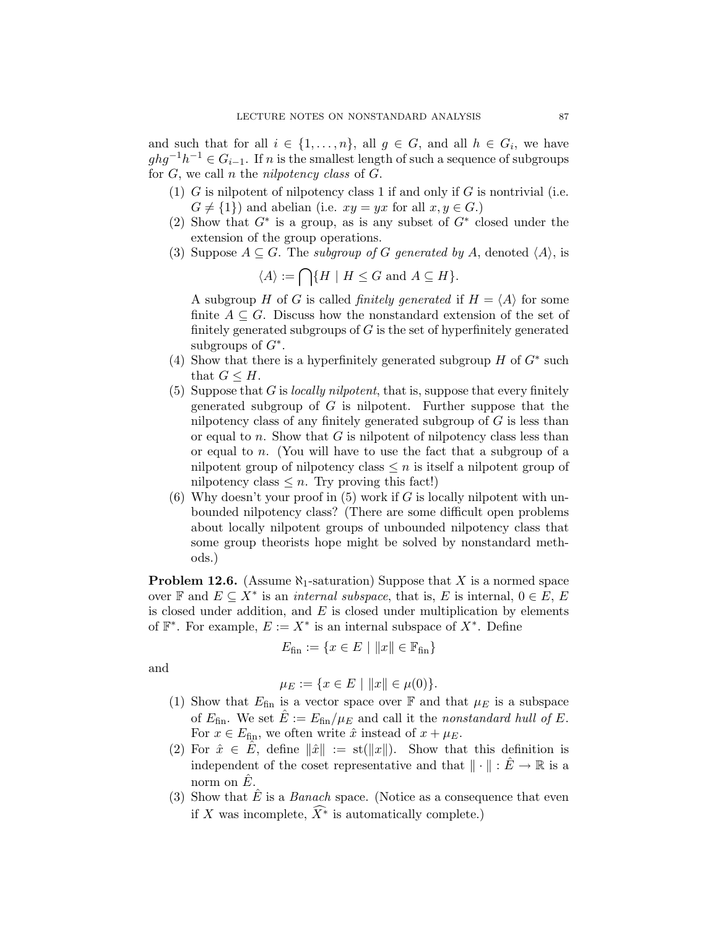and such that for all  $i \in \{1, ..., n\}$ , all  $g \in G$ , and all  $h \in G_i$ , we have  $ghg^{-1}h^{-1} \in G_{i-1}$ . If n is the smallest length of such a sequence of subgroups for  $G$ , we call  $n$  the *nilpotency class* of  $G$ .

- (1)  $G$  is nilpotent of nilpotency class 1 if and only if  $G$  is nontrivial (i.e.  $G \neq \{1\}$  and abelian (i.e.  $xy = yx$  for all  $x, y \in G$ .)
- (2) Show that  $G^*$  is a group, as is any subset of  $G^*$  closed under the extension of the group operations.
- (3) Suppose  $A \subseteq G$ . The subgroup of G generated by A, denoted  $\langle A \rangle$ , is

$$
\langle A \rangle := \bigcap \{ H \mid H \le G \text{ and } A \subseteq H \}.
$$

A subgroup H of G is called *finitely generated* if  $H = \langle A \rangle$  for some finite  $A \subseteq G$ . Discuss how the nonstandard extension of the set of finitely generated subgroups of  $G$  is the set of hyperfinitely generated subgroups of  $G^*$ .

- (4) Show that there is a hyperfinitely generated subgroup  $H$  of  $G^*$  such that  $G \leq H$ .
- (5) Suppose that G is *locally nilpotent*, that is, suppose that every finitely generated subgroup of  $G$  is nilpotent. Further suppose that the nilpotency class of any finitely generated subgroup of  $G$  is less than or equal to n. Show that  $G$  is nilpotent of nilpotency class less than or equal to n. (You will have to use the fact that a subgroup of a nilpotent group of nilpotency class  $\leq n$  is itself a nilpotent group of nilpotency class  $\leq n$ . Try proving this fact!)
- (6) Why doesn't your proof in (5) work if G is locally nilpotent with unbounded nilpotency class? (There are some difficult open problems about locally nilpotent groups of unbounded nilpotency class that some group theorists hope might be solved by nonstandard methods.)

**Problem 12.6.** (Assume  $\aleph_1$ -saturation) Suppose that X is a normed space over F and  $E \subseteq X^*$  is an *internal subspace*, that is, E is internal,  $0 \in E$ , E is closed under addition, and  $E$  is closed under multiplication by elements of  $\mathbb{F}^*$ . For example,  $E := X^*$  is an internal subspace of  $X^*$ . Define

$$
E_{\text{fin}} := \{ x \in E \mid ||x|| \in \mathbb{F}_{\text{fin}} \}
$$

and

$$
\mu_E := \{ x \in E \mid ||x|| \in \mu(0) \}.
$$

- (1) Show that  $E_{fin}$  is a vector space over  $\mathbb F$  and that  $\mu_E$  is a subspace of  $E_{\text{fin}}$ . We set  $E := E_{\text{fin}}/\mu_E$  and call it the nonstandard hull of E. For  $x \in E_{\text{fin}}$ , we often write  $\hat{x}$  instead of  $x + \mu_E$ .
- (2) For  $\hat{x} \in \hat{E}$ , define  $\|\hat{x}\| := \text{st}(\|x\|)$ . Show that this definition is independent of the coset representative and that  $\|\cdot\| : E \to \mathbb{R}$  is a norm on  $\hat{E}$ .
- (3) Show that  $\hat{E}$  is a *Banach* space. (Notice as a consequence that even if X was incomplete,  $\widehat{X}^*$  is automatically complete.)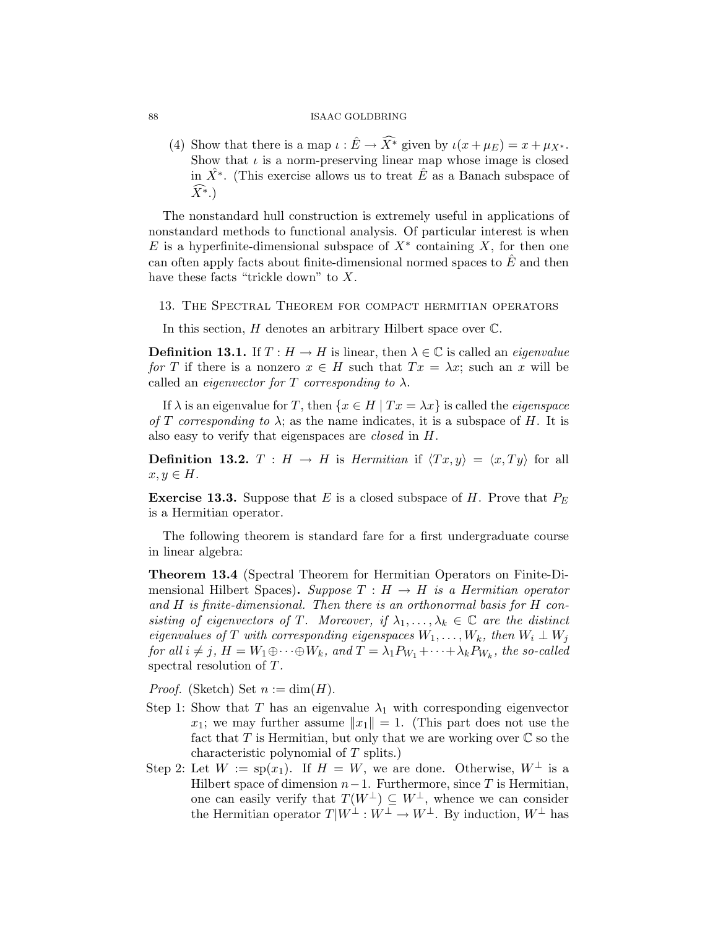#### 88 ISAAC GOLDBRING

(4) Show that there is a map  $\iota : \hat{E} \to \widehat{X}^*$  given by  $\iota(x + \mu_E) = x + \mu_{X^*}$ . Show that  $\iota$  is a norm-preserving linear map whose image is closed in  $\hat{X}^*$ . (This exercise allows us to treat  $\hat{E}$  as a Banach subspace of  $\widehat{X^*}$ .)

The nonstandard hull construction is extremely useful in applications of nonstandard methods to functional analysis. Of particular interest is when E is a hyperfinite-dimensional subspace of  $X^*$  containing X, for then one can often apply facts about finite-dimensional normed spaces to  $\hat{E}$  and then have these facts "trickle down" to  $X$ .

#### 13. The Spectral Theorem for compact hermitian operators

In this section,  $H$  denotes an arbitrary Hilbert space over  $\mathbb{C}$ .

**Definition 13.1.** If  $T : H \to H$  is linear, then  $\lambda \in \mathbb{C}$  is called an *eigenvalue* for T if there is a nonzero  $x \in H$  such that  $Tx = \lambda x$ ; such an x will be called an *eigenvector* for T corresponding to  $\lambda$ .

If  $\lambda$  is an eigenvalue for T, then  $\{x \in H \mid Tx = \lambda x\}$  is called the *eigenspace* of T corresponding to  $\lambda$ ; as the name indicates, it is a subspace of H. It is also easy to verify that eigenspaces are closed in H.

**Definition 13.2.**  $T : H \to H$  is *Hermitian* if  $\langle Tx, y \rangle = \langle x, Ty \rangle$  for all  $x, y \in H$ .

**Exercise 13.3.** Suppose that E is a closed subspace of H. Prove that  $P_E$ is a Hermitian operator.

The following theorem is standard fare for a first undergraduate course in linear algebra:

Theorem 13.4 (Spectral Theorem for Hermitian Operators on Finite-Dimensional Hilbert Spaces). Suppose  $T : H \to H$  is a Hermitian operator and H is finite-dimensional. Then there is an orthonormal basis for H consisting of eigenvectors of T. Moreover, if  $\lambda_1, \ldots, \lambda_k \in \mathbb{C}$  are the distinct eigenvalues of T with corresponding eigenspaces  $W_1, \ldots, W_k$ , then  $W_i \perp W_j$ for all  $i \neq j$ ,  $H = W_1 \oplus \cdots \oplus W_k$ , and  $T = \lambda_1 P_{W_1} + \cdots + \lambda_k P_{W_k}$ , the so-called spectral resolution of T.

*Proof.* (Sketch) Set  $n := \dim(H)$ .

- Step 1: Show that T has an eigenvalue  $\lambda_1$  with corresponding eigenvector  $x_1$ ; we may further assume  $||x_1|| = 1$ . (This part does not use the fact that T is Hermitian, but only that we are working over  $\mathbb C$  so the characteristic polynomial of T splits.)
- Step 2: Let  $W := sp(x_1)$ . If  $H = W$ , we are done. Otherwise,  $W^{\perp}$  is a Hilbert space of dimension  $n-1$ . Furthermore, since T is Hermitian, one can easily verify that  $T(W^{\perp}) \subseteq W^{\perp}$ , whence we can consider the Hermitian operator  $T|W^{\perp} : W^{\perp} \to W^{\perp}$ . By induction,  $W^{\perp}$  has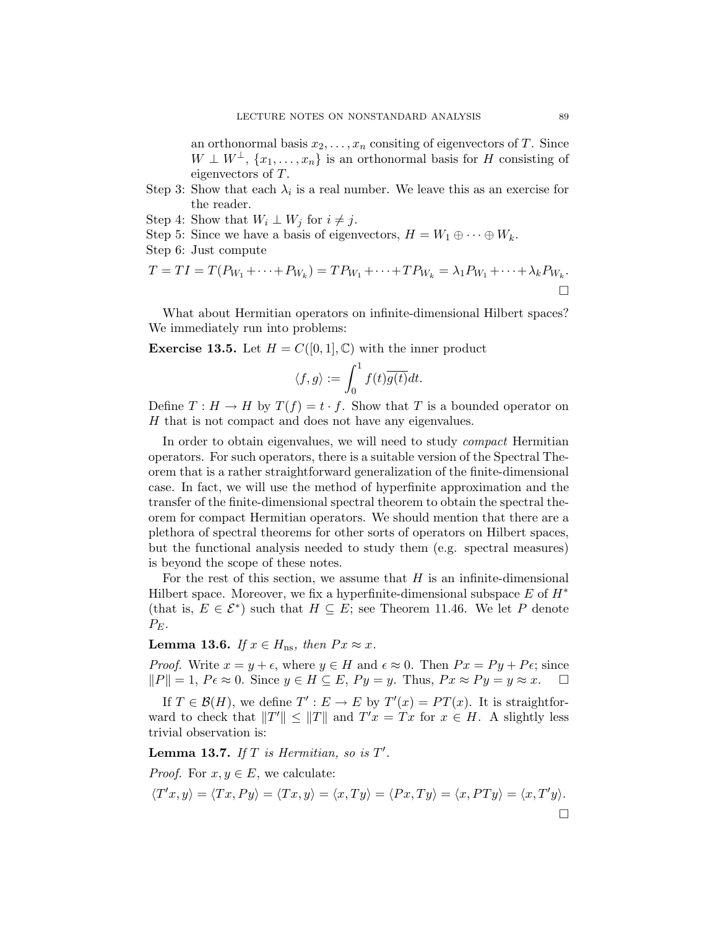an orthonormal basis  $x_2, \ldots, x_n$  consiting of eigenvectors of T. Since  $W \perp W^{\perp}, \{x_1, \ldots, x_n\}$  is an orthonormal basis for H consisting of eigenvectors of T.

- Step 3: Show that each  $\lambda_i$  is a real number. We leave this as an exercise for the reader.
- Step 4: Show that  $W_i \perp W_j$  for  $i \neq j$ .

Step 5: Since we have a basis of eigenvectors,  $H = W_1 \oplus \cdots \oplus W_k$ .

Step 6: Just compute

$$
T = TI = T(P_{W_1} + \dots + P_{W_k}) = TP_{W_1} + \dots + TP_{W_k} = \lambda_1 P_{W_1} + \dots + \lambda_k P_{W_k}.
$$

What about Hermitian operators on infinite-dimensional Hilbert spaces? We immediately run into problems:

**Exercise 13.5.** Let  $H = C([0, 1], \mathbb{C})$  with the inner product

$$
\langle f, g \rangle := \int_0^1 f(t) \overline{g(t)} dt.
$$

Define  $T : H \to H$  by  $T(f) = t \cdot f$ . Show that T is a bounded operator on H that is not compact and does not have any eigenvalues.

In order to obtain eigenvalues, we will need to study *compact* Hermitian operators. For such operators, there is a suitable version of the Spectral Theorem that is a rather straightforward generalization of the finite-dimensional case. In fact, we will use the method of hyperfinite approximation and the transfer of the finite-dimensional spectral theorem to obtain the spectral theorem for compact Hermitian operators. We should mention that there are a plethora of spectral theorems for other sorts of operators on Hilbert spaces, but the functional analysis needed to study them (e.g. spectral measures) is beyond the scope of these notes.

For the rest of this section, we assume that  $H$  is an infinite-dimensional Hilbert space. Moreover, we fix a hyperfinite-dimensional subspace  $E$  of  $H^*$ (that is,  $E \in \mathcal{E}^*$ ) such that  $H \subseteq E$ ; see Theorem 11.46. We let P denote  $P_E$ .

**Lemma 13.6.** If  $x \in H_{ns}$ , then  $Px \approx x$ .

*Proof.* Write  $x = y + \epsilon$ , where  $y \in H$  and  $\epsilon \approx 0$ . Then  $Px = Py + P\epsilon$ ; since  $||P|| = 1, Pe \approx 0.$  Since  $y \in H \subseteq E$ ,  $Py = y$ . Thus,  $Px \approx Py = y \approx x$ .

If  $T \in \mathcal{B}(H)$ , we define  $T' : E \to E$  by  $T'(x) = PT(x)$ . It is straightforward to check that  $||T'|| \le ||T||$  and  $T'x = Tx$  for  $x \in H$ . A slightly less trivial observation is:

Lemma 13.7. If  $T$  is Hermitian, so is  $T'$ .

*Proof.* For  $x, y \in E$ , we calculate:

$$
\langle T'x, y \rangle = \langle Tx, Py \rangle = \langle Tx, y \rangle = \langle x, Ty \rangle = \langle Px, Ty \rangle = \langle x, PTy \rangle = \langle x, T'y \rangle.
$$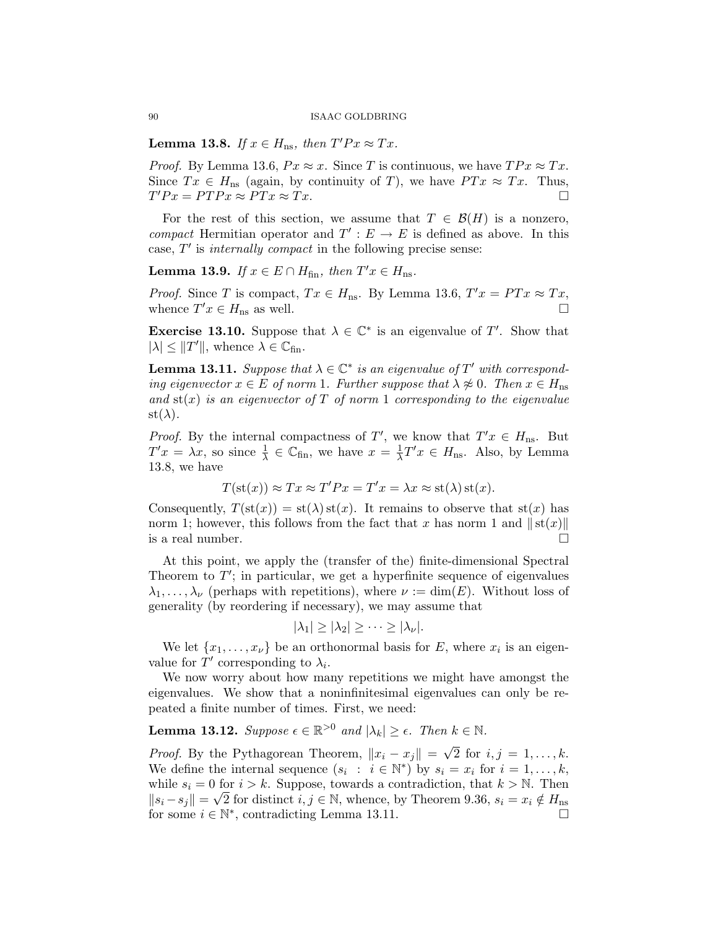**Lemma 13.8.** If  $x \in H_{\text{ns}}$ , then  $T'Px \approx Tx$ .

*Proof.* By Lemma 13.6,  $Px \approx x$ . Since T is continuous, we have  $TPx \approx Tx$ . Since  $Tx \in H_{ns}$  (again, by continuity of T), we have  $PTx \approx Tx$ . Thus,  $T'Px = PTPx \approx PTx \approx Tx.$ 

For the rest of this section, we assume that  $T \in \mathcal{B}(H)$  is a nonzero, compact Hermitian operator and  $T': E \to E$  is defined as above. In this case,  $T'$  is *internally compact* in the following precise sense:

**Lemma 13.9.** If  $x \in E \cap H_{\text{fin}}$ , then  $T'x \in H_{\text{ns}}$ .

*Proof.* Since T is compact,  $Tx \in H_{ns}$ . By Lemma 13.6,  $T'x = PTx \approx Tx$ , whence  $T'x \in H_{\text{ns}}$  as well.

**Exercise 13.10.** Suppose that  $\lambda \in \mathbb{C}^*$  is an eigenvalue of T'. Show that  $|\lambda| \leq ||T'||$ , whence  $\lambda \in \mathbb{C}_{fin}$ .

**Lemma 13.11.** Suppose that  $\lambda \in \mathbb{C}^*$  is an eigenvalue of T' with corresponding eigenvector  $x \in E$  of norm 1. Further suppose that  $\lambda \not\approx 0$ . Then  $x \in H_{ns}$ and  $\text{st}(x)$  is an eigenvector of T of norm 1 corresponding to the eigenvalue  $st(\lambda)$ .

*Proof.* By the internal compactness of T', we know that  $T'x \in H_{ns}$ . But  $T'x = \lambda x$ , so since  $\frac{1}{\lambda} \in \mathbb{C}_{\text{fin}}$ , we have  $x = \frac{1}{\lambda}$  $\frac{1}{\lambda}T'x \in H_{\text{ns}}$ . Also, by Lemma 13.8, we have

$$
T(\operatorname{st}(x)) \approx Tx \approx T'Px = T'x = \lambda x \approx \operatorname{st}(\lambda)\operatorname{st}(x).
$$

Consequently,  $T(\text{st}(x)) = \text{st}(\lambda)\,\text{st}(x)$ . It remains to observe that  $\text{st}(x)$  has norm 1; however, this follows from the fact that x has norm 1 and  $\Vert$  st(x) is a real number.  $\Box$ 

At this point, we apply the (transfer of the) finite-dimensional Spectral Theorem to  $T'$ ; in particular, we get a hyperfinite sequence of eigenvalues  $\lambda_1, \ldots, \lambda_{\nu}$  (perhaps with repetitions), where  $\nu := \dim(E)$ . Without loss of generality (by reordering if necessary), we may assume that

$$
|\lambda_1| \geq |\lambda_2| \geq \cdots \geq |\lambda_\nu|.
$$

We let  $\{x_1, \ldots, x_\nu\}$  be an orthonormal basis for E, where  $x_i$  is an eigenvalue for  $T'$  corresponding to  $\lambda_i$ .

We now worry about how many repetitions we might have amongst the eigenvalues. We show that a noninfinitesimal eigenvalues can only be repeated a finite number of times. First, we need:

# **Lemma 13.12.** Suppose  $\epsilon \in \mathbb{R}^{>0}$  and  $|\lambda_k| \geq \epsilon$ . Then  $k \in \mathbb{N}$ .

*Proof.* By the Pythagorean Theorem,  $||x_i - x_j||$  = √ 2 for  $i, j = 1, ..., k$ . We define the internal sequence  $(s_i : i \in \mathbb{N}^*)$  by  $s_i = x_i$  for  $i = 1, ..., k$ , while  $s_i = 0$  for  $i > k$ . Suppose, towards a contradiction, that  $k > N$ . Then  $||s_i - s_j|| = \sqrt{2}$  for distinct  $i, j \in \mathbb{N}$ , whence, by Theorem 9.36,  $s_i = x_i \notin H_{ns}$ for some  $i \in \mathbb{N}^*$ , contradicting Lemma 13.11.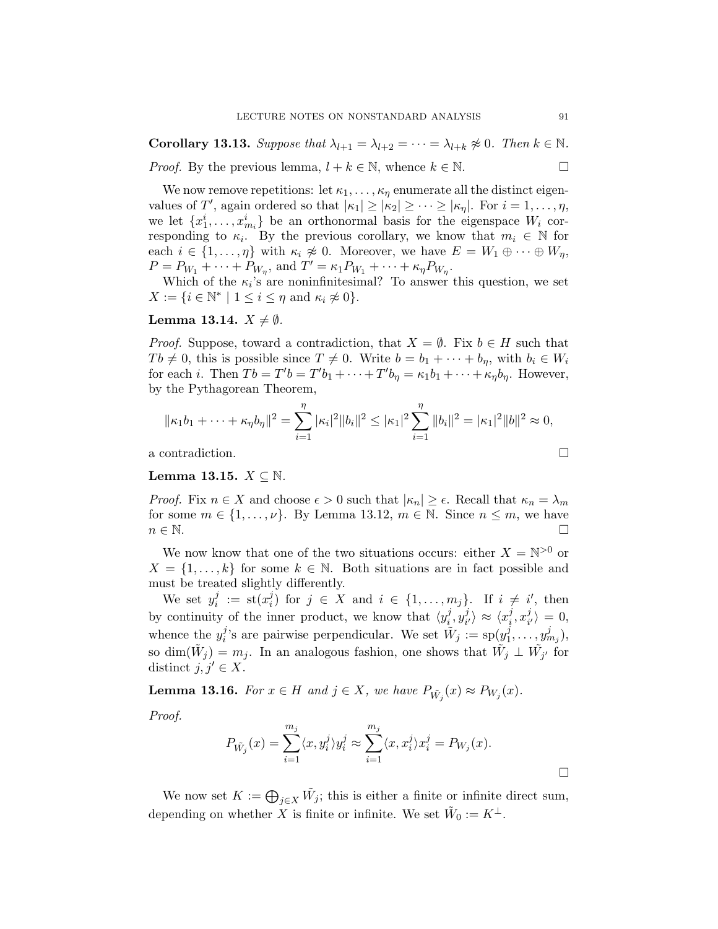Corollary 13.13. Suppose that  $\lambda_{l+1} = \lambda_{l+2} = \cdots = \lambda_{l+k} \not\approx 0$ . Then  $k \in \mathbb{N}$ . *Proof.* By the previous lemma,  $l + k \in \mathbb{N}$ , whence  $k \in \mathbb{N}$ .

We now remove repetitions: let  $\kappa_1, \ldots, \kappa_n$  enumerate all the distinct eigenvalues of T', again ordered so that  $|\kappa_1| \geq |\kappa_2| \geq \cdots \geq |\kappa_\eta|$ . For  $i = 1, \ldots, \eta$ , we let  $\{x_1^i, \ldots, x_{m_i}^i\}$  be an orthonormal basis for the eigenspace  $W_i$  corresponding to  $\kappa_i$ . By the previous corollary, we know that  $m_i \in \mathbb{N}$  for each  $i \in \{1, \ldots, \eta\}$  with  $\kappa_i \not\approx 0$ . Moreover, we have  $E = W_1 \oplus \cdots \oplus W_n$ ,  $P = P_{W_1} + \cdots + P_{W_n}$ , and  $T' = \kappa_1 P_{W_1} + \cdots + \kappa_n P_{W_n}$ .

Which of the  $\kappa_i$ 's are noninfinitesimal? To answer this question, we set  $X := \{i \in \mathbb{N}^* \mid 1 \le i \le \eta \text{ and } \kappa_i \not\approx 0\}.$ 

# Lemma 13.14.  $X \neq \emptyset$ .

*Proof.* Suppose, toward a contradiction, that  $X = \emptyset$ . Fix  $b \in H$  such that  $Tb \neq 0$ , this is possible since  $T \neq 0$ . Write  $b = b_1 + \cdots + b_n$ , with  $b_i \in W_i$ for each *i*. Then  $Tb = T'b = T'b_1 + \cdots + T'b_\eta = \kappa_1b_1 + \cdots + \kappa_\eta b_\eta$ . However, by the Pythagorean Theorem,

$$
\|\kappa_1 b_1 + \dots + \kappa_\eta b_\eta\|^2 = \sum_{i=1}^\eta |\kappa_i|^2 \|b_i\|^2 \le |\kappa_1|^2 \sum_{i=1}^\eta \|b_i\|^2 = |\kappa_1|^2 \|b\|^2 \approx 0,
$$
  
a contradiction.

#### Lemma 13.15.  $X \subseteq \mathbb{N}$ .

*Proof.* Fix  $n \in X$  and choose  $\epsilon > 0$  such that  $|\kappa_n| \geq \epsilon$ . Recall that  $\kappa_n = \lambda_m$ for some  $m \in \{1, \ldots, \nu\}$ . By Lemma 13.12,  $m \in \mathbb{N}$ . Since  $n \leq m$ , we have  $n \in \mathbb{N}$ .

We now know that one of the two situations occurs: either  $X = \mathbb{N}^{>0}$  or  $X = \{1, \ldots, k\}$  for some  $k \in \mathbb{N}$ . Both situations are in fact possible and must be treated slightly differently.

We set  $y_i^j$  $i^j := \overline{\operatorname{st}}(x_i^j)$  $i_j$  for  $j \in X$  and  $i \in \{1, \ldots, m_j\}$ . If  $i \neq i'$ , then by continuity of the inner product, we know that  $\langle y_i^j \rangle$  $_i^j, y_i^j$  $\langle x_i^j\rangle \approx \langle x_i^j\rangle$  $\frac{j}{i}, x_i^j$  $\langle \psi_i^j \rangle = 0,$ whence the  $y_i^j$  $i$ 's are pairwise perpendicular. We set  $\tilde{W}_j := sp(y_1^j)$  $j_1^j,\ldots,y_{m_j}^j),$ so  $\dim(\tilde{W}_j) = m_j$ . In an analogous fashion, one shows that  $\tilde{W}_j \perp \tilde{W_j}$  for distinct  $j, j' \in X$ .

**Lemma 13.16.** For  $x \in H$  and  $j \in X$ , we have  $P_{\tilde{W}_j}(x) \approx P_{W_j}(x)$ .

Proof.

$$
P_{\tilde{W}_j}(x) = \sum_{i=1}^{m_j} \langle x, y_i^j \rangle y_i^j \approx \sum_{i=1}^{m_j} \langle x, x_i^j \rangle x_i^j = P_{W_j}(x).
$$

We now set  $K := \bigoplus_{j \in X} \tilde{W}_j$ ; this is either a finite or infinite direct sum, depending on whether X is finite or infinite. We set  $\tilde{W}_0 := K^{\perp}$ .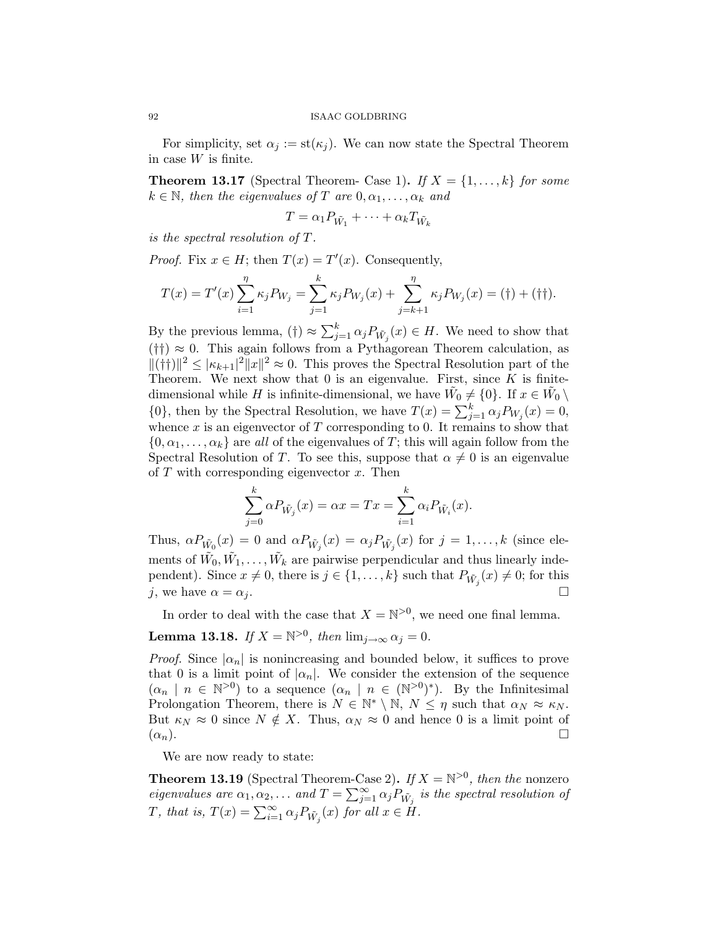For simplicity, set  $\alpha_i := \text{st}(\kappa_i)$ . We can now state the Spectral Theorem in case  $W$  is finite.

**Theorem 13.17** (Spectral Theorem- Case 1). If  $X = \{1, \ldots, k\}$  for some  $k \in \mathbb{N}$ , then the eigenvalues of T are  $0, \alpha_1, \ldots, \alpha_k$  and

$$
T = \alpha_1 P_{\tilde{W}_1} + \dots + \alpha_k T_{\tilde{W}_k}
$$

is the spectral resolution of T.

*Proof.* Fix  $x \in H$ ; then  $T(x) = T'(x)$ . Consequently,

$$
T(x) = T'(x) \sum_{i=1}^{n} \kappa_j P_{W_j} = \sum_{j=1}^{k} \kappa_j P_{W_j}(x) + \sum_{j=k+1}^{n} \kappa_j P_{W_j}(x) = (\dagger) + (\dagger \dagger).
$$

By the previous lemma,  $(\dagger) \approx \sum_{j=1}^{k} \alpha_j P_{\tilde{W}_j}(x) \in H$ . We need to show that  $(\dagger\dagger) \approx 0$ . This again follows from a Pythagorean Theorem calculation, as  $||(+\dagger)||^2 \leq |\kappa_{k+1}|^2 ||x||^2 \approx 0$ . This proves the Spectral Resolution part of the Theorem. We next show that  $0$  is an eigenvalue. First, since  $K$  is finitedimensional while H is infinite-dimensional, we have  $\tilde{W}_0 \neq \{0\}$ . If  $x \in \tilde{W}_0 \setminus$ {0}, then by the Spectral Resolution, we have  $T(x) = \sum_{j=1}^{k} \alpha_j P_{W_j}(x) = 0$ , whence  $x$  is an eigenvector of  $T$  corresponding to 0. It remains to show that  $\{0, \alpha_1, \ldots, \alpha_k\}$  are all of the eigenvalues of T; this will again follow from the Spectral Resolution of T. To see this, suppose that  $\alpha \neq 0$  is an eigenvalue of  $T$  with corresponding eigenvector  $x$ . Then

$$
\sum_{j=0}^{k} \alpha P_{\tilde{W}_j}(x) = \alpha x = Tx = \sum_{i=1}^{k} \alpha_i P_{\tilde{W}_i}(x).
$$

Thus,  $\alpha P_{\tilde{W}_0}(x) = 0$  and  $\alpha P_{\tilde{W}_j}(x) = \alpha_j P_{\tilde{W}_j}(x)$  for  $j = 1, \ldots, k$  (since elements of  $\tilde{W_0}, \tilde{W_1}, \ldots, \tilde{W_k}$  are pairwise perpendicular and thus linearly independent). Since  $x \neq 0$ , there is  $j \in \{1, \ldots, k\}$  such that  $P_{\tilde{W}_j}(x) \neq 0$ ; for this j, we have  $\alpha = \alpha_j$ .

In order to deal with the case that  $X = \mathbb{N}^{>0}$ , we need one final lemma.

**Lemma 13.18.** If  $X = \mathbb{N}^{>0}$ , then  $\lim_{j\to\infty} \alpha_j = 0$ .

*Proof.* Since  $|\alpha_n|$  is nonincreasing and bounded below, it suffices to prove that 0 is a limit point of  $|\alpha_n|$ . We consider the extension of the sequence  $(\alpha_n \mid n \in \mathbb{N}^{>0})$  to a sequence  $(\alpha_n \mid n \in (\mathbb{N}^{>0})^*)$ . By the Infinitesimal Prolongation Theorem, there is  $N \in \mathbb{N}^* \setminus \mathbb{N}, N \leq \eta$  such that  $\alpha_N \approx \kappa_N$ . But  $\kappa_N \approx 0$  since  $N \notin X$ . Thus,  $\alpha_N \approx 0$  and hence 0 is a limit point of  $(\alpha_n)$ .

We are now ready to state:

**Theorem 13.19** (Spectral Theorem-Case 2). If  $X = \mathbb{N}^{>0}$ , then the nonzero eigenvalues are  $\alpha_1, \alpha_2, \ldots$  and  $T = \sum_{j=1}^{\infty} \alpha_j P_{\tilde{W}_j}$  is the spectral resolution of T, that is,  $T(x) = \sum_{i=1}^{\infty} \alpha_j P_{\tilde{W}_j}(x)$  for all  $x \in H$ .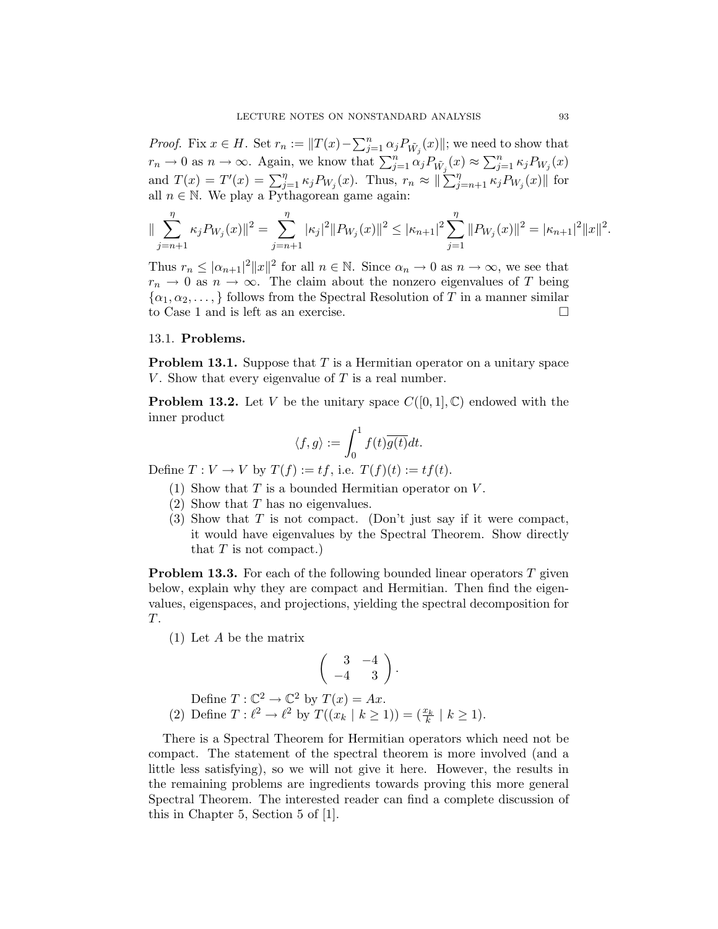*Proof.* Fix  $x \in H$ . Set  $r_n := ||T(x) - \sum_{j=1}^n \alpha_j P_{\tilde{W}_j}(x)||$ ; we need to show that  $r_n \to 0$  as  $n \to \infty$ . Again, we know that  $\sum_{j=1}^n \alpha_j P_{\tilde{W}_j}(x) \approx \sum_{j=1}^n \kappa_j P_{W_j}(x)$ and  $T(x) = T'(x) = \sum_{j=1}^{n} \kappa_j P_{W_j}(x)$ . Thus,  $r_n \approx ||\sum_{j=n+1}^{n} \kappa_j P_{W_j}(x)||$  for all  $n \in \mathbb{N}$ . We play a Pythagorean game again:

$$
\|\sum_{j=n+1}^{\eta}\kappa_j P_{W_j}(x)\|^2=\sum_{j=n+1}^{\eta}|\kappa_j|^2\|P_{W_j}(x)\|^2\leq |\kappa_{n+1}|^2\sum_{j=1}^{\eta}\|P_{W_j}(x)\|^2=|\kappa_{n+1}|^2\|x\|^2.
$$

Thus  $r_n \leq |\alpha_{n+1}|^2 ||x||^2$  for all  $n \in \mathbb{N}$ . Since  $\alpha_n \to 0$  as  $n \to \infty$ , we see that  $r_n \to 0$  as  $n \to \infty$ . The claim about the nonzero eigenvalues of T being  $\{\alpha_1, \alpha_2, \ldots\}$  follows from the Spectral Resolution of T in a manner similar to Case 1 and is left as an exercise.

#### 13.1. Problems.

**Problem 13.1.** Suppose that  $T$  is a Hermitian operator on a unitary space V. Show that every eigenvalue of  $T$  is a real number.

**Problem 13.2.** Let V be the unitary space  $C([0,1],\mathbb{C})$  endowed with the inner product

$$
\langle f,g\rangle:=\int_0^1f(t)\overline{g(t)}dt.
$$

Define  $T: V \to V$  by  $T(f) := tf$ , i.e.  $T(f)(t) := tf(t)$ .

- (1) Show that  $T$  is a bounded Hermitian operator on  $V$ .
- (2) Show that  $T$  has no eigenvalues.
- (3) Show that  $T$  is not compact. (Don't just say if it were compact, it would have eigenvalues by the Spectral Theorem. Show directly that  $T$  is not compact.)

**Problem 13.3.** For each of the following bounded linear operators  $T$  given below, explain why they are compact and Hermitian. Then find the eigenvalues, eigenspaces, and projections, yielding the spectral decomposition for T.

(1) Let A be the matrix

$$
\left(\begin{array}{rr} 3 & -4 \\ -4 & 3 \end{array}\right).
$$

Define 
$$
T: \mathbb{C}^2 \to \mathbb{C}^2
$$
 by  $T(x) = Ax$ .  
(2) Define  $T: \ell^2 \to \ell^2$  by  $T((x_k | k \ge 1)) = (\frac{x_k}{k} | k \ge 1)$ .

There is a Spectral Theorem for Hermitian operators which need not be compact. The statement of the spectral theorem is more involved (and a little less satisfying), so we will not give it here. However, the results in the remaining problems are ingredients towards proving this more general Spectral Theorem. The interested reader can find a complete discussion of this in Chapter 5, Section 5 of [1].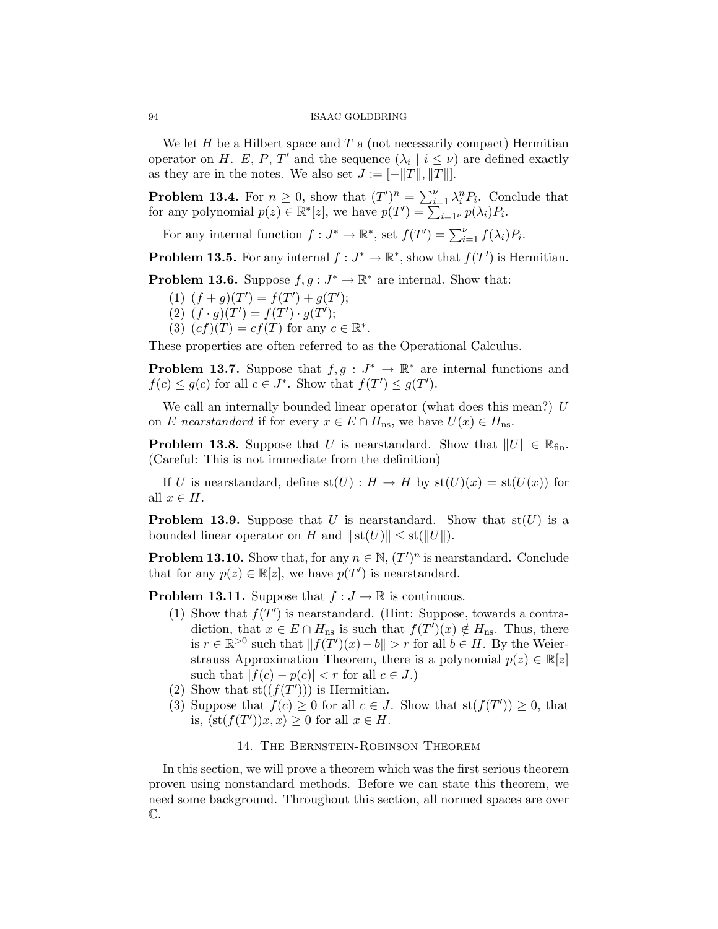We let  $H$  be a Hilbert space and  $T$  a (not necessarily compact) Hermitian operator on H. E, P, T' and the sequence  $(\lambda_i | i \leq \nu)$  are defined exactly as they are in the notes. We also set  $J := [-||T||, ||T||]$ .

**Problem 13.4.** For  $n \geq 0$ , show that  $(T')^n = \sum_{i=1}^{\nu} \lambda_i^n P_i$ . Conclude that for any polynomial  $p(z) \in \mathbb{R}^*[z]$ , we have  $p(T') = \sum_{i=1}^{\infty} p(\lambda_i) P_i$ .

For any internal function  $f: J^* \to \mathbb{R}^*$ , set  $f(T') = \sum_{i=1}^{\nu} f(\lambda_i) P_i$ .

**Problem 13.5.** For any internal  $f: J^* \to \mathbb{R}^*$ , show that  $f(T')$  is Hermitian.

**Problem 13.6.** Suppose  $f, g: J^* \to \mathbb{R}^*$  are internal. Show that:

- (1)  $(f+g)(T') = f(T') + g(T');$
- (2)  $(f \cdot g)(T') = f(T') \cdot g(T')$ ;
- (3)  $(cf)(T) = cf(T)$  for any  $c \in \mathbb{R}^*$ .

These properties are often referred to as the Operational Calculus.

**Problem 13.7.** Suppose that  $f, g: J^* \to \mathbb{R}^*$  are internal functions and  $f(c) \leq g(c)$  for all  $c \in J^*$ . Show that  $f(T') \leq g(T')$ .

We call an internally bounded linear operator (what does this mean?)  $U$ on E nearstandard if for every  $x \in E \cap H_{\text{ns}}$ , we have  $U(x) \in H_{\text{ns}}$ .

**Problem 13.8.** Suppose that U is nearstandard. Show that  $||U|| \in \mathbb{R}_{fin}$ . (Careful: This is not immediate from the definition)

If U is nearstandard, define  $st(U): H \to H$  by  $st(U)(x) = st(U(x))$  for all  $x \in H$ .

**Problem 13.9.** Suppose that U is nearstandard. Show that  $st(U)$  is a bounded linear operator on H and  $\|\operatorname{st}(U)\| \leq \operatorname{st}(\|U\|).$ 

**Problem 13.10.** Show that, for any  $n \in \mathbb{N}$ ,  $(T')^n$  is nearstandard. Conclude that for any  $p(z) \in \mathbb{R}[z]$ , we have  $p(T')$  is nearstandard.

**Problem 13.11.** Suppose that  $f: J \to \mathbb{R}$  is continuous.

- (1) Show that  $f(T')$  is nearstandard. (Hint: Suppose, towards a contradiction, that  $x \in E \cap H_{ns}$  is such that  $f(T')(x) \notin H_{ns}$ . Thus, there is  $r \in \mathbb{R}^{\geq 0}$  such that  $|| f(T')(x) - b || > r$  for all  $b \in H$ . By the Weierstrauss Approximation Theorem, there is a polynomial  $p(z) \in \mathbb{R}[z]$ such that  $|f(c) - p(c)| < r$  for all  $c \in J$ .
- (2) Show that  $st((f(T')))$  is Hermitian.
- (3) Suppose that  $f(c) \geq 0$  for all  $c \in J$ . Show that  $st(f(T')) \geq 0$ , that is,  $\langle \text{st}(f(T'))x, x \rangle \geq 0$  for all  $x \in H$ .

#### 14. The Bernstein-Robinson Theorem

In this section, we will prove a theorem which was the first serious theorem proven using nonstandard methods. Before we can state this theorem, we need some background. Throughout this section, all normed spaces are over  $\mathbb{C}.$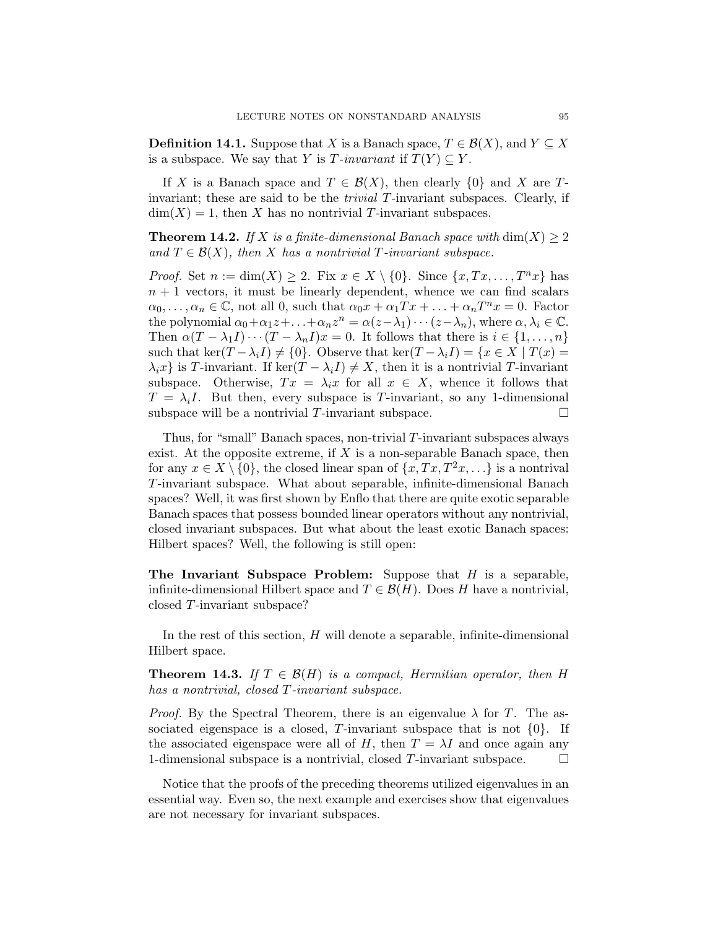**Definition 14.1.** Suppose that X is a Banach space,  $T \in \mathcal{B}(X)$ , and  $Y \subseteq X$ is a subspace. We say that Y is T-invariant if  $T(Y) \subseteq Y$ .

If X is a Banach space and  $T \in \mathcal{B}(X)$ , then clearly  $\{0\}$  and X are Tinvariant; these are said to be the trivial T-invariant subspaces. Clearly, if  $dim(X) = 1$ , then X has no nontrivial T-invariant subspaces.

**Theorem 14.2.** If X is a finite-dimensional Banach space with  $\dim(X) \geq 2$ and  $T \in \mathcal{B}(X)$ , then X has a nontrivial T-invariant subspace.

*Proof.* Set  $n := \dim(X) \geq 2$ . Fix  $x \in X \setminus \{0\}$ . Since  $\{x, Tx, \ldots, T^n x\}$  has  $n + 1$  vectors, it must be linearly dependent, whence we can find scalars  $\alpha_0, \ldots, \alpha_n \in \mathbb{C}$ , not all 0, such that  $\alpha_0 x + \alpha_1 Tx + \ldots + \alpha_n T^n x = 0$ . Factor the polynomial  $\alpha_0 + \alpha_1 z + \ldots + \alpha_n z^n = \alpha(z - \lambda_1) \cdots (z - \lambda_n)$ , where  $\alpha, \lambda_i \in \mathbb{C}$ . Then  $\alpha(T - \lambda_1 I) \cdots (T - \lambda_n I)x = 0$ . It follows that there is  $i \in \{1, \ldots, n\}$ such that ker $(T - \lambda_i I) \neq \{0\}$ . Observe that ker $(T - \lambda_i I) = \{x \in X \mid T(x) =$  $\lambda_i x$  is T-invariant. If ker(T –  $\lambda_i I$ )  $\neq X$ , then it is a nontrivial T-invariant subspace. Otherwise,  $Tx = \lambda_i x$  for all  $x \in X$ , whence it follows that  $T = \lambda_i I$ . But then, every subspace is T-invariant, so any 1-dimensional subspace will be a nontrivial T-invariant subspace.  $\Box$ 

Thus, for "small" Banach spaces, non-trivial  $T$ -invariant subspaces always exist. At the opposite extreme, if  $X$  is a non-separable Banach space, then for any  $x \in X \setminus \{0\}$ , the closed linear span of  $\{x, Tx, T^2x, \ldots\}$  is a nontrival T-invariant subspace. What about separable, infinite-dimensional Banach spaces? Well, it was first shown by Enflo that there are quite exotic separable Banach spaces that possess bounded linear operators without any nontrivial, closed invariant subspaces. But what about the least exotic Banach spaces: Hilbert spaces? Well, the following is still open:

The Invariant Subspace Problem: Suppose that  $H$  is a separable, infinite-dimensional Hilbert space and  $T \in \mathcal{B}(H)$ . Does H have a nontrivial, closed T-invariant subspace?

In the rest of this section,  $H$  will denote a separable, infinite-dimensional Hilbert space.

**Theorem 14.3.** If  $T \in \mathcal{B}(H)$  is a compact, Hermitian operator, then H has a nontrivial, closed T-invariant subspace.

*Proof.* By the Spectral Theorem, there is an eigenvalue  $\lambda$  for T. The associated eigenspace is a closed, T-invariant subspace that is not  $\{0\}$ . If the associated eigenspace were all of H, then  $T = \lambda I$  and once again any 1-dimensional subspace is a nontrivial, closed T-invariant subspace.  $\Box$ 

Notice that the proofs of the preceding theorems utilized eigenvalues in an essential way. Even so, the next example and exercises show that eigenvalues are not necessary for invariant subspaces.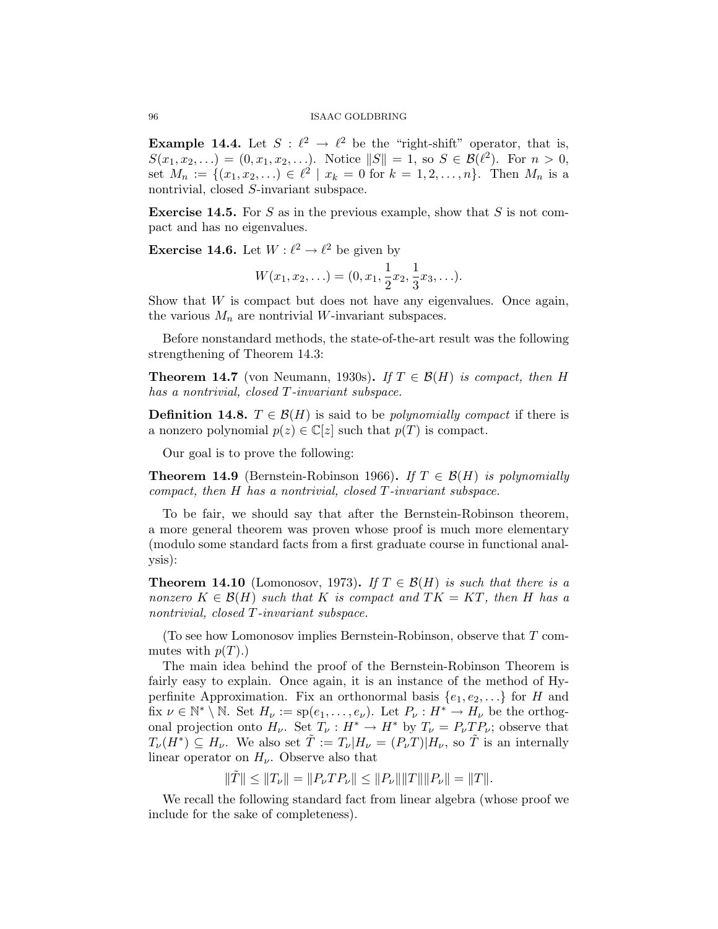**Example 14.4.** Let  $S : \ell^2 \to \ell^2$  be the "right-shift" operator, that is,  $S(x_1, x_2, ...) = (0, x_1, x_2, ...).$  Notice  $||S|| = 1$ , so  $S \in \mathcal{B}(\ell^2)$ . For  $n > 0$ , set  $M_n := \{(x_1, x_2, \ldots) \in \ell^2 \mid x_k = 0 \text{ for } k = 1, 2, \ldots, n\}.$  Then  $M_n$  is a nontrivial, closed S-invariant subspace.

**Exercise 14.5.** For S as in the previous example, show that S is not compact and has no eigenvalues.

**Exercise 14.6.** Let  $W: \ell^2 \to \ell^2$  be given by

$$
W(x_1, x_2,...) = (0, x_1, \frac{1}{2}x_2, \frac{1}{3}x_3,...).
$$

Show that  $W$  is compact but does not have any eigenvalues. Once again, the various  $M_n$  are nontrivial W-invariant subspaces.

Before nonstandard methods, the state-of-the-art result was the following strengthening of Theorem 14.3:

**Theorem 14.7** (von Neumann, 1930s). If  $T \in \mathcal{B}(H)$  is compact, then H has a nontrivial, closed T-invariant subspace.

**Definition 14.8.**  $T \in \mathcal{B}(H)$  is said to be *polynomially compact* if there is a nonzero polynomial  $p(z) \in \mathbb{C}[z]$  such that  $p(T)$  is compact.

Our goal is to prove the following:

**Theorem 14.9** (Bernstein-Robinson 1966). If  $T \in \mathcal{B}(H)$  is polynomially compact, then H has a nontrivial, closed T-invariant subspace.

To be fair, we should say that after the Bernstein-Robinson theorem, a more general theorem was proven whose proof is much more elementary (modulo some standard facts from a first graduate course in functional analysis):

**Theorem 14.10** (Lomonosov, 1973). If  $T \in \mathcal{B}(H)$  is such that there is a nonzero  $K \in \mathcal{B}(H)$  such that K is compact and  $TK = KT$ , then H has a nontrivial, closed T-invariant subspace.

(To see how Lomonosov implies Bernstein-Robinson, observe that  $T$  commutes with  $p(T)$ .)

The main idea behind the proof of the Bernstein-Robinson Theorem is fairly easy to explain. Once again, it is an instance of the method of Hyperfinite Approximation. Fix an orthonormal basis  $\{e_1, e_2, \ldots\}$  for H and  $f(x \nu \in \mathbb{N}^* \setminus \mathbb{N}$ . Set  $H_{\nu} := sp(e_1, \ldots, e_{\nu})$ . Let  $P_{\nu} : H^* \to H_{\nu}$  be the orthogonal projection onto  $H_{\nu}$ . Set  $T_{\nu} : H^* \to H^*$  by  $T_{\nu} = P_{\nu} T P_{\nu}$ ; observe that  $T_{\nu}(H^*)\subseteq H_{\nu}$ . We also set  $\tilde{T}:=T_{\nu}|H_{\nu}=(P_{\nu}T)|H_{\nu}$ , so  $\tilde{T}$  is an internally linear operator on  $H_{\nu}$ . Observe also that

$$
\|\tilde{T}\| \le \|T_{\nu}\| = \|P_{\nu}TP_{\nu}\| \le \|P_{\nu}\| \|T\| \|P_{\nu}\| = \|T\|.
$$

We recall the following standard fact from linear algebra (whose proof we include for the sake of completeness).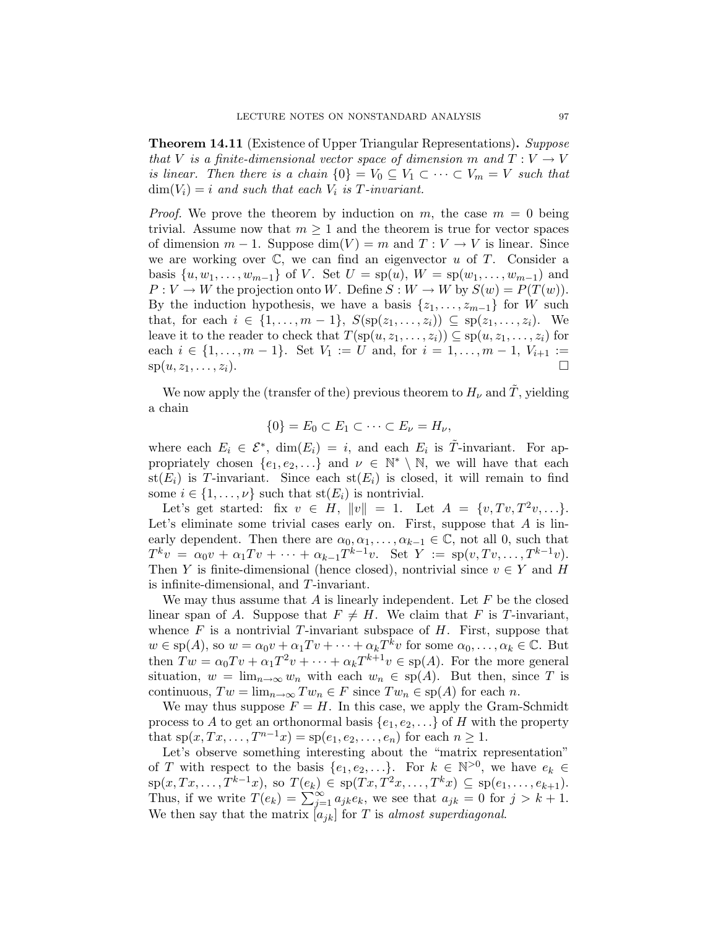Theorem 14.11 (Existence of Upper Triangular Representations). Suppose that V is a finite-dimensional vector space of dimension m and  $T: V \to V$ is linear. Then there is a chain  $\{0\} = V_0 \subseteq V_1 \subset \cdots \subset V_m = V$  such that  $\dim(V_i) = i$  and such that each  $V_i$  is T-invariant.

*Proof.* We prove the theorem by induction on m, the case  $m = 0$  being trivial. Assume now that  $m \geq 1$  and the theorem is true for vector spaces of dimension  $m-1$ . Suppose  $\dim(V) = m$  and  $T: V \to V$  is linear. Since we are working over  $\mathbb{C}$ , we can find an eigenvector u of T. Consider a basis  $\{u, w_1, \ldots, w_{m-1}\}$  of V. Set  $U = sp(u)$ ,  $W = sp(w_1, \ldots, w_{m-1})$  and  $P: V \to W$  the projection onto W. Define  $S: W \to W$  by  $S(w) = P(T(w))$ . By the induction hypothesis, we have a basis  $\{z_1, \ldots, z_{m-1}\}$  for W such that, for each  $i \in \{1, ..., m-1\}$ ,  $S(sp(z_1, ..., z_i)) \subseteq sp(z_1, ..., z_i)$ . We leave it to the reader to check that  $T(\text{sp}(u, z_1, \ldots, z_i)) \subseteq \text{sp}(u, z_1, \ldots, z_i)$  for each  $i \in \{1, \ldots, m-1\}$ . Set  $V_1 := U$  and, for  $i = 1, \ldots, m-1$ ,  $V_{i+1} :=$  $\mathrm{sp}(u,z_1,\ldots,z_i).$ 

We now apply the (transfer of the) previous theorem to  $H_{\nu}$  and T, yielding a chain

$$
\{0\} = E_0 \subset E_1 \subset \cdots \subset E_{\nu} = H_{\nu},
$$

where each  $E_i \in \mathcal{E}^*$ ,  $\dim(E_i) = i$ , and each  $E_i$  is  $\tilde{T}$ -invariant. For appropriately chosen  $\{e_1, e_2, \ldots\}$  and  $\nu \in \mathbb{N}^* \setminus \mathbb{N}$ , we will have that each  $st(E_i)$  is T-invariant. Since each  $st(E_i)$  is closed, it will remain to find some  $i \in \{1, \ldots, \nu\}$  such that  $\text{st}(E_i)$  is nontrivial.

Let's get started: fix  $v \in H$ ,  $||v|| = 1$ . Let  $A = \{v, Tv, T^2v, ...\}$ . Let's eliminate some trivial cases early on. First, suppose that  $A$  is linearly dependent. Then there are  $\alpha_0, \alpha_1, \ldots, \alpha_{k-1} \in \mathbb{C}$ , not all 0, such that  $T^k v = \alpha_0 v + \alpha_1 T v + \cdots + \alpha_{k-1} T^{k-1} v$ . Set  $Y := sp(v, Tv, \ldots, T^{k-1} v)$ . Then Y is finite-dimensional (hence closed), nontrivial since  $v \in Y$  and H is infinite-dimensional, and T-invariant.

We may thus assume that  $A$  is linearly independent. Let  $F$  be the closed linear span of A. Suppose that  $F \neq H$ . We claim that F is T-invariant, whence  $F$  is a nontrivial T-invariant subspace of  $H$ . First, suppose that  $w \in sp(A)$ , so  $w = \alpha_0 v + \alpha_1 Tv + \cdots + \alpha_k T^{\overline{k}} v$  for some  $\alpha_0, \ldots, \alpha_k \in \mathbb{C}$ . But then  $Tw = \alpha_0 Tv + \alpha_1 T^2 v + \cdots + \alpha_k T^{k+1} v \in sp(A)$ . For the more general situation,  $w = \lim_{n \to \infty} w_n$  with each  $w_n \in sp(A)$ . But then, since T is continuous,  $Tw = \lim_{n \to \infty} Tw_n \in F$  since  $Tw_n \in sp(A)$  for each n.

We may thus suppose  $F = H$ . In this case, we apply the Gram-Schmidt process to A to get an orthonormal basis  $\{e_1, e_2, \ldots\}$  of H with the property that  $sp(x, Tx, ..., T^{n-1}x) = sp(e_1, e_2, ..., e_n)$  for each  $n \ge 1$ .

Let's observe something interesting about the "matrix representation" of T with respect to the basis  $\{e_1, e_2, \ldots\}$ . For  $k \in \mathbb{N}^{>0}$ , we have  $e_k \in$  $sp(x, Tx, \ldots, Tx^{k-1}x), so T(e_k) \in sp(Tx, T^2x, \ldots, T^kx) \subseteq sp(e_1, \ldots, e_{k+1}).$ Thus, if we write  $T(e_k) = \sum_{j=1}^{\infty} a_{jk}e_k$ , we see that  $a_{jk} = 0$  for  $j > k+1$ . We then say that the matrix  $[a_{ik}]$  for T is almost superdiagonal.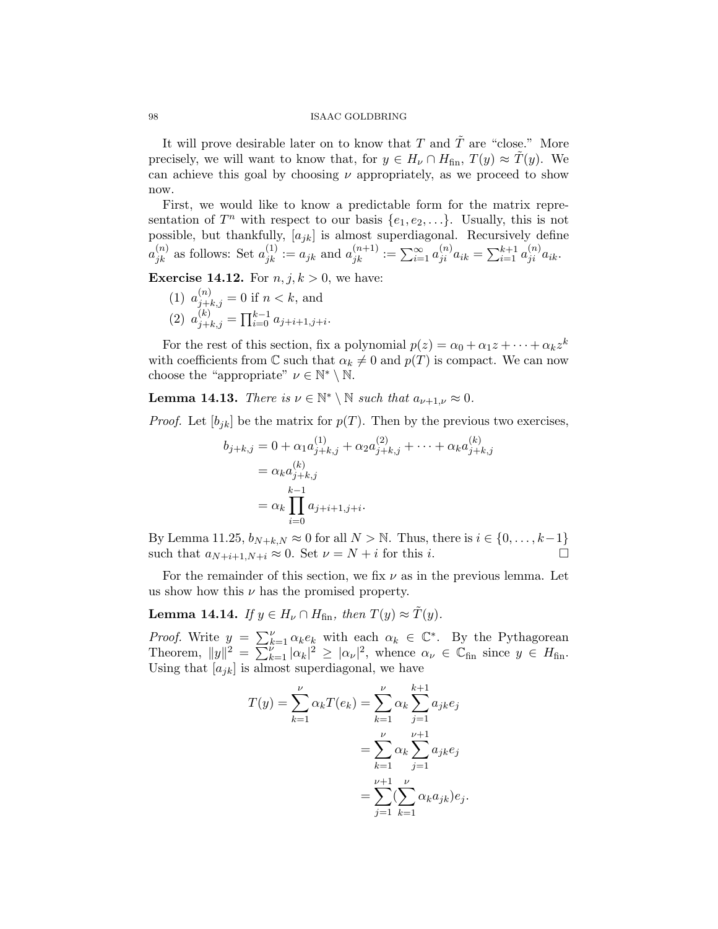#### 98 ISAAC GOLDBRING

It will prove desirable later on to know that T and  $\tilde{T}$  are "close." More precisely, we will want to know that, for  $y \in H_{\nu} \cap H_{\text{fin}}$ ,  $T(y) \approx \tilde{T}(y)$ . We can achieve this goal by choosing  $\nu$  appropriately, as we proceed to show now.

First, we would like to know a predictable form for the matrix representation of  $T^n$  with respect to our basis  $\{e_1, e_2, \ldots\}$ . Usually, this is not possible, but thankfully,  $[a_{jk}]$  is almost superdiagonal. Recursively define  $a_{jk}^{(n)}$  as follows: Set  $a_{jk}^{(1)} := a_{jk}$  and  $a_{jk}^{(n+1)} := \sum_{i=1}^{\infty} a_{ji}^{(n)} a_{ik} = \sum_{i=1}^{k+1} a_{ji}^{(n)} a_{ik}$ .

**Exercise 14.12.** For  $n, j, k > 0$ , we have:

(1)  $a_{j+k,j}^{(n)} = 0$  if  $n < k$ , and (2)  $a_{j+k,j}^{(k)} = \prod_{i=0}^{k-1} a_{j+i+1,j+i}.$ 

For the rest of this section, fix a polynomial  $p(z) = \alpha_0 + \alpha_1 z + \cdots + \alpha_k z^k$ with coefficients from C such that  $\alpha_k \neq 0$  and  $p(T)$  is compact. We can now choose the "appropriate"  $\nu \in \mathbb{N}^* \setminus \mathbb{N}$ .

**Lemma 14.13.** There is  $\nu \in \mathbb{N}^* \setminus \mathbb{N}$  such that  $a_{\nu+1,\nu} \approx 0$ .

*Proof.* Let  $[b_{jk}]$  be the matrix for  $p(T)$ . Then by the previous two exercises,

$$
b_{j+k,j} = 0 + \alpha_1 a_{j+k,j}^{(1)} + \alpha_2 a_{j+k,j}^{(2)} + \dots + \alpha_k a_{j+k,j}^{(k)}
$$
  
=  $\alpha_k a_{j+k,j}^{(k)}$   
=  $\alpha_k \prod_{i=0}^{k-1} a_{j+i+1,j+i}.$ 

By Lemma 11.25,  $b_{N+k,N} \approx 0$  for all  $N > N$ . Thus, there is  $i \in \{0, \ldots, k-1\}$ such that  $a_{N+i+1,N+i} \approx 0$ . Set  $\nu = N+i$  for this *i*.

For the remainder of this section, we fix  $\nu$  as in the previous lemma. Let us show how this  $\nu$  has the promised property.

**Lemma 14.14.** If  $y \in H_{\nu} \cap H_{\text{fin}}$ , then  $T(y) \approx \tilde{T}(y)$ .

*Proof.* Write  $y = \sum_{k=1}^{k} \alpha_k e_k$  with each  $\alpha_k \in \mathbb{C}^*$ . By the Pythagorean Theorem,  $||y||^2 = \sum_{k=1}^{n} |\alpha_k|^2 \ge |\alpha_k|^2$ , whence  $\alpha_{\nu} \in \mathbb{C}_{fin}$  since  $y \in H_{fin}$ . Using that  $[a_{jk}]$  is almost superdiagonal, we have

$$
T(y) = \sum_{k=1}^{\nu} \alpha_k T(e_k) = \sum_{k=1}^{\nu} \alpha_k \sum_{j=1}^{k+1} a_{jk} e_j
$$
  
= 
$$
\sum_{k=1}^{\nu} \alpha_k \sum_{j=1}^{\nu+1} a_{jk} e_j
$$
  
= 
$$
\sum_{j=1}^{\nu+1} (\sum_{k=1}^{\nu} \alpha_k a_{jk}) e_j.
$$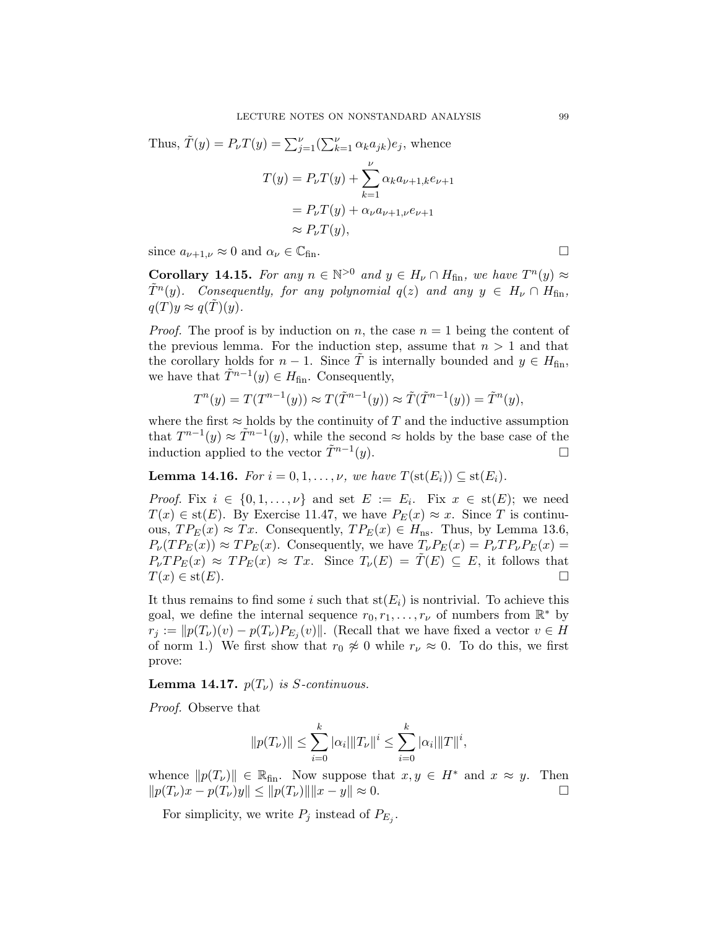Thus, 
$$
\tilde{T}(y) = P_{\nu}T(y) = \sum_{j=1}^{\nu} (\sum_{k=1}^{\nu} \alpha_k a_{jk})e_j
$$
, whence  
\n
$$
T(y) = P_{\nu}T(y) + \sum_{k=1}^{\nu} \alpha_k a_{\nu+1,k}e_{\nu+1}
$$
\n
$$
= P_{\nu}T(y) + \alpha_{\nu} a_{\nu+1,\nu}e_{\nu+1}
$$
\n
$$
\approx P_{\nu}T(y),
$$

since  $a_{\nu+1,\nu} \approx 0$  and  $\alpha_{\nu} \in \mathbb{C}_{fin}$ .

**Corollary 14.15.** For any  $n \in \mathbb{N}^{>0}$  and  $y \in H_{\nu} \cap H_{\text{fin}}$ , we have  $T^{n}(y) \approx$  $\tilde{T}^n(y)$ . Consequently, for any polynomial  $q(z)$  and any  $y \in H_{\nu} \cap H_{\text{fin}}$ ,  $q(T)y \approx q(T)(y)$ .

*Proof.* The proof is by induction on n, the case  $n = 1$  being the content of the previous lemma. For the induction step, assume that  $n > 1$  and that the corollary holds for  $n-1$ . Since  $\tilde{T}$  is internally bounded and  $y \in H_{fin}$ , we have that  $\tilde{T}^{n-1}(y) \in H_{\text{fin}}$ . Consequently,

$$
T^{n}(y) = T(T^{n-1}(y)) \approx T(\tilde{T}^{n-1}(y)) \approx \tilde{T}(\tilde{T}^{n-1}(y)) = \tilde{T}^{n}(y),
$$

where the first  $\approx$  holds by the continuity of T and the inductive assumption that  $T^{n-1}(y) \approx \tilde{T}^{n-1}(y)$ , while the second  $\approx$  holds by the base case of the induction applied to the vector  $\tilde{T}^{n-1}(y)$ .  $(y).$ 

**Lemma 14.16.** For  $i = 0, 1, \ldots, \nu$ , we have  $T(\text{st}(E_i)) \subseteq \text{st}(E_i)$ .

*Proof.* Fix  $i \in \{0, 1, \ldots, \nu\}$  and set  $E := E_i$ . Fix  $x \in \text{st}(E)$ ; we need  $T(x) \in \text{st}(E)$ . By Exercise 11.47, we have  $P_E(x) \approx x$ . Since T is continuous,  $TP_E(x) \approx Tx$ . Consequently,  $TP_E(x) \in H_{ns}$ . Thus, by Lemma 13.6,  $P_{\nu}(TP_E(x)) \approx TP_E(x)$ . Consequently, we have  $T_{\nu}P_E(x) = P_{\nu}TP_{\nu}P_E(x) =$  $P_{\nu}TP_{E}(x) \approx TP_{E}(x) \approx Tx$ . Since  $T_{\nu}(E) = T(E) \subseteq E$ , it follows that  $T(x) \in \text{st}(E)$ .

It thus remains to find some i such that  $\operatorname{st}(E_i)$  is nontrivial. To achieve this goal, we define the internal sequence  $r_0, r_1, \ldots, r_{\nu}$  of numbers from  $\mathbb{R}^*$  by  $r_j := ||p(T_\nu)(v) - p(T_\nu)P_{E_j}(v)||.$  (Recall that we have fixed a vector  $v \in H$ of norm 1.) We first show that  $r_0 \not\approx 0$  while  $r_\nu \approx 0$ . To do this, we first prove:

**Lemma 14.17.**  $p(T_{\nu})$  is *S*-continuous.

Proof. Observe that

$$
||p(T_{\nu})|| \leq \sum_{i=0}^{k} |\alpha_i| ||T_{\nu}||^i \leq \sum_{i=0}^{k} |\alpha_i| ||T||^i,
$$

whence  $||p(T_\nu)|| \in \mathbb{R}_{fin}$ . Now suppose that  $x, y \in H^*$  and  $x \approx y$ . Then  $||p(T_\nu)x - p(T_\nu)y|| \le ||p(T_\nu)|| ||x - y|| \approx 0.$ 

For simplicity, we write  $P_j$  instead of  $P_{E_j}$ .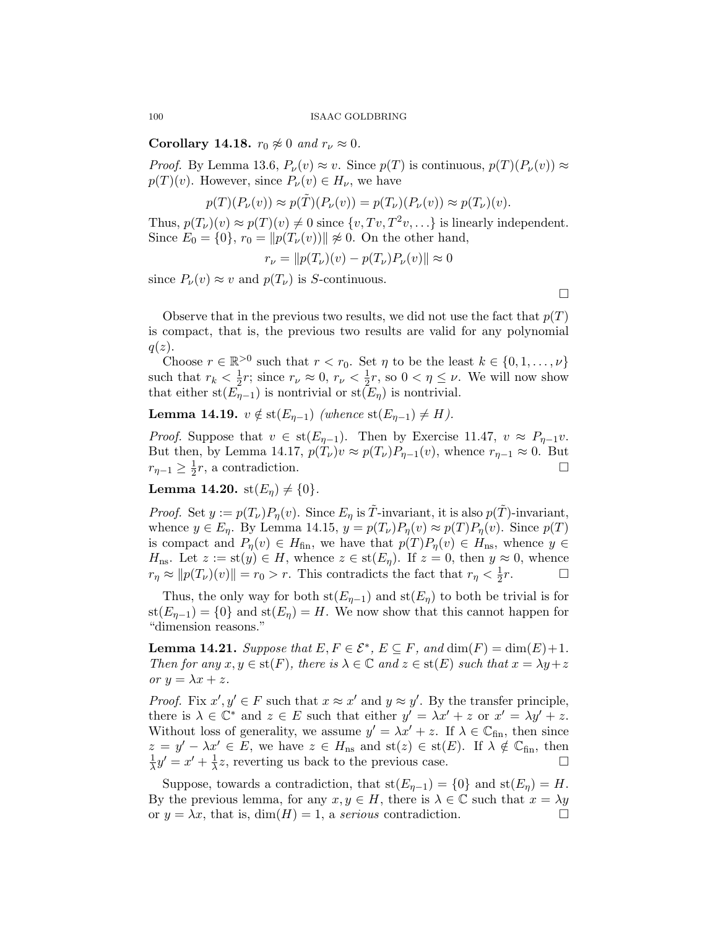Corollary 14.18.  $r_0 \not\approx 0$  and  $r_\nu \approx 0$ .

*Proof.* By Lemma 13.6,  $P_{\nu}(v) \approx v$ . Since  $p(T)$  is continuous,  $p(T)(P_{\nu}(v)) \approx$  $p(T)(v)$ . However, since  $P_{\nu}(v) \in H_{\nu}$ , we have

$$
p(T)(P_{\nu}(v)) \approx p(\tilde{T})(P_{\nu}(v)) = p(T_{\nu})(P_{\nu}(v)) \approx p(T_{\nu})(v).
$$

Thus,  $p(T_\nu)(v) \approx p(T)(v) \neq 0$  since  $\{v, Tv, T^2v, \ldots\}$  is linearly independent. Since  $E_0 = \{0\}$ ,  $r_0 = ||p(T_\nu(v))|| \not\approx 0$ . On the other hand,

 $r_{\nu} = ||p(T_{\nu})(v) - p(T_{\nu})P_{\nu}(v)|| \approx 0$ 

since  $P_{\nu}(v) \approx v$  and  $p(T_{\nu})$  is S-continuous.

Observe that in the previous two results, we did not use the fact that  $p(T)$ is compact, that is, the previous two results are valid for any polynomial  $q(z)$ .

Choose  $r \in \mathbb{R}^{>0}$  such that  $r < r_0$ . Set  $\eta$  to be the least  $k \in \{0, 1, ..., \nu\}$ such that  $r_k < \frac{1}{2}$  $\frac{1}{2}r$ ; since  $r_{\nu} \approx 0$ ,  $r_{\nu} < \frac{1}{2}$  $\frac{1}{2}r$ , so  $0 < \eta \leq \nu$ . We will now show that either st( $E_{n-1}$ ) is nontrivial or st( $E_n$ ) is nontrivial.

Lemma 14.19.  $v \notin \text{st}(E_{\eta-1})$  (whence  $\text{st}(E_{\eta-1}) \neq H$ ).

*Proof.* Suppose that  $v \in st(E_{\eta-1})$ . Then by Exercise 11.47,  $v \approx P_{\eta-1}v$ . But then, by Lemma 14.17,  $p(T_\nu)v \approx p(T_\nu)P_{\eta-1}(v)$ , whence  $r_{\eta-1} \approx 0$ . But  $r_{\eta-1} \geq \frac{1}{2}$  $\frac{1}{2}r$ , a contradiction.

**Lemma 14.20.** st $(E_n) \neq \{0\}.$ 

*Proof.* Set  $y := p(T_\nu)P_\eta(v)$ . Since  $E_\eta$  is  $\tilde{T}$ -invariant, it is also  $p(\tilde{T})$ -invariant, whence  $y \in E_{\eta}$ . By Lemma 14.15,  $y = p(T_{\nu})P_{\eta}(v) \approx p(T)P_{\eta}(v)$ . Since  $p(T)$ is compact and  $P_{\eta}(v) \in H_{\text{fin}}$ , we have that  $p(T)P_{\eta}(v) \in H_{\text{ns}}$ , whence  $y \in$  $H_{\text{ns}}$ . Let  $z := \text{st}(y) \in H$ , whence  $z \in \text{st}(E_{\eta})$ . If  $z = 0$ , then  $y \approx 0$ , whence  $r_{\eta} \approx ||p(T_{\nu})(v)|| = r_0 > r$ . This contradicts the fact that  $r_{\eta} < \frac{1}{2}$  $\frac{1}{2}r$ .  $\Box$ 

Thus, the only way for both  $st(E_{\eta-1})$  and  $st(E_{\eta})$  to both be trivial is for  $st(E_{\eta-1}) = \{0\}$  and  $st(E_{\eta}) = H$ . We now show that this cannot happen for "dimension reasons."

**Lemma 14.21.** Suppose that  $E, F \in \mathcal{E}^*, E \subseteq F$ , and  $\dim(F) = \dim(E) + 1$ . Then for any  $x, y \in \text{st}(F)$ , there is  $\lambda \in \mathbb{C}$  and  $z \in \text{st}(E)$  such that  $x = \lambda y + z$ or  $y = \lambda x + z$ .

*Proof.* Fix  $x', y' \in F$  such that  $x \approx x'$  and  $y \approx y'$ . By the transfer principle, there is  $\lambda \in \mathbb{C}^*$  and  $z \in E$  such that either  $y' = \lambda x' + z$  or  $x' = \lambda y' + z$ . Without loss of generality, we assume  $y' = \lambda x' + z$ . If  $\lambda \in \mathbb{C}_{fin}$ , then since  $z = y' - \lambda x' \in \overline{E}$ , we have  $z \in H_{\text{ns}}$  and  $\text{st}(z) \in \text{st}(E)$ . If  $\lambda \notin \mathbb{C}_{\text{fin}}$ , then 1  $\frac{1}{\lambda}y' = x' + \frac{1}{\lambda}$  $\frac{1}{\lambda}z$ , reverting us back to the previous case.

Suppose, towards a contradiction, that  $st(E_{\eta-1}) = \{0\}$  and  $st(E_{\eta}) = H$ . By the previous lemma, for any  $x, y \in H$ , there is  $\lambda \in \mathbb{C}$  such that  $x = \lambda y$ or  $y = \lambda x$ , that is,  $\dim(H) = 1$ , a serious contradiction.

 $\Box$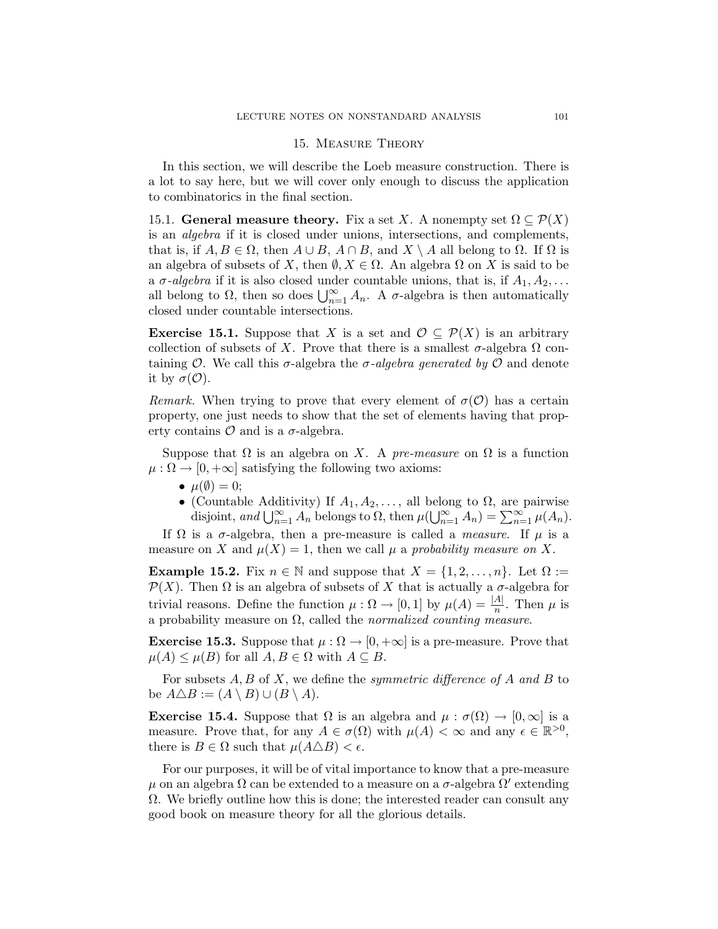# 15. Measure Theory

In this section, we will describe the Loeb measure construction. There is a lot to say here, but we will cover only enough to discuss the application to combinatorics in the final section.

15.1. General measure theory. Fix a set X. A nonempty set  $\Omega \subseteq \mathcal{P}(X)$ is an algebra if it is closed under unions, intersections, and complements, that is, if  $A, B \in \Omega$ , then  $A \cup B, A \cap B$ , and  $X \setminus A$  all belong to  $\Omega$ . If  $\Omega$  is an algebra of subsets of X, then  $\emptyset, X \in \Omega$ . An algebra  $\Omega$  on X is said to be a  $\sigma$ -algebra if it is also closed under countable unions, that is, if  $A_1, A_2, \ldots$ all belong to  $\Omega$ , then so does  $\bigcup_{n=1}^{\infty} A_n$ . A  $\sigma$ -algebra is then automatically closed under countable intersections.

**Exercise 15.1.** Suppose that X is a set and  $\mathcal{O} \subseteq \mathcal{P}(X)$  is an arbitrary collection of subsets of X. Prove that there is a smallest  $\sigma$ -algebra  $\Omega$  containing O. We call this  $\sigma$ -algebra the  $\sigma$ -algebra generated by O and denote it by  $\sigma(\mathcal{O})$ .

Remark. When trying to prove that every element of  $\sigma(\mathcal{O})$  has a certain property, one just needs to show that the set of elements having that property contains  $\mathcal O$  and is a  $\sigma$ -algebra.

Suppose that  $\Omega$  is an algebra on X. A pre-measure on  $\Omega$  is a function  $\mu : \Omega \to [0, +\infty]$  satisfying the following two axioms:

- $\mu(\emptyset) = 0$ ;
- (Countable Additivity) If  $A_1, A_2, \ldots$ , all belong to  $\Omega$ , are pairwise disjoint, and  $\bigcup_{n=1}^{\infty} A_n$  belongs to  $\Omega$ , then  $\mu(\bigcup_{n=1}^{\infty} A_n) = \sum_{n=1}^{\infty} \mu(A_n)$ .

If  $\Omega$  is a  $\sigma$ -algebra, then a pre-measure is called a *measure*. If  $\mu$  is a measure on X and  $\mu(X) = 1$ , then we call  $\mu$  a probability measure on X.

**Example 15.2.** Fix  $n \in \mathbb{N}$  and suppose that  $X = \{1, 2, ..., n\}$ . Let  $\Omega :=$  $\mathcal{P}(X)$ . Then  $\Omega$  is an algebra of subsets of X that is actually a  $\sigma$ -algebra for trivial reasons. Define the function  $\mu : \Omega \to [0,1]$  by  $\mu(A) = \frac{|A|}{n}$ . Then  $\mu$  is a probability measure on  $\Omega$ , called the *normalized counting measure*.

**Exercise 15.3.** Suppose that  $\mu : \Omega \to [0, +\infty]$  is a pre-measure. Prove that  $\mu(A) \leq \mu(B)$  for all  $A, B \in \Omega$  with  $A \subseteq B$ .

For subsets  $A, B$  of  $X$ , we define the *symmetric difference of*  $A$  and  $B$  to be  $A \triangle B := (A \setminus B) \cup (B \setminus A).$ 

**Exercise 15.4.** Suppose that  $\Omega$  is an algebra and  $\mu : \sigma(\Omega) \to [0, \infty]$  is a measure. Prove that, for any  $A \in \sigma(\Omega)$  with  $\mu(A) < \infty$  and any  $\epsilon \in \mathbb{R}^{>0}$ , there is  $B \in \Omega$  such that  $\mu(A \triangle B) < \epsilon$ .

For our purposes, it will be of vital importance to know that a pre-measure  $\mu$  on an algebra Ω can be extended to a measure on a  $\sigma$ -algebra Ω' extending  $\Omega$ . We briefly outline how this is done; the interested reader can consult any good book on measure theory for all the glorious details.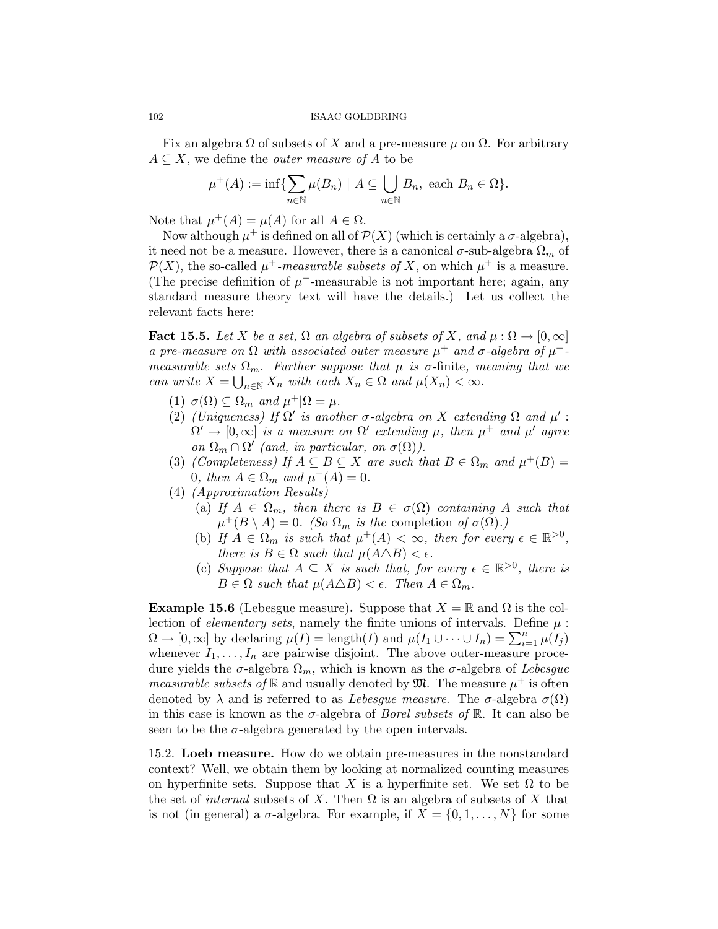Fix an algebra  $\Omega$  of subsets of X and a pre-measure  $\mu$  on  $\Omega$ . For arbitrary  $A \subseteq X$ , we define the *outer measure of* A to be

$$
\mu^+(A) := \inf \{ \sum_{n \in \mathbb{N}} \mu(B_n) \mid A \subseteq \bigcup_{n \in \mathbb{N}} B_n, \text{ each } B_n \in \Omega \}.
$$

Note that  $\mu^+(A) = \mu(A)$  for all  $A \in \Omega$ .

Now although  $\mu^+$  is defined on all of  $\mathcal{P}(X)$  (which is certainly a  $\sigma$ -algebra), it need not be a measure. However, there is a canonical  $\sigma$ -sub-algebra  $\Omega_m$  of  $\mathcal{P}(X)$ , the so-called  $\mu^+$ -measurable subsets of X, on which  $\mu^+$  is a measure. (The precise definition of  $\mu^+$ -measurable is not important here; again, any standard measure theory text will have the details.) Let us collect the relevant facts here:

**Fact 15.5.** Let X be a set,  $\Omega$  an algebra of subsets of X, and  $\mu : \Omega \to [0, \infty]$ a pre-measure on  $\Omega$  with associated outer measure  $\mu^+$  and  $\sigma$ -algebra of  $\mu^+$ measurable sets  $\Omega_m$ . Further suppose that  $\mu$  is  $\sigma$ -finite, meaning that we can write  $X = \bigcup_{n \in \mathbb{N}} X_n$  with each  $X_n \in \Omega$  and  $\mu(X_n) < \infty$ .

- (1)  $\sigma(\Omega) \subseteq \Omega_m$  and  $\mu^+|\Omega = \mu$ .
- (2) (Uniqueness) If  $\Omega'$  is another  $\sigma$ -algebra on X extending  $\Omega$  and  $\mu'$ :  $\Omega' \to [0,\infty]$  is a measure on  $\Omega'$  extending  $\mu$ , then  $\mu^+$  and  $\mu'$  agree on  $\Omega_m \cap \Omega'$  (and, in particular, on  $\sigma(\Omega)$ ).
- (3) (Completeness) If  $A \subseteq B \subseteq X$  are such that  $B \in \Omega_m$  and  $\mu^+(B) =$ 0, then  $A \in \Omega_m$  and  $\mu^+(A) = 0$ .
- (4) (Approximation Results)
	- (a) If  $A \in \Omega_m$ , then there is  $B \in \sigma(\Omega)$  containing A such that  $\mu^+(B \setminus A) = 0.$  (So  $\Omega_m$  is the completion of  $\sigma(\Omega)$ .)
	- (b) If  $A \in \Omega_m$  is such that  $\mu^+(A) < \infty$ , then for every  $\epsilon \in \mathbb{R}^{>0}$ , there is  $B \in \Omega$  such that  $\mu(A \triangle B) < \epsilon$ .
	- (c) Suppose that  $A \subseteq X$  is such that, for every  $\epsilon \in \mathbb{R}^{>0}$ , there is  $B \in \Omega$  such that  $\mu(A \triangle B) < \epsilon$ . Then  $A \in \Omega_m$ .

**Example 15.6** (Lebesgue measure). Suppose that  $X = \mathbb{R}$  and  $\Omega$  is the collection of *elementary sets*, namely the finite unions of intervals. Define  $\mu$ :  $\Omega \to [0,\infty]$  by declaring  $\mu(I) = \text{length}(I)$  and  $\mu(I_1 \cup \cdots \cup I_n) = \sum_{i=1}^n \mu(I_i)$ whenever  $I_1, \ldots, I_n$  are pairwise disjoint. The above outer-measure procedure yields the  $\sigma$ -algebra  $\Omega_m$ , which is known as the  $\sigma$ -algebra of Lebesgue *measurable subsets of*  $\mathbb R$  and usually denoted by  $\mathfrak{M}$ . The measure  $\mu^+$  is often denoted by  $\lambda$  and is referred to as *Lebesque measure*. The  $\sigma$ -algebra  $\sigma(\Omega)$ in this case is known as the  $\sigma$ -algebra of *Borel subsets of* R. It can also be seen to be the  $\sigma$ -algebra generated by the open intervals.

15.2. Loeb measure. How do we obtain pre-measures in the nonstandard context? Well, we obtain them by looking at normalized counting measures on hyperfinite sets. Suppose that X is a hyperfinite set. We set  $\Omega$  to be the set of *internal* subsets of X. Then  $\Omega$  is an algebra of subsets of X that is not (in general) a  $\sigma$ -algebra. For example, if  $X = \{0, 1, \ldots, N\}$  for some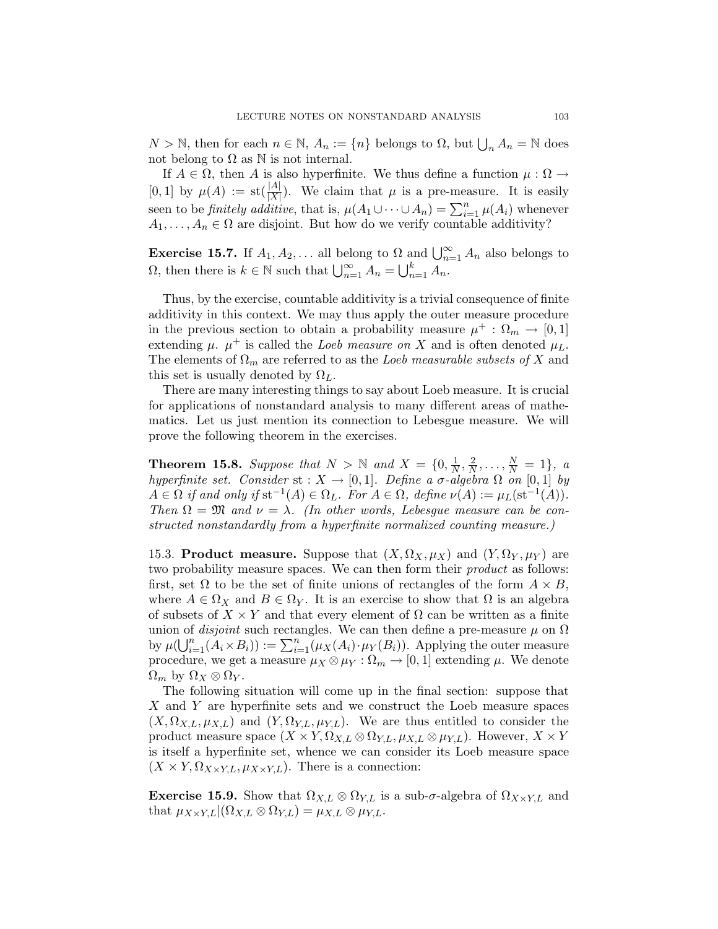$N > \mathbb{N}$ , then for each  $n \in \mathbb{N}$ ,  $A_n := \{n\}$  belongs to  $\Omega$ , but  $\bigcup_n A_n = \mathbb{N}$  does not belong to  $\Omega$  as  $\mathbb N$  is not internal.

If  $A \in \Omega$ , then A is also hyperfinite. We thus define a function  $\mu : \Omega \to$ [0, 1] by  $\mu(A) := \operatorname{st}(\frac{|A|}{|X|})$ . We claim that  $\mu$  is a pre-measure. It is easily seen to be *finitely additive*, that is,  $\mu(A_1 \cup \cdots \cup A_n) = \sum_{i=1}^n \mu(A_i)$  whenever  $A_1, \ldots, A_n \in \Omega$  are disjoint. But how do we verify countable additivity?

**Exercise 15.7.** If  $A_1, A_2, \ldots$  all belong to  $\Omega$  and  $\bigcup_{n=1}^{\infty} A_n$  also belongs to  $\Omega$ , then there is  $k \in \mathbb{N}$  such that  $\bigcup_{n=1}^{\infty} A_n = \bigcup_{n=1}^{k} A_n$ .

Thus, by the exercise, countable additivity is a trivial consequence of finite additivity in this context. We may thus apply the outer measure procedure in the previous section to obtain a probability measure  $\mu^+$ :  $\Omega_m \to [0,1]$ extending  $\mu$ .  $\mu^+$  is called the *Loeb measure on* X and is often denoted  $\mu_L$ . The elements of  $\Omega_m$  are referred to as the *Loeb measurable subsets of* X and this set is usually denoted by  $\Omega_L$ .

There are many interesting things to say about Loeb measure. It is crucial for applications of nonstandard analysis to many different areas of mathematics. Let us just mention its connection to Lebesgue measure. We will prove the following theorem in the exercises.

**Theorem 15.8.** Suppose that  $N > N$  and  $X = \{0, \frac{1}{N}\}$  $\frac{1}{N}, \frac{2}{N}$  $\frac{2}{N}, \ldots, \frac{N}{N} = 1$ , a hyperfinite set. Consider st :  $X \to [0,1]$ . Define a  $\sigma$ -algebra  $\Omega$  on  $[0,1]$  by  $A \in \Omega$  if and only if  $st^{-1}(A) \in \Omega_L$ . For  $A \in \Omega$ , define  $\nu(A) := \mu_L(st^{-1}(A))$ . Then  $\Omega = \mathfrak{M}$  and  $\nu = \lambda$ . (In other words, Lebesque measure can be constructed nonstandardly from a hyperfinite normalized counting measure.)

15.3. Product measure. Suppose that  $(X, \Omega_X, \mu_X)$  and  $(Y, \Omega_Y, \mu_Y)$  are two probability measure spaces. We can then form their product as follows: first, set  $\Omega$  to be the set of finite unions of rectangles of the form  $A \times B$ , where  $A \in \Omega_X$  and  $B \in \Omega_Y$ . It is an exercise to show that  $\Omega$  is an algebra of subsets of  $X \times Y$  and that every element of  $\Omega$  can be written as a finite union of *disjoint* such rectangles. We can then define a pre-measure  $\mu$  on  $\Omega$ by  $\mu(\bigcup_{i=1}^n (A_i \times B_i)) := \sum_{i=1}^n (\mu_X(A_i) \cdot \mu_Y(B_i))$ . Applying the outer measure procedure, we get a measure  $\mu_X \otimes \mu_Y : \Omega_m \to [0,1]$  extending  $\mu$ . We denote  $\Omega_m$  by  $\Omega_X \otimes \Omega_Y$ .

The following situation will come up in the final section: suppose that X and Y are hyperfinite sets and we construct the Loeb measure spaces  $(X, \Omega_{X,L}, \mu_{X,L})$  and  $(Y, \Omega_{Y,L}, \mu_{Y,L})$ . We are thus entitled to consider the product measure space  $(X \times Y, \Omega_{X,L} \otimes \Omega_{Y,L}, \mu_{X,L} \otimes \mu_{Y,L})$ . However,  $X \times Y$ is itself a hyperfinite set, whence we can consider its Loeb measure space  $(X \times Y, \Omega_{X \times Y, L}, \mu_{X \times Y, L})$ . There is a connection:

**Exercise 15.9.** Show that  $\Omega_{X,L} \otimes \Omega_{Y,L}$  is a sub- $\sigma$ -algebra of  $\Omega_{X\times Y,L}$  and that  $\mu_{X\times Y,L}|(\Omega_{X,L}\otimes \Omega_{Y,L})=\mu_{X,L}\otimes \mu_{Y,L}.$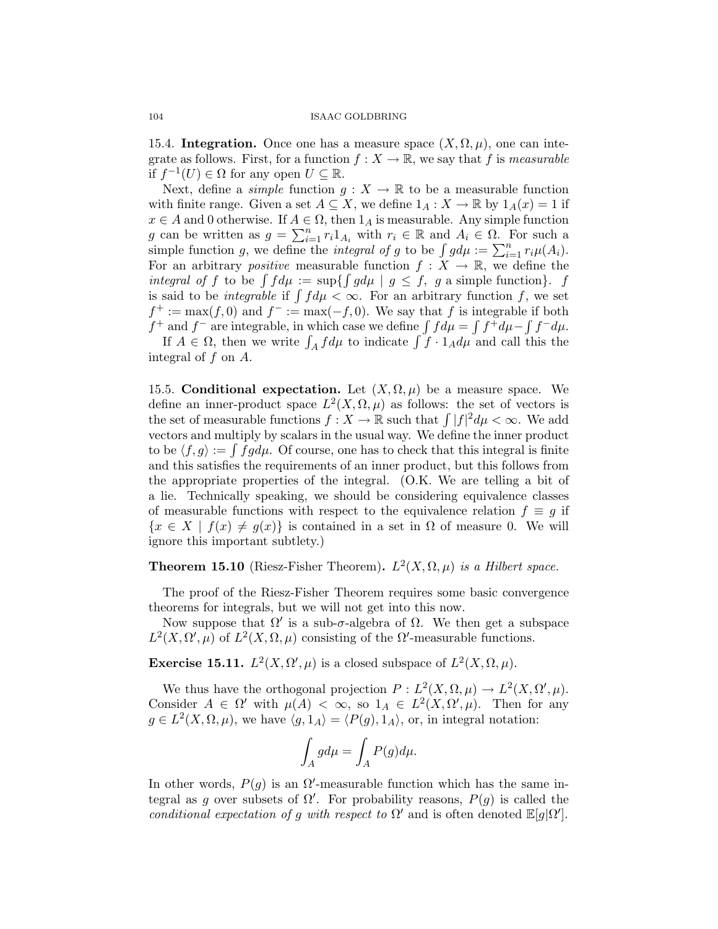15.4. Integration. Once one has a measure space  $(X, \Omega, \mu)$ , one can integrate as follows. First, for a function  $f: X \to \mathbb{R}$ , we say that f is measurable if  $f^{-1}(U) \in \Omega$  for any open  $U \subseteq \mathbb{R}$ .

Next, define a *simple* function  $g: X \to \mathbb{R}$  to be a measurable function with finite range. Given a set  $A \subseteq X$ , we define  $1_A : X \to \mathbb{R}$  by  $1_A(x) = 1$  if  $x \in A$  and 0 otherwise. If  $A \in \Omega$ , then  $1_A$  is measurable. Any simple function g can be written as  $g = \sum_{i=1}^n r_i 1_{A_i}$  with  $r_i \in \mathbb{R}$  and  $A_i \in \Omega$ . For such a simple function g, we define the *integral of g* to be  $\int g d\mu := \sum_{i=1}^n r_i \mu(A_i)$ . For an arbitrary *positive* measurable function  $f : X \to \mathbb{R}$ , we define the integral of f to be  $\int f d\mu := \sup \{ \int g d\mu \mid g \leq f, g$  a simple function $\}.$  f is said to be *integrable* if  $\int f d\mu < \infty$ . For an arbitrary function f, we set  $f^+ := \max(f, 0)$  and  $f^- := \max(-f, 0)$ . We say that f is integrable if both  $f^+$  and  $f^-$  are integrable, in which case we define  $\int f d\mu = \int f^+ d\mu - \int f^- d\mu$ .

If  $A \in \Omega$ , then we write  $\int_A f d\mu$  to indicate  $\int f \cdot 1_A d\mu$  and call this the integral of  $f$  on  $A$ .

15.5. Conditional expectation. Let  $(X, \Omega, \mu)$  be a measure space. We define an inner-product space  $L^2(X, \Omega, \mu)$  as follows: the set of vectors is the set of measurable functions  $f: X \to \mathbb{R}$  such that  $\int |f|^2 d\mu < \infty$ . We add vectors and multiply by scalars in the usual way. We define the inner product to be  $\langle f, g \rangle := \int f g d\mu$ . Of course, one has to check that this integral is finite and this satisfies the requirements of an inner product, but this follows from the appropriate properties of the integral. (O.K. We are telling a bit of a lie. Technically speaking, we should be considering equivalence classes of measurable functions with respect to the equivalence relation  $f \equiv q$  if  ${x \in X \mid f(x) \neq g(x)}$  is contained in a set in  $\Omega$  of measure 0. We will ignore this important subtlety.)

**Theorem 15.10** (Riesz-Fisher Theorem).  $L^2(X, \Omega, \mu)$  is a Hilbert space.

The proof of the Riesz-Fisher Theorem requires some basic convergence theorems for integrals, but we will not get into this now.

Now suppose that  $\Omega'$  is a sub-σ-algebra of  $\Omega$ . We then get a subspace  $L^2(X, \Omega', \mu)$  of  $L^2(X, \Omega, \mu)$  consisting of the  $\Omega'$ -measurable functions.

**Exercise 15.11.**  $L^2(X, \Omega', \mu)$  is a closed subspace of  $L^2(X, \Omega, \mu)$ .

We thus have the orthogonal projection  $P: L^2(X, \Omega, \mu) \to L^2(X, \Omega', \mu)$ . Consider  $A \in \Omega'$  with  $\mu(A) < \infty$ , so  $1_A \in L^2(X, \Omega', \mu)$ . Then for any  $g \in L^2(X, \Omega, \mu)$ , we have  $\langle g, 1_A \rangle = \langle P(g), 1_A \rangle$ , or, in integral notation:

$$
\int_A g d\mu = \int_A P(g) d\mu.
$$

In other words,  $P(g)$  is an  $\Omega'$ -measurable function which has the same integral as g over subsets of  $\Omega'$ . For probability reasons,  $P(g)$  is called the conditional expectation of g with respect to  $\Omega'$  and is often denoted  $\mathbb{E}[g|\Omega']$ .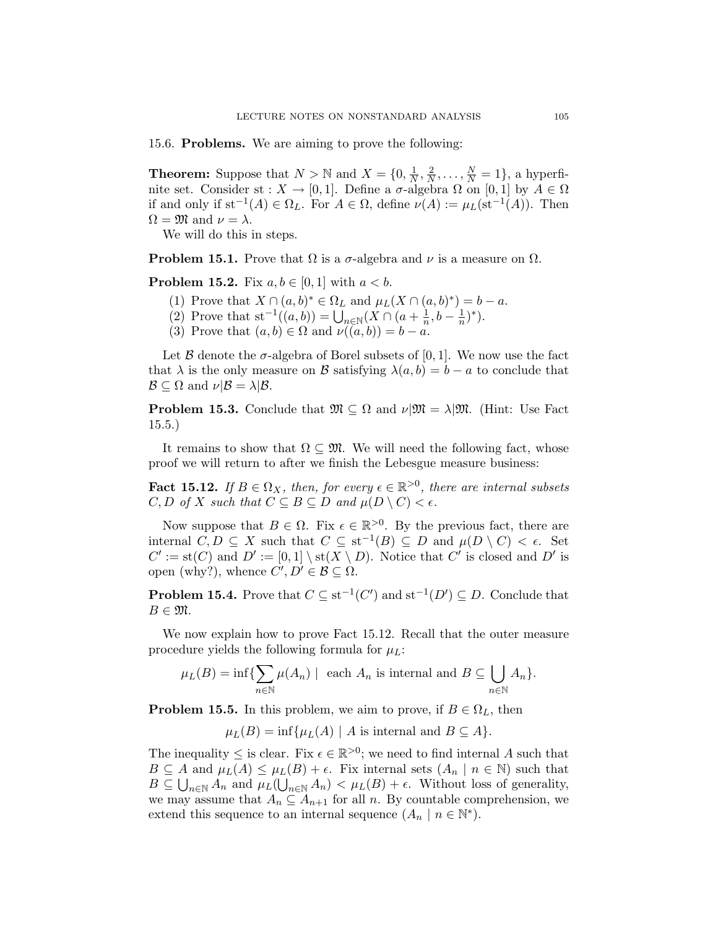15.6. Problems. We are aiming to prove the following:

**Theorem:** Suppose that  $N > N$  and  $X = \{0, \frac{1}{N}\}$  $\frac{1}{N}$ ,  $\frac{2}{N}$  $\frac{2}{N}, \ldots, \frac{N}{N} = 1$ , a hyperfinite set. Consider st :  $X \to [0, 1]$ . Define a  $\sigma$ -algebra  $\Omega$  on  $[0, 1]$  by  $A \in \Omega$ if and only if  $st^{-1}(A) \in \Omega_L$ . For  $A \in \Omega$ , define  $\nu(A) := \mu_L(st^{-1}(A))$ . Then  $\Omega = \mathfrak{M}$  and  $\nu = \lambda$ .

We will do this in steps.

**Problem 15.1.** Prove that  $\Omega$  is a  $\sigma$ -algebra and  $\nu$  is a measure on  $\Omega$ .

**Problem 15.2.** Fix  $a, b \in [0, 1]$  with  $a < b$ .

(1) Prove that  $X \cap (a, b)^* \in \Omega_L$  and  $\mu_L(X \cap (a, b)^*) = b - a$ .

(2) Prove that  $st^{-1}((a, b)) = \bigcup_{n \in \mathbb{N}} (X \cap (a + \frac{1}{n}))$  $\frac{1}{n}, b - \frac{1}{n}$  $(\frac{1}{n})^*$ ).

(3) Prove that  $(a, b) \in \Omega$  and  $\nu((a, b)) = b - a$ .

Let B denote the  $\sigma$ -algebra of Borel subsets of [0, 1]. We now use the fact that  $\lambda$  is the only measure on B satisfying  $\lambda(a, b) = b - a$  to conclude that  $\mathcal{B} \subseteq \Omega$  and  $\nu|\mathcal{B} = \lambda|\mathcal{B}$ .

**Problem 15.3.** Conclude that  $\mathfrak{M} \subseteq \Omega$  and  $\nu | \mathfrak{M} = \lambda | \mathfrak{M}$ . (Hint: Use Fact 15.5.)

It remains to show that  $\Omega \subseteq \mathfrak{M}$ . We will need the following fact, whose proof we will return to after we finish the Lebesgue measure business:

**Fact 15.12.** If  $B \in \Omega_X$ , then, for every  $\epsilon \in \mathbb{R}^{>0}$ , there are internal subsets  $C, D \text{ of } X \text{ such that } C \subseteq B \subseteq D \text{ and } \mu(D \setminus C) < \epsilon.$ 

Now suppose that  $B \in \Omega$ . Fix  $\epsilon \in \mathbb{R}^{>0}$ . By the previous fact, there are internal  $C, D \subseteq X$  such that  $C \subseteq \text{st}^{-1}(B) \subseteq D$  and  $\mu(D \setminus C) < \epsilon$ . Set  $C' := \text{st}(C)$  and  $D' := [0, 1] \setminus \text{st}(X \setminus D)$ . Notice that  $C'$  is closed and  $D'$  is open (why?), whence  $C', D' \in \mathcal{B} \subseteq \Omega$ .

**Problem 15.4.** Prove that  $C \subseteq \text{st}^{-1}(C')$  and  $\text{st}^{-1}(D') \subseteq D$ . Conclude that  $B \in \mathfrak{M}.$ 

We now explain how to prove Fact 15.12. Recall that the outer measure procedure yields the following formula for  $\mu_L$ :

$$
\mu_L(B) = \inf \{ \sum_{n \in \mathbb{N}} \mu(A_n) \mid \text{ each } A_n \text{ is internal and } B \subseteq \bigcup_{n \in \mathbb{N}} A_n \}.
$$

**Problem 15.5.** In this problem, we aim to prove, if  $B \in \Omega_L$ , then

 $\mu_L(B) = \inf \{ \mu_L(A) \mid A \text{ is internal and } B \subseteq A \}.$ 

The inequality  $\leq$  is clear. Fix  $\epsilon \in \mathbb{R}^{>0}$ ; we need to find internal A such that  $B \subseteq A$  and  $\mu_L(A) \leq \mu_L(B) + \epsilon$ . Fix internal sets  $(A_n \mid n \in \mathbb{N})$  such that  $B \subseteq \bigcup_{n \in \mathbb{N}} A_n$  and  $\mu_L(\bigcup_{n \in \mathbb{N}} A_n) < \mu_L(B) + \epsilon$ . Without loss of generality, we may assume that  $A_n \subseteq A_{n+1}$  for all n. By countable comprehension, we extend this sequence to an internal sequence  $(A_n \mid n \in \mathbb{N}^*)$ .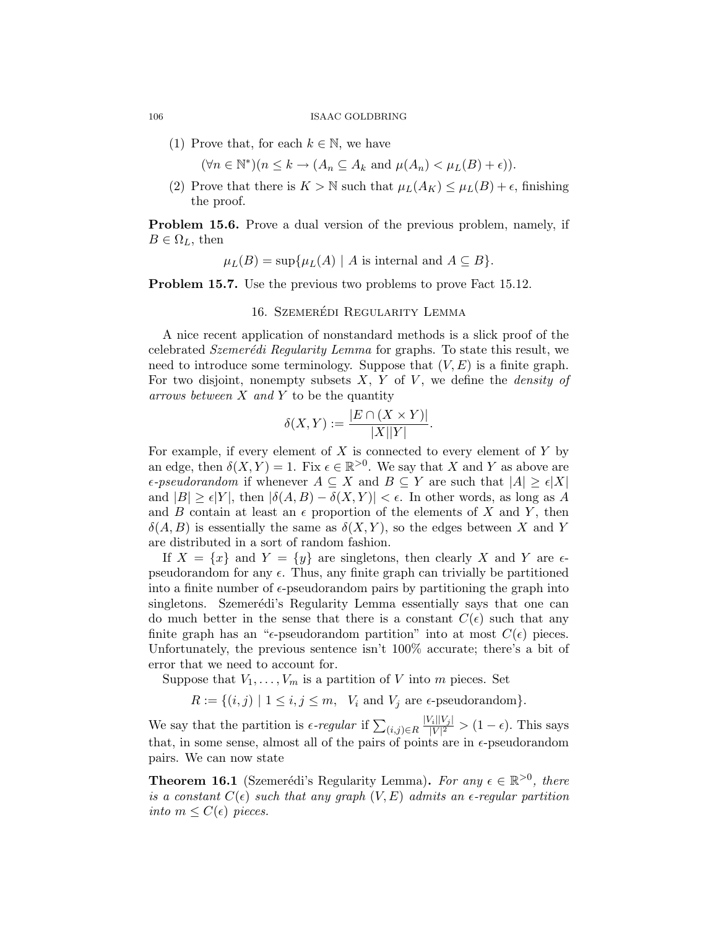#### 106 ISAAC GOLDBRING

- (1) Prove that, for each  $k \in \mathbb{N}$ , we have
	- $(\forall n \in \mathbb{N}^*)(n \leq k \rightarrow (A_n \subseteq A_k \text{ and } \mu(A_n) < \mu_L(B) + \epsilon)).$
- (2) Prove that there is  $K > N$  such that  $\mu_L(A_K) \leq \mu_L(B) + \epsilon$ , finishing the proof.

Problem 15.6. Prove a dual version of the previous problem, namely, if  $B \in \Omega_L$ , then

$$
\mu_L(B) = \sup \{ \mu_L(A) \mid A \text{ is internal and } A \subseteq B \}.
$$

**Problem 15.7.** Use the previous two problems to prove Fact 15.12.

#### 16. SZEMERÉDI REGULARITY LEMMA

A nice recent application of nonstandard methods is a slick proof of the celebrated Szemerédi Regularity Lemma for graphs. To state this result, we need to introduce some terminology. Suppose that  $(V, E)$  is a finite graph. For two disjoint, nonempty subsets  $X, Y$  of  $V$ , we define the *density of* arrows between  $X$  and  $Y$  to be the quantity

$$
\delta(X,Y) := \frac{|E \cap (X \times Y)|}{|X||Y|}.
$$

For example, if every element of  $X$  is connected to every element of  $Y$  by an edge, then  $\delta(X, Y) = 1$ . Fix  $\epsilon \in \mathbb{R}^{>0}$ . We say that X and Y as above are  $\epsilon$ -pseudorandom if whenever  $A \subseteq X$  and  $B \subseteq Y$  are such that  $|A| \geq \epsilon |X|$ and  $|B| \geq \epsilon |Y|$ , then  $|\delta(A, B) - \delta(X, Y)| < \epsilon$ . In other words, as long as A and B contain at least an  $\epsilon$  proportion of the elements of X and Y, then  $\delta(A, B)$  is essentially the same as  $\delta(X, Y)$ , so the edges between X and Y are distributed in a sort of random fashion.

If  $X = \{x\}$  and  $Y = \{y\}$  are singletons, then clearly X and Y are  $\epsilon$ pseudorandom for any  $\epsilon$ . Thus, any finite graph can trivially be partitioned into a finite number of  $\epsilon$ -pseudorandom pairs by partitioning the graph into singletons. Szemerédi's Regularity Lemma essentially says that one can do much better in the sense that there is a constant  $C(\epsilon)$  such that any finite graph has an " $\epsilon$ -pseudorandom partition" into at most  $C(\epsilon)$  pieces. Unfortunately, the previous sentence isn't 100% accurate; there's a bit of error that we need to account for.

Suppose that  $V_1, \ldots, V_m$  is a partition of V into m pieces. Set

 $R := \{(i, j) \mid 1 \leq i, j \leq m, V_i \text{ and } V_j \text{ are } \epsilon \text{-pseudorandom}\}.$ 

We say that the partition is  $\epsilon$ -regular if  $\sum_{(i,j)\in R}$  $|V_i||V_j|$  $\frac{\langle i||V_j|}{|V|^2} > (1 - \epsilon)$ . This says that, in some sense, almost all of the pairs of points are in  $\epsilon$ -pseudorandom pairs. We can now state

**Theorem 16.1** (Szemerédi's Regularity Lemma). For any  $\epsilon \in \mathbb{R}^{>0}$ , there is a constant  $C(\epsilon)$  such that any graph  $(V, E)$  admits an  $\epsilon$ -regular partition into  $m \leq C(\epsilon)$  pieces.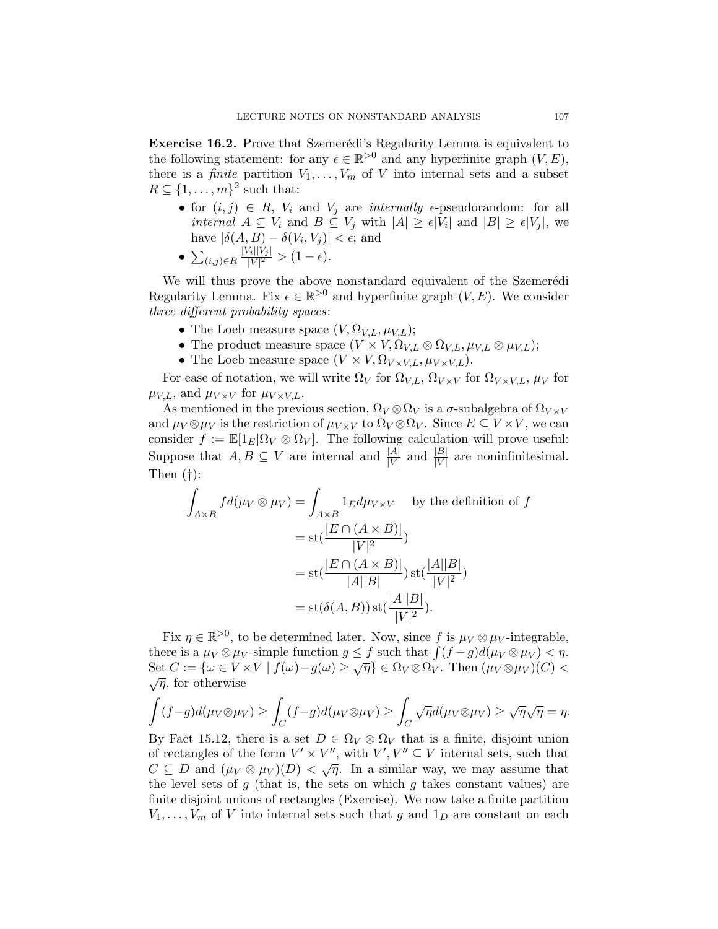**Exercise 16.2.** Prove that Szemerédi's Regularity Lemma is equivalent to the following statement: for any  $\epsilon \in \mathbb{R}^{>0}$  and any hyperfinite graph  $(V, E)$ , there is a *finite* partition  $V_1, \ldots, V_m$  of V into internal sets and a subset  $R \subseteq \{1, \ldots, m\}^2$  such that:

- for  $(i, j) \in R$ ,  $V_i$  and  $V_j$  are *internally*  $\epsilon$ -pseudorandom: for all *internal*  $A \subseteq V_i$  and  $B \subseteq V_j$  with  $|A| \geq \epsilon |V_i|$  and  $|B| \geq \epsilon |V_j|$ , we have  $|\delta(A, B) - \delta(V_i, V_j)| < \epsilon$ ; and  $|V_i||V_j|$
- $\bullet \sum_{(i,j)\in R}$  $\frac{\gamma_i ||V_j|}{|V|^2} > (1-\epsilon).$

We will thus prove the above nonstandard equivalent of the Szemerédi Regularity Lemma. Fix  $\epsilon \in \mathbb{R}^{>0}$  and hyperfinite graph  $(V, E)$ . We consider three different probability spaces:

- The Loeb measure space  $(V, \Omega_{V,L}, \mu_{V,L});$
- The product measure space  $(V \times V, \Omega_{V,L} \otimes \Omega_{V,L}, \mu_{V,L} \otimes \mu_{V,L});$
- The Loeb measure space  $(V \times V, \Omega_{V \times V, L}, \mu_{V \times V, L}).$

For ease of notation, we will write  $\Omega_V$  for  $\Omega_{V,L}$ ,  $\Omega_{V\times V}$  for  $\Omega_{V\times V,L}$ ,  $\mu_V$  for  $\mu_{V,L}$ , and  $\mu_{V\times V}$  for  $\mu_{V\times V,L}$ .

As mentioned in the previous section,  $\Omega_V \otimes \Omega_V$  is a  $\sigma$ -subalgebra of  $\Omega_{V \times V}$ and  $\mu_V \otimes \mu_V$  is the restriction of  $\mu_{V \times V}$  to  $\Omega_V \otimes \Omega_V$ . Since  $E \subseteq V \times V$ , we can consider  $f := \mathbb{E}[1_E|\Omega_V \otimes \Omega_V]$ . The following calculation will prove useful: Suppose that  $A, B \subseteq V$  are internal and  $\frac{|A|}{|V|}$  and  $\frac{|B|}{|V|}$  are noninfinitesimal. Then (†):

$$
\int_{A\times B} f d(\mu_V \otimes \mu_V) = \int_{A\times B} 1_E d\mu_{V\times V} \quad \text{by the definition of } f
$$

$$
= \text{st}(\frac{|E \cap (A \times B)|}{|V|^2})
$$

$$
= \text{st}(\frac{|E \cap (A \times B)|}{|A||B|}) \text{st}(\frac{|A||B|}{|V|^2})
$$

$$
= \text{st}(\delta(A, B)) \text{st}(\frac{|A||B|}{|V|^2}).
$$

Fix  $\eta \in \mathbb{R}^{>0}$ , to be determined later. Now, since f is  $\mu_V \otimes \mu_V$ -integrable, there is a  $\mu_V \otimes \mu_V$ -simple function  $g \leq f$  such that  $\int (f - g)d(\mu_V \otimes \mu_V) < \eta$ . Set  $C := {\omega \in V \times V | f(\omega) - g(\omega) \ge \sqrt{\eta}} \in \Omega_V \otimes \Omega_V$ . Then  $(\mu_V \otimes \mu_V)(C) <$  $\sqrt{\eta}$ , for otherwise

$$
\int (f-g)d(\mu_V \otimes \mu_V) \ge \int_C (f-g)d(\mu_V \otimes \mu_V) \ge \int_C \sqrt{\eta}d(\mu_V \otimes \mu_V) \ge \sqrt{\eta}\sqrt{\eta} = \eta.
$$

By Fact 15.12, there is a set  $D \in \Omega_V \otimes \Omega_V$  that is a finite, disjoint union of rectangles of the form  $V' \times V''$ , with  $V'$ ,  $V'' \subseteq V$  internal sets, such that  $C \subseteq D$  and  $(\mu_V \otimes \mu_V)(D) < \sqrt{\eta}$ . In a similar way, we may assume that the level sets of  $g$  (that is, the sets on which  $g$  takes constant values) are finite disjoint unions of rectangles (Exercise). We now take a finite partition  $V_1, \ldots, V_m$  of V into internal sets such that g and  $1_D$  are constant on each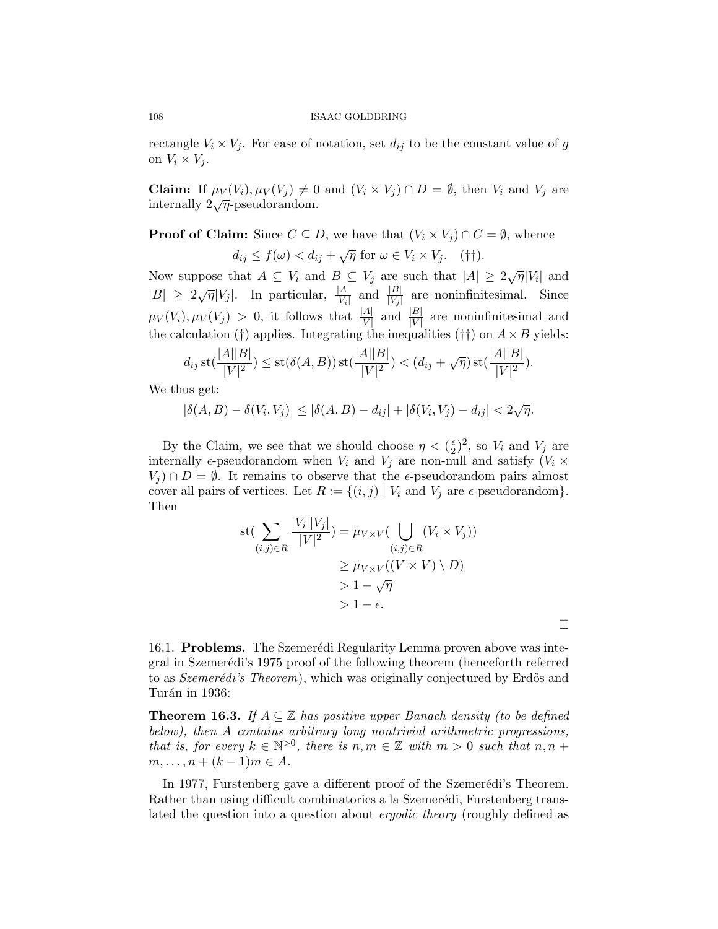rectangle  $V_i \times V_j$ . For ease of notation, set  $d_{ij}$  to be the constant value of g on  $V_i \times V_j$ .

**Claim:** If  $\mu_V(V_i), \mu_V(V_j) \neq 0$  and  $(V_i \times V_j) \cap D = \emptyset$ , then  $V_i$  and  $V_j$  are internally  $2\sqrt{\eta}$ -pseudorandom.

**Proof of Claim:** Since  $C \subseteq D$ , we have that  $(V_i \times V_j) \cap C = \emptyset$ , whence  $d_{ij} \leq f(\omega) < d_{ij} + \sqrt{\eta}$  for  $\omega \in V_i \times V_j$ . (††).

Now suppose that  $A \subseteq V_i$  and  $B \subseteq V_j$  are such that  $|A| \geq 2\sqrt{\eta}|V_i|$  and  $|B| \ge 2\sqrt{\eta}|V_j|$ . In particular,  $\frac{|A|}{|V_i|}$  and  $\frac{|B|}{|V_j|}$  are noninfinitesimal. Since  $\mu_V(V_i), \mu_V(V_j) > 0$ , it follows that  $\frac{|A|}{|V|}$  and  $\frac{|B|}{|V|}$  are noninfinitesimal and the calculation (†) applies. Integrating the inequalities (††) on  $A \times B$  yields:

$$
d_{ij}
$$
 st $(\frac{|A||B|}{|V|^2}) \le$  st $(\delta(A, B))$  st $(\frac{|A||B|}{|V|^2}) < (d_{ij} + \sqrt{\eta})$  st $(\frac{|A||B|}{|V|^2}).$ 

We thus get:

$$
|\delta(A,B)-\delta(V_i,V_j)|\leq |\delta(A,B)-d_{ij}|+|\delta(V_i,V_j)-d_{ij}|<2\sqrt{\eta}.
$$

By the Claim, we see that we should choose  $\eta < (\frac{\epsilon}{2})$  $(\frac{\epsilon}{2})^2$ , so  $V_i$  and  $V_j$  are internally  $\epsilon$ -pseudorandom when  $V_i$  and  $V_j$  are non-null and satisfy  $(V_i \times$  $V_i$ )  $\cap$   $D = \emptyset$ . It remains to observe that the  $\epsilon$ -pseudorandom pairs almost cover all pairs of vertices. Let  $R := \{(i, j) | V_i \text{ and } V_j \text{ are } \epsilon\text{-pseudorandom}\}.$ Then

$$
\operatorname{st}(\sum_{(i,j)\in R} \frac{|V_i||V_j|}{|V|^2}) = \mu_{V\times V}(\bigcup_{(i,j)\in R} (V_i \times V_j))
$$
  
\n
$$
\geq \mu_{V\times V}((V\times V)\setminus D)
$$
  
\n
$$
> 1 - \sqrt{\eta}
$$
  
\n
$$
> 1 - \epsilon.
$$

16.1. Problems. The Szemerédi Regularity Lemma proven above was integral in Szemerédi's 1975 proof of the following theorem (henceforth referred to as *Szemerédi's Theorem*), which was originally conjectured by Erdős and Turán in 1936:

**Theorem 16.3.** If  $A \subseteq \mathbb{Z}$  has positive upper Banach density (to be defined below), then A contains arbitrary long nontrivial arithmetric progressions, that is, for every  $k \in \mathbb{N}^{>0}$ , there is  $n, m \in \mathbb{Z}$  with  $m > 0$  such that  $n, n +$  $m, \ldots, n + (k-1)m \in A$ .

In 1977, Furstenberg gave a different proof of the Szemerédi's Theorem. Rather than using difficult combinatorics a la Szemerédi, Furstenberg translated the question into a question about *ergodic theory* (roughly defined as

 $\Box$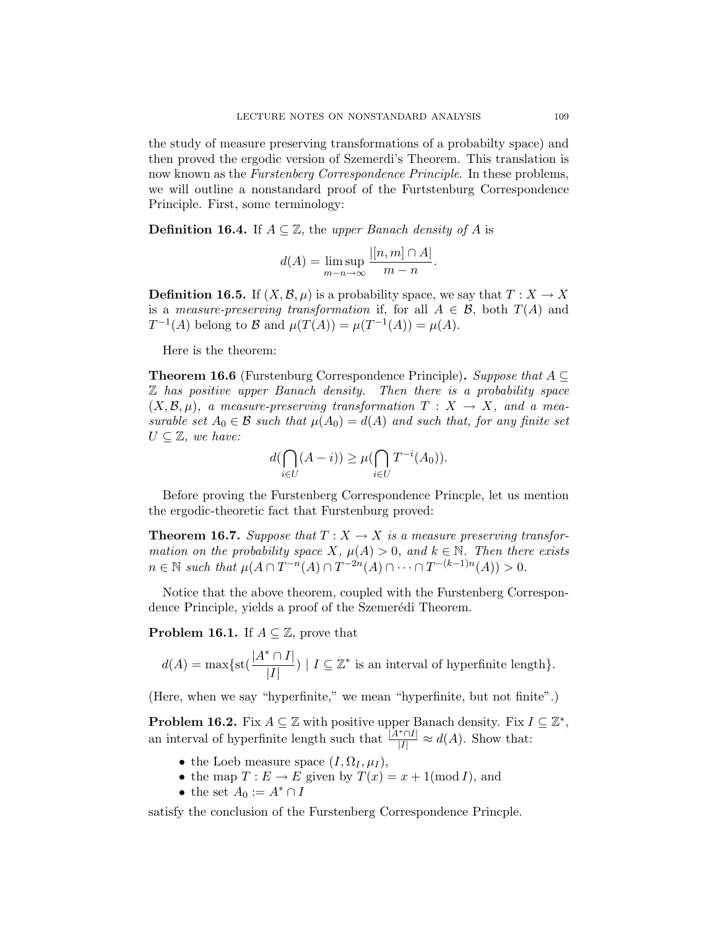the study of measure preserving transformations of a probabilty space) and then proved the ergodic version of Szemerdi's Theorem. This translation is now known as the Furstenberg Correspondence Principle. In these problems, we will outline a nonstandard proof of the Furtstenburg Correspondence Principle. First, some terminology:

**Definition 16.4.** If  $A \subseteq \mathbb{Z}$ , the upper Banach density of A is

$$
d(A) = \limsup_{m-n \to \infty} \frac{|[n,m] \cap A|}{m-n}.
$$

**Definition 16.5.** If  $(X, \mathcal{B}, \mu)$  is a probability space, we say that  $T : X \to X$ is a *measure-preserving transformation* if, for all  $A \in \mathcal{B}$ , both  $T(A)$  and  $T^{-1}(A)$  belong to B and  $\mu(T(A)) = \mu(T^{-1}(A)) = \mu(A)$ .

Here is the theorem:

**Theorem 16.6** (Furstenburg Correspondence Principle). Suppose that  $A \subseteq$ Z has positive upper Banach density. Then there is a probability space  $(X, \mathcal{B}, \mu)$ , a measure-preserving transformation  $T : X \to X$ , and a measurable set  $A_0 \in \mathcal{B}$  such that  $\mu(A_0) = d(A)$  and such that, for any finite set  $U \subseteq \mathbb{Z}$ , we have:

$$
d(\bigcap_{i\in U} (A-i)) \ge \mu(\bigcap_{i\in U} T^{-i}(A_0)).
$$

Before proving the Furstenberg Correspondence Princple, let us mention the ergodic-theoretic fact that Furstenburg proved:

**Theorem 16.7.** Suppose that  $T : X \to X$  is a measure preserving transformation on the probability space X,  $\mu(A) > 0$ , and  $k \in \mathbb{N}$ . Then there exists  $n \in \mathbb{N}$  such that  $\mu(A \cap T^{-n}(A) \cap T^{-2n}(A) \cap \cdots \cap T^{-(k-1)n}(A)) > 0.$ 

Notice that the above theorem, coupled with the Furstenberg Correspondence Principle, yields a proof of the Szemerédi Theorem.

**Problem 16.1.** If  $A \subseteq \mathbb{Z}$ , prove that

$$
d(A) = \max\{\text{st}(\frac{|A^* \cap I|}{|I|}) \mid I \subseteq \mathbb{Z}^* \text{ is an interval of hyperfinite length}\}.
$$

(Here, when we say "hyperfinite," we mean "hyperfinite, but not finite".)

**Problem 16.2.** Fix  $A \subseteq \mathbb{Z}$  with positive upper Banach density. Fix  $I \subseteq \mathbb{Z}^*$ , an interval of hyperfinite length such that  $\frac{|\tilde{A}^*\cap I|}{|I|} \approx d(A)$ . Show that:

- the Loeb measure space  $(I, \Omega_I, \mu_I)$ ,
- the map  $T : E \to E$  given by  $T(x) = x + 1 \pmod{I}$ , and
- the set  $A_0 := A^* \cap I$

satisfy the conclusion of the Furstenberg Correspondence Princple.